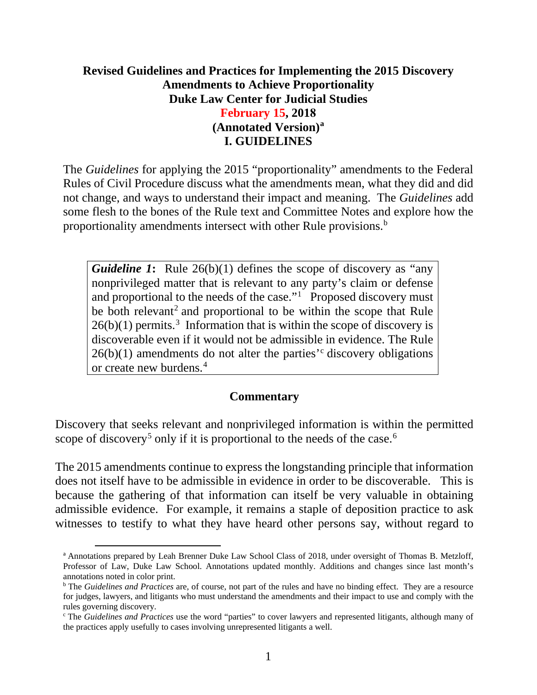### **Revised Guidelines and Practices for Implementing the 2015 Discovery Amendments to Achieve Proportionality Duke Law Center for Judicial Studies February 15, 2018 (Annotated Version)[a](#page-0-0) I. GUIDELINES**

The *Guidelines* for applying the 2015 "proportionality" amendments to the Federal Rules of Civil Procedure discuss what the amendments mean, what they did and did not change, and ways to understand their impact and meaning. The *Guidelines* add some flesh to the bones of the Rule text and Committee Notes and explore how the proportionality amendments intersect with other Rule provisions.<sup>[b](#page-0-1)</sup>

*Guideline 1*: Rule 26(b)(1) defines the scope of discovery as "any nonprivileged matter that is relevant to any party's claim or defense and proportional to the needs of the case."<sup>[1](#page-29-0)</sup> Proposed discovery must be both relevant<sup>[2](#page-29-0)</sup> and proportional to be within the scope that Rule  $26(b)(1)$  permits.<sup>[3](#page-29-1)</sup> Information that is within the scope of discovery is discoverable even if it would not be admissible in evidence. The Rule  $26(b)(1)$  amendments do not alter the parties<sup>'</sup> dis[c](#page-0-2)overy obligations or create new burdens.[4](#page-30-0)

#### **Commentary**

Discovery that seeks relevant and nonprivileged information is within the permitted scope of discovery<sup>[5](#page-30-1)</sup> only if it is proportional to the needs of the case.<sup>[6](#page-31-0)</sup>

The 2015 amendments continue to express the longstanding principle that information does not itself have to be admissible in evidence in order to be discoverable. This is because the gathering of that information can itself be very valuable in obtaining admissible evidence. For example, it remains a staple of deposition practice to ask witnesses to testify to what they have heard other persons say, without regard to

<span id="page-0-0"></span><sup>a</sup> Annotations prepared by Leah Brenner Duke Law School Class of 2018, under oversight of Thomas B. Metzloff, Professor of Law, Duke Law School. Annotations updated monthly. Additions and changes since last month's annotations noted in color print.

<span id="page-0-1"></span><sup>b</sup> The *Guidelines and Practices* are, of course, not part of the rules and have no binding effect. They are a resource for judges, lawyers, and litigants who must understand the amendments and their impact to use and comply with the rules governing discovery.

<span id="page-0-2"></span><sup>c</sup> The *Guidelines and Practices* use the word "parties" to cover lawyers and represented litigants, although many of the practices apply usefully to cases involving unrepresented litigants a well.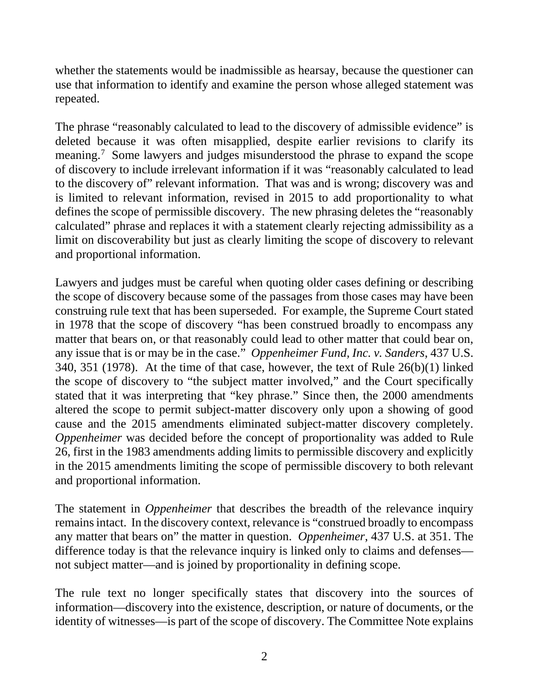whether the statements would be inadmissible as hearsay, because the questioner can use that information to identify and examine the person whose alleged statement was repeated.

The phrase "reasonably calculated to lead to the discovery of admissible evidence" is deleted because it was often misapplied, despite earlier revisions to clarify its meaning.<sup>[7](#page-31-1)</sup> Some lawyers and judges misunderstood the phrase to expand the scope of discovery to include irrelevant information if it was "reasonably calculated to lead to the discovery of" relevant information. That was and is wrong; discovery was and is limited to relevant information, revised in 2015 to add proportionality to what defines the scope of permissible discovery. The new phrasing deletes the "reasonably calculated" phrase and replaces it with a statement clearly rejecting admissibility as a limit on discoverability but just as clearly limiting the scope of discovery to relevant and proportional information.

Lawyers and judges must be careful when quoting older cases defining or describing the scope of discovery because some of the passages from those cases may have been construing rule text that has been superseded. For example, the Supreme Court stated in 1978 that the scope of discovery "has been construed broadly to encompass any matter that bears on, or that reasonably could lead to other matter that could bear on, any issue that is or may be in the case." *Oppenheimer Fund, Inc. v. Sanders*, 437 U.S. 340, 351 (1978). At the time of that case, however, the text of Rule 26(b)(1) linked the scope of discovery to "the subject matter involved," and the Court specifically stated that it was interpreting that "key phrase." Since then, the 2000 amendments altered the scope to permit subject-matter discovery only upon a showing of good cause and the 2015 amendments eliminated subject-matter discovery completely. *Oppenheimer* was decided before the concept of proportionality was added to Rule 26, first in the 1983 amendments adding limits to permissible discovery and explicitly in the 2015 amendments limiting the scope of permissible discovery to both relevant and proportional information.

The statement in *Oppenheimer* that describes the breadth of the relevance inquiry remains intact. In the discovery context, relevance is "construed broadly to encompass any matter that bears on" the matter in question. *Oppenheimer*, 437 U.S. at 351. The difference today is that the relevance inquiry is linked only to claims and defenses not subject matter—and is joined by proportionality in defining scope.

The rule text no longer specifically states that discovery into the sources of information—discovery into the existence, description, or nature of documents, or the identity of witnesses—is part of the scope of discovery. The Committee Note explains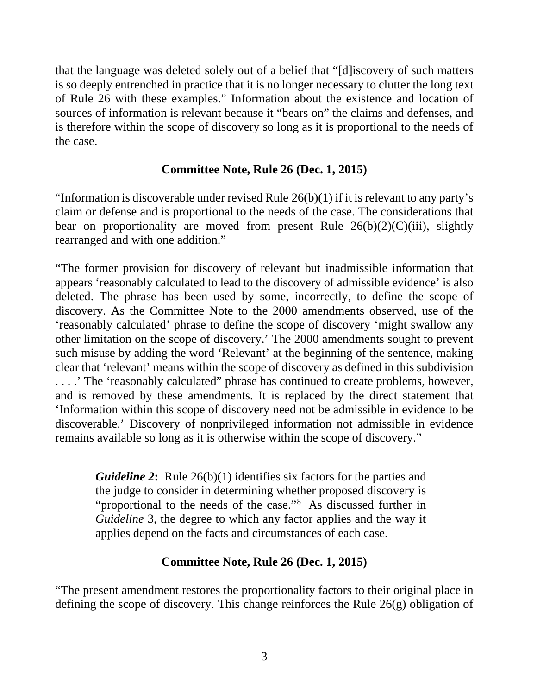that the language was deleted solely out of a belief that "[d]iscovery of such matters is so deeply entrenched in practice that it is no longer necessary to clutter the long text of Rule 26 with these examples." Information about the existence and location of sources of information is relevant because it "bears on" the claims and defenses, and is therefore within the scope of discovery so long as it is proportional to the needs of the case.

## **Committee Note, Rule 26 (Dec. 1, 2015)**

"Information is discoverable under revised Rule 26(b)(1) if it is relevant to any party's claim or defense and is proportional to the needs of the case. The considerations that bear on proportionality are moved from present Rule  $26(b)(2)(C)(iii)$ , slightly rearranged and with one addition."

"The former provision for discovery of relevant but inadmissible information that appears 'reasonably calculated to lead to the discovery of admissible evidence' is also deleted. The phrase has been used by some, incorrectly, to define the scope of discovery. As the Committee Note to the 2000 amendments observed, use of the 'reasonably calculated' phrase to define the scope of discovery 'might swallow any other limitation on the scope of discovery.' The 2000 amendments sought to prevent such misuse by adding the word 'Relevant' at the beginning of the sentence, making clear that 'relevant' means within the scope of discovery as defined in this subdivision . . . .' The 'reasonably calculated" phrase has continued to create problems, however, and is removed by these amendments. It is replaced by the direct statement that 'Information within this scope of discovery need not be admissible in evidence to be discoverable.' Discovery of nonprivileged information not admissible in evidence remains available so long as it is otherwise within the scope of discovery."

*Guideline 2***:** Rule 26(b)(1) identifies six factors for the parties and the judge to consider in determining whether proposed discovery is "proportional to the needs of the case."<sup>[8](#page-32-0)</sup> As discussed further in *Guideline* 3, the degree to which any factor applies and the way it applies depend on the facts and circumstances of each case.

### **Committee Note, Rule 26 (Dec. 1, 2015)**

"The present amendment restores the proportionality factors to their original place in defining the scope of discovery. This change reinforces the Rule 26(g) obligation of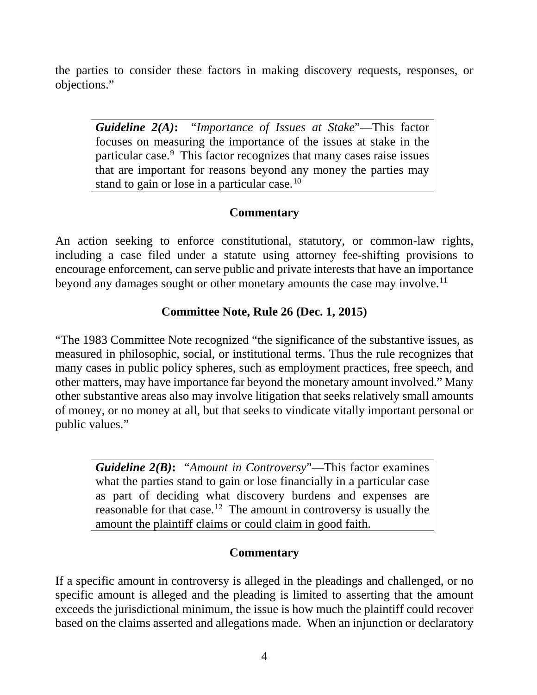the parties to consider these factors in making discovery requests, responses, or objections."

*Guideline 2(A)***:** "*Importance of Issues at Stake*"—This factor focuses on measuring the importance of the issues at stake in the particular case.<sup>[9](#page-32-1)</sup> This factor recognizes that many cases raise issues that are important for reasons beyond any money the parties may stand to gain or lose in a particular case.<sup>[10](#page-33-0)</sup>

## **Commentary**

An action seeking to enforce constitutional, statutory, or common-law rights, including a case filed under a statute using attorney fee-shifting provisions to encourage enforcement, can serve public and private interests that have an importance beyond any damages sought or other monetary amounts the case may involve.<sup>[11](#page-33-1)</sup>

## **Committee Note, Rule 26 (Dec. 1, 2015)**

"The 1983 Committee Note recognized "the significance of the substantive issues, as measured in philosophic, social, or institutional terms. Thus the rule recognizes that many cases in public policy spheres, such as employment practices, free speech, and other matters, may have importance far beyond the monetary amount involved." Many other substantive areas also may involve litigation that seeks relatively small amounts of money, or no money at all, but that seeks to vindicate vitally important personal or public values."

*Guideline 2(B)***:** "*Amount in Controversy*"—This factor examines what the parties stand to gain or lose financially in a particular case as part of deciding what discovery burdens and expenses are reasonable for that case.[12](#page-33-2) The amount in controversy is usually the amount the plaintiff claims or could claim in good faith.

### **Commentary**

If a specific amount in controversy is alleged in the pleadings and challenged, or no specific amount is alleged and the pleading is limited to asserting that the amount exceeds the jurisdictional minimum, the issue is how much the plaintiff could recover based on the claims asserted and allegations made.When an injunction or declaratory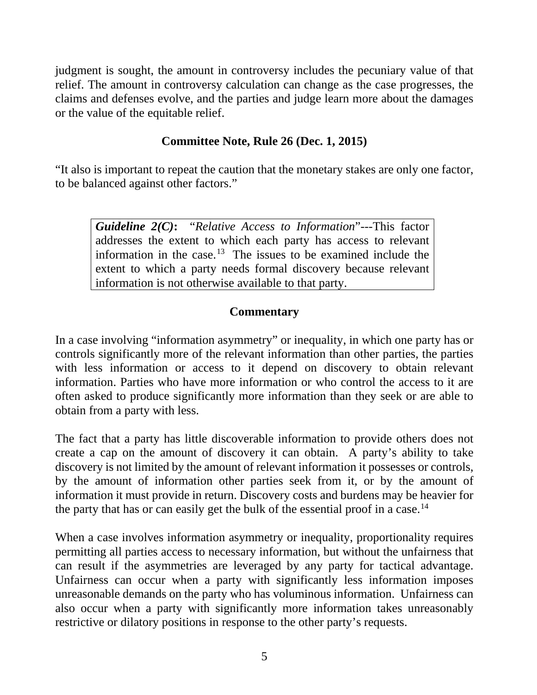judgment is sought, the amount in controversy includes the pecuniary value of that relief. The amount in controversy calculation can change as the case progresses, the claims and defenses evolve, and the parties and judge learn more about the damages or the value of the equitable relief.

## **Committee Note, Rule 26 (Dec. 1, 2015)**

"It also is important to repeat the caution that the monetary stakes are only one factor, to be balanced against other factors."

*Guideline 2(C)***:** "*Relative Access to Information*"---This factor addresses the extent to which each party has access to relevant information in the case.<sup>[13](#page-34-0)</sup> The issues to be examined include the extent to which a party needs formal discovery because relevant information is not otherwise available to that party.

## **Commentary**

In a case involving "information asymmetry" or inequality, in which one party has or controls significantly more of the relevant information than other parties, the parties with less information or access to it depend on discovery to obtain relevant information. Parties who have more information or who control the access to it are often asked to produce significantly more information than they seek or are able to obtain from a party with less.

The fact that a party has little discoverable information to provide others does not create a cap on the amount of discovery it can obtain. A party's ability to take discovery is not limited by the amount of relevant information it possesses or controls, by the amount of information other parties seek from it, or by the amount of information it must provide in return. Discovery costs and burdens may be heavier for the party that has or can easily get the bulk of the essential proof in a case.<sup>[14](#page-34-1)</sup>

When a case involves information asymmetry or inequality, proportionality requires permitting all parties access to necessary information, but without the unfairness that can result if the asymmetries are leveraged by any party for tactical advantage. Unfairness can occur when a party with significantly less information imposes unreasonable demands on the party who has voluminous information. Unfairness can also occur when a party with significantly more information takes unreasonably restrictive or dilatory positions in response to the other party's requests.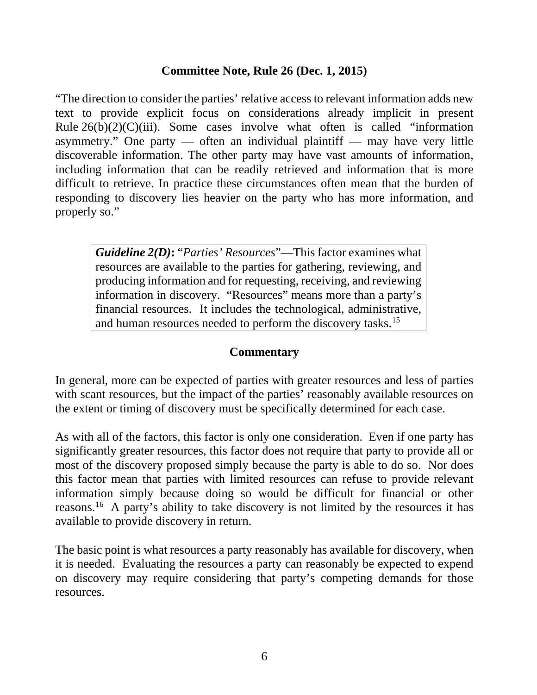#### **Committee Note, Rule 26 (Dec. 1, 2015)**

"The direction to consider the parties' relative access to relevant information adds new text to provide explicit focus on considerations already implicit in present Rule  $26(b)(2)(C)(iii)$ . Some cases involve what often is called "information" asymmetry." One party — often an individual plaintiff — may have very little discoverable information. The other party may have vast amounts of information, including information that can be readily retrieved and information that is more difficult to retrieve. In practice these circumstances often mean that the burden of responding to discovery lies heavier on the party who has more information, and properly so."

*Guideline 2(D)***:** "*Parties' Resources*"—This factor examines what resources are available to the parties for gathering, reviewing, and producing information and for requesting, receiving, and reviewing information in discovery. "Resources" means more than a party's financial resources. It includes the technological, administrative, and human resources needed to perform the discovery tasks.[15](#page-35-0)

#### **Commentary**

In general, more can be expected of parties with greater resources and less of parties with scant resources, but the impact of the parties' reasonably available resources on the extent or timing of discovery must be specifically determined for each case.

As with all of the factors, this factor is only one consideration. Even if one party has significantly greater resources, this factor does not require that party to provide all or most of the discovery proposed simply because the party is able to do so. Nor does this factor mean that parties with limited resources can refuse to provide relevant information simply because doing so would be difficult for financial or other reasons.[16](#page-35-1) A party's ability to take discovery is not limited by the resources it has available to provide discovery in return.

The basic point is what resources a party reasonably has available for discovery, when it is needed. Evaluating the resources a party can reasonably be expected to expend on discovery may require considering that party's competing demands for those resources.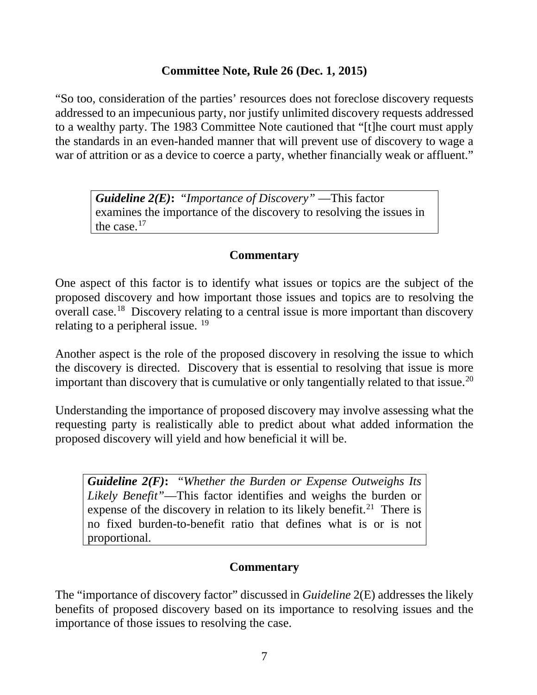#### **Committee Note, Rule 26 (Dec. 1, 2015)**

"So too, consideration of the parties' resources does not foreclose discovery requests addressed to an impecunious party, nor justify unlimited discovery requests addressed to a wealthy party. The 1983 Committee Note cautioned that "[t]he court must apply the standards in an even-handed manner that will prevent use of discovery to wage a war of attrition or as a device to coerce a party, whether financially weak or affluent."

*Guideline 2(E)***:** "*Importance of Discovery"* —This factor examines the importance of the discovery to resolving the issues in the case.<sup>[17](#page-35-2)</sup>

### **Commentary**

One aspect of this factor is to identify what issues or topics are the subject of the proposed discovery and how important those issues and topics are to resolving the overall case.[18](#page-36-0) Discovery relating to a central issue is more important than discovery relating to a peripheral issue.<sup>[19](#page-37-0)</sup>

Another aspect is the role of the proposed discovery in resolving the issue to which the discovery is directed. Discovery that is essential to resolving that issue is more important than discovery that is cumulative or only tangentially related to that issue.<sup>[20](#page-37-1)</sup>

Understanding the importance of proposed discovery may involve assessing what the requesting party is realistically able to predict about what added information the proposed discovery will yield and how beneficial it will be.

*Guideline 2(F)***:** "*Whether the Burden or Expense Outweighs Its Likely Benefit"*—This factor identifies and weighs the burden or expense of the discovery in relation to its likely benefit.<sup>21</sup> There is no fixed burden-to-benefit ratio that defines what is or is not proportional.

### **Commentary**

The "importance of discovery factor" discussed in *Guideline* 2(E) addresses the likely benefits of proposed discovery based on its importance to resolving issues and the importance of those issues to resolving the case.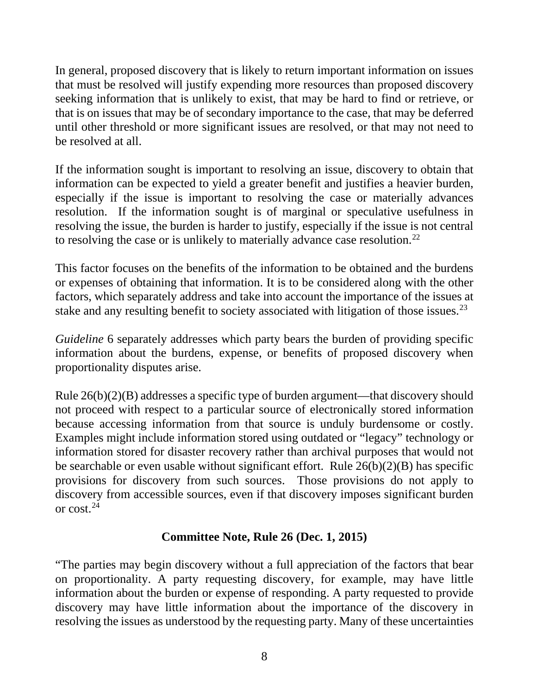In general, proposed discovery that is likely to return important information on issues that must be resolved will justify expending more resources than proposed discovery seeking information that is unlikely to exist, that may be hard to find or retrieve, or that is on issues that may be of secondary importance to the case, that may be deferred until other threshold or more significant issues are resolved, or that may not need to be resolved at all.

If the information sought is important to resolving an issue, discovery to obtain that information can be expected to yield a greater benefit and justifies a heavier burden, especially if the issue is important to resolving the case or materially advances resolution. If the information sought is of marginal or speculative usefulness in resolving the issue, the burden is harder to justify, especially if the issue is not central to resolving the case or is unlikely to materially advance case resolution.<sup>[22](#page-39-0)</sup>

This factor focuses on the benefits of the information to be obtained and the burdens or expenses of obtaining that information. It is to be considered along with the other factors, which separately address and take into account the importance of the issues at stake and any resulting benefit to society associated with litigation of those issues.<sup>[23](#page-39-1)</sup>

*Guideline* 6 separately addresses which party bears the burden of providing specific information about the burdens, expense, or benefits of proposed discovery when proportionality disputes arise.

Rule 26(b)(2)(B) addresses a specific type of burden argument—that discovery should not proceed with respect to a particular source of electronically stored information because accessing information from that source is unduly burdensome or costly. Examples might include information stored using outdated or "legacy" technology or information stored for disaster recovery rather than archival purposes that would not be searchable or even usable without significant effort. Rule 26(b)(2)(B) has specific provisions for discovery from such sources. Those provisions do not apply to discovery from accessible sources, even if that discovery imposes significant burden or cost.[24](#page-39-2)

### **Committee Note, Rule 26 (Dec. 1, 2015)**

"The parties may begin discovery without a full appreciation of the factors that bear on proportionality. A party requesting discovery, for example, may have little information about the burden or expense of responding. A party requested to provide discovery may have little information about the importance of the discovery in resolving the issues as understood by the requesting party. Many of these uncertainties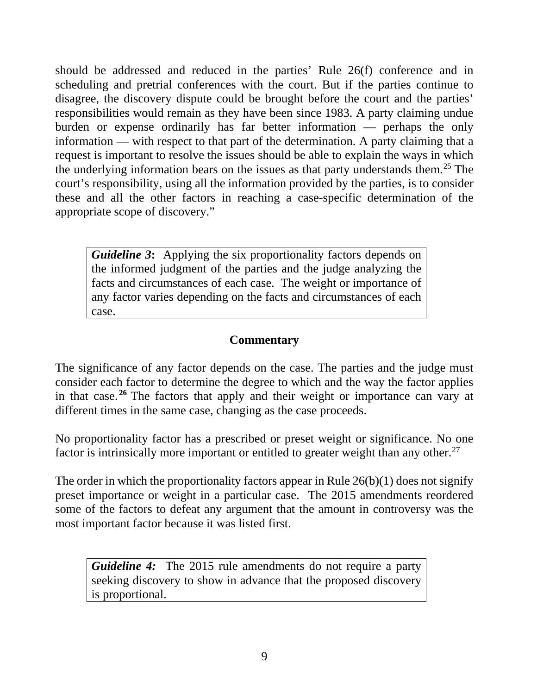should be addressed and reduced in the parties' Rule 26(f) conference and in scheduling and pretrial conferences with the court. But if the parties continue to disagree, the discovery dispute could be brought before the court and the parties' responsibilities would remain as they have been since 1983. A party claiming undue burden or expense ordinarily has far better information — perhaps the only information — with respect to that part of the determination. A party claiming that a request is important to resolve the issues should be able to explain the ways in which the underlying information bears on the issues as that party understands them.<sup>[25](#page-39-3)</sup> The court's responsibility, using all the information provided by the parties, is to consider these and all the other factors in reaching a case-specific determination of the appropriate scope of discovery."

*Guideline* 3: Applying the six proportionality factors depends on the informed judgment of the parties and the judge analyzing the facts and circumstances of each case. The weight or importance of any factor varies depending on the facts and circumstances of each case.

#### **Commentary**

The significance of any factor depends on the case. The parties and the judge must consider each factor to determine the degree to which and the way the factor applies in that case. **[26](#page-39-4)** The factors that apply and their weight or importance can vary at different times in the same case, changing as the case proceeds.

No proportionality factor has a prescribed or preset weight or significance. No one factor is intrinsically more important or entitled to greater weight than any other.<sup>[27](#page-40-0)</sup>

The order in which the proportionality factors appear in Rule 26(b)(1) does not signify preset importance or weight in a particular case. The 2015 amendments reordered some of the factors to defeat any argument that the amount in controversy was the most important factor because it was listed first.

*Guideline 4:* The 2015 rule amendments do not require a party seeking discovery to show in advance that the proposed discovery is proportional.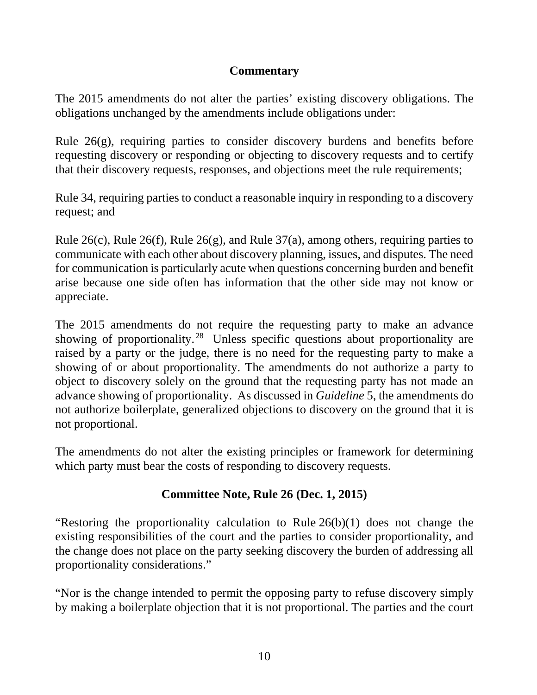#### **Commentary**

The 2015 amendments do not alter the parties' existing discovery obligations. The obligations unchanged by the amendments include obligations under:

Rule 26(g), requiring parties to consider discovery burdens and benefits before requesting discovery or responding or objecting to discovery requests and to certify that their discovery requests, responses, and objections meet the rule requirements;

Rule 34, requiring parties to conduct a reasonable inquiry in responding to a discovery request; and

Rule 26(c), Rule 26(f), Rule 26(g), and Rule 37(a), among others, requiring parties to communicate with each other about discovery planning, issues, and disputes. The need for communication is particularly acute when questions concerning burden and benefit arise because one side often has information that the other side may not know or appreciate.

The 2015 amendments do not require the requesting party to make an advance showing of proportionality.<sup>[28](#page-40-1)</sup> Unless specific questions about proportionality are raised by a party or the judge, there is no need for the requesting party to make a showing of or about proportionality. The amendments do not authorize a party to object to discovery solely on the ground that the requesting party has not made an advance showing of proportionality. As discussed in *Guideline* 5, the amendments do not authorize boilerplate, generalized objections to discovery on the ground that it is not proportional.

The amendments do not alter the existing principles or framework for determining which party must bear the costs of responding to discovery requests.

### **Committee Note, Rule 26 (Dec. 1, 2015)**

"Restoring the proportionality calculation to Rule 26(b)(1) does not change the existing responsibilities of the court and the parties to consider proportionality, and the change does not place on the party seeking discovery the burden of addressing all proportionality considerations."

"Nor is the change intended to permit the opposing party to refuse discovery simply by making a boilerplate objection that it is not proportional. The parties and the court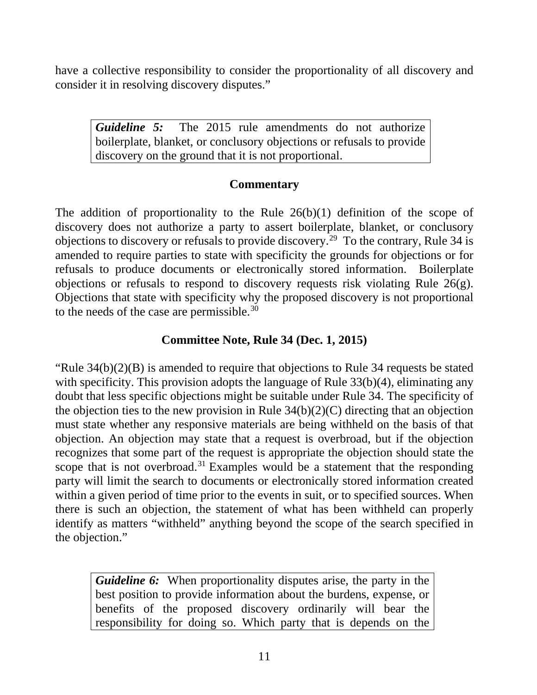have a collective responsibility to consider the proportionality of all discovery and consider it in resolving discovery disputes."

*Guideline 5:* The 2015 rule amendments do not authorize boilerplate, blanket, or conclusory objections or refusals to provide discovery on the ground that it is not proportional.

#### **Commentary**

The addition of proportionality to the Rule 26(b)(1) definition of the scope of discovery does not authorize a party to assert boilerplate, blanket, or conclusory objections to discovery or refusals to provide discovery.<sup>29</sup> To the contrary, Rule 34 is amended to require parties to state with specificity the grounds for objections or for refusals to produce documents or electronically stored information. Boilerplate objections or refusals to respond to discovery requests risk violating Rule 26(g). Objections that state with specificity why the proposed discovery is not proportional to the needs of the case are permissible.[30](#page-40-3)

#### **Committee Note, Rule 34 (Dec. 1, 2015)**

"Rule 34(b)(2)(B) is amended to require that objections to Rule 34 requests be stated with specificity. This provision adopts the language of Rule 33(b)(4), eliminating any doubt that less specific objections might be suitable under Rule 34. The specificity of the objection ties to the new provision in Rule  $34(b)(2)(C)$  directing that an objection must state whether any responsive materials are being withheld on the basis of that objection. An objection may state that a request is overbroad, but if the objection recognizes that some part of the request is appropriate the objection should state the scope that is not overbroad.<sup>[31](#page-41-0)</sup> Examples would be a statement that the responding party will limit the search to documents or electronically stored information created within a given period of time prior to the events in suit, or to specified sources. When there is such an objection, the statement of what has been withheld can properly identify as matters "withheld" anything beyond the scope of the search specified in the objection."

*Guideline 6:*When proportionality disputes arise, the party in the best position to provide information about the burdens, expense, or benefits of the proposed discovery ordinarily will bear the responsibility for doing so. Which party that is depends on the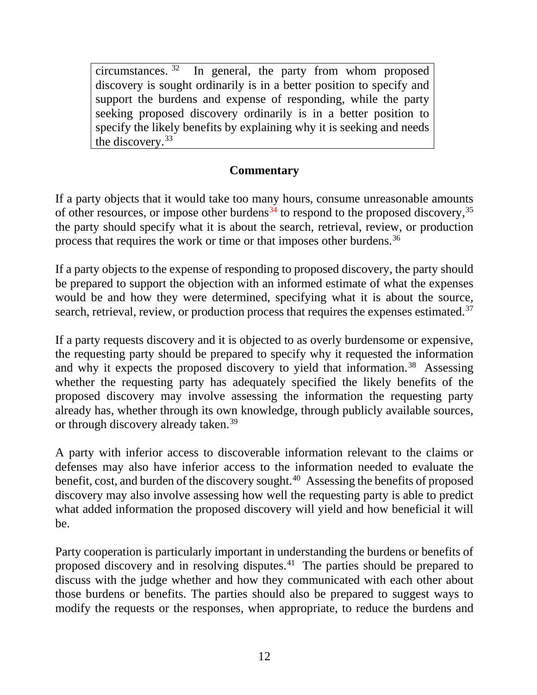circumstances. [32](#page-41-1) In general, the party from whom proposed discovery is sought ordinarily is in a better position to specify and support the burdens and expense of responding, while the party seeking proposed discovery ordinarily is in a better position to specify the likely benefits by explaining why it is seeking and needs the discovery.[33](#page-42-0)

## **Commentary**

If a party objects that it would take too many hours, consume unreasonable amounts of other resources, or impose other burdens<sup>[34](#page-42-1)</sup> to respond to the proposed discovery,  $35$ the party should specify what it is about the search, retrieval, review, or production process that requires the work or time or that imposes other burdens.[36](#page-43-1) 

If a party objects to the expense of responding to proposed discovery, the party should be prepared to support the objection with an informed estimate of what the expenses would be and how they were determined, specifying what it is about the source, search, retrieval, review, or production process that requires the expenses estimated.<sup>[37](#page-44-0)</sup>

If a party requests discovery and it is objected to as overly burdensome or expensive, the requesting party should be prepared to specify why it requested the information and why it expects the proposed discovery to yield that information.<sup>[38](#page-44-1)</sup> Assessing whether the requesting party has adequately specified the likely benefits of the proposed discovery may involve assessing the information the requesting party already has, whether through its own knowledge, through publicly available sources, or through discovery already taken.<sup>[39](#page-45-0)</sup>

A party with inferior access to discoverable information relevant to the claims or defenses may also have inferior access to the information needed to evaluate the benefit, cost, and burden of the discovery sought.<sup>40</sup> Assessing the benefits of proposed discovery may also involve assessing how well the requesting party is able to predict what added information the proposed discovery will yield and how beneficial it will be.

Party cooperation is particularly important in understanding the burdens or benefits of proposed discovery and in resolving disputes.[41](#page-45-2) The parties should be prepared to discuss with the judge whether and how they communicated with each other about those burdens or benefits. The parties should also be prepared to suggest ways to modify the requests or the responses, when appropriate, to reduce the burdens and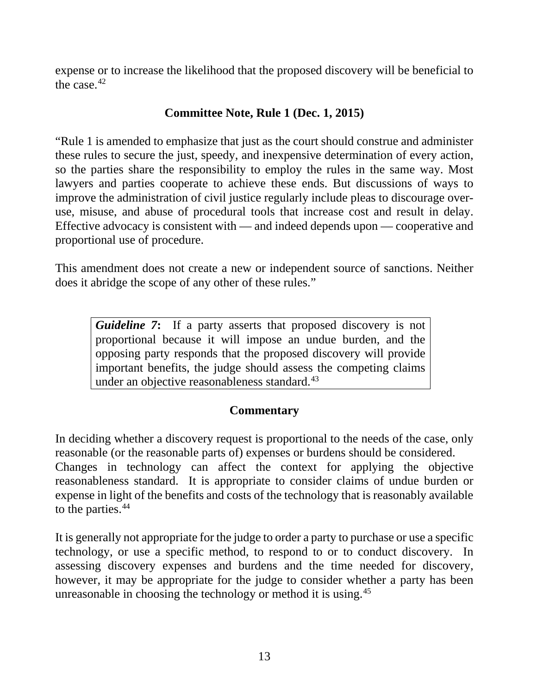expense or to increase the likelihood that the proposed discovery will be beneficial to the case. $42$ 

### **Committee Note, Rule 1 (Dec. 1, 2015)**

"Rule 1 is amended to emphasize that just as the court should construe and administer these rules to secure the just, speedy, and inexpensive determination of every action, so the parties share the responsibility to employ the rules in the same way. Most lawyers and parties cooperate to achieve these ends. But discussions of ways to improve the administration of civil justice regularly include pleas to discourage overuse, misuse, and abuse of procedural tools that increase cost and result in delay. Effective advocacy is consistent with — and indeed depends upon — cooperative and proportional use of procedure.

This amendment does not create a new or independent source of sanctions. Neither does it abridge the scope of any other of these rules."

*Guideline 7***:** If a party asserts that proposed discovery is not proportional because it will impose an undue burden, and the opposing party responds that the proposed discovery will provide important benefits, the judge should assess the competing claims under an objective reasonableness standard.<sup>[43](#page-46-1)</sup>

### **Commentary**

In deciding whether a discovery request is proportional to the needs of the case, only reasonable (or the reasonable parts of) expenses or burdens should be considered. Changes in technology can affect the context for applying the objective reasonableness standard.It is appropriate to consider claims of undue burden or expense in light of the benefits and costs of the technology that is reasonably available to the parties.<sup>[44](#page-46-2)</sup>

It is generally not appropriate for the judge to order a party to purchase or use a specific technology, or use a specific method, to respond to or to conduct discovery. In assessing discovery expenses and burdens and the time needed for discovery, however, it may be appropriate for the judge to consider whether a party has been unreasonable in choosing the technology or method it is using.[45](#page-46-3)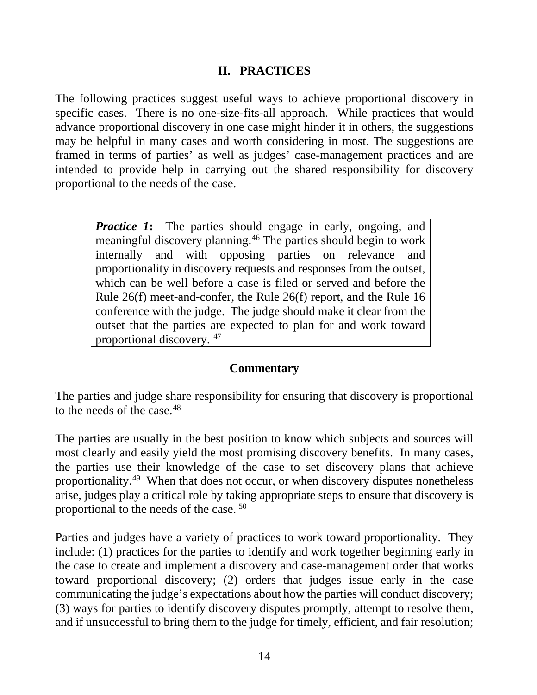### **II. PRACTICES**

The following practices suggest useful ways to achieve proportional discovery in specific cases. There is no one-size-fits-all approach. While practices that would advance proportional discovery in one case might hinder it in others, the suggestions may be helpful in many cases and worth considering in most. The suggestions are framed in terms of parties' as well as judges' case-management practices and are intended to provide help in carrying out the shared responsibility for discovery proportional to the needs of the case.

*Practice* 1: The parties should engage in early, ongoing, and meaningful discovery planning.[46](#page-46-4) The parties should begin to work internally and with opposing parties on relevance and proportionality in discovery requests and responses from the outset, which can be well before a case is filed or served and before the Rule 26(f) meet-and-confer, the Rule 26(f) report, and the Rule 16 conference with the judge. The judge should make it clear from the outset that the parties are expected to plan for and work toward proportional discovery. [47](#page-46-5)

#### **Commentary**

The parties and judge share responsibility for ensuring that discovery is proportional to the needs of the case.<sup>[48](#page-47-0)</sup>

The parties are usually in the best position to know which subjects and sources will most clearly and easily yield the most promising discovery benefits. In many cases, the parties use their knowledge of the case to set discovery plans that achieve proportionality.[49](#page-47-1) When that does not occur, or when discovery disputes nonetheless arise, judges play a critical role by taking appropriate steps to ensure that discovery is proportional to the needs of the case. [50](#page-47-2)

Parties and judges have a variety of practices to work toward proportionality. They include: (1) practices for the parties to identify and work together beginning early in the case to create and implement a discovery and case-management order that works toward proportional discovery; (2) orders that judges issue early in the case communicating the judge's expectations about how the parties will conduct discovery; (3) ways for parties to identify discovery disputes promptly, attempt to resolve them, and if unsuccessful to bring them to the judge for timely, efficient, and fair resolution;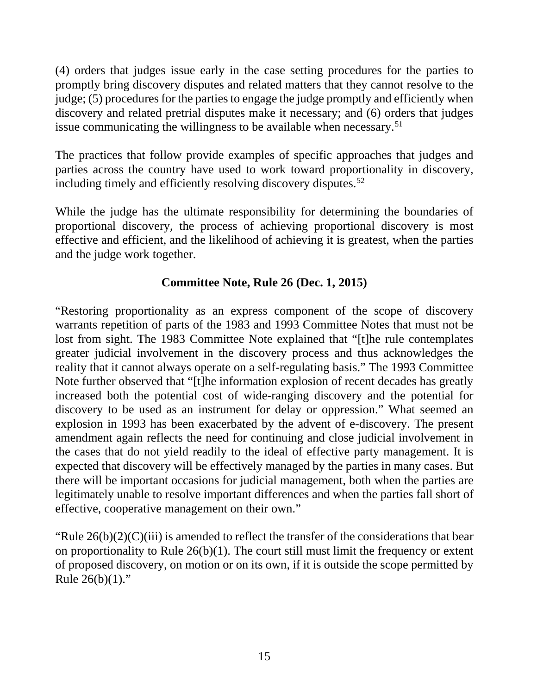(4) orders that judges issue early in the case setting procedures for the parties to promptly bring discovery disputes and related matters that they cannot resolve to the judge; (5) procedures for the parties to engage the judge promptly and efficiently when discovery and related pretrial disputes make it necessary; and (6) orders that judges issue communicating the willingness to be available when necessary.<sup>[51](#page-48-0)</sup>

The practices that follow provide examples of specific approaches that judges and parties across the country have used to work toward proportionality in discovery, including timely and efficiently resolving discovery disputes. $52$ 

While the judge has the ultimate responsibility for determining the boundaries of proportional discovery, the process of achieving proportional discovery is most effective and efficient, and the likelihood of achieving it is greatest, when the parties and the judge work together.

#### **Committee Note, Rule 26 (Dec. 1, 2015)**

"Restoring proportionality as an express component of the scope of discovery warrants repetition of parts of the 1983 and 1993 Committee Notes that must not be lost from sight. The 1983 Committee Note explained that "[t]he rule contemplates greater judicial involvement in the discovery process and thus acknowledges the reality that it cannot always operate on a self-regulating basis." The 1993 Committee Note further observed that "[t]he information explosion of recent decades has greatly increased both the potential cost of wide-ranging discovery and the potential for discovery to be used as an instrument for delay or oppression." What seemed an explosion in 1993 has been exacerbated by the advent of e-discovery. The present amendment again reflects the need for continuing and close judicial involvement in the cases that do not yield readily to the ideal of effective party management. It is expected that discovery will be effectively managed by the parties in many cases. But there will be important occasions for judicial management, both when the parties are legitimately unable to resolve important differences and when the parties fall short of effective, cooperative management on their own."

"Rule  $26(b)(2)(C)(iii)$  is amended to reflect the transfer of the considerations that bear on proportionality to Rule 26(b)(1). The court still must limit the frequency or extent of proposed discovery, on motion or on its own, if it is outside the scope permitted by Rule  $26(b)(1)$ ."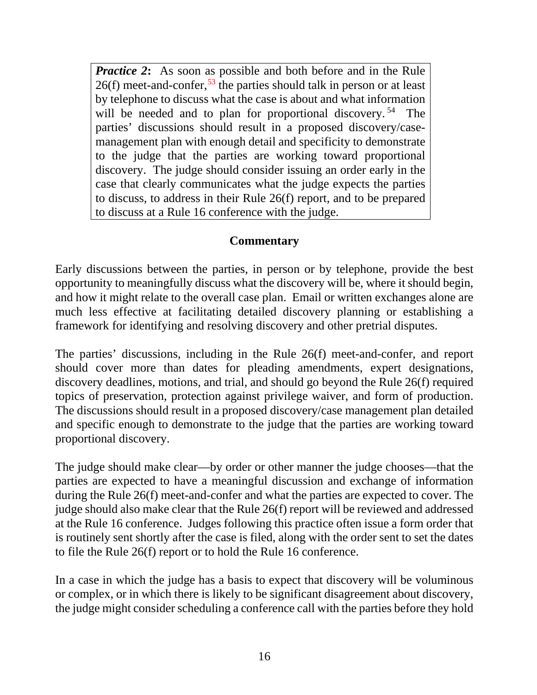*Practice* 2: As soon as possible and both before and in the Rule  $26(f)$  meet-and-confer,<sup>[53](#page-48-2)</sup> the parties should talk in person or at least by telephone to discuss what the case is about and what information will be needed and to plan for proportional discovery.<sup>[54](#page-48-3)</sup> The parties' discussions should result in a proposed discovery/casemanagement plan with enough detail and specificity to demonstrate to the judge that the parties are working toward proportional discovery. The judge should consider issuing an order early in the case that clearly communicates what the judge expects the parties to discuss, to address in their Rule 26(f) report, and to be prepared to discuss at a Rule 16 conference with the judge.

### **Commentary**

Early discussions between the parties, in person or by telephone, provide the best opportunity to meaningfully discuss what the discovery will be, where it should begin, and how it might relate to the overall case plan. Email or written exchanges alone are much less effective at facilitating detailed discovery planning or establishing a framework for identifying and resolving discovery and other pretrial disputes.

The parties' discussions, including in the Rule 26(f) meet-and-confer, and report should cover more than dates for pleading amendments, expert designations, discovery deadlines, motions, and trial, and should go beyond the Rule 26(f) required topics of preservation, protection against privilege waiver, and form of production. The discussions should result in a proposed discovery/case management plan detailed and specific enough to demonstrate to the judge that the parties are working toward proportional discovery.

The judge should make clear—by order or other manner the judge chooses—that the parties are expected to have a meaningful discussion and exchange of information during the Rule 26(f) meet-and-confer and what the parties are expected to cover. The judge should also make clear that the Rule 26(f) report will be reviewed and addressed at the Rule 16 conference. Judges following this practice often issue a form order that is routinely sent shortly after the case is filed, along with the order sent to set the dates to file the Rule 26(f) report or to hold the Rule 16 conference.

In a case in which the judge has a basis to expect that discovery will be voluminous or complex, or in which there is likely to be significant disagreement about discovery, the judge might consider scheduling a conference call with the parties before they hold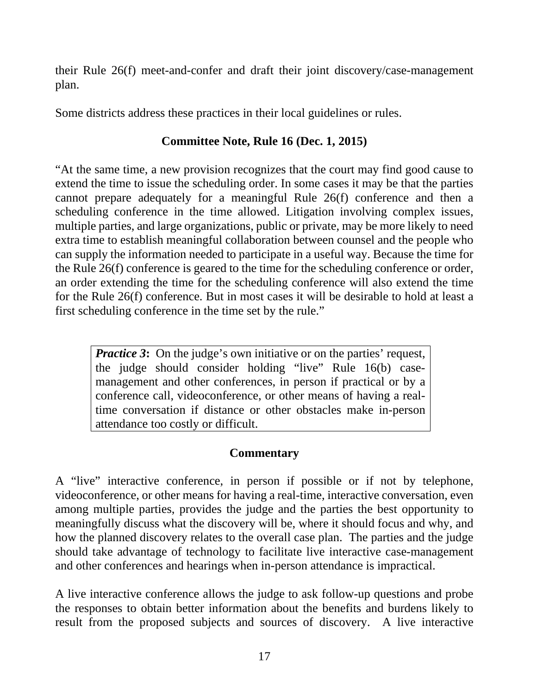their Rule 26(f) meet-and-confer and draft their joint discovery/case-management plan.

Some districts address these practices in their local guidelines or rules.

# **Committee Note, Rule 16 (Dec. 1, 2015)**

"At the same time, a new provision recognizes that the court may find good cause to extend the time to issue the scheduling order. In some cases it may be that the parties cannot prepare adequately for a meaningful Rule 26(f) conference and then a scheduling conference in the time allowed. Litigation involving complex issues, multiple parties, and large organizations, public or private, may be more likely to need extra time to establish meaningful collaboration between counsel and the people who can supply the information needed to participate in a useful way. Because the time for the Rule 26(f) conference is geared to the time for the scheduling conference or order, an order extending the time for the scheduling conference will also extend the time for the Rule 26(f) conference. But in most cases it will be desirable to hold at least a first scheduling conference in the time set by the rule."

*Practice* 3: On the judge's own initiative or on the parties' request, the judge should consider holding "live" Rule 16(b) casemanagement and other conferences, in person if practical or by a conference call, videoconference, or other means of having a realtime conversation if distance or other obstacles make in-person attendance too costly or difficult.

# **Commentary**

A "live" interactive conference, in person if possible or if not by telephone, videoconference, or other means for having a real-time, interactive conversation, even among multiple parties, provides the judge and the parties the best opportunity to meaningfully discuss what the discovery will be, where it should focus and why, and how the planned discovery relates to the overall case plan. The parties and the judge should take advantage of technology to facilitate live interactive case-management and other conferences and hearings when in-person attendance is impractical.

A live interactive conference allows the judge to ask follow-up questions and probe the responses to obtain better information about the benefits and burdens likely to result from the proposed subjects and sources of discovery. A live interactive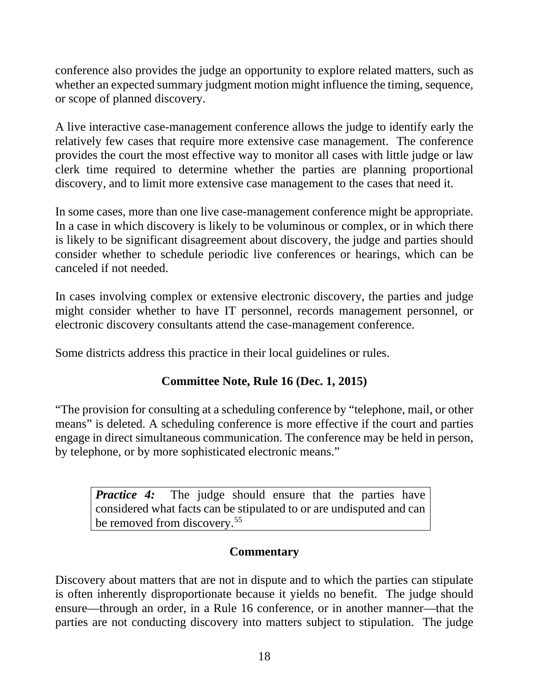conference also provides the judge an opportunity to explore related matters, such as whether an expected summary judgment motion might influence the timing, sequence, or scope of planned discovery.

A live interactive case-management conference allows the judge to identify early the relatively few cases that require more extensive case management. The conference provides the court the most effective way to monitor all cases with little judge or law clerk time required to determine whether the parties are planning proportional discovery, and to limit more extensive case management to the cases that need it.

In some cases, more than one live case-management conference might be appropriate. In a case in which discovery is likely to be voluminous or complex, or in which there is likely to be significant disagreement about discovery, the judge and parties should consider whether to schedule periodic live conferences or hearings, which can be canceled if not needed.

In cases involving complex or extensive electronic discovery, the parties and judge might consider whether to have IT personnel, records management personnel, or electronic discovery consultants attend the case-management conference.

Some districts address this practice in their local guidelines or rules.

### **Committee Note, Rule 16 (Dec. 1, 2015)**

"The provision for consulting at a scheduling conference by "telephone, mail, or other means" is deleted. A scheduling conference is more effective if the court and parties engage in direct simultaneous communication. The conference may be held in person, by telephone, or by more sophisticated electronic means."

*Practice 4:* The judge should ensure that the parties have considered what facts can be stipulated to or are undisputed and can be removed from discovery.<sup>[55](#page-48-4)</sup>

#### **Commentary**

Discovery about matters that are not in dispute and to which the parties can stipulate is often inherently disproportionate because it yields no benefit. The judge should ensure—through an order, in a Rule 16 conference, or in another manner—that the parties are not conducting discovery into matters subject to stipulation. The judge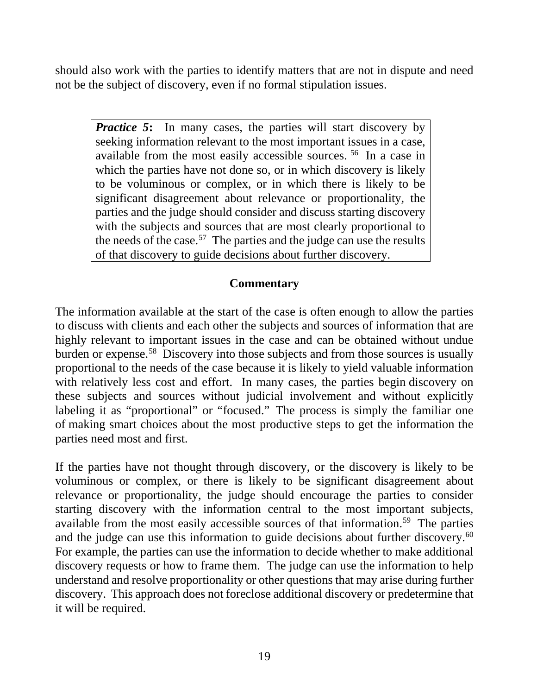should also work with the parties to identify matters that are not in dispute and need not be the subject of discovery, even if no formal stipulation issues.

*Practice* 5: In many cases, the parties will start discovery by seeking information relevant to the most important issues in a case, available from the most easily accessible sources. [56](#page-49-0) In a case in which the parties have not done so, or in which discovery is likely to be voluminous or complex, or in which there is likely to be significant disagreement about relevance or proportionality, the parties and the judge should consider and discuss starting discovery with the subjects and sources that are most clearly proportional to the needs of the case.<sup>57</sup> The parties and the judge can use the results of that discovery to guide decisions about further discovery.

## **Commentary**

The information available at the start of the case is often enough to allow the parties to discuss with clients and each other the subjects and sources of information that are highly relevant to important issues in the case and can be obtained without undue burden or expense.<sup>[58](#page-49-2)</sup> Discovery into those subjects and from those sources is usually proportional to the needs of the case because it is likely to yield valuable information with relatively less cost and effort. In many cases, the parties begin discovery on these subjects and sources without judicial involvement and without explicitly labeling it as "proportional" or "focused." The process is simply the familiar one of making smart choices about the most productive steps to get the information the parties need most and first.

If the parties have not thought through discovery, or the discovery is likely to be voluminous or complex, or there is likely to be significant disagreement about relevance or proportionality, the judge should encourage the parties to consider starting discovery with the information central to the most important subjects, available from the most easily accessible sources of that information.<sup>[59](#page-49-3)</sup> The parties and the judge can use this information to guide decisions about further discovery.<sup>[60](#page-50-0)</sup> For example, the parties can use the information to decide whether to make additional discovery requests or how to frame them. The judge can use the information to help understand and resolve proportionality or other questions that may arise during further discovery. This approach does not foreclose additional discovery or predetermine that it will be required.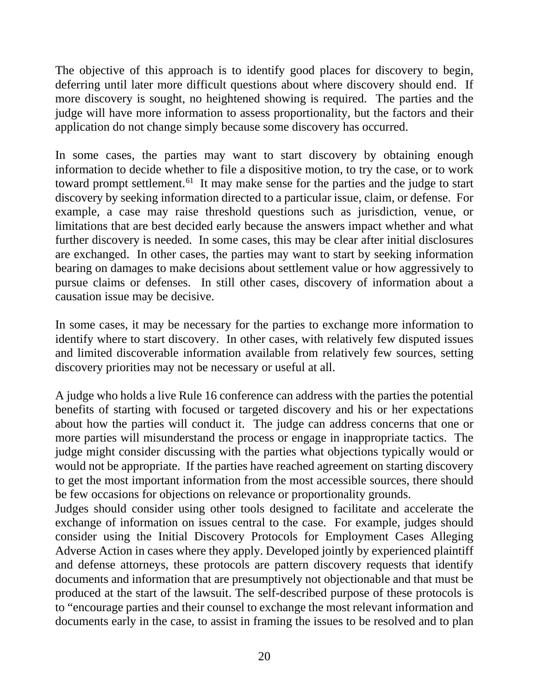The objective of this approach is to identify good places for discovery to begin, deferring until later more difficult questions about where discovery should end. If more discovery is sought, no heightened showing is required. The parties and the judge will have more information to assess proportionality, but the factors and their application do not change simply because some discovery has occurred.

In some cases, the parties may want to start discovery by obtaining enough information to decide whether to file a dispositive motion, to try the case, or to work toward prompt settlement.<sup>61</sup> It may make sense for the parties and the judge to start discovery by seeking information directed to a particular issue, claim, or defense. For example, a case may raise threshold questions such as jurisdiction, venue, or limitations that are best decided early because the answers impact whether and what further discovery is needed. In some cases, this may be clear after initial disclosures are exchanged. In other cases, the parties may want to start by seeking information bearing on damages to make decisions about settlement value or how aggressively to pursue claims or defenses. In still other cases, discovery of information about a causation issue may be decisive.

In some cases, it may be necessary for the parties to exchange more information to identify where to start discovery. In other cases, with relatively few disputed issues and limited discoverable information available from relatively few sources, setting discovery priorities may not be necessary or useful at all.

A judge who holds a live Rule 16 conference can address with the parties the potential benefits of starting with focused or targeted discovery and his or her expectations about how the parties will conduct it. The judge can address concerns that one or more parties will misunderstand the process or engage in inappropriate tactics. The judge might consider discussing with the parties what objections typically would or would not be appropriate. If the parties have reached agreement on starting discovery to get the most important information from the most accessible sources, there should be few occasions for objections on relevance or proportionality grounds.

Judges should consider using other tools designed to facilitate and accelerate the exchange of information on issues central to the case. For example, judges should consider using the Initial Discovery Protocols for Employment Cases Alleging Adverse Action in cases where they apply. Developed jointly by experienced plaintiff and defense attorneys, these protocols are pattern discovery requests that identify documents and information that are presumptively not objectionable and that must be produced at the start of the lawsuit. The self-described purpose of these protocols is to "encourage parties and their counsel to exchange the most relevant information and documents early in the case, to assist in framing the issues to be resolved and to plan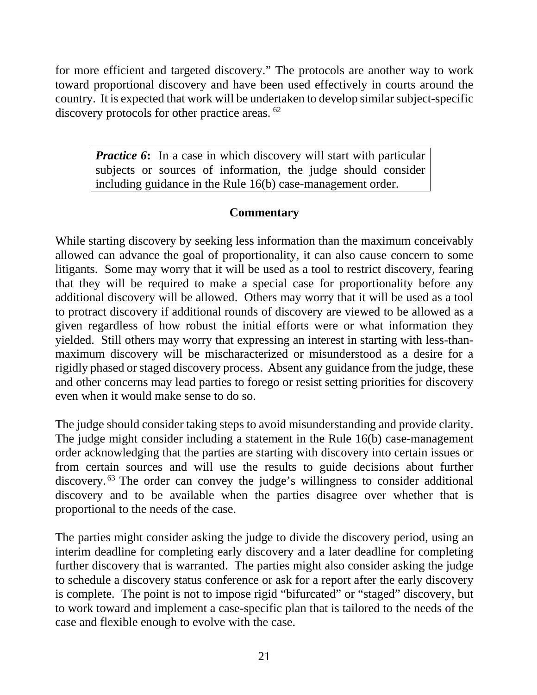for more efficient and targeted discovery." The protocols are another way to work toward proportional discovery and have been used effectively in courts around the country. It is expected that work will be undertaken to develop similar subject-specific discovery protocols for other practice areas. [62](#page-51-0)

*Practice* 6: In a case in which discovery will start with particular subjects or sources of information, the judge should consider including guidance in the Rule 16(b) case-management order.

### **Commentary**

While starting discovery by seeking less information than the maximum conceivably allowed can advance the goal of proportionality, it can also cause concern to some litigants. Some may worry that it will be used as a tool to restrict discovery, fearing that they will be required to make a special case for proportionality before any additional discovery will be allowed. Others may worry that it will be used as a tool to protract discovery if additional rounds of discovery are viewed to be allowed as a given regardless of how robust the initial efforts were or what information they yielded. Still others may worry that expressing an interest in starting with less-thanmaximum discovery will be mischaracterized or misunderstood as a desire for a rigidly phased or staged discovery process. Absent any guidance from the judge, these and other concerns may lead parties to forego or resist setting priorities for discovery even when it would make sense to do so.

The judge should consider taking steps to avoid misunderstanding and provide clarity. The judge might consider including a statement in the Rule 16(b) case-management order acknowledging that the parties are starting with discovery into certain issues or from certain sources and will use the results to guide decisions about further discovery. [63](#page-51-1) The order can convey the judge's willingness to consider additional discovery and to be available when the parties disagree over whether that is proportional to the needs of the case.

The parties might consider asking the judge to divide the discovery period, using an interim deadline for completing early discovery and a later deadline for completing further discovery that is warranted. The parties might also consider asking the judge to schedule a discovery status conference or ask for a report after the early discovery is complete. The point is not to impose rigid "bifurcated" or "staged" discovery, but to work toward and implement a case-specific plan that is tailored to the needs of the case and flexible enough to evolve with the case.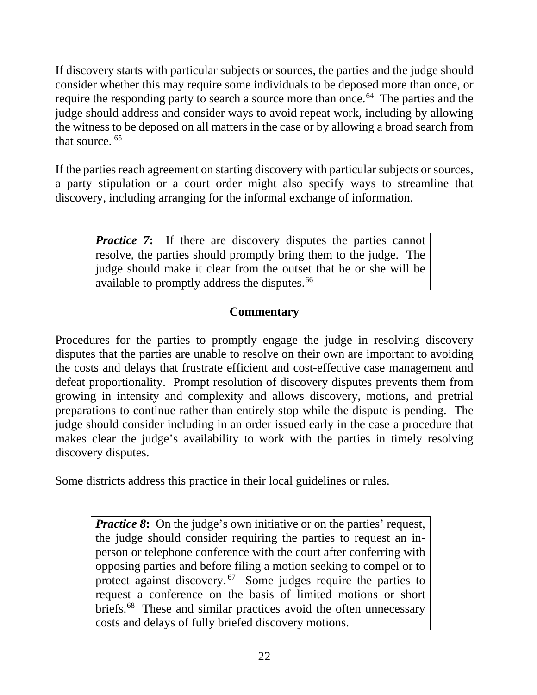If discovery starts with particular subjects or sources, the parties and the judge should consider whether this may require some individuals to be deposed more than once, or require the responding party to search a source more than once.<sup>[64](#page-51-2)</sup> The parties and the judge should address and consider ways to avoid repeat work, including by allowing the witness to be deposed on all matters in the case or by allowing a broad search from that source. [65](#page-52-0)

If the parties reach agreement on starting discovery with particular subjects or sources, a party stipulation or a court order might also specify ways to streamline that discovery, including arranging for the informal exchange of information.

*Practice* 7: If there are discovery disputes the parties cannot resolve, the parties should promptly bring them to the judge. The judge should make it clear from the outset that he or she will be available to promptly address the disputes.<sup>[66](#page-52-1)</sup>

## **Commentary**

Procedures for the parties to promptly engage the judge in resolving discovery disputes that the parties are unable to resolve on their own are important to avoiding the costs and delays that frustrate efficient and cost-effective case management and defeat proportionality. Prompt resolution of discovery disputes prevents them from growing in intensity and complexity and allows discovery, motions, and pretrial preparations to continue rather than entirely stop while the dispute is pending. The judge should consider including in an order issued early in the case a procedure that makes clear the judge's availability to work with the parties in timely resolving discovery disputes.

Some districts address this practice in their local guidelines or rules.

*Practice 8*: On the judge's own initiative or on the parties' request, the judge should consider requiring the parties to request an inperson or telephone conference with the court after conferring with opposing parties and before filing a motion seeking to compel or to protect against discovery. [67](#page-52-2) Some judges require the parties to request a conference on the basis of limited motions or short briefs.<sup>68</sup> These and similar practices avoid the often unnecessary costs and delays of fully briefed discovery motions.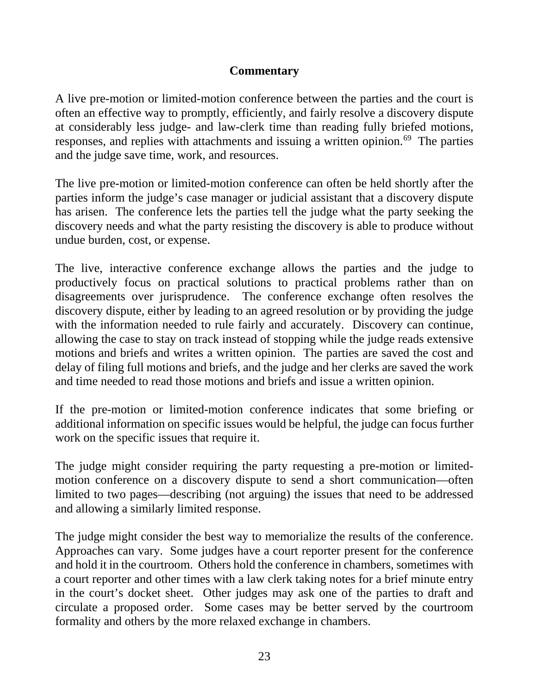#### **Commentary**

A live pre-motion or limited-motion conference between the parties and the court is often an effective way to promptly, efficiently, and fairly resolve a discovery dispute at considerably less judge- and law-clerk time than reading fully briefed motions, responses, and replies with attachments and issuing a written opinion.<sup>[69](#page-53-1)</sup> The parties and the judge save time, work, and resources.

The live pre-motion or limited-motion conference can often be held shortly after the parties inform the judge's case manager or judicial assistant that a discovery dispute has arisen. The conference lets the parties tell the judge what the party seeking the discovery needs and what the party resisting the discovery is able to produce without undue burden, cost, or expense.

The live, interactive conference exchange allows the parties and the judge to productively focus on practical solutions to practical problems rather than on disagreements over jurisprudence. The conference exchange often resolves the discovery dispute, either by leading to an agreed resolution or by providing the judge with the information needed to rule fairly and accurately. Discovery can continue, allowing the case to stay on track instead of stopping while the judge reads extensive motions and briefs and writes a written opinion. The parties are saved the cost and delay of filing full motions and briefs, and the judge and her clerks are saved the work and time needed to read those motions and briefs and issue a written opinion.

If the pre-motion or limited-motion conference indicates that some briefing or additional information on specific issues would be helpful, the judge can focus further work on the specific issues that require it.

The judge might consider requiring the party requesting a pre-motion or limitedmotion conference on a discovery dispute to send a short communication—often limited to two pages—describing (not arguing) the issues that need to be addressed and allowing a similarly limited response.

The judge might consider the best way to memorialize the results of the conference. Approaches can vary. Some judges have a court reporter present for the conference and hold it in the courtroom. Others hold the conference in chambers, sometimes with a court reporter and other times with a law clerk taking notes for a brief minute entry in the court's docket sheet. Other judges may ask one of the parties to draft and circulate a proposed order. Some cases may be better served by the courtroom formality and others by the more relaxed exchange in chambers.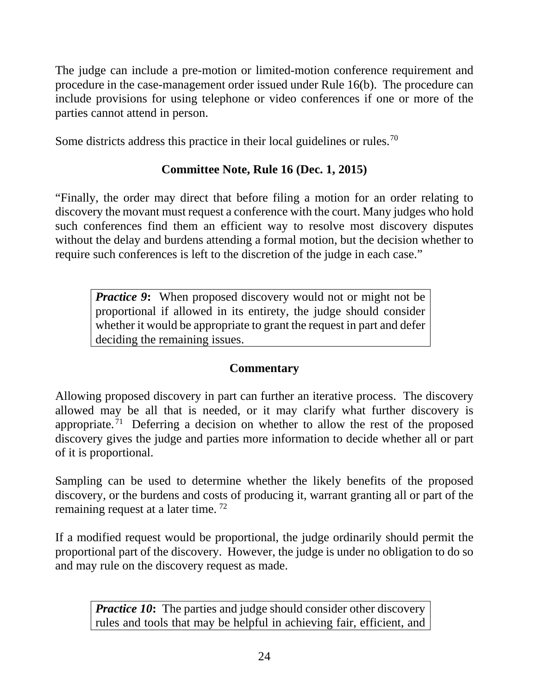The judge can include a pre-motion or limited-motion conference requirement and procedure in the case-management order issued under Rule 16(b). The procedure can include provisions for using telephone or video conferences if one or more of the parties cannot attend in person.

Some districts address this practice in their local guidelines or rules.<sup>[70](#page-53-2)</sup>

# **Committee Note, Rule 16 (Dec. 1, 2015)**

"Finally, the order may direct that before filing a motion for an order relating to discovery the movant must request a conference with the court. Many judges who hold such conferences find them an efficient way to resolve most discovery disputes without the delay and burdens attending a formal motion, but the decision whether to require such conferences is left to the discretion of the judge in each case."

*Practice 9***:** When proposed discovery would not or might not be proportional if allowed in its entirety, the judge should consider whether it would be appropriate to grant the request in part and defer deciding the remaining issues.

## **Commentary**

Allowing proposed discovery in part can further an iterative process. The discovery allowed may be all that is needed, or it may clarify what further discovery is appropriate. [71](#page-53-3) Deferring a decision on whether to allow the rest of the proposed discovery gives the judge and parties more information to decide whether all or part of it is proportional.

Sampling can be used to determine whether the likely benefits of the proposed discovery, or the burdens and costs of producing it, warrant granting all or part of the remaining request at a later time. [72](#page-54-0)

If a modified request would be proportional, the judge ordinarily should permit the proportional part of the discovery. However, the judge is under no obligation to do so and may rule on the discovery request as made.

*Practice 10***:** The parties and judge should consider other discovery rules and tools that may be helpful in achieving fair, efficient, and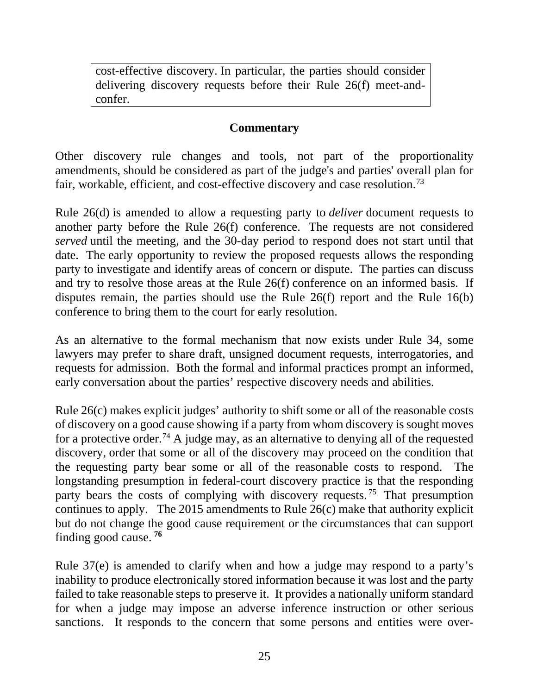cost-effective discovery. In particular, the parties should consider delivering discovery requests before their Rule 26(f) meet-andconfer.

#### **Commentary**

Other discovery rule changes and tools, not part of the proportionality amendments, should be considered as part of the judge's and parties' overall plan for fair, workable, efficient, and cost-effective discovery and case resolution.<sup>[73](#page-54-1)</sup>

Rule 26(d) is amended to allow a requesting party to *deliver* document requests to another party before the Rule 26(f) conference. The requests are not considered *served* until the meeting, and the 30-day period to respond does not start until that date. The early opportunity to review the proposed requests allows the responding party to investigate and identify areas of concern or dispute. The parties can discuss and try to resolve those areas at the Rule 26(f) conference on an informed basis. If disputes remain, the parties should use the Rule 26(f) report and the Rule 16(b) conference to bring them to the court for early resolution.

As an alternative to the formal mechanism that now exists under Rule 34, some lawyers may prefer to share draft, unsigned document requests, interrogatories, and requests for admission. Both the formal and informal practices prompt an informed, early conversation about the parties' respective discovery needs and abilities.

Rule 26(c) makes explicit judges' authority to shift some or all of the reasonable costs of discovery on a good cause showing if a party from whom discovery is sought moves for a protective order.<sup>[74](#page-54-2)</sup> A judge may, as an alternative to denying all of the requested discovery, order that some or all of the discovery may proceed on the condition that the requesting party bear some or all of the reasonable costs to respond. The longstanding presumption in federal-court discovery practice is that the responding party bears the costs of complying with discovery requests.<sup>[75](#page-55-0)</sup> That presumption continues to apply. The 2015 amendments to Rule 26(c) make that authority explicit but do not change the good cause requirement or the circumstances that can support finding good cause. **[76](#page-55-1)**

Rule 37(e) is amended to clarify when and how a judge may respond to a party's inability to produce electronically stored information because it was lost and the party failed to take reasonable steps to preserve it. It provides a nationally uniform standard for when a judge may impose an adverse inference instruction or other serious sanctions. It responds to the concern that some persons and entities were over-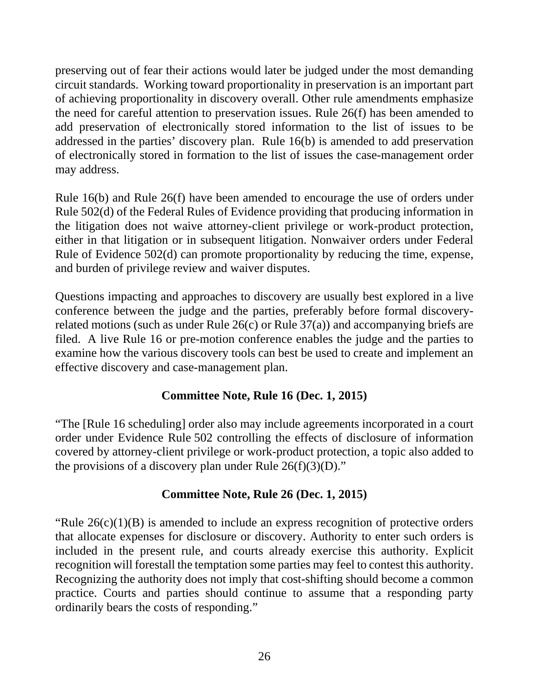preserving out of fear their actions would later be judged under the most demanding circuit standards. Working toward proportionality in preservation is an important part of achieving proportionality in discovery overall. Other rule amendments emphasize the need for careful attention to preservation issues. Rule 26(f) has been amended to add preservation of electronically stored information to the list of issues to be addressed in the parties' discovery plan. Rule 16(b) is amended to add preservation of electronically stored in formation to the list of issues the case-management order may address.

Rule 16(b) and Rule 26(f) have been amended to encourage the use of orders under Rule 502(d) of the Federal Rules of Evidence providing that producing information in the litigation does not waive attorney-client privilege or work-product protection, either in that litigation or in subsequent litigation. Nonwaiver orders under Federal Rule of Evidence 502(d) can promote proportionality by reducing the time, expense, and burden of privilege review and waiver disputes.

Questions impacting and approaches to discovery are usually best explored in a live conference between the judge and the parties, preferably before formal discoveryrelated motions (such as under Rule 26(c) or Rule 37(a)) and accompanying briefs are filed. A live Rule 16 or pre-motion conference enables the judge and the parties to examine how the various discovery tools can best be used to create and implement an effective discovery and case-management plan.

### **Committee Note, Rule 16 (Dec. 1, 2015)**

"The [Rule 16 scheduling] order also may include agreements incorporated in a court order under Evidence Rule 502 controlling the effects of disclosure of information covered by attorney-client privilege or work-product protection, a topic also added to the provisions of a discovery plan under Rule  $26(f)(3)(D)$ ."

### **Committee Note, Rule 26 (Dec. 1, 2015)**

"Rule  $26(c)(1)(B)$  is amended to include an express recognition of protective orders that allocate expenses for disclosure or discovery. Authority to enter such orders is included in the present rule, and courts already exercise this authority. Explicit recognition will forestall the temptation some parties may feel to contest this authority. Recognizing the authority does not imply that cost-shifting should become a common practice. Courts and parties should continue to assume that a responding party ordinarily bears the costs of responding."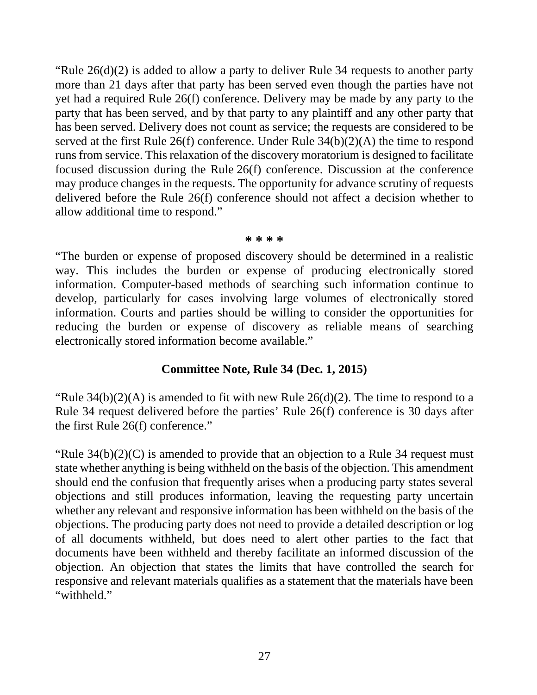"Rule 26(d)(2) is added to allow a party to deliver Rule 34 requests to another party more than 21 days after that party has been served even though the parties have not yet had a required Rule 26(f) conference. Delivery may be made by any party to the party that has been served, and by that party to any plaintiff and any other party that has been served. Delivery does not count as service; the requests are considered to be served at the first Rule 26(f) conference. Under Rule 34(b)(2)(A) the time to respond runs from service. This relaxation of the discovery moratorium is designed to facilitate focused discussion during the Rule 26(f) conference. Discussion at the conference may produce changes in the requests. The opportunity for advance scrutiny of requests delivered before the Rule 26(f) conference should not affect a decision whether to allow additional time to respond."

#### **\* \* \* \***

"The burden or expense of proposed discovery should be determined in a realistic way. This includes the burden or expense of producing electronically stored information. Computer-based methods of searching such information continue to develop, particularly for cases involving large volumes of electronically stored information. Courts and parties should be willing to consider the opportunities for reducing the burden or expense of discovery as reliable means of searching electronically stored information become available."

#### **Committee Note, Rule 34 (Dec. 1, 2015)**

"Rule  $34(b)(2)(A)$  is amended to fit with new Rule  $26(d)(2)$ . The time to respond to a Rule 34 request delivered before the parties' Rule 26(f) conference is 30 days after the first Rule 26(f) conference."

"Rule  $34(b)(2)(C)$  is amended to provide that an objection to a Rule 34 request must state whether anything is being withheld on the basis of the objection. This amendment should end the confusion that frequently arises when a producing party states several objections and still produces information, leaving the requesting party uncertain whether any relevant and responsive information has been withheld on the basis of the objections. The producing party does not need to provide a detailed description or log of all documents withheld, but does need to alert other parties to the fact that documents have been withheld and thereby facilitate an informed discussion of the objection. An objection that states the limits that have controlled the search for responsive and relevant materials qualifies as a statement that the materials have been "withheld."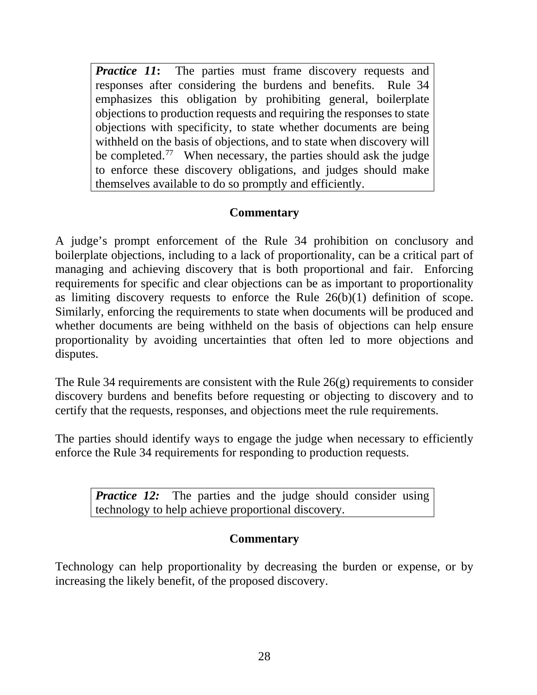*Practice* 11: The parties must frame discovery requests and responses after considering the burdens and benefits. Rule 34 emphasizes this obligation by prohibiting general, boilerplate objections to production requests and requiring the responses to state objections with specificity, to state whether documents are being withheld on the basis of objections, and to state when discovery will be completed.<sup>77</sup> When necessary, the parties should ask the judge to enforce these discovery obligations, and judges should make themselves available to do so promptly and efficiently.

### **Commentary**

A judge's prompt enforcement of the Rule 34 prohibition on conclusory and boilerplate objections, including to a lack of proportionality, can be a critical part of managing and achieving discovery that is both proportional and fair. Enforcing requirements for specific and clear objections can be as important to proportionality as limiting discovery requests to enforce the Rule 26(b)(1) definition of scope. Similarly, enforcing the requirements to state when documents will be produced and whether documents are being withheld on the basis of objections can help ensure proportionality by avoiding uncertainties that often led to more objections and disputes.

The Rule 34 requirements are consistent with the Rule  $26(g)$  requirements to consider discovery burdens and benefits before requesting or objecting to discovery and to certify that the requests, responses, and objections meet the rule requirements.

The parties should identify ways to engage the judge when necessary to efficiently enforce the Rule 34 requirements for responding to production requests.

*Practice 12:* The parties and the judge should consider using technology to help achieve proportional discovery.

### **Commentary**

Technology can help proportionality by decreasing the burden or expense, or by increasing the likely benefit, of the proposed discovery.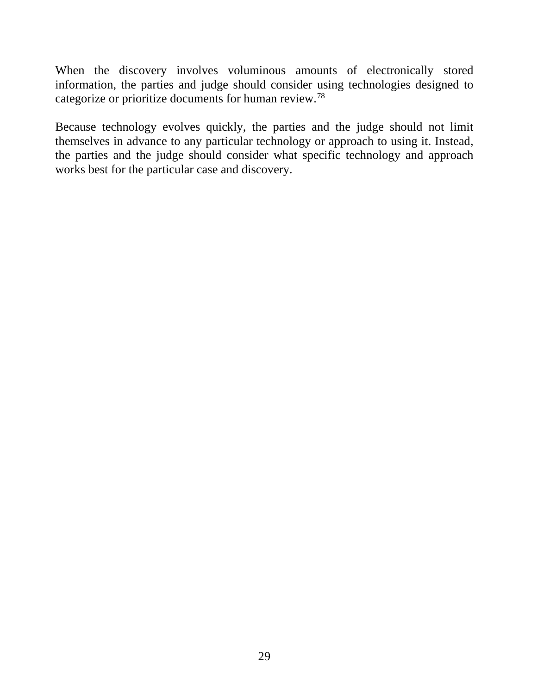When the discovery involves voluminous amounts of electronically stored information, the parties and judge should consider using technologies designed to categorize or prioritize documents for human review.[78](#page-56-1)

Because technology evolves quickly, the parties and the judge should not limit themselves in advance to any particular technology or approach to using it. Instead, the parties and the judge should consider what specific technology and approach works best for the particular case and discovery.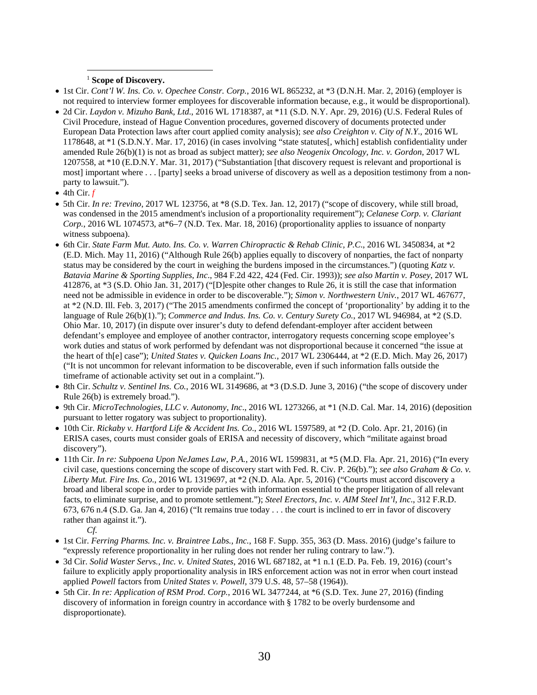#### <sup>1</sup> **Scope of Discovery.**  $\overline{a}$

- <span id="page-29-0"></span>• 1st Cir. *Cont'l W. Ins. Co. v. Opechee Constr. Corp.*, 2016 WL 865232, at \*3 (D.N.H. Mar. 2, 2016) (employer is not required to interview former employees for discoverable information because, e.g., it would be disproportional).
- 2d Cir. *Laydon v. Mizuho Bank, Ltd*., 2016 WL 1718387, at \*11 (S.D. N.Y. Apr. 29, 2016) (U.S. Federal Rules of Civil Procedure, instead of Hague Convention procedures, governed discovery of documents protected under European Data Protection laws after court applied comity analysis); *see also Creighton v. City of N.Y*., 2016 WL 1178648, at \*1 (S.D.N.Y. Mar. 17, 2016) (in cases involving "state statutes[, which] establish confidentiality under amended Rule 26(b)(1) is not as broad as subject matter); *see also Neogenix Oncology, Inc. v. Gordon*, 2017 WL 1207558, at \*10 (E.D.N.Y. Mar. 31, 2017) ("Substantiation [that discovery request is relevant and proportional is most] important where . . . [party] seeks a broad universe of discovery as well as a deposition testimony from a nonparty to lawsuit.").
- $\bullet$  4th Cir.  $f$
- 5th Cir. *In re: Trevino*, 2017 WL 123756, at \*8 (S.D. Tex. Jan. 12, 2017) ("scope of discovery, while still broad, was condensed in the 2015 amendment's inclusion of a proportionality requirement"); *Celanese Corp. v. Clariant Corp.*, 2016 WL 1074573, at\*6–7 (N.D. Tex. Mar. 18, 2016) (proportionality applies to issuance of nonparty witness subpoena).
- <span id="page-29-1"></span>• 6th Cir. *State Farm Mut. Auto. Ins. Co. v. Warren Chiropractic & Rehab Clinic, P.C*., 2016 WL 3450834, at \*2 (E.D. Mich. May 11, 2016) ("Although Rule 26(b) applies equally to discovery of nonparties, the fact of nonparty status may be considered by the court in weighing the burdens imposed in the circumstances.") (quoting *Katz v. Batavia Marine & Sporting Supplies, Inc*., 984 F.2d 422, 424 (Fed. Cir. 1993)); *see also Martin v. Posey*, 2017 WL 412876, at \*3 (S.D. Ohio Jan. 31, 2017) ("[D]espite other changes to Rule 26, it is still the case that information need not be admissible in evidence in order to be discoverable."); *Simon v. Northwestern Univ.*, 2017 WL 467677, at \*2 (N.D. Ill. Feb. 3, 2017) ("The 2015 amendments confirmed the concept of 'proportionality' by adding it to the language of Rule 26(b)(1)."); *Commerce and Indus. Ins. Co. v. Century Surety Co.*, 2017 WL 946984, at \*2 (S.D. Ohio Mar. 10, 2017) (in dispute over insurer's duty to defend defendant-employer after accident between defendant's employee and employee of another contractor, interrogatory requests concerning scope employee's work duties and status of work performed by defendant was not disproportional because it concerned "the issue at the heart of th[e] case"); *United States v. Quicken Loans Inc.*, 2017 WL 2306444, at \*2 (E.D. Mich. May 26, 2017) ("It is not uncommon for relevant information to be discoverable, even if such information falls outside the timeframe of actionable activity set out in a complaint.").
- 8th Cir. *Schultz v. Sentinel Ins. Co.*, 2016 WL 3149686, at \*3 (D.S.D. June 3, 2016) ("the scope of discovery under Rule 26(b) is extremely broad.").
- 9th Cir. *MicroTechnologies, LLC v. Autonomy, Inc*., 2016 WL 1273266, at \*1 (N.D. Cal. Mar. 14, 2016) (deposition pursuant to letter rogatory was subject to proportionality).
- 10th Cir. *Rickaby v. Hartford Life & Accident Ins. Co*., 2016 WL 1597589, at \*2 (D. Colo. Apr. 21, 2016) (in ERISA cases, courts must consider goals of ERISA and necessity of discovery, which "militate against broad discovery").
- 11th Cir. *In re: Subpoena Upon NeJames Law, P.A.*, 2016 WL 1599831, at \*5 (M.D. Fla. Apr. 21, 2016) ("In every civil case, questions concerning the scope of discovery start with Fed. R. Civ. P. 26(b)."); *see also Graham & Co. v. Liberty Mut. Fire Ins. Co.*, 2016 WL 1319697, at \*2 (N.D. Ala. Apr. 5, 2016) ("Courts must accord discovery a broad and liberal scope in order to provide parties with information essential to the proper litigation of all relevant facts, to eliminate surprise, and to promote settlement."); *Steel Erectors, Inc. v. AIM Steel Int'l, Inc*., 312 F.R.D. 673, 676 n.4 (S.D. Ga. Jan 4, 2016) ("It remains true today . . . the court is inclined to err in favor of discovery rather than against it.").
	- *Cf.*
- 1st Cir. *Ferring Pharms. Inc. v. Braintree Labs., Inc.*, 168 F. Supp. 355, 363 (D. Mass. 2016) (judge's failure to "expressly reference proportionality in her ruling does not render her ruling contrary to law.").
- 3d Cir. *Solid Waster Servs., Inc. v. United States*, 2016 WL 687182, at \*1 n.1 (E.D. Pa. Feb. 19, 2016) (court's failure to explicitly apply proportionality analysis in IRS enforcement action was not in error when court instead applied *Powell* factors from *United States v. Powell*, 379 U.S. 48, 57–58 (1964)).
- 5th Cir. *In re: Application of RSM Prod. Corp.*, 2016 WL 3477244, at \*6 (S.D. Tex. June 27, 2016) (finding discovery of information in foreign country in accordance with § 1782 to be overly burdensome and disproportionate).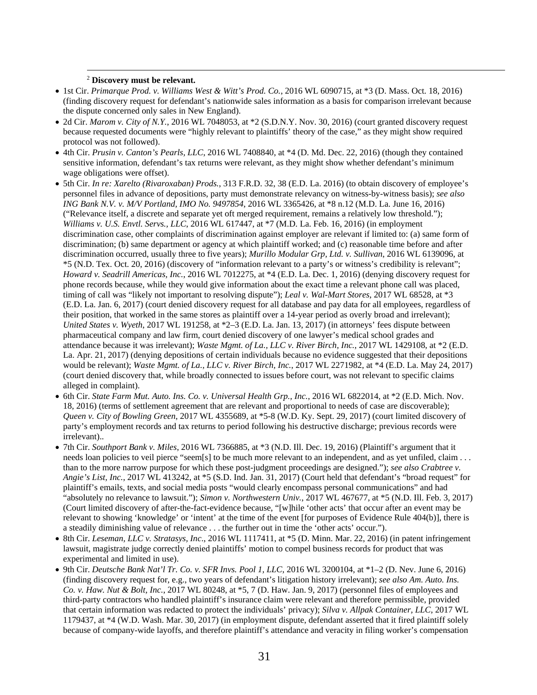#### <sup>2</sup> **Discovery must be relevant.**

<u>.</u>

- 1st Cir. *Primarque Prod. v. Williams West & Witt's Prod. Co.*, 2016 WL 6090715, at \*3 (D. Mass. Oct. 18, 2016) (finding discovery request for defendant's nationwide sales information as a basis for comparison irrelevant because the dispute concerned only sales in New England).
- 2d Cir. *Marom v. City of N.Y.*, 2016 WL 7048053, at \*2 (S.D.N.Y. Nov. 30, 2016) (court granted discovery request because requested documents were "highly relevant to plaintiffs' theory of the case," as they might show required protocol was not followed).
- 4th Cir. *Prusin v. Canton's Pearls, LLC*, 2016 WL 7408840, at \*4 (D. Md. Dec. 22, 2016) (though they contained sensitive information, defendant's tax returns were relevant, as they might show whether defendant's minimum wage obligations were offset).
- <span id="page-30-0"></span>• 5th Cir. *In re: Xarelto (Rivaroxaban) Prods.*, 313 F.R.D. 32, 38 (E.D. La. 2016) (to obtain discovery of employee's personnel files in advance of depositions, party must demonstrate relevancy on witness-by-witness basis); *see also ING Bank N.V. v. M/V Portland, IMO No. 9497854*, 2016 WL 3365426, at \*8 n.12 (M.D. La. June 16, 2016) ("Relevance itself, a discrete and separate yet oft merged requirement, remains a relatively low threshold."); *Williams v. U.S. Envtl. Servs., LLC*, 2016 WL 617447, at \*7 (M.D. La. Feb. 16, 2016) (in employment discrimination case, other complaints of discrimination against employer are relevant if limited to: (a) same form of discrimination; (b) same department or agency at which plaintiff worked; and (c) reasonable time before and after discrimination occurred, usually three to five years); *Murillo Modular Grp, Ltd. v. Sullivan*, 2016 WL 6139096, at \*5 (N.D. Tex. Oct. 20, 2016) (discovery of "information relevant to a party's or witness's credibility is relevant"; *Howard v. Seadrill Americas, Inc.*, 2016 WL 7012275, at \*4 (E.D. La. Dec. 1, 2016) (denying discovery request for phone records because, while they would give information about the exact time a relevant phone call was placed, timing of call was "likely not important to resolving dispute"); *Leal v. Wal-Mart Stores*, 2017 WL 68528, at \*3 (E.D. La. Jan. 6, 2017) (court denied discovery request for all database and pay data for all employees, regardless of their position, that worked in the same stores as plaintiff over a 14-year period as overly broad and irrelevant); *United States v. Wyeth*, 2017 WL 191258, at \*2–3 (E.D. La. Jan. 13, 2017) (in attorneys' fees dispute between pharmaceutical company and law firm, court denied discovery of one lawyer's medical school grades and attendance because it was irrelevant); *Waste Mgmt. of La., LLC v. River Birch, Inc.*, 2017 WL 1429108, at \*2 (E.D. La. Apr. 21, 2017) (denying depositions of certain individuals because no evidence suggested that their depositions would be relevant); *Waste Mgmt. of La., LLC v. River Birch, Inc.*, 2017 WL 2271982, at \*4 (E.D. La. May 24, 2017) (court denied discovery that, while broadly connected to issues before court, was not relevant to specific claims alleged in complaint).
- <span id="page-30-1"></span>• 6th Cir. *State Farm Mut. Auto. Ins. Co. v. Universal Health Grp., Inc.*, 2016 WL 6822014, at \*2 (E.D. Mich. Nov. 18, 2016) (terms of settlement agreement that are relevant and proportional to needs of case are discoverable); *Queen v. City of Bowling Green*, 2017 WL 4355689, at \*5-8 (W.D. Ky. Sept. 29, 2017) (court limited discovery of party's employment records and tax returns to period following his destructive discharge; previous records were irrelevant)..
- 7th Cir. *Southport Bank v. Miles*, 2016 WL 7366885, at \*3 (N.D. Ill. Dec. 19, 2016) (Plaintiff's argument that it needs loan policies to veil pierce "seem[s] to be much more relevant to an independent, and as yet unfiled, claim . . . than to the more narrow purpose for which these post-judgment proceedings are designed."); *see also Crabtree v. Angie's List, Inc.*, 2017 WL 413242, at \*5 (S.D. Ind. Jan. 31, 2017) (Court held that defendant's "broad request" for plaintiff's emails, texts, and social media posts "would clearly encompass personal communications" and had "absolutely no relevance to lawsuit."); *Simon v. Northwestern Univ.*, 2017 WL 467677, at \*5 (N.D. Ill. Feb. 3, 2017) (Court limited discovery of after-the-fact-evidence because, "[w]hile 'other acts' that occur after an event may be relevant to showing 'knowledge' or 'intent' at the time of the event [for purposes of Evidence Rule 404(b)], there is a steadily diminishing value of relevance . . . the further out in time the 'other acts' occur.").
- 8th Cir. *Leseman, LLC v. Stratasys, Inc*., 2016 WL 1117411, at \*5 (D. Minn. Mar. 22, 2016) (in patent infringement lawsuit, magistrate judge correctly denied plaintiffs' motion to compel business records for product that was experimental and limited in use).
- 9th Cir. *Deutsche Bank Nat'l Tr. Co. v. SFR Invs. Pool 1, LLC*, 2016 WL 3200104, at \*1–2 (D. Nev. June 6, 2016) (finding discovery request for, e.g., two years of defendant's litigation history irrelevant); *see also Am. Auto. Ins. Co. v. Haw. Nut & Bolt, Inc.*, 2017 WL 80248, at \*5, 7 (D. Haw. Jan. 9, 2017) (personnel files of employees and third-party contractors who handled plaintiff's insurance claim were relevant and therefore permissible, provided that certain information was redacted to protect the individuals' privacy); *Silva v. Allpak Container, LLC*, 2017 WL 1179437, at \*4 (W.D. Wash. Mar. 30, 2017) (in employment dispute, defendant asserted that it fired plaintiff solely because of company-wide layoffs, and therefore plaintiff's attendance and veracity in filing worker's compensation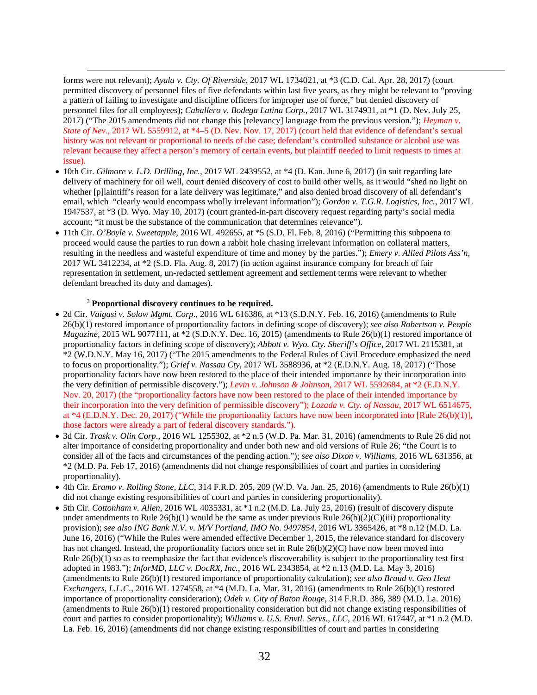<span id="page-31-0"></span>forms were not relevant); *Ayala v. Cty. Of Riverside*, 2017 WL 1734021, at \*3 (C.D. Cal. Apr. 28, 2017) (court permitted discovery of personnel files of five defendants within last five years, as they might be relevant to "proving a pattern of failing to investigate and discipline officers for improper use of force," but denied discovery of personnel files for all employees); *Caballero v. Bodega Latina Corp.*, 2017 WL 3174931, at \*1 (D. Nev. July 25, 2017) ("The 2015 amendments did not change this [relevancy] language from the previous version."); *Heyman v. State of Nev.*, 2017 WL 5559912, at \*4–5 (D. Nev. Nov. 17, 2017) (court held that evidence of defendant's sexual history was not relevant or proportional to needs of the case; defendant's controlled substance or alcohol use was relevant because they affect a person's memory of certain events, but plaintiff needed to limit requests to times at issue).

- 10th Cir. *Gilmore v. L.D. Drilling, Inc.*, 2017 WL 2439552, at \*4 (D. Kan. June 6, 2017) (in suit regarding late delivery of machinery for oil well, court denied discovery of cost to build other wells, as it would "shed no light on whether [p]laintiff's reason for a late delivery was legitimate," and also denied broad discovery of all defendant's email, which "clearly would encompass wholly irrelevant information"); *Gordon v. T.G.R. Logistics, Inc.*, 2017 WL 1947537, at \*3 (D. Wyo. May 10, 2017) (court granted-in-part discovery request regarding party's social media account; "it must be the substance of the communication that determines relevance").
- 11th Cir. *O'Boyle v. Sweetapple*, 2016 WL 492655, at \*5 (S.D. Fl. Feb. 8, 2016) ("Permitting this subpoena to proceed would cause the parties to run down a rabbit hole chasing irrelevant information on collateral matters, resulting in the needless and wasteful expenditure of time and money by the parties."); *Emery v. Allied Pilots Ass'n*, 2017 WL 3412234, at \*2 (S.D. Fla. Aug. 8, 2017) (in action against insurance company for breach of fair representation in settlement, un-redacted settlement agreement and settlement terms were relevant to whether defendant breached its duty and damages).

#### <sup>3</sup> **Proportional discovery continues to be required.**

<u>.</u>

- <span id="page-31-1"></span>• 2d Cir. *Vaigasi v. Solow Mgmt. Corp*., 2016 WL 616386, at \*13 (S.D.N.Y. Feb. 16, 2016) (amendments to Rule 26(b)(1) restored importance of proportionality factors in defining scope of discovery); *see also Robertson v. People Magazine*, 2015 WL 9077111, at \*2 (S.D.N.Y. Dec. 16, 2015) (amendments to Rule 26(b)(1) restored importance of proportionality factors in defining scope of discovery); *Abbott v. Wyo. Cty. Sheriff's Office*, 2017 WL 2115381, at \*2 (W.D.N.Y. May 16, 2017) ("The 2015 amendments to the Federal Rules of Civil Procedure emphasized the need to focus on proportionality."); *Grief v. Nassau Cty*, 2017 WL 3588936, at \*2 (E.D.N.Y. Aug. 18, 2017) ("Those proportionality factors have now been restored to the place of their intended importance by their incorporation into the very definition of permissible discovery."); *Levin v. Johnson & Johnson*, 2017 WL 5592684, at \*2 (E.D.N.Y. Nov. 20, 2017) (the "proportionality factors have now been restored to the place of their intended importance by their incorporation into the very definition of permissible discovery"); *Lozada v. Cty. of Nassau*, 2017 WL 6514675, at \*4 (E.D.N.Y. Dec. 20, 2017) ("While the proportionality factors have now been incorporated into [Rule 26(b)(1)], those factors were already a part of federal discovery standards.").
- 3d Cir. *Trask v. Olin Corp*., 2016 WL 1255302, at \*2 n.5 (W.D. Pa. Mar. 31, 2016) (amendments to Rule 26 did not alter importance of considering proportionality and under both new and old versions of Rule 26; "the Court is to consider all of the facts and circumstances of the pending action."); *see also Dixon v. Williams*, 2016 WL 631356, at \*2 (M.D. Pa. Feb 17, 2016) (amendments did not change responsibilities of court and parties in considering proportionality).
- $\bullet$  4th Cir. *Eramo v. Rolling Stone, LLC*, 314 F.R.D. 205, 209 (W.D. Va. Jan. 25, 2016) (amendments to Rule 26(b)(1) did not change existing responsibilities of court and parties in considering proportionality).
- 5th Cir. *Cottonham v. Allen*, 2016 WL 4035331, at \*1 n.2 (M.D. La. July 25, 2016) (result of discovery dispute under amendments to Rule  $26(b)(1)$  would be the same as under previous Rule  $26(b)(2)(C)(iii)$  proportionality provision); *see also ING Bank N.V. v. M/V Portland, IMO No. 9497854*, 2016 WL 3365426, at \*8 n.12 (M.D. La. June 16, 2016) ("While the Rules were amended effective December 1, 2015, the relevance standard for discovery has not changed. Instead, the proportionality factors once set in Rule 26(b)(2)(C) have now been moved into Rule  $26(b)(1)$  so as to reemphasize the fact that evidence's discoverability is subject to the proportionality test first adopted in 1983."); *InforMD, LLC v. DocRX, Inc.*, 2016 WL 2343854, at \*2 n.13 (M.D. La. May 3, 2016) (amendments to Rule 26(b)(1) restored importance of proportionality calculation); *see also Braud v. Geo Heat Exchangers, L.L.C.*, 2016 WL 1274558, at \*4 (M.D. La. Mar. 31, 2016) (amendments to Rule 26(b)(1) restored importance of proportionality consideration); *Odeh v. City of Baton Rouge*, 314 F.R.D. 386, 389 (M.D. La. 2016) (amendments to Rule 26(b)(1) restored proportionality consideration but did not change existing responsibilities of court and parties to consider proportionality); *Williams v. U.S. Envtl. Servs., LLC*, 2016 WL 617447, at \*1 n.2 (M.D. La. Feb. 16, 2016) (amendments did not change existing responsibilities of court and parties in considering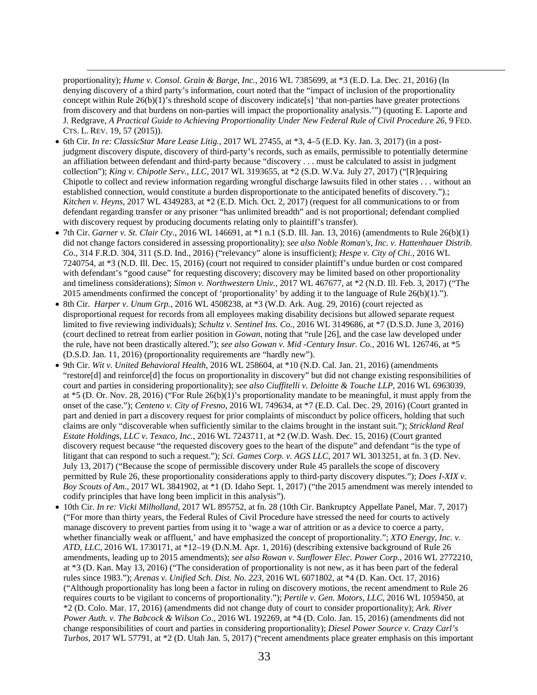proportionality); *Hume v. Consol. Grain & Barge, Inc.*, 2016 WL 7385699, at \*3 (E.D. La. Dec. 21, 2016) (In denying discovery of a third party's information, court noted that the "impact of inclusion of the proportionality concept within Rule 26(b)(1)'s threshold scope of discovery indicate[s] 'that non-parties have greater protections from discovery and that burdens on non-parties will impact the proportionality analysis.'") (quoting E. Laporte and J. Redgrave, *A Practical Guide to Achieving Proportionality Under New Federal Rule of Civil Procedure 26*, 9 FED. CTS. L. REV. 19, 57 (2015)).

<u>.</u>

- 6th Cir. *In re: ClassicStar Mare Lease Litig.*, 2017 WL 27455, at \*3, 4–5 (E.D. Ky. Jan. 3, 2017) (in a postjudgment discovery dispute, discovery of third-party's records, such as emails, permissible to potentially determine an affiliation between defendant and third-party because "discovery . . . must be calculated to assist in judgment collection"); *King v. Chipotle Serv., LLC*, 2017 WL 3193655, at \*2 (S.D. W.Va. July 27, 2017) ("[R]equiring Chipotle to collect and review information regarding wrongful discharge lawsuits filed in other states . . . without an established connection, would constitute a burden disproportionate to the anticipated benefits of discovery.").; *Kitchen v. Heyns*, 2017 WL 4349283, at \*2 (E.D. Mich. Oct. 2, 2017) (request for all communications to or from defendant regarding transfer or any prisoner "has unlimited breadth" and is not proportional; defendant complied with discovery request by producing documents relating only to plaintiff's transfer).
- <span id="page-32-0"></span>• 7th Cir. *Garner v. St. Clair Cty.*, 2016 WL 146691, at  $*1$  n.1 (S.D. Ill. Jan. 13, 2016) (amendments to Rule 26(b)(1) did not change factors considered in assessing proportionality); *see also Noble Roman's, Inc. v. Hattenhauer Distrib. Co*., 314 F.R.D. 304, 311 (S.D. Ind., 2016) ("relevancy" alone is insufficient); *Hespe v. City of Chi.*, 2016 WL 7240754, at \*3 (N.D. Ill. Dec. 15, 2016) (court not required to consider plaintiff's undue burden or cost compared with defendant's "good cause" for requesting discovery; discovery may be limited based on other proportionality and timeliness considerations); *Simon v. Northwestern Univ.*, 2017 WL 467677, at \*2 (N.D. Ill. Feb. 3, 2017) ("The 2015 amendments confirmed the concept of 'proportionality' by adding it to the language of Rule 26(b)(1).").
- 8th Cir. *Harper v. Unum Grp.*, 2016 WL 4508238, at \*3 (W.D. Ark. Aug. 29, 2016) (court rejected as disproportional request for records from all employees making disability decisions but allowed separate request limited to five reviewing individuals); *Schultz v. Sentinel Ins. Co.*, 2016 WL 3149686, at \*7 (D.S.D. June 3, 2016) (court declined to retreat from earlier position in *Gowan*, noting that "rule [26], and the case law developed under the rule, have not been drastically altered."); *see also Gowan v. Mid -Century Insur. Co.*, 2016 WL 126746, at \*5 (D.S.D. Jan. 11, 2016) (proportionality requirements are "hardly new").
- 9th Cir. *Wit v. United Behavioral Health*, 2016 WL 258604, at \*10 (N.D. Cal. Jan. 21, 2016) (amendments "restore[d] and reinforce[d] the focus on proportionality in discovery" but did not change existing responsibilities of court and parties in considering proportionality); *see also Ciuffitelli v. Deloitte & Touche LLP*, 2016 WL 6963039, at \*5 (D. Or. Nov. 28, 2016) ("For Rule 26(b)(1)'s proportionality mandate to be meaningful, it must apply from the onset of the case."); *Centeno v. City of Fresno*, 2016 WL 749634, at \*7 (E.D. Cal. Dec. 29, 2016) (Court granted in part and denied in part a discovery request for prior complaints of misconduct by police officers, holding that such claims are only "discoverable when sufficiently similar to the claims brought in the instant suit."); *Strickland Real Estate Holdings, LLC v. Texaco, Inc.*, 2016 WL 7243711, at \*2 (W.D. Wash. Dec. 15, 2016) (Court granted discovery request because "the requested discovery goes to the heart of the dispute" and defendant "is the type of litigant that can respond to such a request."); *Sci. Games Corp. v. AGS LLC*, 2017 WL 3013251, at fn. 3 (D. Nev. July 13, 2017) ("Because the scope of permissible discovery under Rule 45 parallels the scope of discovery permitted by Rule 26, these proportionality considerations apply to third-party discovery disputes."); *Does I-XIX v. Boy Scouts of Am.*, 2017 WL 3841902, at \*1 (D. Idaho Sept. 1, 2017) ("the 2015 amendment was merely intended to codify principles that have long been implicit in this analysis").
- <span id="page-32-1"></span>• 10th Cir. *In re: Vicki Milholland*, 2017 WL 895752, at fn. 28 (10th Cir. Bankruptcy Appellate Panel, Mar. 7, 2017) ("For more than thirty years, the Federal Rules of Civil Procedure have stressed the need for courts to actively manage discovery to prevent parties from using it to 'wage a war of attrition or as a device to coerce a party, whether financially weak or affluent,' and have emphasized the concept of proportionality."; *XTO Energy, Inc. v. ATD, LLC*, 2016 WL 1730171, at \*12–19 (D.N.M. Apr. 1, 2016) (describing extensive background of Rule 26 amendments, leading up to 2015 amendments); *see also Rowan v. Sunflower Elec. Power Corp.*, 2016 WL 2772210, at \*3 (D. Kan. May 13, 2016) ("The consideration of proportionality is not new, as it has been part of the federal rules since 1983."); *Arenas v. Unified Sch. Dist. No. 223*, 2016 WL 6071802, at \*4 (D. Kan. Oct. 17, 2016) ("Although proportionality has long been a factor in ruling on discovery motions, the recent amendment to Rule 26 requires courts to be vigilant to concerns of proportionality."); *Pertile v. Gen. Motors, LLC*, 2016 WL 1059450, at \*2 (D. Colo. Mar. 17, 2016) (amendments did not change duty of court to consider proportionality); *Ark. River Power Auth. v. The Babcock & Wilson Co*., 2016 WL 192269, at \*4 (D. Colo. Jan. 15, 2016) (amendments did not change responsibilities of court and parties in considering proportionality); *Diesel Power Source v. Crazy Carl's Turbos*, 2017 WL 57791, at \*2 (D. Utah Jan. 5, 2017) ("recent amendments place greater emphasis on this important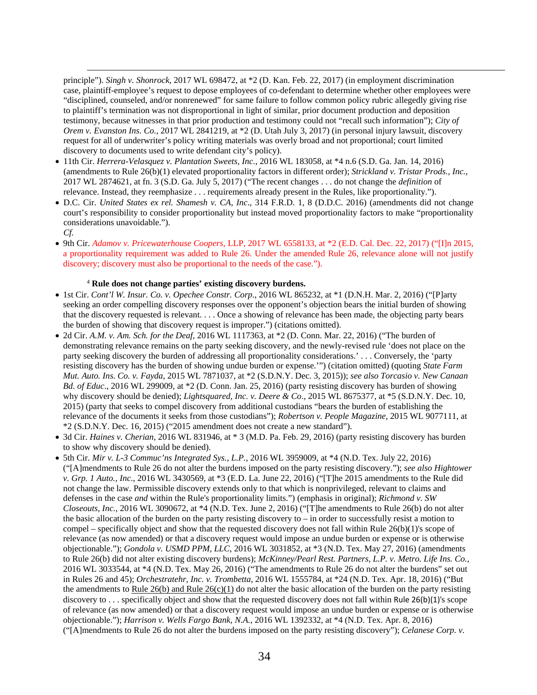principle"). *Singh v. Shonrock*, 2017 WL 698472, at \*2 (D. Kan. Feb. 22, 2017) (in employment discrimination case, plaintiff-employee's request to depose employees of co-defendant to determine whether other employees were "disciplined, counseled, and/or nonrenewed" for same failure to follow common policy rubric allegedly giving rise to plaintiff's termination was not disproportional in light of similar, prior document production and deposition testimony, because witnesses in that prior production and testimony could not "recall such information"); *City of Orem v. Evanston Ins. Co.*, 2017 WL 2841219, at \*2 (D. Utah July 3, 2017) (in personal injury lawsuit, discovery request for all of underwriter's policy writing materials was overly broad and not proportional; court limited discovery to documents used to write defendant city's policy).

- 11th Cir. *Herrera-Velasquez v. Plantation Sweets, Inc.*, 2016 WL 183058, at \*4 n.6 (S.D. Ga. Jan. 14, 2016) (amendments to Rule 26(b)(1) elevated proportionality factors in different order); *Strickland v. Tristar Prods., Inc.*, 2017 WL 2874621, at fn. 3 (S.D. Ga. July 5, 2017) ("The recent changes . . . do not change the *definition* of relevance. Instead, they reemphasize . . . requirements already present in the Rules, like proportionality.").
- <span id="page-33-0"></span>• D.C. Cir. *United States ex rel. Shamesh v. CA, Inc*., 314 F.R.D. 1, 8 (D.D.C. 2016) (amendments did not change court's responsibility to consider proportionality but instead moved proportionality factors to make "proportionality considerations unavoidable.").
- *Cf.*

<u>.</u>

• 9th Cir. *Adamov v. Pricewaterhouse Coopers*, LLP, 2017 WL 6558133, at \*2 (E.D. Cal. Dec. 22, 2017) ("[I]n 2015, a proportionality requirement was added to Rule 26. Under the amended Rule 26, relevance alone will not justify discovery; discovery must also be proportional to the needs of the case.").

#### <sup>4</sup> **Rule does not change parties' existing discovery burdens.**

- 1st Cir. *Cont'l W. Insur. Co. v. Opechee Constr. Corp*., 2016 WL 865232, at \*1 (D.N.H. Mar. 2, 2016) ("[P]arty seeking an order compelling discovery responses over the opponent's objection bears the initial burden of showing that the discovery requested is relevant. . . . Once a showing of relevance has been made, the objecting party bears the burden of showing that discovery request is improper.") (citations omitted).
- <span id="page-33-1"></span>• 2d Cir. *A.M. v. Am. Sch. for the Deaf*, 2016 WL 1117363, at \*2 (D. Conn. Mar. 22, 2016) ("The burden of demonstrating relevance remains on the party seeking discovery, and the newly-revised rule 'does not place on the party seeking discovery the burden of addressing all proportionality considerations.' . . . Conversely, the 'party resisting discovery has the burden of showing undue burden or expense.'") (citation omitted) (quoting *State Farm Mut. Auto. Ins. Co. v. Fayda*, 2015 WL 7871037, at \*2 (S.D.N.Y. Dec. 3, 2015)); *see also Torcasio v. New Canaan Bd. of Educ*., 2016 WL 299009, at \*2 (D. Conn. Jan. 25, 2016) (party resisting discovery has burden of showing why discovery should be denied); *Lightsquared, Inc. v. Deere & Co*., 2015 WL 8675377, at \*5 (S.D.N.Y. Dec. 10, 2015) (party that seeks to compel discovery from additional custodians "bears the burden of establishing the relevance of the documents it seeks from those custodians"); *Robertson v. People Magazine*, 2015 WL 9077111, at \*2 (S.D.N.Y. Dec. 16, 2015) ("2015 amendment does not create a new standard").
- 3d Cir. *Haines v. Cherian*, 2016 WL 831946, at \* 3 (M.D. Pa. Feb. 29, 2016) (party resisting discovery has burden to show why discovery should be denied).
- <span id="page-33-2"></span>• 5th Cir. *Mir v. L-3 Commuc'ns Integrated Sys., L.P.*, 2016 WL 3959009, at \*4 (N.D. Tex. July 22, 2016) ("[A]mendments to Rule 26 do not alter the burdens imposed on the party resisting discovery."); *see also Hightower v. Grp. 1 Auto., Inc.*, 2016 WL 3430569, at \*3 (E.D. La. June 22, 2016) ("[T]he 2015 amendments to the Rule did not change the law. Permissible discovery extends only to that which is nonprivileged, relevant to claims and defenses in the case *and* within the Rule's proportionality limits.") (emphasis in original); *Richmond v. SW Closeouts, Inc.*, 2016 WL 3090672, at \*4 (N.D. Tex. June 2, 2016) ("[T]he amendments to Rule 26(b) do not alter the basic allocation of the burden on the party resisting discovery to – in order to successfully resist a motion to compel – specifically object and show that the requested discovery does not fall within Rule 26(b)(1)'s scope of relevance (as now amended) or that a discovery request would impose an undue burden or expense or is otherwise objectionable."); *Gondola v. USMD PPM, LLC*, 2016 WL 3031852, at \*3 (N.D. Tex. May 27, 2016) (amendments to Rule 26(b) did not alter existing discovery burdens); *McKinney/Pearl Rest. Partners, L.P. v. Metro. Life Ins. Co.*, 2016 WL 3033544, at \*4 (N.D. Tex. May 26, 2016) ("The amendments to Rule 26 do not alter the burdens" set out in Rules 26 and 45); *Orchestratehr, Inc. v. Trombetta*, 2016 WL 1555784, at \*24 (N.D. Tex. Apr. 18, 2016) ("But the amendments to Rule  $26(b)$  and Rule  $26(c)(1)$  do not alter the basic allocation of the burden on the party resisting discovery to . . . specifically object and show that the requested discovery does not fall within Rule 26(b)(1)'s scope of relevance (as now amended) or that a discovery request would impose an undue burden or expense or is otherwise objectionable."); *Harrison v. Wells Fargo Bank, N.A.*, 2016 WL 1392332, at \*4 (N.D. Tex. Apr. 8, 2016) ("[A]mendments to Rule 26 do not alter the burdens imposed on the party resisting discovery"); *Celanese Corp. v.*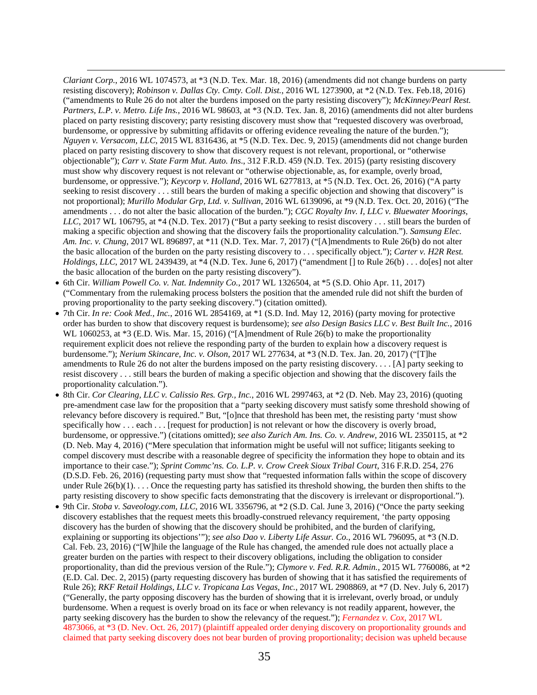<u>.</u> *Clariant Corp.*, 2016 WL 1074573, at \*3 (N.D. Tex. Mar. 18, 2016) (amendments did not change burdens on party resisting discovery); *Robinson v. Dallas Cty. Cmty. Coll. Dist.*, 2016 WL 1273900, at \*2 (N.D. Tex. Feb.18, 2016) ("amendments to Rule 26 do not alter the burdens imposed on the party resisting discovery"); *McKinney/Pearl Rest. Partners, L.P*. *v. Metro. Life Ins.*, 2016 WL 98603, at \*3 (N.D. Tex. Jan. 8, 2016) (amendments did not alter burdens placed on party resisting discovery; party resisting discovery must show that "requested discovery was overbroad, burdensome, or oppressive by submitting affidavits or offering evidence revealing the nature of the burden."); *Nguyen v. Versacom, LLC*, 2015 WL 8316436, at \*5 (N.D. Tex. Dec. 9, 2015) (amendments did not change burden placed on party resisting discovery to show that discovery request is not relevant, proportional, or "otherwise objectionable"); *Carr v. State Farm Mut. Auto. Ins*., 312 F.R.D. 459 (N.D. Tex. 2015) (party resisting discovery must show why discovery request is not relevant or "otherwise objectionable, as, for example, overly broad, burdensome, or oppressive."); *Keycorp v. Holland*, 2016 WL 6277813, at \*5 (N.D. Tex. Oct. 26, 2016) ("A party seeking to resist discovery . . . still bears the burden of making a specific objection and showing that discovery" is not proportional); *Murillo Modular Grp, Ltd. v. Sullivan*, 2016 WL 6139096, at \*9 (N.D. Tex. Oct. 20, 2016) ("The amendments . . . do not alter the basic allocation of the burden."); *CGC Royalty Inv. I, LLC v. Bluewater Moorings, LLC*, 2017 WL 106795, at \*4 (N.D. Tex. 2017) ("But a party seeking to resist discovery . . . still bears the burden of making a specific objection and showing that the discovery fails the proportionality calculation."). *Samsung Elec. Am. Inc. v. Chung*, 2017 WL 896897, at \*11 (N.D. Tex. Mar. 7, 2017) ("[A]mendments to Rule 26(b) do not alter the basic allocation of the burden on the party resisting discovery to . . . specifically object."); *Carter v. H2R Rest. Holdings, LLC*, 2017 WL 2439439, at \*4 (N.D. Tex. June 6, 2017) ("amendment [] to Rule 26(b) . . . do[es] not alter the basic allocation of the burden on the party resisting discovery").

- <span id="page-34-0"></span>• 6th Cir. *William Powell Co. v. Nat. Indemnity Co.*, 2017 WL 1326504, at \*5 (S.D. Ohio Apr. 11, 2017) ("Commentary from the rulemaking process bolsters the position that the amended rule did not shift the burden of proving proportionality to the party seeking discovery.") (citation omitted).
- 7th Cir. *In re: Cook Med., Inc.*, 2016 WL 2854169, at \*1 (S.D. Ind. May 12, 2016) (party moving for protective order has burden to show that discovery request is burdensome); *see also Design Basics LLC v. Best Built Inc.*, 2016 WL 1060253, at \*3 (E.D. Wis. Mar. 15, 2016) ("[A]mendment of Rule 26(b) to make the proportionality requirement explicit does not relieve the responding party of the burden to explain how a discovery request is burdensome."); *Nerium Skincare, Inc. v. Olson*, 2017 WL 277634, at \*3 (N.D. Tex. Jan. 20, 2017) ("[T]he amendments to Rule 26 do not alter the burdens imposed on the party resisting discovery. . . . [A] party seeking to resist discovery . . . still bears the burden of making a specific objection and showing that the discovery fails the proportionality calculation.").
- 8th Cir. *Cor Clearing, LLC v. Calissio Res. Grp., Inc.*, 2016 WL 2997463, at \*2 (D. Neb. May 23, 2016) (quoting pre-amendment case law for the proposition that a "party seeking discovery must satisfy some threshold showing of relevancy before discovery is required." But, "[o]nce that threshold has been met, the resisting party 'must show specifically how . . . each . . . [request for production] is not relevant or how the discovery is overly broad, burdensome, or oppressive.") (citations omitted); *see also Zurich Am. Ins. Co. v. Andrew*, 2016 WL 2350115, at \*2 (D. Neb. May 4, 2016) ("Mere speculation that information might be useful will not suffice; litigants seeking to compel discovery must describe with a reasonable degree of specificity the information they hope to obtain and its importance to their case."); *Sprint Commc'ns. Co. L.P. v. Crow Creek Sioux Tribal Court*, 316 F.R.D. 254, 276 (D.S.D. Feb. 26, 2016) (requesting party must show that "requested information falls within the scope of discovery under Rule  $26(b)(1)$ ... Once the requesting party has satisfied its threshold showing, the burden then shifts to the party resisting discovery to show specific facts demonstrating that the discovery is irrelevant or disproportional.").
- <span id="page-34-1"></span>• 9th Cir. *Stoba v. Saveology.com, LLC*, 2016 WL 3356796, at \*2 (S.D. Cal. June 3, 2016) ("Once the party seeking discovery establishes that the request meets this broadly-construed relevancy requirement, 'the party opposing discovery has the burden of showing that the discovery should be prohibited, and the burden of clarifying, explaining or supporting its objections'"); *see also Dao v. Liberty Life Assur. Co.*, 2016 WL 796095, at \*3 (N.D. Cal. Feb. 23, 2016) ("[W]hile the language of the Rule has changed, the amended rule does not actually place a greater burden on the parties with respect to their discovery obligations, including the obligation to consider proportionality, than did the previous version of the Rule."); *Clymore v. Fed. R.R. Admin.*, 2015 WL 7760086, at \*2 (E.D. Cal. Dec. 2, 2015) (party requesting discovery has burden of showing that it has satisfied the requirements of Rule 26); *RKF Retail Holdings, LLC v. Tropicana Las Vegas, Inc.*, 2017 WL 2908869, at \*7 (D. Nev. July 6, 2017) ("Generally, the party opposing discovery has the burden of showing that it is irrelevant, overly broad, or unduly burdensome. When a request is overly broad on its face or when relevancy is not readily apparent, however, the party seeking discovery has the burden to show the relevancy of the request."); *Fernandez v. Cox*, 2017 WL 4873066, at \*3 (D. Nev. Oct. 26, 2017) (plaintiff appealed order denying discovery on proportionality grounds and claimed that party seeking discovery does not bear burden of proving proportionality; decision was upheld because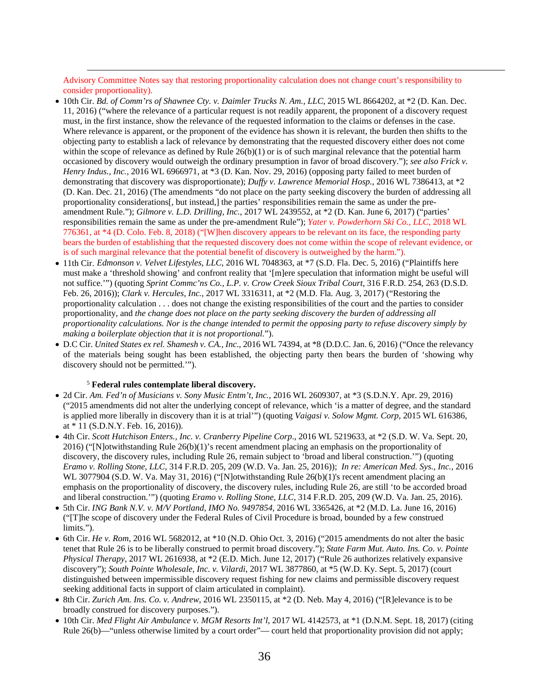<u>.</u> Advisory Committee Notes say that restoring proportionality calculation does not change court's responsibility to consider proportionality).

- 10th Cir. *Bd. of Comm'rs of Shawnee Cty. v. Daimler Trucks N. Am., LLC*, 2015 WL 8664202, at \*2 (D. Kan. Dec. 11, 2016) ("where the relevance of a particular request is not readily apparent, the proponent of a discovery request must, in the first instance, show the relevance of the requested information to the claims or defenses in the case. Where relevance is apparent, or the proponent of the evidence has shown it is relevant, the burden then shifts to the objecting party to establish a lack of relevance by demonstrating that the requested discovery either does not come within the scope of relevance as defined by Rule  $26(b)(1)$  or is of such marginal relevance that the potential harm occasioned by discovery would outweigh the ordinary presumption in favor of broad discovery."); *see also Frick v. Henry Indus., Inc.*, 2016 WL 6966971, at \*3 (D. Kan. Nov. 29, 2016) (opposing party failed to meet burden of demonstrating that discovery was disproportionate); *Duffy v. Lawrence Memorial Hosp.*, 2016 WL 7386413, at \*2 (D. Kan. Dec. 21, 2016) (The amendments "do not place on the party seeking discovery the burden of addressing all proportionality considerations[, but instead,] the parties' responsibilities remain the same as under the preamendment Rule."); *Gilmore v. L.D. Drilling, Inc.*, 2017 WL 2439552, at \*2 (D. Kan. June 6, 2017) ("parties' responsibilities remain the same as under the pre-amendment Rule"); *Yater v. Powderhorn Ski Co., LLC*, 2018 WL 776361, at \*4 (D. Colo. Feb. 8, 2018) ("[W]hen discovery appears to be relevant on its face, the responding party bears the burden of establishing that the requested discovery does not come within the scope of relevant evidence, or is of such marginal relevance that the potential benefit of discovery is outweighed by the harm.").
- 11th Cir. *Edmonson v. Velvet Lifestyles, LLC*, 2016 WL 7048363, at \*7 (S.D. Fla. Dec. 5, 2016) ("Plaintiffs here must make a 'threshold showing' and confront reality that '[m]ere speculation that information might be useful will not suffice.'") (quoting *Sprint Commc'ns Co., L.P. v. Crow Creek Sioux Tribal Court*, 316 F.R.D. 254, 263 (D.S.D. Feb. 26, 2016)); *Clark v. Hercules, Inc.*, 2017 WL 3316311, at \*2 (M.D. Fla. Aug. 3, 2017) ("Restoring the proportionality calculation . . . does not change the existing responsibilities of the court and the parties to consider proportionality, and *the change does not place on the party seeking discovery the burden of addressing all proportionality calculations. Nor is the change intended to permit the opposing party to refuse discovery simply by making a boilerplate objection that it is not proportional.*").
- <span id="page-35-0"></span>• D.C Cir. *United States ex rel. Shamesh v. CA., Inc*., 2016 WL 74394, at \*8 (D.D.C. Jan. 6, 2016) ("Once the relevancy of the materials being sought has been established, the objecting party then bears the burden of 'showing why discovery should not be permitted.'").

#### <sup>5</sup> **Federal rules contemplate liberal discovery.**

- 2d Cir. *Am. Fed'n of Musicians v. Sony Music Entm't, Inc.*, 2016 WL 2609307, at \*3 (S.D.N.Y. Apr. 29, 2016) ("2015 amendments did not alter the underlying concept of relevance, which 'is a matter of degree, and the standard is applied more liberally in discovery than it is at trial'") (quoting *Vaigasi v. Solow Mgmt. Corp*, 2015 WL 616386, at \* 11 (S.D.N.Y. Feb. 16, 2016)).
- <span id="page-35-1"></span>• 4th Cir. *Scott Hutchison Enters., Inc. v. Cranberry Pipeline Corp*., 2016 WL 5219633, at \*2 (S.D. W. Va. Sept. 20, 2016) ("[N]otwithstanding Rule 26(b)(1)'s recent amendment placing an emphasis on the proportionality of discovery, the discovery rules, including Rule 26, remain subject to 'broad and liberal construction.'") (quoting *Eramo v. Rolling Stone, LLC*, 314 F.R.D. 205, 209 (W.D. Va. Jan. 25, 2016)); *In re: American Med. Sys., Inc.*, 2016 WL 3077904 (S.D. W. Va. May 31, 2016) ("[N]otwithstanding Rule 26(b)(1)'s recent amendment placing an emphasis on the proportionality of discovery, the discovery rules, including Rule 26, are still 'to be accorded broad and liberal construction.'") (quoting *Eramo v. Rolling Stone, LLC*, 314 F.R.D. 205, 209 (W.D. Va. Jan. 25, 2016).
- 5th Cir. *ING Bank N.V. v. M/V Portland, IMO No. 9497854*, 2016 WL 3365426, at \*2 (M.D. La. June 16, 2016) ("[T]he scope of discovery under the Federal Rules of Civil Procedure is broad, bounded by a few construed limits.").
- 6th Cir. *He v. Rom*, 2016 WL 5682012, at \*10 (N.D. Ohio Oct. 3, 2016) ("2015 amendments do not alter the basic tenet that Rule 26 is to be liberally construed to permit broad discovery."); *State Farm Mut. Auto. Ins. Co. v. Pointe Physical Therapy*, 2017 WL 2616938, at \*2 (E.D. Mich. June 12, 2017) ("Rule 26 authorizes relatively expansive discovery"); *South Pointe Wholesale, Inc. v. Vilardi*, 2017 WL 3877860, at \*5 (W.D. Ky. Sept. 5, 2017) (court distinguished between impermissible discovery request fishing for new claims and permissible discovery request seeking additional facts in support of claim articulated in complaint).
- <span id="page-35-2"></span>• 8th Cir. *Zurich Am. Ins. Co. v. Andrew*, 2016 WL 2350115, at \*2 (D. Neb. May 4, 2016) ("[R]elevance is to be broadly construed for discovery purposes.").
- 10th Cir. *Med Flight Air Ambulance v. MGM Resorts Int'l*, 2017 WL 4142573, at \*1 (D.N.M. Sept. 18, 2017) (citing Rule 26(b)—"unless otherwise limited by a court order"— court held that proportionality provision did not apply;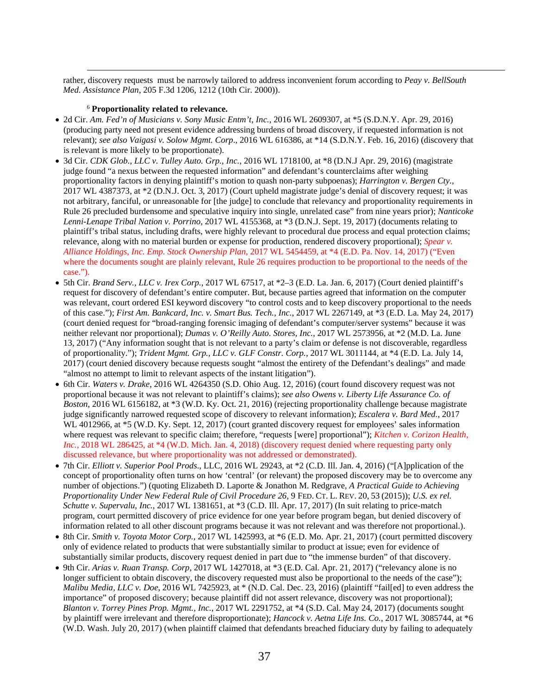rather, discovery requests must be narrowly tailored to address inconvenient forum according to *Peay v. BellSouth Med. Assistance Plan*, 205 F.3d 1206, 1212 (10th Cir. 2000)).

#### <sup>6</sup> **Proportionality related to relevance.**

<u>.</u>

- 2d Cir. *Am. Fed'n of Musicians v. Sony Music Entm't, Inc.*, 2016 WL 2609307, at \*5 (S.D.N.Y. Apr. 29, 2016) (producing party need not present evidence addressing burdens of broad discovery, if requested information is not relevant); *see also Vaigasi v. Solow Mgmt. Corp*., 2016 WL 616386, at \*14 (S.D.N.Y. Feb. 16, 2016) (discovery that is relevant is more likely to be proportionate).
- 3d Cir. *CDK Glob., LLC v. Tulley Auto. Grp., Inc.*, 2016 WL 1718100, at \*8 (D.N.J Apr. 29, 2016) (magistrate judge found "a nexus between the requested information" and defendant's counterclaims after weighing proportionality factors in denying plaintiff's motion to quash non-party subpoenas); *Harrington v. Bergen Cty.*, 2017 WL 4387373, at \*2 (D.N.J. Oct. 3, 2017) (Court upheld magistrate judge's denial of discovery request; it was not arbitrary, fanciful, or unreasonable for [the judge] to conclude that relevancy and proportionality requirements in Rule 26 precluded burdensome and speculative inquiry into single, unrelated case" from nine years prior); *Nanticoke Lenni-Lenape Tribal Nation v. Porrino*, 2017 WL 4155368, at \*3 (D.N.J. Sept. 19, 2017) (documents relating to plaintiff's tribal status, including drafts, were highly relevant to procedural due process and equal protection claims; relevance, along with no material burden or expense for production, rendered discovery proportional); *Spear v. Alliance Holdings, Inc. Emp. Stock Ownership Plan*, 2017 WL 5454459, at \*4 (E.D. Pa. Nov. 14, 2017) ("Even where the documents sought are plainly relevant, Rule 26 requires production to be proportional to the needs of the case.").
- 5th Cir. *Brand Serv., LLC v. Irex Corp.*, 2017 WL 67517, at \*2–3 (E.D. La. Jan. 6, 2017) (Court denied plaintiff's request for discovery of defendant's entire computer. But, because parties agreed that information on the computer was relevant, court ordered ESI keyword discovery "to control costs and to keep discovery proportional to the needs of this case."); *First Am. Bankcard, Inc. v. Smart Bus. Tech., Inc.*, 2017 WL 2267149, at \*3 (E.D. La. May 24, 2017) (court denied request for "broad-ranging forensic imaging of defendant's computer/server systems" because it was neither relevant nor proportional); *Dumas v. O'Reilly Auto. Stores, Inc.*, 2017 WL 2573956, at \*2 (M.D. La. June 13, 2017) ("Any information sought that is not relevant to a party's claim or defense is not discoverable, regardless of proportionality."); *Trident Mgmt. Grp., LLC v. GLF Constr. Corp.*, 2017 WL 3011144, at \*4 (E.D. La. July 14, 2017) (court denied discovery because requests sought "almost the entirety of the Defendant's dealings" and made "almost no attempt to limit to relevant aspects of the instant litigation").
- 6th Cir. *Waters v. Drake*, 2016 WL 4264350 (S.D. Ohio Aug. 12, 2016) (court found discovery request was not proportional because it was not relevant to plaintiff's claims); *see also Owens v. Liberty Life Assurance Co. of Boston*, 2016 WL 6156182, at \*3 (W.D. Ky. Oct. 21, 2016) (rejecting proportionality challenge because magistrate judge significantly narrowed requested scope of discovery to relevant information); *Escalera v. Bard Med.*, 2017 WL 4012966, at  $*5$  (W.D. Ky. Sept. 12, 2017) (court granted discovery request for employees' sales information where request was relevant to specific claim; therefore, "requests [were] proportional"); *Kitchen v. Corizon Health*, *Inc.*, 2018 WL 286425, at  $*4$  (W.D. Mich. Jan. 4, 2018) (discovery request denied where requesting party only discussed relevance, but where proportionality was not addressed or demonstrated).
- 7th Cir. *Elliott v. Superior Pool Prods*., LLC, 2016 WL 29243, at \*2 (C.D. Ill. Jan. 4, 2016) ("[A]pplication of the concept of proportionality often turns on how 'central' (or relevant) the proposed discovery may be to overcome any number of objections.") (quoting Elizabeth D. Laporte & Jonathon M. Redgrave, *A Practical Guide to Achieving Proportionality Under New Federal Rule of Civil Procedure 26*, 9 FED. CT. L. REV. 20, 53 (2015)); *U.S. ex rel. Schutte v. Supervalu, Inc.*, 2017 WL 1381651, at \*3 (C.D. Ill. Apr. 17, 2017) (In suit relating to price-match program, court permitted discovery of price evidence for one year before program began, but denied discovery of information related to all other discount programs because it was not relevant and was therefore not proportional.).
- 8th Cir. *Smith v. Toyota Motor Corp.*, 2017 WL 1425993, at \*6 (E.D. Mo. Apr. 21, 2017) (court permitted discovery only of evidence related to products that were substantially similar to product at issue; even for evidence of substantially similar products, discovery request denied in part due to "the immense burden" of that discovery.
- 9th Cir. *Arias v. Ruan Transp. Corp*, 2017 WL 1427018, at \*3 (E.D. Cal. Apr. 21, 2017) ("relevancy alone is no longer sufficient to obtain discovery, the discovery requested must also be proportional to the needs of the case"); *Malibu Media, LLC v. Doe*, 2016 WL 7425923, at \* (N.D. Cal. Dec. 23, 2016) (plaintiff "fail[ed] to even address the importance" of proposed discovery; because plaintiff did not assert relevance, discovery was not proportional); *Blanton v. Torrey Pines Prop. Mgmt., Inc.*, 2017 WL 2291752, at \*4 (S.D. Cal. May 24, 2017) (documents sought by plaintiff were irrelevant and therefore disproportionate); *Hancock v. Aetna Life Ins. Co.*, 2017 WL 3085744, at \*6 (W.D. Wash. July 20, 2017) (when plaintiff claimed that defendants breached fiduciary duty by failing to adequately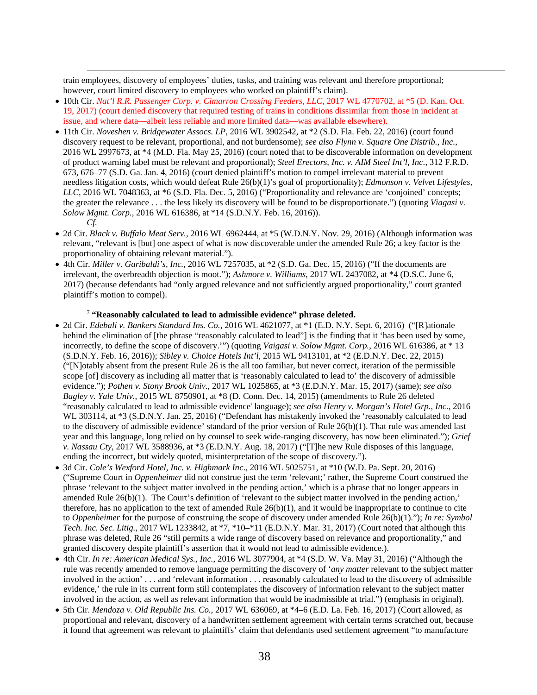train employees, discovery of employees' duties, tasks, and training was relevant and therefore proportional; however, court limited discovery to employees who worked on plaintiff's claim).

<u>.</u>

- 10th Cir. *Nat'l R.R. Passenger Corp. v. Cimarron Crossing Feeders, LLC*, 2017 WL 4770702, at \*5 (D. Kan. Oct. 19, 2017) (court denied discovery that required testing of trains in conditions dissimilar from those in incident at issue, and where data—albeit less reliable and more limited data—was available elsewhere).
- 11th Cir. *Noveshen v. Bridgewater Assocs. LP*, 2016 WL 3902542, at \*2 (S.D. Fla. Feb. 22, 2016) (court found discovery request to be relevant, proportional, and not burdensome); *see also Flynn v. Square One Distrib., Inc.*, 2016 WL 2997673, at \*4 (M.D. Fla. May 25, 2016) (court noted that to be discoverable information on development of product warning label must be relevant and proportional); *Steel Erectors, Inc. v. AIM Steel Int'l, Inc*., 312 F.R.D. 673, 676–77 (S.D. Ga. Jan. 4, 2016) (court denied plaintiff's motion to compel irrelevant material to prevent needless litigation costs, which would defeat Rule 26(b)(1)'s goal of proportionality); *Edmonson v. Velvet Lifestyles, LLC*, 2016 WL 7048363, at \*6 (S.D. Fla. Dec. 5, 2016) ("Proportionality and relevance are 'conjoined' concepts; the greater the relevance . . . the less likely its discovery will be found to be disproportionate.") (quoting *Viagasi v. Solow Mgmt. Corp.*, 2016 WL 616386, at \*14 (S.D.N.Y. Feb. 16, 2016)). *Cf.*
- 2d Cir. *Black v. Buffalo Meat Serv.*, 2016 WL 6962444, at \*5 (W.D.N.Y. Nov. 29, 2016) (Although information was relevant, "relevant is [but] one aspect of what is now discoverable under the amended Rule 26; a key factor is the proportionality of obtaining relevant material.").
- 4th Cir. *Miller v. Garibaldi's, Inc.*, 2016 WL 7257035, at \*2 (S.D. Ga. Dec. 15, 2016) ("If the documents are irrelevant, the overbreadth objection is moot."); *Ashmore v. Williams*, 2017 WL 2437082, at \*4 (D.S.C. June 6, 2017) (because defendants had "only argued relevance and not sufficiently argued proportionality," court granted plaintiff's motion to compel).

#### <sup>7</sup> **"Reasonably calculated to lead to admissible evidence" phrase deleted.**

- 2d Cir. *Edebali v. Bankers Standard Ins. Co.*, 2016 WL 4621077, at \*1 (E.D. N.Y. Sept. 6, 2016) ("[R]ationale behind the elimination of [the phrase "reasonably calculated to lead"] is the finding that it 'has been used by some, incorrectly, to define the scope of discovery.'") (quoting *Vaigasi v. Solow Mgmt. Corp.*, 2016 WL 616386, at \* 13 (S.D.N.Y. Feb. 16, 2016)); *Sibley v. Choice Hotels Int'l*, 2015 WL 9413101, at \*2 (E.D.N.Y. Dec. 22, 2015) ("[N]otably absent from the present Rule 26 is the all too familiar, but never correct, iteration of the permissible scope [of] discovery as including all matter that is 'reasonably calculated to lead to' the discovery of admissible evidence."); *Pothen v. Stony Brook Univ.*, 2017 WL 1025865, at \*3 (E.D.N.Y. Mar. 15, 2017) (same); *see also Bagley v. Yale Univ.*, 2015 WL 8750901, at \*8 (D. Conn. Dec. 14, 2015) (amendments to Rule 26 deleted "reasonably calculated to lead to admissible evidence' language); *see also Henry v. Morgan's Hotel Grp., Inc.*, 2016 WL 303114, at \*3 (S.D.N.Y. Jan. 25, 2016) ("Defendant has mistakenly invoked the 'reasonably calculated to lead to the discovery of admissible evidence' standard of the prior version of Rule 26(b)(1). That rule was amended last year and this language, long relied on by counsel to seek wide-ranging discovery, has now been eliminated."); *Grief v. Nassau Cty*, 2017 WL 3588936, at \*3 (E.D.N.Y. Aug. 18, 2017) ("[T]he new Rule disposes of this language, ending the incorrect, but widely quoted, misinterpretation of the scope of discovery.").
- 3d Cir. *Cole's Wexford Hotel, Inc. v. Highmark Inc*., 2016 WL 5025751, at \*10 (W.D. Pa. Sept. 20, 2016) ("Supreme Court in *Oppenheimer* did not construe just the term 'relevant;' rather, the Supreme Court construed the phrase 'relevant to the subject matter involved in the pending action,' which is a phrase that no longer appears in amended Rule 26(b)(1). The Court's definition of 'relevant to the subject matter involved in the pending action,' therefore, has no application to the text of amended Rule  $26(b)(1)$ , and it would be inappropriate to continue to cite to *Oppenheimer* for the purpose of construing the scope of discovery under amended Rule 26(b)(1)."); *In re: Symbol Tech. Inc. Sec. Litig.*, 2017 WL 1233842, at \*7, \*10–\*11 (E.D.N.Y. Mar. 31, 2017) (Court noted that although this phrase was deleted, Rule 26 "still permits a wide range of discovery based on relevance and proportionality," and granted discovery despite plaintiff's assertion that it would not lead to admissible evidence.).
- 4th Cir. *In re: American Medical Sys., Inc.*, 2016 WL 3077904, at \*4 (S.D. W. Va. May 31, 2016) ("Although the rule was recently amended to remove language permitting the discovery of '*any matter* relevant to the subject matter involved in the action' . . . and 'relevant information . . . reasonably calculated to lead to the discovery of admissible evidence,' the rule in its current form still contemplates the discovery of information relevant to the subject matter involved in the action, as well as relevant information that would be inadmissible at trial.") (emphasis in original).
- 5th Cir. *Mendoza v. Old Republic Ins. Co.*, 2017 WL 636069, at \*4–6 (E.D. La. Feb. 16, 2017) (Court allowed, as proportional and relevant, discovery of a handwritten settlement agreement with certain terms scratched out, because it found that agreement was relevant to plaintiffs' claim that defendants used settlement agreement "to manufacture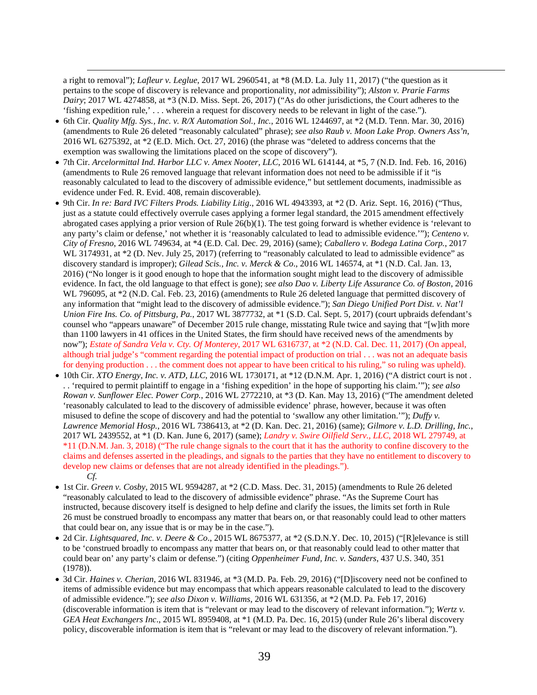a right to removal"); *Lafleur v. Leglue*, 2017 WL 2960541, at \*8 (M.D. La. July 11, 2017) ("the question as it pertains to the scope of discovery is relevance and proportionality, *not* admissibility"); *Alston v. Prarie Farms Dairy*; 2017 WL 4274858, at \*3 (N.D. Miss. Sept. 26, 2017) ("As do other jurisdictions, the Court adheres to the 'fishing expedition rule,' . . . wherein a request for discovery needs to be relevant in light of the case.").

<u>.</u>

- 6th Cir. *Quality Mfg. Sys., Inc. v. R/X Automation Sol., Inc.*, 2016 WL 1244697, at \*2 (M.D. Tenn. Mar. 30, 2016) (amendments to Rule 26 deleted "reasonably calculated" phrase); *see also Raub v. Moon Lake Prop. Owners Ass'n*, 2016 WL 6275392, at \*2 (E.D. Mich. Oct. 27, 2016) (the phrase was "deleted to address concerns that the exemption was swallowing the limitations placed on the scope of discovery").
- 7th Cir. *Arcelormittal Ind. Harbor LLC v. Amex Nooter, LLC*, 2016 WL 614144, at \*5, 7 (N.D. Ind. Feb. 16, 2016) (amendments to Rule 26 removed language that relevant information does not need to be admissible if it "is reasonably calculated to lead to the discovery of admissible evidence," but settlement documents, inadmissible as evidence under Fed. R. Evid. 408, remain discoverable).
- 9th Cir. *In re: Bard IVC Filters Prods. Liability Litig*., 2016 WL 4943393, at \*2 (D. Ariz. Sept. 16, 2016) ("Thus, just as a statute could effectively overrule cases applying a former legal standard, the 2015 amendment effectively abrogated cases applying a prior version of Rule  $26(b)(1)$ . The test going forward is whether evidence is 'relevant to any party's claim or defense,' not whether it is 'reasonably calculated to lead to admissible evidence.'"); *Centeno v. City of Fresno*, 2016 WL 749634, at \*4 (E.D. Cal. Dec. 29, 2016) (same); *Caballero v. Bodega Latina Corp.*, 2017 WL 3174931, at  $*2$  (D. Nev. July 25, 2017) (referring to "reasonably calculated to lead to admissible evidence" as discovery standard is improper); *Gilead Scis., Inc. v. Merck & Co*., 2016 WL 146574, at \*1 (N.D. Cal. Jan. 13, 2016) ("No longer is it good enough to hope that the information sought might lead to the discovery of admissible evidence. In fact, the old language to that effect is gone); *see also Dao v. Liberty Life Assurance Co. of Boston*, 2016 WL 796095, at \*2 (N.D. Cal. Feb. 23, 2016) (amendments to Rule 26 deleted language that permitted discovery of any information that "might lead to the discovery of admissible evidence."); *San Diego Unified Port Dist. v. Nat'l Union Fire Ins. Co. of Pittsburg, Pa.*, 2017 WL 3877732, at \*1 (S.D. Cal. Sept. 5, 2017) (court upbraids defendant's counsel who "appears unaware" of December 2015 rule change, misstating Rule twice and saying that "[w]ith more than 1100 lawyers in 41 offices in the United States, the firm should have received news of the amendments by now"); *Estate of Sandra Vela v. Cty. Of Monterey*, 2017 WL 6316737, at \*2 (N.D. Cal. Dec. 11, 2017) (On appeal, although trial judge's "comment regarding the potential impact of production on trial . . . was not an adequate basis for denying production . . . the comment does not appear to have been critical to his ruling," so ruling was upheld).
- 10th Cir. *XTO Energy, Inc. v. ATD, LLC*, 2016 WL 1730171, at \*12 (D.N.M. Apr. 1, 2016) ("A district court is not . . . 'required to permit plaintiff to engage in a 'fishing expedition' in the hope of supporting his claim.'"); *see also Rowan v. Sunflower Elec. Power Corp.*, 2016 WL 2772210, at \*3 (D. Kan. May 13, 2016) ("The amendment deleted 'reasonably calculated to lead to the discovery of admissible evidence' phrase, however, because it was often misused to define the scope of discovery and had the potential to 'swallow any other limitation.'"); *Duffy v. Lawrence Memorial Hosp.*, 2016 WL 7386413, at \*2 (D. Kan. Dec. 21, 2016) (same); *Gilmore v. L.D. Drilling, Inc.*, 2017 WL 2439552, at \*1 (D. Kan. June 6, 2017) (same); *Landry v. Swire Oilfield Serv., LLC*, 2018 WL 279749, at \*11 (D.N.M. Jan. 3, 2018) ("The rule change signals to the court that it has the authority to confine discovery to the claims and defenses asserted in the pleadings, and signals to the parties that they have no entitlement to discovery to develop new claims or defenses that are not already identified in the pleadings."). *Cf.*
- 1st Cir. *Green v. Cosby*, 2015 WL 9594287, at \*2 (C.D. Mass. Dec. 31, 2015) (amendments to Rule 26 deleted "reasonably calculated to lead to the discovery of admissible evidence" phrase. "As the Supreme Court has instructed, because discovery itself is designed to help define and clarify the issues, the limits set forth in Rule 26 must be construed broadly to encompass any matter that bears on, or that reasonably could lead to other matters that could bear on, any issue that is or may be in the case.").
- 2d Cir. *Lightsquared, Inc. v. Deere & Co*., 2015 WL 8675377, at \*2 (S.D.N.Y. Dec. 10, 2015) ("[R]elevance is still to be 'construed broadly to encompass any matter that bears on, or that reasonably could lead to other matter that could bear on' any party's claim or defense.") (citing *Oppenheimer Fund, Inc. v. Sanders*, 437 U.S. 340, 351 (1978)).
- 3d Cir. *Haines v. Cherian*, 2016 WL 831946, at \*3 (M.D. Pa. Feb. 29, 2016) ("[D]iscovery need not be confined to items of admissible evidence but may encompass that which appears reasonable calculated to lead to the discovery of admissible evidence."); *see also Dixon v. Williams*, 2016 WL 631356, at \*2 (M.D. Pa. Feb 17, 2016) (discoverable information is item that is "relevant or may lead to the discovery of relevant information."); *Wertz v. GEA Heat Exchangers Inc*., 2015 WL 8959408, at \*1 (M.D. Pa. Dec. 16, 2015) (under Rule 26's liberal discovery policy, discoverable information is item that is "relevant or may lead to the discovery of relevant information.").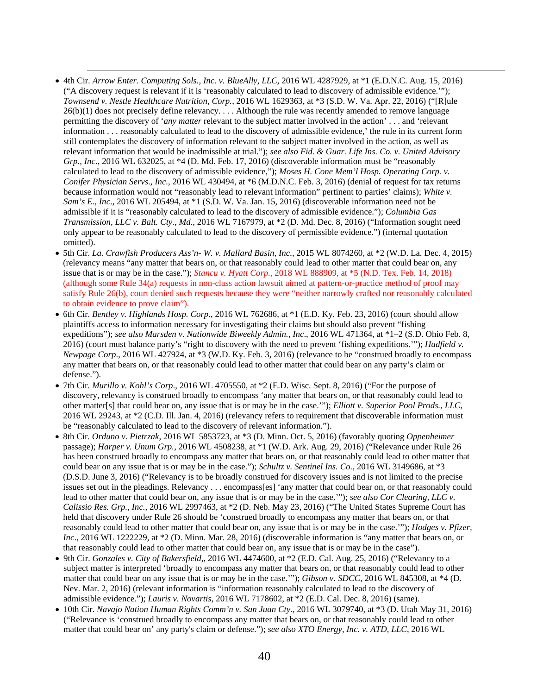• 4th Cir. *Arrow Enter. Computing Sols., Inc. v. BlueAlly*, *LLC*, 2016 WL 4287929, at \*1 (E.D.N.C. Aug. 15, 2016) ("A discovery request is relevant if it is 'reasonably calculated to lead to discovery of admissible evidence.'"); *Townsend v. Nestle Healthcare Nutrition, Corp.*, 2016 WL 1629363, at \*3 (S.D. W. Va. Apr. 22, 2016) ("[R]ule 26(b)(1) does not precisely define relevancy. . . . Although the rule was recently amended to remove language permitting the discovery of '*any matter* relevant to the subject matter involved in the action' . . . and 'relevant information . . . reasonably calculated to lead to the discovery of admissible evidence,' the rule in its current form still contemplates the discovery of information relevant to the subject matter involved in the action, as well as relevant information that would be inadmissible at trial."); *see also Fid. & Guar. Life Ins. Co. v. United Advisory Grp., Inc*., 2016 WL 632025, at \*4 (D. Md. Feb. 17, 2016) (discoverable information must be "reasonably calculated to lead to the discovery of admissible evidence,"); *Moses H. Cone Mem'l Hosp. Operating Corp. v. Conifer Physician Servs*.*, Inc.*, 2016 WL 430494, at \*6 (M.D.N.C. Feb. 3, 2016) (denial of request for tax returns because information would not "reasonably lead to relevant information" pertinent to parties' claims); *White v. Sam's E., Inc*., 2016 WL 205494, at \*1 (S.D. W. Va. Jan. 15, 2016) (discoverable information need not be admissible if it is "reasonably calculated to lead to the discovery of admissible evidence."); *Columbia Gas Transmission, LLC v. Balt. Cty., Md.*, 2016 WL 7167979, at \*2 (D. Md. Dec. 8, 2016) ("Information sought need only appear to be reasonably calculated to lead to the discovery of permissible evidence.") (internal quotation omitted).

<u>.</u>

- 5th Cir. *La. Crawfish Producers Ass'n- W. v. Mallard Basin, Inc*., 2015 WL 8074260, at \*2 (W.D. La. Dec. 4, 2015) (relevancy means "any matter that bears on, or that reasonably could lead to other matter that could bear on, any issue that is or may be in the case."); *Stancu v. Hyatt Corp.*, 2018 WL 888909, at \*5 (N.D. Tex. Feb. 14, 2018) (although some Rule 34(a) requests in non-class action lawsuit aimed at pattern-or-practice method of proof may satisfy Rule 26(b), court denied such requests because they were "neither narrowly crafted nor reasonably calculated to obtain evidence to prove claim").
- 6th Cir. *Bentley v. Highlands Hosp. Corp.*, 2016 WL 762686, at \*1 (E.D. Ky. Feb. 23, 2016) (court should allow plaintiffs access to information necessary for investigating their claims but should also prevent "fishing expeditions"); *see also Marsden v. Nationwide Biweekly Admin., Inc*., 2016 WL 471364, at \*1–2 (S.D. Ohio Feb. 8, 2016) (court must balance party's "right to discovery with the need to prevent 'fishing expeditions.'"); *Hadfield v. Newpage Corp*., 2016 WL 427924, at \*3 (W.D. Ky. Feb. 3, 2016) (relevance to be "construed broadly to encompass any matter that bears on, or that reasonably could lead to other matter that could bear on any party's claim or defense.").
- 7th Cir. *Murillo v. Kohl's Corp*., 2016 WL 4705550, at \*2 (E.D. Wisc. Sept. 8, 2016) ("For the purpose of discovery, relevancy is construed broadly to encompass 'any matter that bears on, or that reasonably could lead to other matter[s] that could bear on, any issue that is or may be in the case.'"); *Elliott v. Superior Pool Prods., LLC*, 2016 WL 29243, at \*2 (C.D. Ill. Jan. 4, 2016) (relevancy refers to requirement that discoverable information must be "reasonably calculated to lead to the discovery of relevant information.").
- 8th Cir. *Orduno v. Pietrzak*, 2016 WL 5853723, at \*3 (D. Minn. Oct. 5, 2016) (favorably quoting *Oppenheimer* passage); *Harper v. Unum Grp.*, 2016 WL 4508238, at \*1 (W.D. Ark. Aug. 29, 2016) ("Relevance under Rule 26 has been construed broadly to encompass any matter that bears on, or that reasonably could lead to other matter that could bear on any issue that is or may be in the case."); *Schultz v. Sentinel Ins. Co.*, 2016 WL 3149686, at \*3 (D.S.D. June 3, 2016) ("Relevancy is to be broadly construed for discovery issues and is not limited to the precise issues set out in the pleadings. Relevancy . . . encompass[es] 'any matter that could bear on, or that reasonably could lead to other matter that could bear on, any issue that is or may be in the case.'"); *see also Cor Clearing, LLC v. Calissio Res. Grp., Inc.*, 2016 WL 2997463, at \*2 (D. Neb. May 23, 2016) ("The United States Supreme Court has held that discovery under Rule 26 should be 'construed broadly to encompass any matter that bears on, or that reasonably could lead to other matter that could bear on, any issue that is or may be in the case.'"); *Hodges v. Pfizer, Inc.*, 2016 WL 1222229, at \*2 (D. Minn. Mar. 28, 2016) (discoverable information is "any matter that bears on, or that reasonably could lead to other matter that could bear on, any issue that is or may be in the case").
- 9th Cir. *Gonzales v. City of Bakersfield*,, 2016 WL 4474600, at \*2 (E.D. Cal. Aug. 25, 2016) ("Relevancy to a subject matter is interpreted 'broadly to encompass any matter that bears on, or that reasonably could lead to other matter that could bear on any issue that is or may be in the case.'"); *Gibson v. SDCC*, 2016 WL 845308, at \*4 (D. Nev. Mar. 2, 2016) (relevant information is "information reasonably calculated to lead to the discovery of admissible evidence."); *Lauris v. Novartis*, 2016 WL 7178602, at \*2 (E.D. Cal. Dec. 8, 2016) (same).
- 10th Cir. *Navajo Nation Human Rights Comm'n v. San Juan Cty.,* 2016 WL 3079740, at \*3 (D. Utah May 31, 2016) ("Relevance is 'construed broadly to encompass any matter that bears on, or that reasonably could lead to other matter that could bear on' any party's claim or defense."); *see also XTO Energy, Inc. v. ATD, LLC*, 2016 WL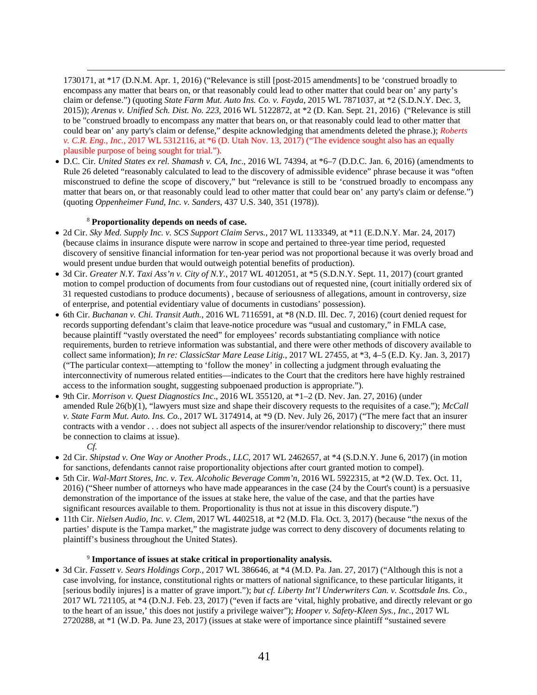<u>.</u> 1730171, at \*17 (D.N.M. Apr. 1, 2016) ("Relevance is still [post-2015 amendments] to be 'construed broadly to encompass any matter that bears on, or that reasonably could lead to other matter that could bear on' any party's claim or defense.") (quoting *State Farm Mut. Auto Ins. Co. v. Fayda*, 2015 WL 7871037, at \*2 (S.D.N.Y. Dec. 3, 2015)); *Arenas v. Unified Sch. Dist. No. 223*, 2016 WL 5122872, at \*2 (D. Kan. Sept. 21, 2016) ("Relevance is still to be "construed broadly to encompass any matter that bears on, or that reasonably could lead to other matter that could bear on' any party's claim or defense," despite acknowledging that amendments deleted the phrase.); *Roberts v. C.R. Eng., Inc.*, 2017 WL 5312116, at \*6 (D. Utah Nov. 13, 2017) ("The evidence sought also has an equally plausible purpose of being sought for trial.").

• D.C. Cir. *United States ex rel. Shamash v. CA, Inc*., 2016 WL 74394, at \*6–7 (D.D.C. Jan. 6, 2016) (amendments to Rule 26 deleted "reasonably calculated to lead to the discovery of admissible evidence" phrase because it was "often misconstrued to define the scope of discovery," but "relevance is still to be 'construed broadly to encompass any matter that bears on, or that reasonably could lead to other matter that could bear on' any party's claim or defense.") (quoting *Oppenheimer Fund, Inc. v. Sanders*, 437 U.S. 340, 351 (1978)).

#### <sup>8</sup> **Proportionality depends on needs of case.**

- 2d Cir. *Sky Med. Supply Inc. v. SCS Support Claim Servs.*, 2017 WL 1133349, at \*11 (E.D.N.Y. Mar. 24, 2017) (because claims in insurance dispute were narrow in scope and pertained to three-year time period, requested discovery of sensitive financial information for ten-year period was not proportional because it was overly broad and would present undue burden that would outweigh potential benefits of production).
- 3d Cir. *Greater N.Y. Taxi Ass'n v. City of N.Y.*, 2017 WL 4012051, at \*5 (S.D.N.Y. Sept. 11, 2017) (court granted motion to compel production of documents from four custodians out of requested nine, (court initially ordered six of 31 requested custodians to produce documents) , because of seriousness of allegations, amount in controversy, size of enterprise, and potential evidentiary value of documents in custodians' possession).
- 6th Cir. *Buchanan v. Chi. Transit Auth.*, 2016 WL 7116591, at \*8 (N.D. Ill. Dec. 7, 2016) (court denied request for records supporting defendant's claim that leave-notice procedure was "usual and customary," in FMLA case, because plaintiff "vastly overstated the need" for employees' records substantiating compliance with notice requirements, burden to retrieve information was substantial, and there were other methods of discovery available to collect same information); *In re: ClassicStar Mare Lease Litig.*, 2017 WL 27455, at \*3, 4–5 (E.D. Ky. Jan. 3, 2017) ("The particular context—attempting to 'follow the money' in collecting a judgment through evaluating the interconnectivity of numerous related entities—indicates to the Court that the creditors here have highly restrained access to the information sought, suggesting subpoenaed production is appropriate.").
- 9th Cir. *Morrison v. Quest Diagnostics Inc*., 2016 WL 355120, at \*1–2 (D. Nev. Jan. 27, 2016) (under amended Rule 26(b)(1), "lawyers must size and shape their discovery requests to the requisites of a case."); *McCall v. State Farm Mut. Auto. Ins. Co.*, 2017 WL 3174914, at \*9 (D. Nev. July 26, 2017) ("The mere fact that an insurer contracts with a vendor . . . does not subject all aspects of the insurer/vendor relationship to discovery;" there must be connection to claims at issue).
	- *Cf.*
- 2d Cir. *Shipstad v. One Way or Another Prods., LLC*, 2017 WL 2462657, at \*4 (S.D.N.Y. June 6, 2017) (in motion for sanctions, defendants cannot raise proportionality objections after court granted motion to compel).
- 5th Cir. *Wal-Mart Stores, Inc. v. Tex. Alcoholic Beverage Comm'n,* 2016 WL 5922315, at \*2 (W.D. Tex. Oct. 11, 2016) ("Sheer number of attorneys who have made appearances in the case (24 by the Court's count) is a persuasive demonstration of the importance of the issues at stake here, the value of the case, and that the parties have significant resources available to them. Proportionality is thus not at issue in this discovery dispute.")
- 11th Cir. *Nielsen Audio, Inc. v. Clem*, 2017 WL 4402518, at \*2 (M.D. Fla. Oct. 3, 2017) (because "the nexus of the parties' dispute is the Tampa market," the magistrate judge was correct to deny discovery of documents relating to plaintiff's business throughout the United States).

#### <sup>9</sup> **Importance of issues at stake critical in proportionality analysis.**

• 3d Cir. *Fassett v. Sears Holdings Corp.*, 2017 WL 386646, at \*4 (M.D. Pa. Jan. 27, 2017) ("Although this is not a case involving, for instance, constitutional rights or matters of national significance, to these particular litigants, it [serious bodily injures] is a matter of grave import."); *but cf. Liberty Int'l Underwriters Can. v. Scottsdale Ins. Co.*, 2017 WL 721105, at \*4 (D.N.J. Feb. 23, 2017) ("even if facts are 'vital, highly probative, and directly relevant or go to the heart of an issue,' this does not justify a privilege waiver"); *Hooper v. Safety-Kleen Sys., Inc.*, 2017 WL 2720288, at \*1 (W.D. Pa. June 23, 2017) (issues at stake were of importance since plaintiff "sustained severe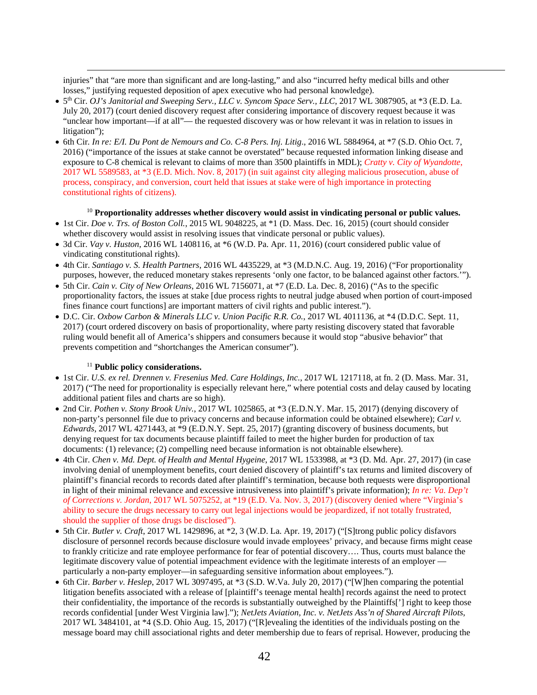injuries" that "are more than significant and are long-lasting," and also "incurred hefty medical bills and other losses," justifying requested deposition of apex executive who had personal knowledge).

- 5th Cir. *OJ's Janitorial and Sweeping Serv., LLC v. Syncom Space Serv., LLC*, 2017 WL 3087905, at \*3 (E.D. La. July 20, 2017) (court denied discovery request after considering importance of discovery request because it was "unclear how important—if at all"— the requested discovery was or how relevant it was in relation to issues in litigation");
- 6th Cir*. In re: E/I. Du Pont de Nemours and Co. C-8 Pers. Inj. Litig*., 2016 WL 5884964, at \*7 (S.D. Ohio Oct. 7, 2016) ("importance of the issues at stake cannot be overstated" because requested information linking disease and exposure to C-8 chemical is relevant to claims of more than 3500 plaintiffs in MDL); *Cratty v. City of Wyandotte*, 2017 WL 5589583, at \*3 (E.D. Mich. Nov. 8, 2017) (in suit against city alleging malicious prosecution, abuse of process, conspiracy, and conversion, court held that issues at stake were of high importance in protecting constitutional rights of citizens).

# <sup>10</sup> Proportionality addresses whether discovery would assist in vindicating personal or public values.

- 1st Cir. *Doe v. Trs. of Boston Coll.*, 2015 WL 9048225, at \*1 (D. Mass. Dec. 16, 2015) (court should consider whether discovery would assist in resolving issues that vindicate personal or public values).
- 3d Cir. *Vay v. Huston*, 2016 WL 1408116, at \*6 (W.D. Pa. Apr. 11, 2016) (court considered public value of vindicating constitutional rights).
- 4th Cir. *Santiago v. S. Health Partners*, 2016 WL 4435229, at \*3 (M.D.N.C. Aug. 19, 2016) ("For proportionality purposes, however, the reduced monetary stakes represents 'only one factor, to be balanced against other factors.'").
- 5th Cir. *Cain v. City of New Orleans*, 2016 WL 7156071, at \*7 (E.D. La. Dec. 8, 2016) ("As to the specific proportionality factors, the issues at stake [due process rights to neutral judge abused when portion of court-imposed fines finance court functions] are important matters of civil rights and public interest.").
- D.C. Cir. *Oxbow Carbon & Minerals LLC v. Union Pacific R.R. Co.*, 2017 WL 4011136, at \*4 (D.D.C. Sept. 11, 2017) (court ordered discovery on basis of proportionality, where party resisting discovery stated that favorable ruling would benefit all of America's shippers and consumers because it would stop "abusive behavior" that prevents competition and "shortchanges the American consumer").

## <sup>11</sup> **Public policy considerations.**

<u>.</u>

- 1st Cir. *U.S. ex rel. Drennen v. Fresenius Med. Care Holdings, Inc.*, 2017 WL 1217118, at fn. 2 (D. Mass. Mar. 31, 2017) ("The need for proportionality is especially relevant here," where potential costs and delay caused by locating additional patient files and charts are so high).
- 2nd Cir. *Pothen v. Stony Brook Univ.*, 2017 WL 1025865, at \*3 (E.D.N.Y. Mar. 15, 2017) (denying discovery of non-party's personnel file due to privacy concerns and because information could be obtained elsewhere); *Carl v. Edwards*, 2017 WL 4271443, at \*9 (E.D.N.Y. Sept. 25, 2017) (granting discovery of business documents, but denying request for tax documents because plaintiff failed to meet the higher burden for production of tax documents: (1) relevance; (2) compelling need because information is not obtainable elsewhere).
- 4th Cir. *Chen v. Md. Dept. of Health and Mental Hygeine*, 2017 WL 1533988, at \*3 (D. Md. Apr. 27, 2017) (in case involving denial of unemployment benefits, court denied discovery of plaintiff's tax returns and limited discovery of plaintiff's financial records to records dated after plaintiff's termination, because both requests were disproportional in light of their minimal relevance and excessive intrusiveness into plaintiff's private information); *In re: Va. Dep't of Corrections v. Jordan*, 2017 WL 5075252, at \*19 (E.D. Va. Nov. 3, 2017) (discovery denied where "Virginia's ability to secure the drugs necessary to carry out legal injections would be jeopardized, if not totally frustrated, should the supplier of those drugs be disclosed").
- 5th Cir. *Butler v. Craft*, 2017 WL 1429896, at \*2, 3 (W.D. La. Apr. 19, 2017) ("[S]trong public policy disfavors disclosure of personnel records because disclosure would invade employees' privacy, and because firms might cease to frankly criticize and rate employee performance for fear of potential discovery…. Thus, courts must balance the legitimate discovery value of potential impeachment evidence with the legitimate interests of an employer particularly a non-party employer—in safeguarding sensitive information about employees.").
- 6th Cir. *Barber v. Heslep*, 2017 WL 3097495, at \*3 (S.D. W.Va. July 20, 2017) ("[W]hen comparing the potential litigation benefits associated with a release of [plaintiff's teenage mental health] records against the need to protect their confidentiality, the importance of the records is substantially outweighed by the Plaintiffs['] right to keep those records confidential [under West Virginia law]."); *NetJets Aviation, Inc. v. NetJets Ass'n of Shared Aircraft Pilots*, 2017 WL 3484101, at \*4 (S.D. Ohio Aug. 15, 2017) ("[R]evealing the identities of the individuals posting on the message board may chill associational rights and deter membership due to fears of reprisal. However, producing the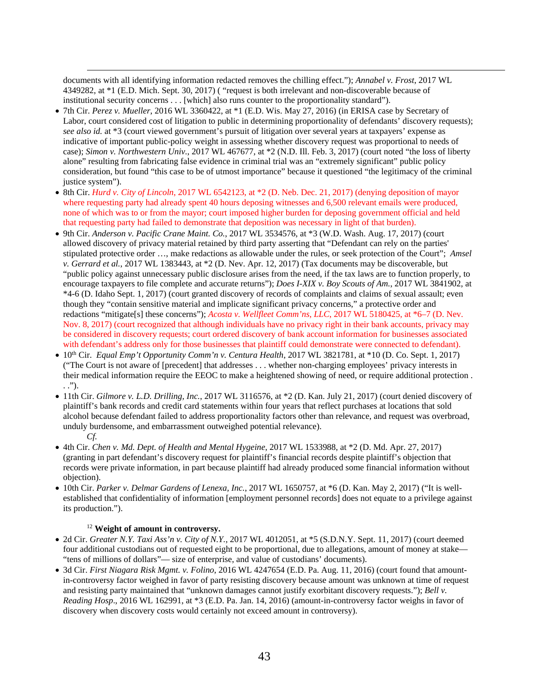<u>.</u> documents with all identifying information redacted removes the chilling effect."); *Annabel v. Frost*, 2017 WL 4349282, at \*1 (E.D. Mich. Sept. 30, 2017) ( "request is both irrelevant and non-discoverable because of institutional security concerns . . . [which] also runs counter to the proportionality standard").

- 7th Cir. *Perez v. Mueller*, 2016 WL 3360422, at \*1 (E.D. Wis. May 27, 2016) (in ERISA case by Secretary of Labor, court considered cost of litigation to public in determining proportionality of defendants' discovery requests); *see also id.* at \*3 (court viewed government's pursuit of litigation over several years at taxpayers' expense as indicative of important public-policy weight in assessing whether discovery request was proportional to needs of case); *Simon v. Northwestern Univ.*, 2017 WL 467677, at \*2 (N.D. Ill. Feb. 3, 2017) (court noted "the loss of liberty alone" resulting from fabricating false evidence in criminal trial was an "extremely significant" public policy consideration, but found "this case to be of utmost importance" because it questioned "the legitimacy of the criminal justice system").
- 8th Cir. *Hurd v. City of Lincoln*, 2017 WL 6542123, at \*2 (D. Neb. Dec. 21, 2017) (denying deposition of mayor where requesting party had already spent 40 hours deposing witnesses and 6,500 relevant emails were produced, none of which was to or from the mayor; court imposed higher burden for deposing government official and held that requesting party had failed to demonstrate that deposition was necessary in light of that burden).
- 9th Cir. *Anderson v. Pacific Crane Maint. Co.*, 2017 WL 3534576, at \*3 (W.D. Wash. Aug. 17, 2017) (court allowed discovery of privacy material retained by third party asserting that "Defendant can rely on the parties' stipulated protective order …, make redactions as allowable under the rules, or seek protection of the Court"; *Amsel v. Gerrard et al.*, 2017 WL 1383443, at \*2 (D. Nev. Apr. 12, 2017) (Tax documents may be discoverable, but "public policy against unnecessary public disclosure arises from the need, if the tax laws are to function properly, to encourage taxpayers to file complete and accurate returns"); *Does I-XIX v. Boy Scouts of Am.*, 2017 WL 3841902, at \*4-6 (D. Idaho Sept. 1, 2017) (court granted discovery of records of complaints and claims of sexual assault; even though they "contain sensitive material and implicate significant privacy concerns," a protective order and redactions "mitigate[s] these concerns"); *Acosta v. Wellfleet Comm'ns, LLC*, 2017 WL 5180425, at \*6–7 (D. Nev. Nov. 8, 2017) (court recognized that although individuals have no privacy right in their bank accounts, privacy may be considered in discovery requests; court ordered discovery of bank account information for businesses associated with defendant's address only for those businesses that plaintiff could demonstrate were connected to defendant).
- 10th Cir. *Equal Emp't Opportunity Comm'n v. Centura Health*, 2017 WL 3821781, at \*10 (D. Co. Sept. 1, 2017) ("The Court is not aware of [precedent] that addresses . . . whether non-charging employees' privacy interests in their medical information require the EEOC to make a heightened showing of need, or require additional protection . . .").
- 11th Cir. *Gilmore v. L.D. Drilling, Inc.*, 2017 WL 3116576, at \*2 (D. Kan. July 21, 2017) (court denied discovery of plaintiff's bank records and credit card statements within four years that reflect purchases at locations that sold alcohol because defendant failed to address proportionality factors other than relevance, and request was overbroad, unduly burdensome, and embarrassment outweighed potential relevance). *Cf.*
- 4th Cir. *Chen v. Md. Dept. of Health and Mental Hygeine*, 2017 WL 1533988, at \*2 (D. Md. Apr. 27, 2017) (granting in part defendant's discovery request for plaintiff's financial records despite plaintiff's objection that records were private information, in part because plaintiff had already produced some financial information without objection).
- 10th Cir. *Parker v. Delmar Gardens of Lenexa, Inc.*, 2017 WL 1650757, at \*6 (D. Kan. May 2, 2017) ("It is wellestablished that confidentiality of information [employment personnel records] does not equate to a privilege against its production.").

## <sup>12</sup> **Weight of amount in controversy.**

- 2d Cir. *Greater N.Y. Taxi Ass'n v. City of N.Y.*, 2017 WL 4012051, at \*5 (S.D.N.Y. Sept. 11, 2017) (court deemed four additional custodians out of requested eight to be proportional, due to allegations, amount of money at stake— "tens of millions of dollars"— size of enterprise, and value of custodians' documents).
- 3d Cir. *First Niagara Risk Mgmt. v. Folino*, 2016 WL 4247654 (E.D. Pa. Aug. 11, 2016) (court found that amountin-controversy factor weighed in favor of party resisting discovery because amount was unknown at time of request and resisting party maintained that "unknown damages cannot justify exorbitant discovery requests."); *Bell v. Reading Hosp*., 2016 WL 162991, at \*3 (E.D. Pa. Jan. 14, 2016) (amount-in-controversy factor weighs in favor of discovery when discovery costs would certainly not exceed amount in controversy).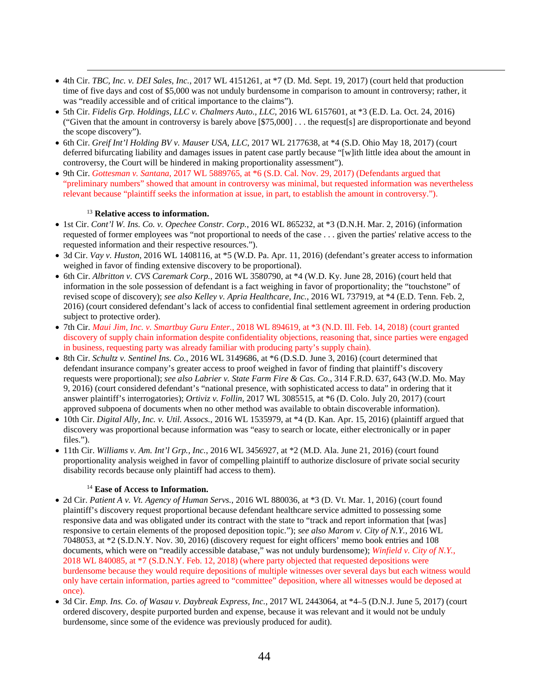- 4th Cir. *TBC, Inc. v. DEI Sales, Inc.*, 2017 WL 4151261, at \*7 (D. Md. Sept. 19, 2017) (court held that production time of five days and cost of \$5,000 was not unduly burdensome in comparison to amount in controversy; rather, it was "readily accessible and of critical importance to the claims").
- 5th Cir. *Fidelis Grp. Holdings, LLC v. Chalmers Auto., LLC*, 2016 WL 6157601, at \*3 (E.D. La. Oct. 24, 2016) ("Given that the amount in controversy is barely above [\$75,000] . . . the request[s] are disproportionate and beyond the scope discovery").
- 6th Cir. *Greif Int'l Holding BV v. Mauser USA, LLC*, 2017 WL 2177638, at \*4 (S.D. Ohio May 18, 2017) (court deferred bifurcating liability and damages issues in patent case partly because "[w]ith little idea about the amount in controversy, the Court will be hindered in making proportionality assessment").
- 9th Cir. *Gottesman v. Santana*, 2017 WL 5889765, at \*6 (S.D. Cal. Nov. 29, 2017) (Defendants argued that "preliminary numbers" showed that amount in controversy was minimal, but requested information was nevertheless relevant because "plaintiff seeks the information at issue, in part, to establish the amount in controversy.").

#### <sup>13</sup> **Relative access to information.**

<u>.</u>

- 1st Cir. *Cont'l W. Ins. Co. v. Opechee Constr. Corp.*, 2016 WL 865232, at \*3 (D.N.H. Mar. 2, 2016) (information requested of former employees was "not proportional to needs of the case . . . given the parties' relative access to the requested information and their respective resources.").
- 3d Cir. *Vay v. Huston*, 2016 WL 1408116, at \*5 (W.D. Pa. Apr. 11, 2016) (defendant's greater access to information weighed in favor of finding extensive discovery to be proportional).
- 6th Cir. *Albritton v. CVS Caremark Corp.*, 2016 WL 3580790, at \*4 (W.D. Ky. June 28, 2016) (court held that information in the sole possession of defendant is a fact weighing in favor of proportionality; the "touchstone" of revised scope of discovery); *see also Kelley v. Apria Healthcare, Inc.*, 2016 WL 737919, at \*4 (E.D. Tenn. Feb. 2, 2016) (court considered defendant's lack of access to confidential final settlement agreement in ordering production subject to protective order).
- 7th Cir. *Maui Jim, Inc. v. Smartbuy Guru Enter.*, 2018 WL 894619, at \*3 (N.D. Ill. Feb. 14, 2018) (court granted discovery of supply chain information despite confidentiality objections, reasoning that, since parties were engaged in business, requesting party was already familiar with producing party's supply chain).
- 8th Cir. *Schultz v. Sentinel Ins. Co.*, 2016 WL 3149686, at \*6 (D.S.D. June 3, 2016) (court determined that defendant insurance company's greater access to proof weighed in favor of finding that plaintiff's discovery requests were proportional); *see also Labrier v. State Farm Fire & Cas. Co.*, 314 F.R.D. 637, 643 (W.D. Mo. May 9, 2016) (court considered defendant's "national presence, with sophisticated access to data" in ordering that it answer plaintiff's interrogatories); *Ortiviz v. Follin*, 2017 WL 3085515, at \*6 (D. Colo. July 20, 2017) (court approved subpoena of documents when no other method was available to obtain discoverable information).
- 10th Cir. *Digital Ally, Inc. v. Util. Assocs.*, 2016 WL 1535979, at \*4 (D. Kan. Apr. 15, 2016) (plaintiff argued that discovery was proportional because information was "easy to search or locate, either electronically or in paper files.").
- 11th Cir. *Williams v. Am. Int'l Grp., Inc.*, 2016 WL 3456927, at \*2 (M.D. Ala. June 21, 2016) (court found proportionality analysis weighed in favor of compelling plaintiff to authorize disclosure of private social security disability records because only plaintiff had access to them).

## <sup>14</sup> **Ease of Access to Information.**

- 2d Cir. *Patient A v. Vt. Agency of Human Servs.*, 2016 WL 880036, at \*3 (D. Vt. Mar. 1, 2016) (court found plaintiff's discovery request proportional because defendant healthcare service admitted to possessing some responsive data and was obligated under its contract with the state to "track and report information that [was] responsive to certain elements of the proposed deposition topic."); *see also Marom v. City of N.Y.*, 2016 WL 7048053, at \*2 (S.D.N.Y. Nov. 30, 2016) (discovery request for eight officers' memo book entries and 108 documents, which were on "readily accessible database," was not unduly burdensome); *Winfield v. City of N.Y.*, 2018 WL 840085, at \*7 (S.D.N.Y. Feb. 12, 2018) (where party objected that requested depositions were burdensome because they would require depositions of multiple witnesses over several days but each witness would only have certain information, parties agreed to "committee" deposition, where all witnesses would be deposed at once).
- 3d Cir. *Emp. Ins. Co. of Wasau v. Daybreak Express, Inc.*, 2017 WL 2443064, at \*4–5 (D.N.J. June 5, 2017) (court ordered discovery, despite purported burden and expense, because it was relevant and it would not be unduly burdensome, since some of the evidence was previously produced for audit).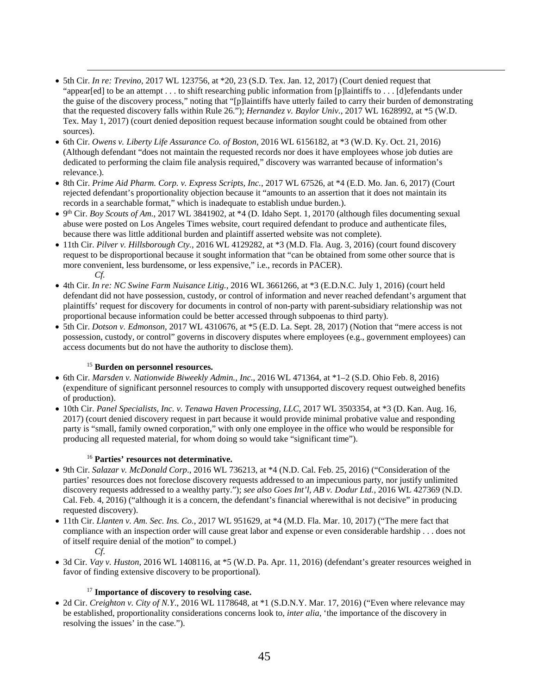- 5th Cir. *In re: Trevino*, 2017 WL 123756, at \*20, 23 (S.D. Tex. Jan. 12, 2017) (Court denied request that "appear[ed] to be an attempt . . . to shift researching public information from [p]laintiffs to . . . [d]efendants under the guise of the discovery process," noting that "[p]laintiffs have utterly failed to carry their burden of demonstrating that the requested discovery falls within Rule 26."); *Hernandez v. Baylor Univ.*, 2017 WL 1628992, at \*5 (W.D. Tex. May 1, 2017) (court denied deposition request because information sought could be obtained from other sources).
- 6th Cir. *Owens v. Liberty Life Assurance Co. of Boston*, 2016 WL 6156182, at \*3 (W.D. Ky. Oct. 21, 2016) (Although defendant "does not maintain the requested records nor does it have employees whose job duties are dedicated to performing the claim file analysis required," discovery was warranted because of information's relevance.).
- 8th Cir. *Prime Aid Pharm. Corp. v. Express Scripts, Inc.*, 2017 WL 67526, at \*4 (E.D. Mo. Jan. 6, 2017) (Court rejected defendant's proportionality objection because it "amounts to an assertion that it does not maintain its records in a searchable format," which is inadequate to establish undue burden.).
- $\bullet$  9<sup>th</sup> Cir. *Boy Scouts of Am.*, 2017 WL 3841902, at \*4 (D. Idaho Sept. 1, 20170 (although files documenting sexual abuse were posted on Los Angeles Times website, court required defendant to produce and authenticate files, because there was little additional burden and plaintiff asserted website was not complete).
- 11th Cir. *Pilver v. Hillsborough Cty.*, 2016 WL 4129282, at \*3 (M.D. Fla. Aug. 3, 2016) (court found discovery request to be disproportional because it sought information that "can be obtained from some other source that is more convenient, less burdensome, or less expensive," i.e., records in PACER). *Cf.*
- 4th Cir. *In re: NC Swine Farm Nuisance Litig.*, 2016 WL 3661266, at \*3 (E.D.N.C. July 1, 2016) (court held defendant did not have possession, custody, or control of information and never reached defendant's argument that plaintiffs' request for discovery for documents in control of non-party with parent-subsidiary relationship was not proportional because information could be better accessed through subpoenas to third party).
- 5th Cir. *Dotson v. Edmonson*, 2017 WL 4310676, at \*5 (E.D. La. Sept. 28, 2017) (Notion that "mere access is not possession, custody, or control" governs in discovery disputes where employees (e.g., government employees) can access documents but do not have the authority to disclose them).

## <sup>15</sup> **Burden on personnel resources.**

<u>.</u>

- 6th Cir. *Marsden v. Nationwide Biweekly Admin., Inc*., 2016 WL 471364, at \*1–2 (S.D. Ohio Feb. 8, 2016) (expenditure of significant personnel resources to comply with unsupported discovery request outweighed benefits of production).
- 10th Cir. *Panel Specialists, Inc. v. Tenawa Haven Processing, LLC*, 2017 WL 3503354, at \*3 (D. Kan. Aug. 16, 2017) (court denied discovery request in part because it would provide minimal probative value and responding party is "small, family owned corporation," with only one employee in the office who would be responsible for producing all requested material, for whom doing so would take "significant time").

## <sup>16</sup> **Parties' resources not determinative.**

- 9th Cir. *Salazar v. McDonald Corp*., 2016 WL 736213, at \*4 (N.D. Cal. Feb. 25, 2016) ("Consideration of the parties' resources does not foreclose discovery requests addressed to an impecunious party, nor justify unlimited discovery requests addressed to a wealthy party."); *see also Goes Int'l, AB v. Dodur Ltd.*, 2016 WL 427369 (N.D. Cal. Feb. 4, 2016) ("although it is a concern, the defendant's financial wherewithal is not decisive" in producing requested discovery).
- 11th Cir. *Llanten v. Am. Sec. Ins. Co.*, 2017 WL 951629, at \*4 (M.D. Fla. Mar. 10, 2017) ("The mere fact that compliance with an inspection order will cause great labor and expense or even considerable hardship . . . does not of itself require denial of the motion" to compel.) *Cf*.
- 3d Cir*. Vay v. Huston*, 2016 WL 1408116, at \*5 (W.D. Pa. Apr. 11, 2016) (defendant's greater resources weighed in favor of finding extensive discovery to be proportional).

# <sup>17</sup> **Importance of discovery to resolving case.**

• 2d Cir. *Creighton v. City of N.Y*., 2016 WL 1178648, at \*1 (S.D.N.Y. Mar. 17, 2016) ("Even where relevance may be established, proportionality considerations concerns look to, *inter alia*, 'the importance of the discovery in resolving the issues' in the case.").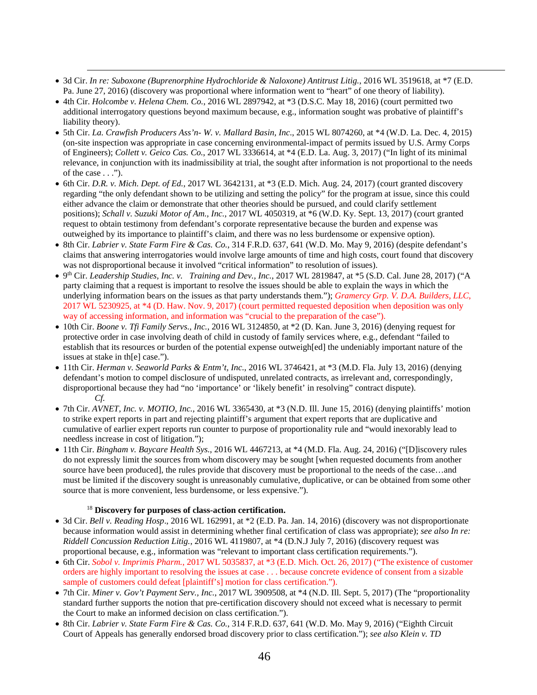- 3d Cir. *In re: Suboxone (Buprenorphine Hydrochloride & Naloxone) Antitrust Litig.*, 2016 WL 3519618, at \*7 (E.D. Pa. June 27, 2016) (discovery was proportional where information went to "heart" of one theory of liability).
- 4th Cir. *Holcombe v. Helena Chem. Co.*, 2016 WL 2897942, at \*3 (D.S.C. May 18, 2016) (court permitted two additional interrogatory questions beyond maximum because, e.g., information sought was probative of plaintiff's liability theory).

<u>.</u>

- 5th Cir. *La. Crawfish Producers Ass'n- W. v. Mallard Basin, Inc*., 2015 WL 8074260, at \*4 (W.D. La. Dec. 4, 2015) (on-site inspection was appropriate in case concerning environmental-impact of permits issued by U.S. Army Corps of Engineers); *Collett v. Geico Cas. Co.*, 2017 WL 3336614, at \*4 (E.D. La. Aug. 3, 2017) ("In light of its minimal relevance, in conjunction with its inadmissibility at trial, the sought after information is not proportional to the needs of the case  $\ldots$ ").
- 6th Cir. *D.R. v. Mich. Dept. of Ed.*, 2017 WL 3642131, at \*3 (E.D. Mich. Aug. 24, 2017) (court granted discovery regarding "the only defendant shown to be utilizing and setting the policy" for the program at issue, since this could either advance the claim or demonstrate that other theories should be pursued, and could clarify settlement positions); *Schall v. Suzuki Motor of Am., Inc.*, 2017 WL 4050319, at \*6 (W.D. Ky. Sept. 13, 2017) (court granted request to obtain testimony from defendant's corporate representative because the burden and expense was outweighed by its importance to plaintiff's claim, and there was no less burdensome or expensive option).
- 8th Cir. *Labrier v. State Farm Fire & Cas. Co.*, 314 F.R.D. 637, 641 (W.D. Mo. May 9, 2016) (despite defendant's claims that answering interrogatories would involve large amounts of time and high costs, court found that discovery was not disproportional because it involved "critical information" to resolution of issues).
- 9<sup>th</sup> Cir. *Leadership Studies, Inc. v.* Training and Dev., Inc., 2017 WL 2819847, at \*5 (S.D. Cal. June 28, 2017) ("A party claiming that a request is important to resolve the issues should be able to explain the ways in which the underlying information bears on the issues as that party understands them."); *Gramercy Grp. V. D.A. Builders, LLC*, 2017 WL 5230925, at \*4 (D. Haw. Nov. 9, 2017) (court permitted requested deposition when deposition was only way of accessing information, and information was "crucial to the preparation of the case").
- 10th Cir. *Boone v. Tfi Family Servs., Inc.*, 2016 WL 3124850, at \*2 (D. Kan. June 3, 2016) (denying request for protective order in case involving death of child in custody of family services where, e.g., defendant "failed to establish that its resources or burden of the potential expense outweigh[ed] the undeniably important nature of the issues at stake in th[e] case.").
- 11th Cir. *Herman v. Seaworld Parks & Entm't, Inc.*, 2016 WL 3746421, at \*3 (M.D. Fla. July 13, 2016) (denying defendant's motion to compel disclosure of undisputed, unrelated contracts, as irrelevant and, correspondingly, disproportional because they had "no 'importance' or 'likely benefit' in resolving" contract dispute). *Cf.*
- 7th Cir. *AVNET, Inc. v. MOTIO, Inc.*, 2016 WL 3365430, at \*3 (N.D. Ill. June 15, 2016) (denying plaintiffs' motion to strike expert reports in part and rejecting plaintiff's argument that expert reports that are duplicative and cumulative of earlier expert reports run counter to purpose of proportionality rule and "would inexorably lead to needless increase in cost of litigation.");
- 11th Cir. *Bingham v. Baycare Health Sys.*, 2016 WL 4467213, at \*4 (M.D. Fla. Aug. 24, 2016) ("[D]iscovery rules do not expressly limit the sources from whom discovery may be sought [when requested documents from another source have been produced], the rules provide that discovery must be proportional to the needs of the case…and must be limited if the discovery sought is unreasonably cumulative, duplicative, or can be obtained from some other source that is more convenient, less burdensome, or less expensive.").

## <sup>18</sup> **Discovery for purposes of class-action certification.**

- 3d Cir. *Bell v. Reading Hosp*., 2016 WL 162991, at \*2 (E.D. Pa. Jan. 14, 2016) (discovery was not disproportionate because information would assist in determining whether final certification of class was appropriate); *see also In re: Riddell Concussion Reduction Litig.*, 2016 WL 4119807, at \*4 (D.N.J July 7, 2016) (discovery request was proportional because, e.g., information was "relevant to important class certification requirements.").
- 6th Cir. *Sobol v. Imprimis Pharm.*, 2017 WL 5035837, at \*3 (E.D. Mich. Oct. 26, 2017) ("The existence of customer orders are highly important to resolving the issues at case . . . because concrete evidence of consent from a sizable sample of customers could defeat [plaintiff's] motion for class certification.").
- 7th Cir. *Miner v. Gov't Payment Serv., Inc.*, 2017 WL 3909508, at \*4 (N.D. Ill. Sept. 5, 2017) (The "proportionality standard further supports the notion that pre-certification discovery should not exceed what is necessary to permit the Court to make an informed decision on class certification.").
- 8th Cir. *Labrier v. State Farm Fire & Cas. Co.*, 314 F.R.D. 637, 641 (W.D. Mo. May 9, 2016) ("Eighth Circuit Court of Appeals has generally endorsed broad discovery prior to class certification."); *see also Klein v. TD*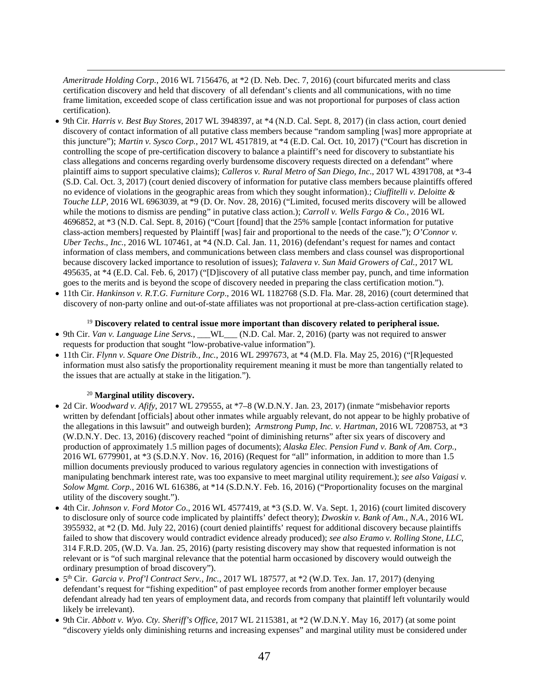<u>.</u> *Ameritrade Holding Corp.*, 2016 WL 7156476, at \*2 (D. Neb. Dec. 7, 2016) (court bifurcated merits and class certification discovery and held that discovery of all defendant's clients and all communications, with no time frame limitation, exceeded scope of class certification issue and was not proportional for purposes of class action certification).

- 9th Cir*. Harris v. Best Buy Stores*, 2017 WL 3948397, at \*4 (N.D. Cal. Sept. 8, 2017) (in class action, court denied discovery of contact information of all putative class members because "random sampling [was] more appropriate at this juncture"); *Martin v. Sysco Corp.*, 2017 WL 4517819, at \*4 (E.D. Cal. Oct. 10, 2017) ("Court has discretion in controlling the scope of pre-certification discovery to balance a plaintiff's need for discovery to substantiate his class allegations and concerns regarding overly burdensome discovery requests directed on a defendant" where plaintiff aims to support speculative claims); *Calleros v. Rural Metro of San Diego, Inc*., 2017 WL 4391708, at \*3-4 (S.D. Cal. Oct. 3, 2017) (court denied discovery of information for putative class members because plaintiffs offered no evidence of violations in the geographic areas from which they sought information).; *Ciuffitelli v. Deloitte & Touche LLP*, 2016 WL 6963039, at \*9 (D. Or. Nov. 28, 2016) ("Limited, focused merits discovery will be allowed while the motions to dismiss are pending" in putative class action.); *Carroll v. Wells Fargo & Co.*, 2016 WL 4696852, at \*3 (N.D. Cal. Sept. 8, 2016) ("Court [found] that the 25% sample [contact information for putative class-action members] requested by Plaintiff [was] fair and proportional to the needs of the case."); *O'Connor v. Uber Techs*., *Inc.*, 2016 WL 107461, at \*4 (N.D. Cal. Jan. 11, 2016) (defendant's request for names and contact information of class members, and communications between class members and class counsel was disproportional because discovery lacked importance to resolution of issues); *Talavera v. Sun Maid Growers of Cal.*, 2017 WL 495635, at \*4 (E.D. Cal. Feb. 6, 2017) ("[D]iscovery of all putative class member pay, punch, and time information goes to the merits and is beyond the scope of discovery needed in preparing the class certification motion.").
- 11th Cir. *Hankinson v. R.T.G. Furniture Corp*., 2016 WL 1182768 (S.D. Fla. Mar. 28, 2016) (court determined that discovery of non-party online and out-of-state affiliates was not proportional at pre-class-action certification stage).

## <sup>19</sup> **Discovery related to central issue more important than discovery related to peripheral issue.**

- 9th Cir. *Van v. Language Line Servs.*, \_\_\_WL\_\_\_ (N.D. Cal. Mar. 2, 2016) (party was not required to answer requests for production that sought "low-probative-value information").
- 11th Cir. *Flynn v. Square One Distrib., Inc.*, 2016 WL 2997673, at \*4 (M.D. Fla. May 25, 2016) ("[R]equested information must also satisfy the proportionality requirement meaning it must be more than tangentially related to the issues that are actually at stake in the litigation.").

## <sup>20</sup> **Marginal utility discovery.**

- 2d Cir. *Woodward v. Afify*, 2017 WL 279555, at \*7–8 (W.D.N.Y. Jan. 23, 2017) (inmate "misbehavior reports written by defendant [officials] about other inmates while arguably relevant, do not appear to be highly probative of the allegations in this lawsuit" and outweigh burden); *Armstrong Pump, Inc. v. Hartman*, 2016 WL 7208753, at \*3 (W.D.N.Y. Dec. 13, 2016) (discovery reached "point of diminishing returns" after six years of discovery and production of approximately 1.5 million pages of documents); *Alaska Elec. Pension Fund v. Bank of Am. Corp.*, 2016 WL 6779901, at \*3 (S.D.N.Y. Nov. 16, 2016) (Request for "all" information, in addition to more than 1.5 million documents previously produced to various regulatory agencies in connection with investigations of manipulating benchmark interest rate, was too expansive to meet marginal utility requirement.); *see also Vaigasi v. Solow Mgmt. Corp.*, 2016 WL 616386, at \*14 (S.D.N.Y. Feb. 16, 2016) ("Proportionality focuses on the marginal utility of the discovery sought.").
- 4th Cir. *Johnson v. Ford Motor Co*., 2016 WL 4577419, at \*3 (S.D. W. Va. Sept. 1, 2016) (court limited discovery to disclosure only of source code implicated by plaintiffs' defect theory); *Dwoskin v. Bank of Am., N.A.*, 2016 WL 3955932, at \*2 (D. Md. July 22, 2016) (court denied plaintiffs' request for additional discovery because plaintiffs failed to show that discovery would contradict evidence already produced); *see also Eramo v. Rolling Stone, LLC*, 314 F.R.D. 205, (W.D. Va. Jan. 25, 2016) (party resisting discovery may show that requested information is not relevant or is "of such marginal relevance that the potential harm occasioned by discovery would outweigh the ordinary presumption of broad discovery").
- 5th Cir. *Garcia v. Prof'l Contract Serv., Inc.*, 2017 WL 187577, at \*2 (W.D. Tex. Jan. 17, 2017) (denying defendant's request for "fishing expedition" of past employee records from another former employer because defendant already had ten years of employment data, and records from company that plaintiff left voluntarily would likely be irrelevant).
- 9th Cir. *Abbott v. Wyo. Cty. Sheriff's Office*, 2017 WL 2115381, at \*2 (W.D.N.Y. May 16, 2017) (at some point "discovery yields only diminishing returns and increasing expenses" and marginal utility must be considered under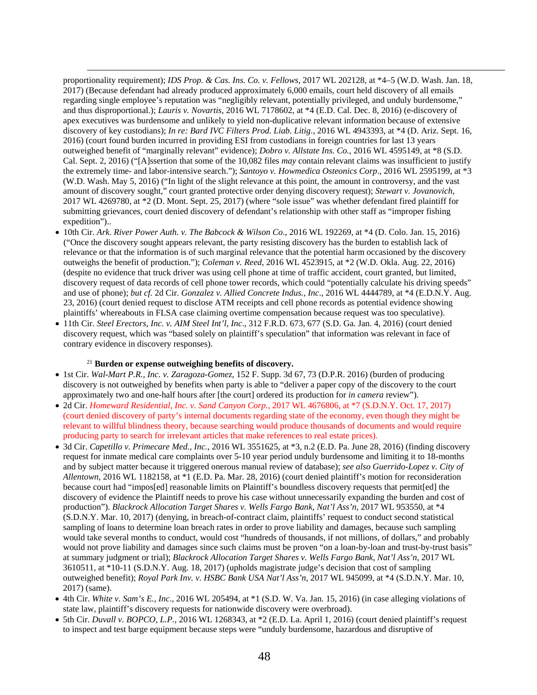proportionality requirement); *IDS Prop. & Cas. Ins. Co. v. Fellows*, 2017 WL 202128, at \*4–5 (W.D. Wash. Jan. 18, 2017) (Because defendant had already produced approximately 6,000 emails, court held discovery of all emails regarding single employee's reputation was "negligibly relevant, potentially privileged, and unduly burdensome," and thus disproportional.); *Lauris v. Novartis*, 2016 WL 7178602, at \*4 (E.D. Cal. Dec. 8, 2016) (e-discovery of apex executives was burdensome and unlikely to yield non-duplicative relevant information because of extensive discovery of key custodians); *In re: Bard IVC Filters Prod. Liab. Litig*., 2016 WL 4943393, at \*4 (D. Ariz. Sept. 16, 2016) (court found burden incurred in providing ESI from custodians in foreign countries for last 13 years outweighed benefit of "marginally relevant" evidence); *Dobro v. Allstate Ins. Co.*, 2016 WL 4595149, at \*8 (S.D. Cal. Sept. 2, 2016) ("[A]ssertion that some of the 10,082 files *may* contain relevant claims was insufficient to justify the extremely time- and labor-intensive search."); *Santoyo v. Howmedica Osteonics Corp*., 2016 WL 2595199, at \*3 (W.D. Wash. May 5, 2016) ("In light of the slight relevance at this point, the amount in controversy, and the vast amount of discovery sought," court granted protective order denying discovery request); *Stewart v. Jovanovich*, 2017 WL 4269780, at \*2 (D. Mont. Sept. 25, 2017) (where "sole issue" was whether defendant fired plaintiff for submitting grievances, court denied discovery of defendant's relationship with other staff as "improper fishing expedition")..

- 10th Cir. *Ark. River Power Auth. v. The Babcock & Wilson Co*., 2016 WL 192269, at \*4 (D. Colo. Jan. 15, 2016) ("Once the discovery sought appears relevant, the party resisting discovery has the burden to establish lack of relevance or that the information is of such marginal relevance that the potential harm occasioned by the discovery outweighs the benefit of production."); *Coleman v. Reed*, 2016 WL 4523915, at \*2 (W.D. Okla. Aug. 22, 2016) (despite no evidence that truck driver was using cell phone at time of traffic accident, court granted, but limited, discovery request of data records of cell phone tower records, which could "potentially calculate his driving speeds" and use of phone); *but cf.* 2d Cir. *Gonzalez v. Allied Concrete Indus., Inc*., 2016 WL 4444789, at \*4 (E.D.N.Y. Aug. 23, 2016) (court denied request to disclose ATM receipts and cell phone records as potential evidence showing plaintiffs' whereabouts in FLSA case claiming overtime compensation because request was too speculative).
- 11th Cir. *Steel Erectors, Inc. v. AIM Steel Int'l, Inc*., 312 F.R.D. 673, 677 (S.D. Ga. Jan. 4, 2016) (court denied discovery request, which was "based solely on plaintiff's speculation" that information was relevant in face of contrary evidence in discovery responses).

#### <sup>21</sup> **Burden or expense outweighing benefits of discovery.**

<u>.</u>

- 1st Cir. *Wal-Mart P.R., Inc. v. Zaragoza-Gomez*, 152 F. Supp. 3d 67, 73 (D.P.R. 2016) (burden of producing discovery is not outweighed by benefits when party is able to "deliver a paper copy of the discovery to the court approximately two and one-half hours after [the court] ordered its production for *in camera* review").
- 2d Cir. *Homeward Residential, Inc. v. Sand Canyon Corp.*, 2017 WL 4676806, at \*7 (S.D.N.Y. Oct. 17, 2017) (court denied discovery of party's internal documents regarding state of the economy, even though they might be relevant to willful blindness theory, because searching would produce thousands of documents and would require producing party to search for irrelevant articles that make references to real estate prices).
- 3d Cir. *Capetillo v. Primecare Med., Inc.*, 2016 WL 3551625, at \*3, n.2 (E.D. Pa. June 28, 2016) (finding discovery request for inmate medical care complaints over 5-10 year period unduly burdensome and limiting it to 18-months and by subject matter because it triggered onerous manual review of database); *see also Guerrido-Lopez v. City of Allentown*, 2016 WL 1182158, at \*1 (E.D. Pa. Mar. 28, 2016) (court denied plaintiff's motion for reconsideration because court had "impos[ed] reasonable limits on Plaintiff's boundless discovery requests that permit[ed] the discovery of evidence the Plaintiff needs to prove his case without unnecessarily expanding the burden and cost of production"). *Blackrock Allocation Target Shares v. Wells Fargo Bank, Nat'l Ass'n*, 2017 WL 953550, at \*4 (S.D.N.Y. Mar. 10, 2017) (denying, in breach-of-contract claim, plaintiffs' request to conduct second statistical sampling of loans to determine loan breach rates in order to prove liability and damages, because such sampling would take several months to conduct, would cost "hundreds of thousands, if not millions, of dollars," and probably would not prove liability and damages since such claims must be proven "on a loan-by-loan and trust-by-trust basis" at summary judgment or trial); *Blackrock Allocation Target Shares v. Wells Fargo Bank, Nat'l Ass'n*, 2017 WL 3610511, at \*10-11 (S.D.N.Y. Aug. 18, 2017) (upholds magistrate judge's decision that cost of sampling outweighed benefit); *Royal Park Inv. v. HSBC Bank USA Nat'l Ass'n*, 2017 WL 945099, at \*4 (S.D.N.Y. Mar. 10, 2017) (same).
- 4th Cir. *White v. Sam's E., Inc*., 2016 WL 205494, at \*1 (S.D. W. Va. Jan. 15, 2016) (in case alleging violations of state law, plaintiff's discovery requests for nationwide discovery were overbroad).
- 5th Cir. *Duvall v. BOPCO, L.P.*, 2016 WL 1268343, at \*2 (E.D. La. April 1, 2016) (court denied plaintiff's request to inspect and test barge equipment because steps were "unduly burdensome, hazardous and disruptive of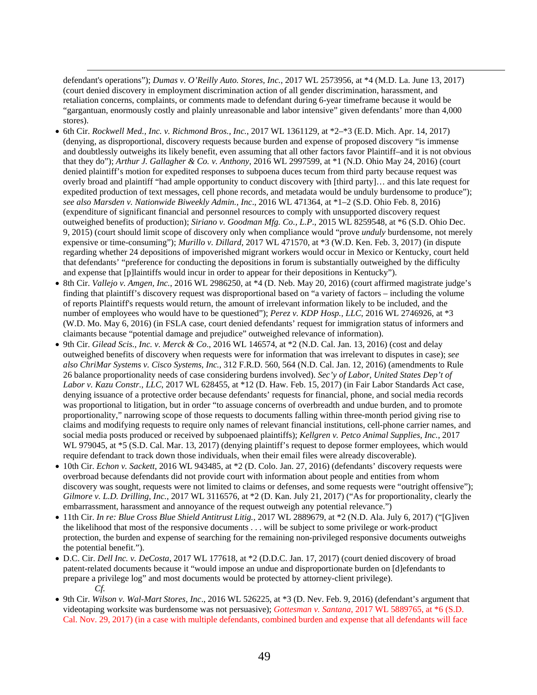defendant's operations"); *Dumas v. O'Reilly Auto. Stores, Inc.*, 2017 WL 2573956, at \*4 (M.D. La. June 13, 2017) (court denied discovery in employment discrimination action of all gender discrimination, harassment, and retaliation concerns, complaints, or comments made to defendant during 6-year timeframe because it would be "gargantuan, enormously costly and plainly unreasonable and labor intensive" given defendants' more than 4,000 stores).

<u>.</u>

- 6th Cir. *Rockwell Med., Inc. v. Richmond Bros., Inc.*, 2017 WL 1361129, at \*2–\*3 (E.D. Mich. Apr. 14, 2017) (denying, as disproportional, discovery requests because burden and expense of proposed discovery "is immense and doubtlessly outweighs its likely benefit, even assuming that all other factors favor Plaintiff–and it is not obvious that they do"); *Arthur J. Gallagher & Co. v. Anthony*, 2016 WL 2997599, at \*1 (N.D. Ohio May 24, 2016) (court denied plaintiff's motion for expedited responses to subpoena duces tecum from third party because request was overly broad and plaintiff "had ample opportunity to conduct discovery with [third party]… and this late request for expedited production of text messages, cell phone records, and metadata would be unduly burdensome to produce"); *see also Marsden v. Nationwide Biweekly Admin., Inc*., 2016 WL 471364, at \*1–2 (S.D. Ohio Feb. 8, 2016) (expenditure of significant financial and personnel resources to comply with unsupported discovery request outweighed benefits of production); *Siriano v. Goodman Mfg. Co., L.P*., 2015 WL 8259548, at \*6 (S.D. Ohio Dec. 9, 2015) (court should limit scope of discovery only when compliance would "prove *unduly* burdensome, not merely expensive or time-consuming"); *Murillo v. Dillard*, 2017 WL 471570, at \*3 (W.D. Ken. Feb. 3, 2017) (in dispute regarding whether 24 depositions of impoverished migrant workers would occur in Mexico or Kentucky, court held that defendants' "preference for conducting the depositions in forum is substantially outweighed by the difficulty and expense that [p]laintiffs would incur in order to appear for their depositions in Kentucky").
- 8th Cir. *Vallejo v. Amgen, Inc.*, 2016 WL 2986250, at \*4 (D. Neb. May 20, 2016) (court affirmed magistrate judge's finding that plaintiff's discovery request was disproportional based on "a variety of factors – including the volume of reports Plaintiff's requests would return, the amount of irrelevant information likely to be included, and the number of employees who would have to be questioned"); *Perez v. KDP Hosp., LLC*, 2016 WL 2746926, at \*3 (W.D. Mo. May 6, 2016) (in FSLA case, court denied defendants' request for immigration status of informers and claimants because "potential damage and prejudice" outweighed relevance of information).
- 9th Cir. *Gilead Scis., Inc. v. Merck & Co*., 2016 WL 146574, at \*2 (N.D. Cal. Jan. 13, 2016) (cost and delay outweighed benefits of discovery when requests were for information that was irrelevant to disputes in case); *see also ChriMar Systems v. Cisco Systems, Inc.*, 312 F.R.D. 560, 564 (N.D. Cal. Jan. 12, 2016) (amendments to Rule 26 balance proportionality needs of case considering burdens involved). *Sec'y of Labor, United States Dep't of Labor v. Kazu Constr., LLC*, 2017 WL 628455, at \*12 (D. Haw. Feb. 15, 2017) (in Fair Labor Standards Act case, denying issuance of a protective order because defendants' requests for financial, phone, and social media records was proportional to litigation, but in order "to assuage concerns of overbreadth and undue burden, and to promote proportionality," narrowing scope of those requests to documents falling within three-month period giving rise to claims and modifying requests to require only names of relevant financial institutions, cell-phone carrier names, and social media posts produced or received by subpoenaed plaintiffs); *Kellgren v. Petco Animal Supplies, Inc.*, 2017 WL 979045, at \*5 (S.D. Cal. Mar. 13, 2017) (denying plaintiff's request to depose former employees, which would require defendant to track down those individuals, when their email files were already discoverable).
- 10th Cir. *Echon v. Sackett*, 2016 WL 943485, at \*2 (D. Colo. Jan. 27, 2016) (defendants' discovery requests were overbroad because defendants did not provide court with information about people and entities from whom discovery was sought, requests were not limited to claims or defenses, and some requests were "outright offensive"); *Gilmore v. L.D. Drilling, Inc.*, 2017 WL 3116576, at \*2 (D. Kan. July 21, 2017) ("As for proportionality, clearly the embarrassment, harassment and annoyance of the request outweigh any potential relevance.")
- 11th Cir. *In re: Blue Cross Blue Shield Antitrust Litig.*, 2017 WL 2889679, at \*2 (N.D. Ala. July 6, 2017) ("[G]iven the likelihood that most of the responsive documents . . . will be subject to some privilege or work-product protection, the burden and expense of searching for the remaining non-privileged responsive documents outweighs the potential benefit.").
- D.C. Cir. *Dell Inc. v. DeCosta*, 2017 WL 177618, at \*2 (D.D.C. Jan. 17, 2017) (court denied discovery of broad patent-related documents because it "would impose an undue and disproportionate burden on [d]efendants to prepare a privilege log" and most documents would be protected by attorney-client privilege). *Cf.*
- 9th Cir. *Wilson v. Wal-Mart Stores, Inc*., 2016 WL 526225, at \*3 (D. Nev. Feb. 9, 2016) (defendant's argument that videotaping worksite was burdensome was not persuasive); *Gottesman v. Santana*, 2017 WL 5889765, at \*6 (S.D. Cal. Nov. 29, 2017) (in a case with multiple defendants, combined burden and expense that all defendants will face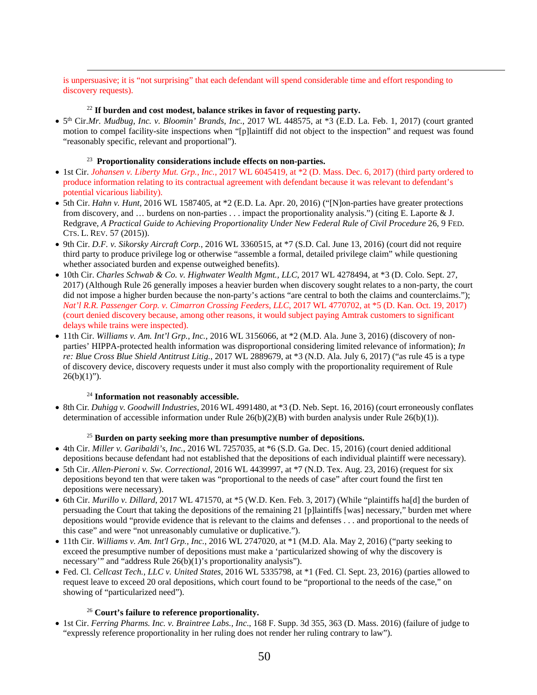is unpersuasive; it is "not surprising" that each defendant will spend considerable time and effort responding to discovery requests).

#### <sup>22</sup> **If burden and cost modest, balance strikes in favor of requesting party.**

• 5th Cir.*Mr. Mudbug, Inc. v. Bloomin' Brands, Inc.*, 2017 WL 448575, at \*3 (E.D. La. Feb. 1, 2017) (court granted motion to compel facility-site inspections when "[p]laintiff did not object to the inspection" and request was found "reasonably specific, relevant and proportional").

# 23 **Proportionality considerations include effects on non-parties.**

<u>.</u>

- 1st Cir. *Johansen v. Liberty Mut. Grp., Inc.*, 2017 WL 6045419, at \*2 (D. Mass. Dec. 6, 2017) (third party ordered to produce information relating to its contractual agreement with defendant because it was relevant to defendant's potential vicarious liability).
- 5th Cir. *Hahn v. Hunt*, 2016 WL 1587405, at \*2 (E.D. La. Apr. 20, 2016) ("[N]on-parties have greater protections from discovery, and … burdens on non-parties . . . impact the proportionality analysis.") (citing E. Laporte & J. Redgrave, *A Practical Guide to Achieving Proportionality Under New Federal Rule of Civil Procedure* 26, 9 FED. CTS. L. REV. 57 (2015)).
- 9th Cir. *D.F. v. Sikorsky Aircraft Corp.*, 2016 WL 3360515, at \*7 (S.D. Cal. June 13, 2016) (court did not require third party to produce privilege log or otherwise "assemble a formal, detailed privilege claim" while questioning whether associated burden and expense outweighed benefits).
- 10th Cir. *Charles Schwab & Co. v. Highwater Wealth Mgmt., LLC*, 2017 WL 4278494, at \*3 (D. Colo. Sept. 27, 2017) (Although Rule 26 generally imposes a heavier burden when discovery sought relates to a non-party, the court did not impose a higher burden because the non-party's actions "are central to both the claims and counterclaims."); *Nat'l R.R. Passenger Corp. v. Cimarron Crossing Feeders, LLC*, 2017 WL 4770702, at \*5 (D. Kan. Oct. 19, 2017) (court denied discovery because, among other reasons, it would subject paying Amtrak customers to significant delays while trains were inspected).
- 11th Cir. *Williams v. Am. Int'l Grp., Inc.*, 2016 WL 3156066, at \*2 (M.D. Ala. June 3, 2016) (discovery of nonparties' HIPPA-protected health information was disproportional considering limited relevance of information); *In re: Blue Cross Blue Shield Antitrust Litig.*, 2017 WL 2889679, at \*3 (N.D. Ala. July 6, 2017) ("as rule 45 is a type of discovery device, discovery requests under it must also comply with the proportionality requirement of Rule  $26(b)(1)$ ").

#### <sup>24</sup> **Information not reasonably accessible.**

• 8th Cir*. Duhigg v. Goodwill Industries*, 2016 WL 4991480, at \*3 (D. Neb. Sept. 16, 2016) (court erroneously conflates determination of accessible information under Rule  $26(b)(2)(B)$  with burden analysis under Rule  $26(b)(1)$ ).

#### <sup>25</sup> **Burden on party seeking more than presumptive number of depositions.**

- 4th Cir. *Miller v. Garibaldi's, Inc.*, 2016 WL 7257035, at \*6 (S.D. Ga. Dec. 15, 2016) (court denied additional depositions because defendant had not established that the depositions of each individual plaintiff were necessary).
- 5th Cir. *Allen-Pieroni v. Sw. Correctional*, 2016 WL 4439997, at \*7 (N.D. Tex. Aug. 23, 2016) (request for six depositions beyond ten that were taken was "proportional to the needs of case" after court found the first ten depositions were necessary).
- 6th Cir. *Murillo v. Dillard*, 2017 WL 471570, at \*5 (W.D. Ken. Feb. 3, 2017) (While "plaintiffs ha[d] the burden of persuading the Court that taking the depositions of the remaining 21 [p]laintiffs [was] necessary," burden met where depositions would "provide evidence that is relevant to the claims and defenses . . . and proportional to the needs of this case" and were "not unreasonably cumulative or duplicative.").
- 11th Cir. *Williams v. Am. Int'l Grp., Inc.*, 2016 WL 2747020, at \*1 (M.D. Ala. May 2, 2016) ("party seeking to exceed the presumptive number of depositions must make a 'particularized showing of why the discovery is necessary'' and "address Rule 26(b)(1)'s proportionality analysis").
- Fed. Cl. *Cellcast Tech., LLC v. United States*, 2016 WL 5335798, at \*1 (Fed. Cl. Sept. 23, 2016) (parties allowed to request leave to exceed 20 oral depositions, which court found to be "proportional to the needs of the case," on showing of "particularized need").

## <sup>26</sup> **Court's failure to reference proportionality.**

• 1st Cir. *Ferring Pharms. Inc. v. Braintree Labs., Inc*., 168 F. Supp. 3d 355, 363 (D. Mass. 2016) (failure of judge to "expressly reference proportionality in her ruling does not render her ruling contrary to law").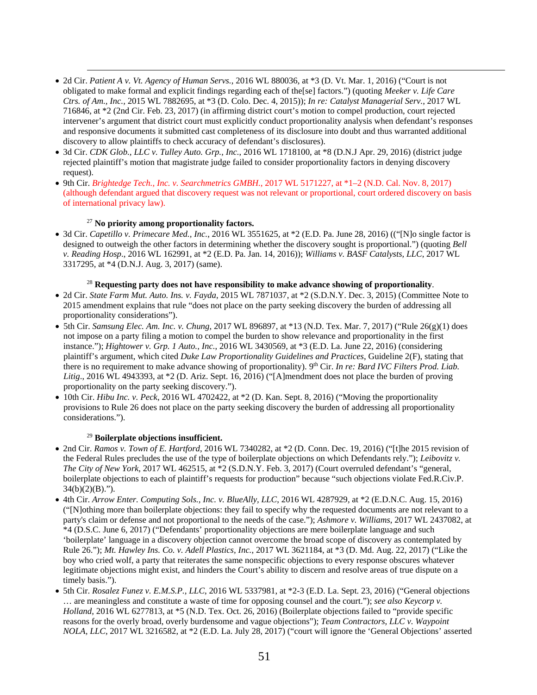- <u>.</u> • 2d Cir. *Patient A v. Vt. Agency of Human Servs.*, 2016 WL 880036, at \*3 (D. Vt. Mar. 1, 2016) ("Court is not obligated to make formal and explicit findings regarding each of the[se] factors.") (quoting *Meeker v. Life Care Ctrs. of Am., Inc.,* 2015 WL 7882695, at \*3 (D. Colo. Dec. 4, 2015)); *In re: Catalyst Managerial Serv.*, 2017 WL 716846, at \*2 (2nd Cir. Feb. 23, 2017) (in affirming district court's motion to compel production, court rejected intervener's argument that district court must explicitly conduct proportionality analysis when defendant's responses and responsive documents it submitted cast completeness of its disclosure into doubt and thus warranted additional discovery to allow plaintiffs to check accuracy of defendant's disclosures).
- 3d Cir. *CDK Glob., LLC v. Tulley Auto. Grp., Inc.*, 2016 WL 1718100, at \*8 (D.N.J Apr. 29, 2016) (district judge rejected plaintiff's motion that magistrate judge failed to consider proportionality factors in denying discovery request).
- 9th Cir. *Brightedge Tech., Inc. v. Searchmetrics GMBH.*, 2017 WL 5171227, at \*1–2 (N.D. Cal. Nov. 8, 2017) (although defendant argued that discovery request was not relevant or proportional, court ordered discovery on basis of international privacy law).

# <sup>27</sup> **No priority among proportionality factors.**

• 3d Cir. *Capetillo v. Primecare Med., Inc.*, 2016 WL 3551625, at \*2 (E.D. Pa. June 28, 2016) (("[N]o single factor is designed to outweigh the other factors in determining whether the discovery sought is proportional.") (quoting *Bell v. Reading Hosp*., 2016 WL 162991, at \*2 (E.D. Pa. Jan. 14, 2016)); *Williams v. BASF Catalysts, LLC*, 2017 WL 3317295, at \*4 (D.N.J. Aug. 3, 2017) (same).

# <sup>28</sup> **Requesting party does not have responsibility to make advance showing of proportionality**.

- 2d Cir. *State Farm Mut. Auto. Ins. v. Fayda*, 2015 WL 7871037, at \*2 (S.D.N.Y. Dec. 3, 2015) (Committee Note to 2015 amendment explains that rule "does not place on the party seeking discovery the burden of addressing all proportionality considerations").
- 5th Cir. *Samsung Elec. Am. Inc. v. Chung*, 2017 WL 896897, at \*13 (N.D. Tex. Mar. 7, 2017) ("Rule 26(g)(1) does not impose on a party filing a motion to compel the burden to show relevance and proportionality in the first instance."); *Hightower v. Grp. 1 Auto., Inc.*, 2016 WL 3430569, at \*3 (E.D. La. June 22, 2016) (considering plaintiff's argument, which cited *Duke Law Proportionality Guidelines and Practices*, Guideline 2(F), stating that there is no requirement to make advance showing of proportionality). 9<sup>th</sup> Cir. *In re: Bard IVC Filters Prod. Liab.* Litig., 2016 WL 4943393, at  $*2$  (D. Ariz. Sept. 16, 2016) ("[A]mendment does not place the burden of proving proportionality on the party seeking discovery.").
- 10th Cir. *Hibu Inc. v. Peck*, 2016 WL 4702422, at \*2 (D. Kan. Sept. 8, 2016) ("Moving the proportionality provisions to Rule 26 does not place on the party seeking discovery the burden of addressing all proportionality considerations.").

## <sup>29</sup> **Boilerplate objections insufficient.**

- 2nd Cir. *Ramos v. Town of E. Hartford*, 2016 WL 7340282, at \*2 (D. Conn. Dec. 19, 2016) ("[t]he 2015 revision of the Federal Rules precludes the use of the type of boilerplate objections on which Defendants rely."); *Leibovitz v. The City of New York*, 2017 WL 462515, at \*2 (S.D.N.Y. Feb. 3, 2017) (Court overruled defendant's "general, boilerplate objections to each of plaintiff's requests for production" because "such objections violate Fed.R.Civ.P.  $34(b)(2)(B)$ .").
- 4th Cir. *Arrow Enter. Computing Sols., Inc. v. BlueAlly, LLC*, 2016 WL 4287929, at \*2 (E.D.N.C. Aug. 15, 2016) ("[N]othing more than boilerplate objections: they fail to specify why the requested documents are not relevant to a party's claim or defense and not proportional to the needs of the case."); *Ashmore v. Williams*, 2017 WL 2437082, at \*4 (D.S.C. June 6, 2017) ("Defendants' proportionality objections are mere boilerplate language and such 'boilerplate' language in a discovery objection cannot overcome the broad scope of discovery as contemplated by Rule 26."); *Mt. Hawley Ins. Co. v. Adell Plastics, Inc.*, 2017 WL 3621184, at \*3 (D. Md. Aug. 22, 2017) ("Like the boy who cried wolf, a party that reiterates the same nonspecific objections to every response obscures whatever legitimate objections might exist, and hinders the Court's ability to discern and resolve areas of true dispute on a timely basis.").
- 5th Cir. *Rosalez Funez v. E.M.S.P., LLC*, 2016 WL 5337981, at \*2-3 (E.D. La. Sept. 23, 2016) ("General objections … are meaningless and constitute a waste of time for opposing counsel and the court."); *see also Keycorp v. Holland*, 2016 WL 6277813, at \*5 (N.D. Tex. Oct. 26, 2016) (Boilerplate objections failed to "provide specific reasons for the overly broad, overly burdensome and vague objections"); *Team Contractors, LLC v. Waypoint NOLA, LLC*, 2017 WL 3216582, at \*2 (E.D. La. July 28, 2017) ("court will ignore the 'General Objections' asserted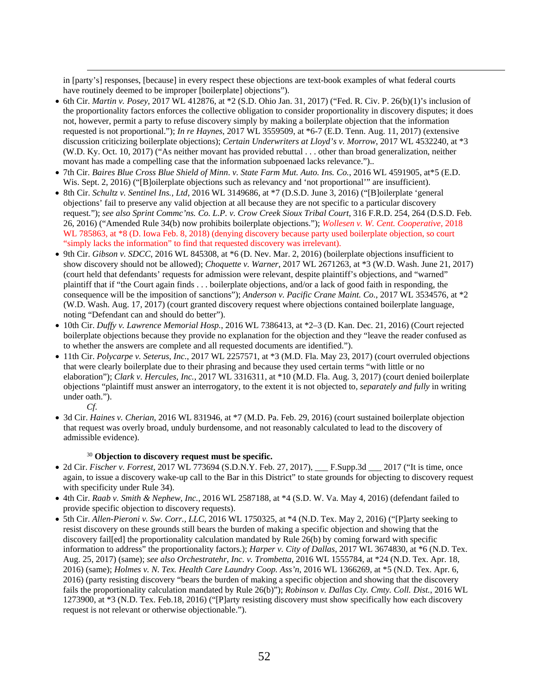in [party's] responses, [because] in every respect these objections are text-book examples of what federal courts have routinely deemed to be improper [boilerplate] objections").

- 6th Cir. *Martin v. Posey*, 2017 WL 412876, at \*2 (S.D. Ohio Jan. 31, 2017) ("Fed. R. Civ. P. 26(b)(1)'s inclusion of the proportionality factors enforces the collective obligation to consider proportionality in discovery disputes; it does not, however, permit a party to refuse discovery simply by making a boilerplate objection that the information requested is not proportional."); *In re Haynes*, 2017 WL 3559509, at \*6-7 (E.D. Tenn. Aug. 11, 2017) (extensive discussion criticizing boilerplate objections); *Certain Underwriters at Lloyd's v. Morrow*, 2017 WL 4532240, at \*3 (W.D. Ky. Oct. 10, 2017) ("As neither movant has provided rebuttal . . . other than broad generalization, neither movant has made a compelling case that the information subpoenaed lacks relevance.")..
- 7th Cir. *Baires Blue Cross Blue Shield of Minn*. *v. State Farm Mut. Auto. Ins. Co.*, 2016 WL 4591905, at\*5 (E.D. Wis. Sept. 2, 2016) ("[B]oilerplate objections such as relevancy and 'not proportional'" are insufficient).
- 8th Cir. *Schultz v. Sentinel Ins., Ltd*, 2016 WL 3149686, at \*7 (D.S.D. June 3, 2016) ("[B]oilerplate 'general objections' fail to preserve any valid objection at all because they are not specific to a particular discovery request."); *see also Sprint Commc'ns. Co. L.P. v. Crow Creek Sioux Tribal Court*, 316 F.R.D. 254, 264 (D.S.D. Feb. 26, 2016) ("Amended Rule 34(b) now prohibits boilerplate objections."); *Wollesen v. W. Cent. Cooperative*, 2018 WL 785863, at  $*8$  (D. Iowa Feb. 8, 2018) (denying discovery because party used boilerplate objection, so court "simply lacks the information" to find that requested discovery was irrelevant).
- 9th Cir. *Gibson v. SDCC*, 2016 WL 845308, at \*6 (D. Nev. Mar. 2, 2016) (boilerplate objections insufficient to show discovery should not be allowed); *Choquette v. Warner*, 2017 WL 2671263, at \*3 (W.D. Wash. June 21, 2017) (court held that defendants' requests for admission were relevant, despite plaintiff's objections, and "warned" plaintiff that if "the Court again finds . . . boilerplate objections, and/or a lack of good faith in responding, the consequence will be the imposition of sanctions"); *Anderson v. Pacific Crane Maint. Co.*, 2017 WL 3534576, at \*2 (W.D. Wash. Aug. 17, 2017) (court granted discovery request where objections contained boilerplate language, noting "Defendant can and should do better").
- 10th Cir. *Duffy v. Lawrence Memorial Hosp.*, 2016 WL 7386413, at \*2–3 (D. Kan. Dec. 21, 2016) (Court rejected boilerplate objections because they provide no explanation for the objection and they "leave the reader confused as to whether the answers are complete and all requested documents are identified.").
- 11th Cir. *Polycarpe v. Seterus, Inc.*, 2017 WL 2257571, at \*3 (M.D. Fla. May 23, 2017) (court overruled objections that were clearly boilerplate due to their phrasing and because they used certain terms "with little or no elaboration"); *Clark v. Hercules, Inc.*, 2017 WL 3316311, at \*10 (M.D. Fla. Aug. 3, 2017) (court denied boilerplate objections "plaintiff must answer an interrogatory, to the extent it is not objected to, *separately and fully* in writing under oath.").
	- *Cf*.

<u>.</u>

• 3d Cir. *Haines v. Cherian*, 2016 WL 831946, at \*7 (M.D. Pa. Feb. 29, 2016) (court sustained boilerplate objection that request was overly broad, unduly burdensome, and not reasonably calculated to lead to the discovery of admissible evidence).

## <sup>30</sup> **Objection to discovery request must be specific.**

- 2d Cir. *Fischer v. Forrest*, 2017 WL 773694 (S.D.N.Y. Feb. 27, 2017), \_\_\_ F.Supp.3d \_\_\_ 2017 ("It is time, once again, to issue a discovery wake-up call to the Bar in this District" to state grounds for objecting to discovery request with specificity under Rule 34).
- 4th Cir. *Raab v. Smith & Nephew, Inc.*, 2016 WL 2587188, at \*4 (S.D. W. Va. May 4, 2016) (defendant failed to provide specific objection to discovery requests).
- 5th Cir. *Allen-Pieroni v. Sw. Corr., LLC*, 2016 WL 1750325, at \*4 (N.D. Tex. May 2, 2016) ("[P]arty seeking to resist discovery on these grounds still bears the burden of making a specific objection and showing that the discovery fail[ed] the proportionality calculation mandated by Rule 26(b) by coming forward with specific information to address" the proportionality factors.); *Harper v. City of Dallas*, 2017 WL 3674830, at \*6 (N.D. Tex. Aug. 25, 2017) (same); *see also Orchestratehr, Inc. v. Trombetta*, 2016 WL 1555784, at \*24 (N.D. Tex. Apr. 18, 2016) (same); *Holmes v. N. Tex. Health Care Laundry Coop. Ass'n*, 2016 WL 1366269, at \*5 (N.D. Tex. Apr. 6, 2016) (party resisting discovery "bears the burden of making a specific objection and showing that the discovery fails the proportionality calculation mandated by Rule 26(b)"); *Robinson v. Dallas Cty. Cmty. Coll. Dist.*, 2016 WL 1273900, at \*3 (N.D. Tex. Feb.18, 2016) ("[P]arty resisting discovery must show specifically how each discovery request is not relevant or otherwise objectionable.").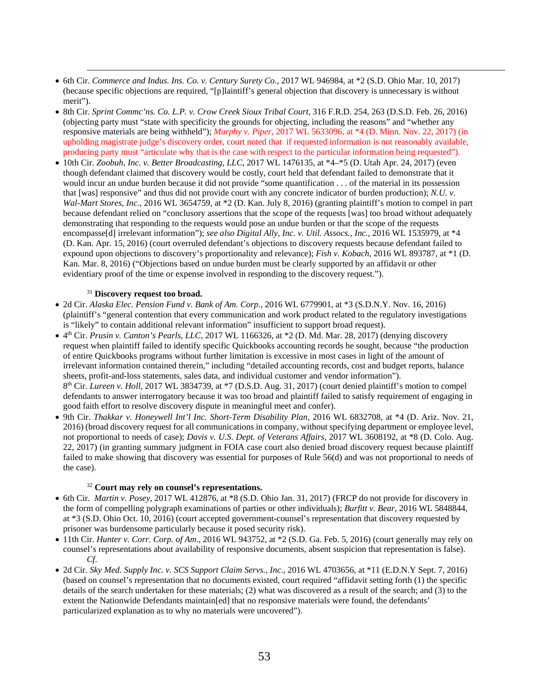- 6th Cir. *Commerce and Indus. Ins. Co. v. Century Surety Co.*, 2017 WL 946984, at \*2 (S.D. Ohio Mar. 10, 2017) (because specific objections are required, "[p]laintiff's general objection that discovery is unnecessary is without merit").
- 8th Cir. *Sprint Commc'ns. Co. L.P. v. Crow Creek Sioux Tribal Court*, 316 F.R.D. 254, 263 (D.S.D. Feb. 26, 2016) (objecting party must "state with specificity the grounds for objecting, including the reasons" and "whether any responsive materials are being withheld"); *Murphy v. Piper*, 2017 WL 5633096, at \*4 (D. Minn. Nov. 22, 2017) (in upholding magistrate judge's discovery order, court noted that if requested information is not reasonably available, producing party must "articulate why that is the case with respect to the particular information being requested").
- 10th Cir. *Zoobuh, Inc. v. Better Broadcasting, LLC*, 2017 WL 1476135, at \*4–\*5 (D. Utah Apr. 24, 2017) (even though defendant claimed that discovery would be costly, court held that defendant failed to demonstrate that it would incur an undue burden because it did not provide "some quantification . . . of the material in its possession that [was] responsive" and thus did not provide court with any concrete indicator of burden production); *N.U. v. Wal-Mart Stores*, *Inc.*, 2016 WL 3654759, at \*2 (D. Kan. July 8, 2016) (granting plaintiff's motion to compel in part because defendant relied on "conclusory assertions that the scope of the requests [was] too broad without adequately demonstrating that responding to the requests would pose an undue burden or that the scope of the requests encompasse[d] irrelevant information"); *see also Digital Ally, Inc. v. Util. Assocs., Inc.*, 2016 WL 1535979, at \*4 (D. Kan. Apr. 15, 2016) (court overruled defendant's objections to discovery requests because defendant failed to expound upon objections to discovery's proportionality and relevance); *Fish v. Kobach*, 2016 WL 893787, at \*1 (D. Kan. Mar. 8, 2016) ("Objections based on undue burden must be clearly supported by an affidavit or other evidentiary proof of the time or expense involved in responding to the discovery request.").

#### <sup>31</sup> **Discovery request too broad.**

<u>.</u>

- 2d Cir. *Alaska Elec. Pension Fund v. Bank of Am. Corp.*, 2016 WL 6779901, at \*3 (S.D.N.Y. Nov. 16, 2016) (plaintiff's "general contention that every communication and work product related to the regulatory investigations is "likely" to contain additional relevant information" insufficient to support broad request).
- $\bullet$  4<sup>th</sup> Cir. *Prusin v. Canton's Pearls, LLC*, 2017 WL 1166326, at  $*2$  (D. Md. Mar. 28, 2017) (denying discovery request when plaintiff failed to identify specific Quickbooks accounting records he sought, because "the production of entire Quickbooks programs without further limitation is excessive in most cases in light of the amount of irrelevant information contained therein," including "detailed accounting records, cost and budget reports, balance sheets, profit-and-loss statements, sales data, and individual customer and vendor information"). 8th Cir. *Lureen v. Holl*, 2017 WL 3834739, at \*7 (D.S.D. Aug. 31, 2017) (court denied plaintiff's motion to compel defendants to answer interrogatory because it was too broad and plaintiff failed to satisfy requirement of engaging in good faith effort to resolve discovery dispute in meaningful meet and confer).
- 9th Cir. *Thakkar v. Honeywell Int'l Inc. Short-Term Disability Plan*, 2016 WL 6832708, at \*4 (D. Ariz. Nov. 21, 2016) (broad discovery request for all communications in company, without specifying department or employee level, not proportional to needs of case); *Davis v. U.S. Dept. of Veterans Affairs*, 2017 WL 3608192, at \*8 (D. Colo. Aug. 22, 2017) (in granting summary judgment in FOIA case court also denied broad discovery request because plaintiff failed to make showing that discovery was essential for purposes of Rule 56(d) and was not proportional to needs of the case).

#### <sup>32</sup> **Court may rely on counsel's representations.**

- 6th Cir. *Martin v. Posey*, 2017 WL 412876, at \*8 (S.D. Ohio Jan. 31, 2017) (FRCP do not provide for discovery in the form of compelling polygraph examinations of parties or other individuals); *Burfitt v. Bear*, 2016 WL 5848844, at \*3 (S.D. Ohio Oct. 10, 2016) (court accepted government-counsel's representation that discovery requested by prisoner was burdensome particularly because it posed security risk).
- 11th Cir. *Hunter v. Corr. Corp. of Am*., 2016 WL 943752, at \*2 (S.D. Ga. Feb. 5, 2016) (court generally may rely on counsel's representations about availability of responsive documents, absent suspicion that representation is false). *Cf*.
- 2d Cir. *Sky Med. Supply Inc. v. SCS Support Claim Servs., Inc*., 2016 WL 4703656, at \*11 (E.D.N.Y Sept. 7, 2016) (based on counsel's representation that no documents existed, court required "affidavit setting forth (1) the specific details of the search undertaken for these materials; (2) what was discovered as a result of the search; and (3) to the extent the Nationwide Defendants maintain[ed] that no responsive materials were found, the defendants' particularized explanation as to why no materials were uncovered").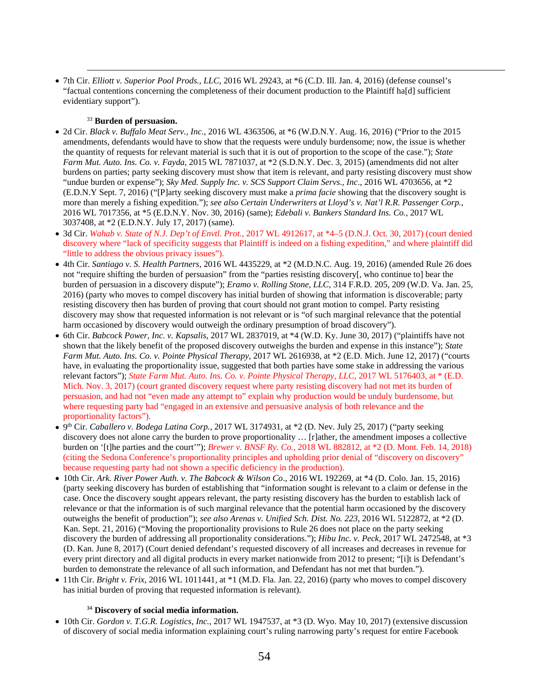• 7th Cir. *Elliott v. Superior Pool Prods., LLC*, 2016 WL 29243, at \*6 (C.D. Ill. Jan. 4, 2016) (defense counsel's "factual contentions concerning the completeness of their document production to the Plaintiff ha[d] sufficient evidentiary support").

## <sup>33</sup> **Burden of persuasion.**

<u>.</u>

- 2d Cir. *Black v. Buffalo Meat Serv., Inc.*, 2016 WL 4363506, at \*6 (W.D.N.Y. Aug. 16, 2016) ("Prior to the 2015 amendments, defendants would have to show that the requests were unduly burdensome; now, the issue is whether the quantity of requests for relevant material is such that it is out of proportion to the scope of the case."); *State Farm Mut. Auto. Ins. Co. v. Fayda*, 2015 WL 7871037, at \*2 (S.D.N.Y. Dec. 3, 2015) (amendments did not alter burdens on parties; party seeking discovery must show that item is relevant, and party resisting discovery must show "undue burden or expense"); *Sky Med. Supply Inc. v. SCS Support Claim Servs*.*, Inc*., 2016 WL 4703656, at \*2 (E.D.N.Y Sept. 7, 2016) ("[P]arty seeking discovery must make a *prima facie* showing that the discovery sought is more than merely a fishing expedition."); *see also Certain Underwriters at Lloyd's v. Nat'l R.R. Passenger Corp.*, 2016 WL 7017356, at \*5 (E.D.N.Y. Nov. 30, 2016) (same); *Edebali v. Bankers Standard Ins. Co.*, 2017 WL 3037408, at \*2 (E.D.N.Y. July 17, 2017) (same).
- 3d Cir. *Wahab v. State of N.J. Dep't of Envtl. Prot.*, 2017 WL 4912617, at \*4–5 (D.N.J. Oct. 30, 2017) (court denied discovery where "lack of specificity suggests that Plaintiff is indeed on a fishing expedition," and where plaintiff did "little to address the obvious privacy issues").
- 4th Cir. *Santiago v. S. Health Partners*, 2016 WL 4435229, at \*2 (M.D.N.C. Aug. 19, 2016) (amended Rule 26 does not "require shifting the burden of persuasion" from the "parties resisting discovery[, who continue to] bear the burden of persuasion in a discovery dispute"); *Eramo v. Rolling Stone, LLC*, 314 F.R.D. 205, 209 (W.D. Va. Jan. 25, 2016) (party who moves to compel discovery has initial burden of showing that information is discoverable; party resisting discovery then has burden of proving that court should not grant motion to compel. Party resisting discovery may show that requested information is not relevant or is "of such marginal relevance that the potential harm occasioned by discovery would outweigh the ordinary presumption of broad discovery").
- 6th Cir. *Babcock Power, Inc. v. Kapsalis*, 2017 WL 2837019, at \*4 (W.D. Ky. June 30, 2017) ("plaintiffs have not shown that the likely benefit of the proposed discovery outweighs the burden and expense in this instance"); *State Farm Mut. Auto. Ins. Co. v. Pointe Physical Therapy*, 2017 WL 2616938, at \*2 (E.D. Mich. June 12, 2017) ("courts have, in evaluating the proportionality issue, suggested that both parties have some stake in addressing the various relevant factors"); *State Farm Mut. Auto. Ins. Co. v. Pointe Physical Therapy, LLC*, 2017 WL 5176403, at \* (E.D. Mich. Nov. 3, 2017) (court granted discovery request where party resisting discovery had not met its burden of persuasion, and had not "even made any attempt to" explain why production would be unduly burdensome, but where requesting party had "engaged in an extensive and persuasive analysis of both relevance and the proportionality factors").
- 9th Cir. *Caballero v. Bodega Latina Corp.*, 2017 WL 3174931, at \*2 (D. Nev. July 25, 2017) ("party seeking discovery does not alone carry the burden to prove proportionality … [r]ather, the amendment imposes a collective burden on '[t]he parties and the court'"); *Brewer v. BNSF Ry. Co.*, 2018 WL 882812, at \*2 (D. Mont. Feb. 14, 2018) (citing the Sedona Conference's proportionality principles and upholding prior denial of "discovery on discovery" because requesting party had not shown a specific deficiency in the production).
- 10th Cir. *Ark. River Power Auth. v. The Babcock & Wilson Co*., 2016 WL 192269, at \*4 (D. Colo. Jan. 15, 2016) (party seeking discovery has burden of establishing that "information sought is relevant to a claim or defense in the case. Once the discovery sought appears relevant, the party resisting discovery has the burden to establish lack of relevance or that the information is of such marginal relevance that the potential harm occasioned by the discovery outweighs the benefit of production"); *see also Arenas v. Unified Sch. Dist. No. 223*, 2016 WL 5122872, at \*2 (D. Kan. Sept. 21, 2016) ("Moving the proportionality provisions to Rule 26 does not place on the party seeking discovery the burden of addressing all proportionality considerations."); *Hibu Inc. v. Peck*, 2017 WL 2472548, at \*3 (D. Kan. June 8, 2017) (Court denied defendant's requested discovery of all increases and decreases in revenue for every print directory and all digital products in every market nationwide from 2012 to present; "[i]t is Defendant's burden to demonstrate the relevance of all such information, and Defendant has not met that burden.").
- 11th Cir. *Bright v. Frix*, 2016 WL 1011441, at \*1 (M.D. Fla. Jan. 22, 2016) (party who moves to compel discovery has initial burden of proving that requested information is relevant).

## <sup>34</sup> **Discovery of social media information.**

• 10th Cir. *Gordon v. T.G.R. Logistics, Inc.*, 2017 WL 1947537, at \*3 (D. Wyo. May 10, 2017) (extensive discussion of discovery of social media information explaining court's ruling narrowing party's request for entire Facebook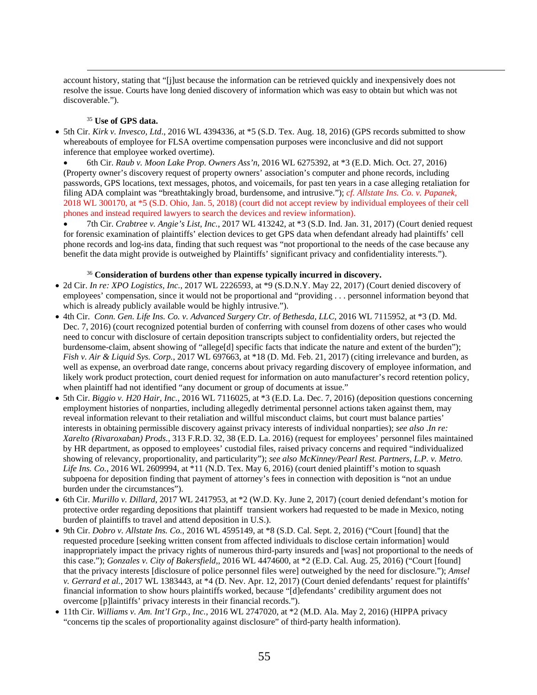account history, stating that "[j]ust because the information can be retrieved quickly and inexpensively does not resolve the issue. Courts have long denied discovery of information which was easy to obtain but which was not discoverable.").

## <sup>35</sup> **Use of GPS data.**

<u>.</u>

• 5th Cir. *Kirk v. Invesco, Ltd*., 2016 WL 4394336, at \*5 (S.D. Tex. Aug. 18, 2016) (GPS records submitted to show whereabouts of employee for FLSA overtime compensation purposes were inconclusive and did not support inference that employee worked overtime).

• 6th Cir. *Raub v. Moon Lake Prop. Owners Ass'n*, 2016 WL 6275392, at \*3 (E.D. Mich. Oct. 27, 2016) (Property owner's discovery request of property owners' association's computer and phone records, including passwords, GPS locations, text messages, photos, and voicemails, for past ten years in a case alleging retaliation for filing ADA complaint was "breathtakingly broad, burdensome, and intrusive."); *cf. Allstate Ins. Co. v. Papanek*, 2018 WL 300170, at \*5 (S.D. Ohio, Jan. 5, 2018) (court did not accept review by individual employees of their cell phones and instead required lawyers to search the devices and review information).

• 7th Cir. *Crabtree v. Angie's List, Inc.*, 2017 WL 413242, at \*3 (S.D. Ind. Jan. 31, 2017) (Court denied request for forensic examination of plaintiffs' election devices to get GPS data when defendant already had plaintiffs' cell phone records and log-ins data, finding that such request was "not proportional to the needs of the case because any benefit the data might provide is outweighed by Plaintiffs' significant privacy and confidentiality interests.").

#### <sup>36</sup> **Consideration of burdens other than expense typically incurred in discovery.**

- 2d Cir. *In re: XPO Logistics, Inc.*, 2017 WL 2226593, at \*9 (S.D.N.Y. May 22, 2017) (Court denied discovery of employees' compensation, since it would not be proportional and "providing . . . personnel information beyond that which is already publicly available would be highly intrusive.").
- 4th Cir. *Conn. Gen. Life Ins. Co. v. Advanced Surgery Ctr. of Bethesda, LLC*, 2016 WL 7115952, at \*3 (D. Md. Dec. 7, 2016) (court recognized potential burden of conferring with counsel from dozens of other cases who would need to concur with disclosure of certain deposition transcripts subject to confidentiality orders, but rejected the burdensome-claim, absent showing of "allege[d] specific facts that indicate the nature and extent of the burden"); *Fish v. Air & Liquid Sys. Corp.*, 2017 WL 697663, at \*18 (D. Md. Feb. 21, 2017) (citing irrelevance and burden, as well as expense, an overbroad date range, concerns about privacy regarding discovery of employee information, and likely work product protection, court denied request for information on auto manufacturer's record retention policy, when plaintiff had not identified "any document or group of documents at issue."
- 5th Cir. *Biggio v. H20 Hair, Inc.*, 2016 WL 7116025, at \*3 (E.D. La. Dec. 7, 2016) (deposition questions concerning employment histories of nonparties, including allegedly detrimental personnel actions taken against them, may reveal information relevant to their retaliation and willful misconduct claims, but court must balance parties' interests in obtaining permissible discovery against privacy interests of individual nonparties); *see also* .*In re: Xarelto (Rivaroxaban) Prods.*, 313 F.R.D. 32, 38 (E.D. La. 2016) (request for employees' personnel files maintained by HR department, as opposed to employees' custodial files, raised privacy concerns and required "individualized showing of relevancy, proportionality, and particularity"); *see also McKinney/Pearl Rest. Partners, L.P. v. Metro. Life Ins. Co.*, 2016 WL 2609994, at \*11 (N.D. Tex. May 6, 2016) (court denied plaintiff's motion to squash subpoena for deposition finding that payment of attorney's fees in connection with deposition is "not an undue burden under the circumstances").
- 6th Cir. *Murillo v. Dillard*, 2017 WL 2417953, at \*2 (W.D. Ky. June 2, 2017) (court denied defendant's motion for protective order regarding depositions that plaintiff transient workers had requested to be made in Mexico, noting burden of plaintiffs to travel and attend deposition in U.S.).
- 9th Cir. *Dobro v. Allstate Ins. Co.*, 2016 WL 4595149, at \*8 (S.D. Cal. Sept. 2, 2016) ("Court [found] that the requested procedure [seeking written consent from affected individuals to disclose certain information] would inappropriately impact the privacy rights of numerous third-party insureds and [was] not proportional to the needs of this case."); *Gonzales v. City of Bakersfield*,, 2016 WL 4474600, at \*2 (E.D. Cal. Aug. 25, 2016) ("Court [found] that the privacy interests [disclosure of police personnel files were] outweighed by the need for disclosure."); *Amsel v. Gerrard et al.*, 2017 WL 1383443, at \*4 (D. Nev. Apr. 12, 2017) (Court denied defendants' request for plaintiffs' financial information to show hours plaintiffs worked, because "[d]efendants' credibility argument does not overcome [p]laintiffs' privacy interests in their financial records.").
- 11th Cir. *Williams v. Am. Int'l Grp., Inc.*, 2016 WL 2747020, at \*2 (M.D. Ala. May 2, 2016) (HIPPA privacy "concerns tip the scales of proportionality against disclosure" of third-party health information).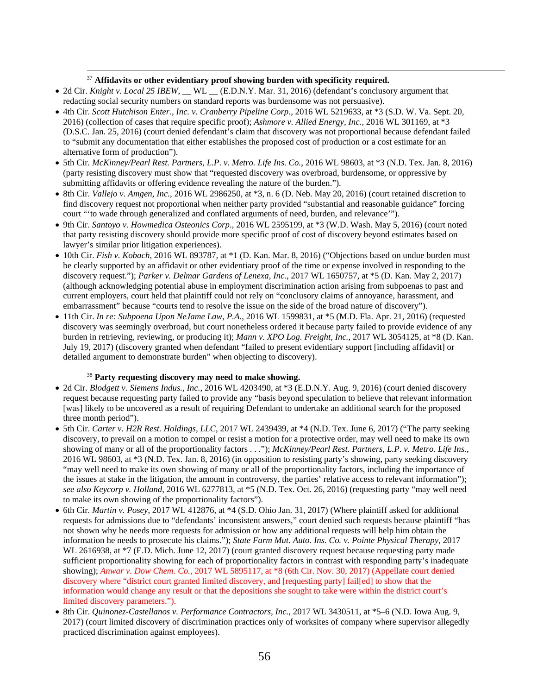## <sup>37</sup> **Affidavits or other evidentiary proof showing burden with specificity required.**

<u>.</u>

- 2d Cir. *Knight v. Local 25 IBEW*, \_\_ WL \_\_ (E.D.N.Y. Mar. 31, 2016) (defendant's conclusory argument that redacting social security numbers on standard reports was burdensome was not persuasive).
- 4th Cir. *Scott Hutchison Enter., Inc. v. Cranberry Pipeline Corp*., 2016 WL 5219633, at \*3 (S.D. W. Va. Sept. 20, 2016) (collection of cases that require specific proof); *Ashmore v. Allied Energy, Inc.*, 2016 WL 301169, at \*3 (D.S.C. Jan. 25, 2016) (court denied defendant's claim that discovery was not proportional because defendant failed to "submit any documentation that either establishes the proposed cost of production or a cost estimate for an alternative form of production").
- 5th Cir*. McKinney/Pearl Rest. Partners, L.P*. *v. Metro. Life Ins. Co.*, 2016 WL 98603, at \*3 (N.D. Tex. Jan. 8, 2016) (party resisting discovery must show that "requested discovery was overbroad, burdensome, or oppressive by submitting affidavits or offering evidence revealing the nature of the burden.").
- 8th Cir. *Vallejo v. Amgen, Inc.*, 2016 WL 2986250, at \*3, n. 6 (D. Neb. May 20, 2016) (court retained discretion to find discovery request not proportional when neither party provided "substantial and reasonable guidance" forcing court "'to wade through generalized and conflated arguments of need, burden, and relevance'").
- 9th Cir. *Santoyo v. Howmedica Osteonics Corp*., 2016 WL 2595199, at \*3 (W.D. Wash. May 5, 2016) (court noted that party resisting discovery should provide more specific proof of cost of discovery beyond estimates based on lawyer's similar prior litigation experiences).
- 10th Cir. *Fish v. Kobach*, 2016 WL 893787, at \*1 (D. Kan. Mar. 8, 2016) ("Objections based on undue burden must be clearly supported by an affidavit or other evidentiary proof of the time or expense involved in responding to the discovery request."); *Parker v. Delmar Gardens of Lenexa, Inc.*, 2017 WL 1650757, at \*5 (D. Kan. May 2, 2017) (although acknowledging potential abuse in employment discrimination action arising from subpoenas to past and current employers, court held that plaintiff could not rely on "conclusory claims of annoyance, harassment, and embarrassment" because "courts tend to resolve the issue on the side of the broad nature of discovery").
- 11th Cir. *In re: Subpoena Upon NeJame Law, P.A*., 2016 WL 1599831, at \*5 (M.D. Fla. Apr. 21, 2016) (requested discovery was seemingly overbroad, but court nonetheless ordered it because party failed to provide evidence of any burden in retrieving, reviewing, or producing it); *Mann v. XPO Log. Freight, Inc.*, 2017 WL 3054125, at \*8 (D. Kan. July 19, 2017) (discovery granted when defendant "failed to present evidentiary support [including affidavit] or detailed argument to demonstrate burden" when objecting to discovery).

# <sup>38</sup> **Party requesting discovery may need to make showing.**

- 2d Cir. *Blodgett v. Siemens Indus., Inc.*, 2016 WL 4203490, at \*3 (E.D.N.Y. Aug. 9, 2016) (court denied discovery request because requesting party failed to provide any "basis beyond speculation to believe that relevant information [was] likely to be uncovered as a result of requiring Defendant to undertake an additional search for the proposed three month period").
- 5th Cir. *Carter v. H2R Rest. Holdings, LLC*, 2017 WL 2439439, at \*4 (N.D. Tex. June 6, 2017) ("The party seeking discovery, to prevail on a motion to compel or resist a motion for a protective order, may well need to make its own showing of many or all of the proportionality factors . . ."); *McKinney/Pearl Rest. Partners, L.P*. *v. Metro. Life Ins.*, 2016 WL 98603, at \*3 (N.D. Tex. Jan. 8, 2016) (in opposition to resisting party's showing, party seeking discovery "may well need to make its own showing of many or all of the proportionality factors, including the importance of the issues at stake in the litigation, the amount in controversy, the parties' relative access to relevant information"); *see also Keycorp v. Holland*, 2016 WL 6277813, at \*5 (N.D. Tex. Oct. 26, 2016) (requesting party "may well need to make its own showing of the proportionality factors").
- 6th Cir. *Martin v. Posey*, 2017 WL 412876, at \*4 (S.D. Ohio Jan. 31, 2017) (Where plaintiff asked for additional requests for admissions due to "defendants' inconsistent answers," court denied such requests because plaintiff "has not shown why he needs more requests for admission or how any additional requests will help him obtain the information he needs to prosecute his claims."); *State Farm Mut. Auto. Ins. Co. v. Pointe Physical Therapy*, 2017 WL 2616938, at \*7 (E.D. Mich. June 12, 2017) (court granted discovery request because requesting party made sufficient proportionality showing for each of proportionality factors in contrast with responding party's inadequate showing); *Anwar v. Dow Chem. Co.*, 2017 WL 5895117, at \*8 (6th Cir. Nov. 30, 2017) (Appellate court denied discovery where "district court granted limited discovery, and [requesting party] fail[ed] to show that the information would change any result or that the depositions she sought to take were within the district court's limited discovery parameters.").
- 8th Cir. *Quinonez-Castellanos v. Performance Contractors, Inc.*, 2017 WL 3430511, at \*5–6 (N.D. Iowa Aug. 9, 2017) (court limited discovery of discrimination practices only of worksites of company where supervisor allegedly practiced discrimination against employees).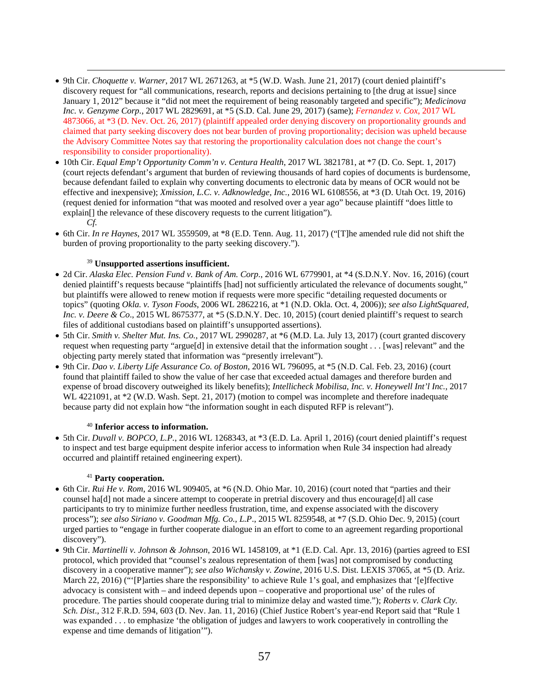- 9th Cir. *Choquette v. Warner*, 2017 WL 2671263, at \*5 (W.D. Wash. June 21, 2017) (court denied plaintiff's discovery request for "all communications, research, reports and decisions pertaining to [the drug at issue] since January 1, 2012" because it "did not meet the requirement of being reasonably targeted and specific"); *Medicinova Inc. v. Genzyme Corp.*, 2017 WL 2829691, at \*5 (S.D. Cal. June 29, 2017) (same); *Fernandez v. Cox*, 2017 WL 4873066, at \*3 (D. Nev. Oct. 26, 2017) (plaintiff appealed order denying discovery on proportionality grounds and claimed that party seeking discovery does not bear burden of proving proportionality; decision was upheld because the Advisory Committee Notes say that restoring the proportionality calculation does not change the court's responsibility to consider proportionality).
- 10th Cir. *Equal Emp't Opportunity Comm'n v. Centura Health*, 2017 WL 3821781, at \*7 (D. Co. Sept. 1, 2017) (court rejects defendant's argument that burden of reviewing thousands of hard copies of documents is burdensome, because defendant failed to explain why converting documents to electronic data by means of OCR would not be effective and inexpensive); *Xmission, L.C. v. Adknowledge, Inc.*, 2016 WL 6108556, at \*3 (D. Utah Oct. 19, 2016) (request denied for information "that was mooted and resolved over a year ago" because plaintiff "does little to explain<sup>[]</sup> the relevance of these discovery requests to the current litigation"). *Cf.*
- 6th Cir. *In re Haynes*, 2017 WL 3559509, at \*8 (E.D. Tenn. Aug. 11, 2017) ("[T]he amended rule did not shift the burden of proving proportionality to the party seeking discovery.").

#### <sup>39</sup> **Unsupported assertions insufficient.**

<u>.</u>

- 2d Cir. *Alaska Elec. Pension Fund v. Bank of Am. Corp.*, 2016 WL 6779901, at \*4 (S.D.N.Y. Nov. 16, 2016) (court denied plaintiff's requests because "plaintiffs [had] not sufficiently articulated the relevance of documents sought," but plaintiffs were allowed to renew motion if requests were more specific "detailing requested documents or topics" (quoting *Okla. v. Tyson Foods*, 2006 WL 2862216, at \*1 (N.D. Okla. Oct. 4, 2006)); *see also LightSquared, Inc. v. Deere & Co*., 2015 WL 8675377, at \*5 (S.D.N.Y. Dec. 10, 2015) (court denied plaintiff's request to search files of additional custodians based on plaintiff's unsupported assertions).
- 5th Cir. *Smith v. Shelter Mut. Ins. Co.*, 2017 WL 2990287, at \*6 (M.D. La. July 13, 2017) (court granted discovery request when requesting party "argue[d] in extensive detail that the information sought . . . [was] relevant" and the objecting party merely stated that information was "presently irrelevant").
- 9th Cir. *Dao v. Liberty Life Assurance Co. of Boston*, 2016 WL 796095, at \*5 (N.D. Cal. Feb. 23, 2016) (court found that plaintiff failed to show the value of her case that exceeded actual damages and therefore burden and expense of broad discovery outweighed its likely benefits); *Intellicheck Mobilisa, Inc. v. Honeywell Int'l Inc.*, 2017 WL 4221091, at  $*2$  (W.D. Wash. Sept. 21, 2017) (motion to compel was incomplete and therefore inadequate because party did not explain how "the information sought in each disputed RFP is relevant").

#### <sup>40</sup> **Inferior access to information.**

• 5th Cir. *Duvall v. BOPCO, L.P.*, 2016 WL 1268343, at \*3 (E.D. La. April 1, 2016) (court denied plaintiff's request to inspect and test barge equipment despite inferior access to information when Rule 34 inspection had already occurred and plaintiff retained engineering expert).

#### <sup>41</sup> **Party cooperation.**

- 6th Cir. *Rui He v. Rom*, 2016 WL 909405, at \*6 (N.D. Ohio Mar. 10, 2016) (court noted that "parties and their counsel ha[d] not made a sincere attempt to cooperate in pretrial discovery and thus encourage[d] all case participants to try to minimize further needless frustration, time, and expense associated with the discovery process"); *see also Siriano v. Goodman Mfg. Co., L.P*., 2015 WL 8259548, at \*7 (S.D. Ohio Dec. 9, 2015) (court urged parties to "engage in further cooperate dialogue in an effort to come to an agreement regarding proportional discovery").
- 9th Cir. *Martinelli v. Johnson & Johnson*, 2016 WL 1458109, at \*1 (E.D. Cal. Apr. 13, 2016) (parties agreed to ESI protocol, which provided that "counsel's zealous representation of them [was] not compromised by conducting discovery in a cooperative manner"); *see also Wichansky v. Zowine*, 2016 U.S. Dist. LEXIS 37065, at \*5 (D. Ariz. March 22, 2016) ("'[P]arties share the responsibility' to achieve Rule 1's goal, and emphasizes that '[e]ffective advocacy is consistent with – and indeed depends upon – cooperative and proportional use' of the rules of procedure. The parties should cooperate during trial to minimize delay and wasted time."); *Roberts v. Clark Cty. Sch. Dist*., 312 F.R.D. 594, 603 (D. Nev. Jan. 11, 2016) (Chief Justice Robert's year-end Report said that "Rule 1 was expanded . . . to emphasize 'the obligation of judges and lawyers to work cooperatively in controlling the expense and time demands of litigation'").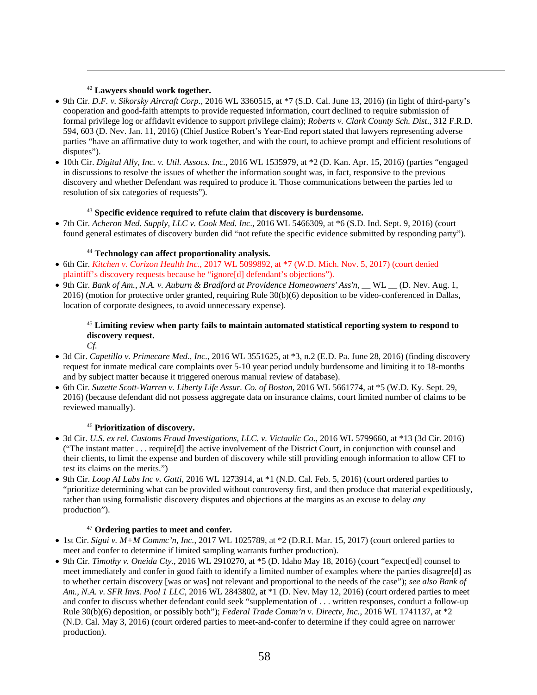## <sup>42</sup> **Lawyers should work together.**

- 9th Cir. *D.F. v. Sikorsky Aircraft Corp.*, 2016 WL 3360515, at \*7 (S.D. Cal. June 13, 2016) (in light of third-party's cooperation and good-faith attempts to provide requested information, court declined to require submission of formal privilege log or affidavit evidence to support privilege claim); *Roberts v. Clark County Sch. Dist*., 312 F.R.D. 594, 603 (D. Nev. Jan. 11, 2016) (Chief Justice Robert's Year-End report stated that lawyers representing adverse parties "have an affirmative duty to work together, and with the court, to achieve prompt and efficient resolutions of disputes").
- 10th Cir. *Digital Ally, Inc. v. Util. Assocs. Inc.*, 2016 WL 1535979, at \*2 (D. Kan. Apr. 15, 2016) (parties "engaged in discussions to resolve the issues of whether the information sought was, in fact, responsive to the previous discovery and whether Defendant was required to produce it. Those communications between the parties led to resolution of six categories of requests").

# <sup>43</sup> **Specific evidence required to refute claim that discovery is burdensome.**

• 7th Cir. *Acheron Med. Supply, LLC v. Cook Med. Inc*., 2016 WL 5466309, at \*6 (S.D. Ind. Sept. 9, 2016) (court found general estimates of discovery burden did "not refute the specific evidence submitted by responding party").

# <sup>44</sup> **Technology can affect proportionality analysis.**

- 6th Cir. *Kitchen v. Corizon Health Inc.*, 2017 WL 5099892, at \*7 (W.D. Mich. Nov. 5, 2017) (court denied plaintiff's discovery requests because he "ignore[d] defendant's objections").
- 9th Cir. *Bank of Am., N.A. v. Auburn & Bradford at Providence Homeowners' Ass'n*, \_\_ WL \_\_ (D. Nev. Aug. 1, 2016) (motion for protective order granted, requiring Rule 30(b)(6) deposition to be video-conferenced in Dallas, location of corporate designees, to avoid unnecessary expense).

# <sup>45</sup> **Limiting review when party fails to maintain automated statistical reporting system to respond to discovery request.**

*Cf.*

<u>.</u>

- 3d Cir. *Capetillo v. Primecare Med., Inc.*, 2016 WL 3551625, at \*3, n.2 (E.D. Pa. June 28, 2016) (finding discovery request for inmate medical care complaints over 5-10 year period unduly burdensome and limiting it to 18-months and by subject matter because it triggered onerous manual review of database).
- 6th Cir. *Suzette Scott-Warren v. Liberty Life Assur. Co. of Boston,* 2016 WL 5661774, at \*5 (W.D. Ky. Sept. 29, 2016) (because defendant did not possess aggregate data on insurance claims, court limited number of claims to be reviewed manually).

## <sup>46</sup> **Prioritization of discovery.**

- 3d Cir. *U.S. ex rel. Customs Fraud Investigations, LLC. v. Victaulic Co*., 2016 WL 5799660, at \*13 (3d Cir. 2016) ("The instant matter . . . require[d] the active involvement of the District Court, in conjunction with counsel and their clients, to limit the expense and burden of discovery while still providing enough information to allow CFI to test its claims on the merits.")
- 9th Cir. *Loop AI Labs Inc v. Gatti*, 2016 WL 1273914, at \*1 (N.D. Cal. Feb. 5, 2016) (court ordered parties to "prioritize determining what can be provided without controversy first, and then produce that material expeditiously, rather than using formalistic discovery disputes and objections at the margins as an excuse to delay *any* production").

## <sup>47</sup> **Ordering parties to meet and confer.**

- 1st Cir. *Sigui v. M+M Commc'n, Inc.*, 2017 WL 1025789, at \*2 (D.R.I. Mar. 15, 2017) (court ordered parties to meet and confer to determine if limited sampling warrants further production).
- 9th Cir. *Timothy v. Oneida Cty.*, 2016 WL 2910270, at \*5 (D. Idaho May 18, 2016) (court "expect[ed] counsel to meet immediately and confer in good faith to identify a limited number of examples where the parties disagree[d] as to whether certain discovery [was or was] not relevant and proportional to the needs of the case"); *see also Bank of Am., N.A. v. SFR Invs. Pool 1 LLC*, 2016 WL 2843802, at \*1 (D. Nev. May 12, 2016) (court ordered parties to meet and confer to discuss whether defendant could seek "supplementation of . . . written responses, conduct a follow-up Rule 30(b)(6) deposition, or possibly both"); *Federal Trade Comm'n v. Directv, Inc.*, 2016 WL 1741137, at \*2 (N.D. Cal. May 3, 2016) (court ordered parties to meet-and-confer to determine if they could agree on narrower production).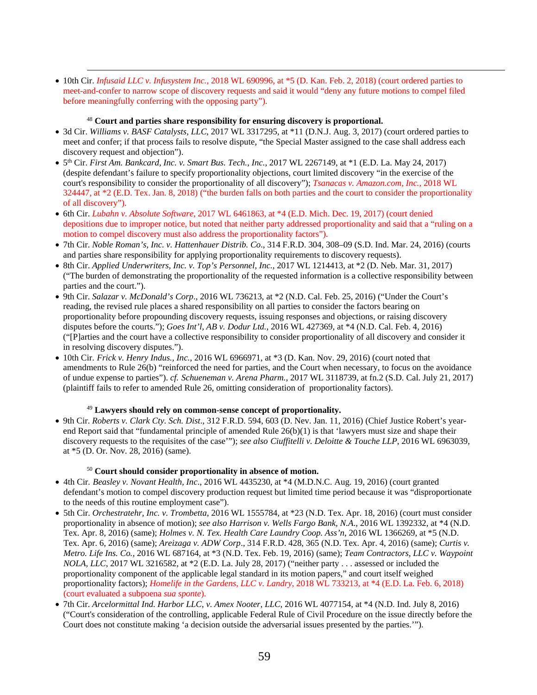• 10th Cir. *Infusaid LLC v. Infusystem Inc.*, 2018 WL 690996, at \*5 (D. Kan. Feb. 2, 2018) (court ordered parties to meet-and-confer to narrow scope of discovery requests and said it would "deny any future motions to compel filed before meaningfully conferring with the opposing party").

## <sup>48</sup> **Court and parties share responsibility for ensuring discovery is proportional.**

<u>.</u>

- 3d Cir. *Williams v. BASF Catalysts, LLC*, 2017 WL 3317295, at \*11 (D.N.J. Aug. 3, 2017) (court ordered parties to meet and confer; if that process fails to resolve dispute, "the Special Master assigned to the case shall address each discovery request and objection").
- 5th Cir. *First Am. Bankcard, Inc. v. Smart Bus. Tech., Inc.*, 2017 WL 2267149, at \*1 (E.D. La. May 24, 2017) (despite defendant's failure to specify proportionality objections, court limited discovery "in the exercise of the court's responsibility to consider the proportionality of all discovery"); *Tsanacas v. Amazon.com, Inc.*, 2018 WL 324447, at \*2 (E.D. Tex. Jan. 8, 2018) ("the burden falls on both parties and the court to consider the proportionality of all discovery").
- 6th Cir. *Lubahn v. Absolute Software*, 2017 WL 6461863, at \*4 (E.D. Mich. Dec. 19, 2017) (court denied depositions due to improper notice, but noted that neither party addressed proportionality and said that a "ruling on a motion to compel discovery must also address the proportionality factors").
- 7th Cir. *Noble Roman's, Inc. v. Hattenhauer Distrib. Co*., 314 F.R.D. 304, 308–09 (S.D. Ind. Mar. 24, 2016) (courts and parties share responsibility for applying proportionality requirements to discovery requests).
- 8th Cir. *Applied Underwriters, Inc. v. Top's Personnel, Inc.*, 2017 WL 1214413, at \*2 (D. Neb. Mar. 31, 2017) ("The burden of demonstrating the proportionality of the requested information is a collective responsibility between parties and the court.").
- 9th Cir. *Salazar v. McDonald's Corp*., 2016 WL 736213, at \*2 (N.D. Cal. Feb. 25, 2016) ("Under the Court's reading, the revised rule places a shared responsibility on all parties to consider the factors bearing on proportionality before propounding discovery requests, issuing responses and objections, or raising discovery disputes before the courts."); *Goes Int'l, AB v. Dodur Ltd.*, 2016 WL 427369, at \*4 (N.D. Cal. Feb. 4, 2016) ("[P]arties and the court have a collective responsibility to consider proportionality of all discovery and consider it in resolving discovery disputes.").
- 10th Cir. *Frick v. Henry Indus., Inc.*, 2016 WL 6966971, at \*3 (D. Kan. Nov. 29, 2016) (court noted that amendments to Rule 26(b) "reinforced the need for parties, and the Court when necessary, to focus on the avoidance of undue expense to parties"). *cf. Schueneman v. Arena Pharm.*, 2017 WL 3118739, at fn.2 (S.D. Cal. July 21, 2017) (plaintiff fails to refer to amended Rule 26, omitting consideration of proportionality factors).

## <sup>49</sup> **Lawyers should rely on common-sense concept of proportionality.**

• 9th Cir. *Roberts v. Clark Cty. Sch. Dist*., 312 F.R.D. 594, 603 (D. Nev. Jan. 11, 2016) (Chief Justice Robert's yearend Report said that "fundamental principle of amended Rule 26(b)(1) is that 'lawyers must size and shape their discovery requests to the requisites of the case'"); *see also Ciuffitelli v. Deloitte & Touche LLP*, 2016 WL 6963039, at \*5 (D. Or. Nov. 28, 2016) (same).

#### <sup>50</sup> **Court should consider proportionality in absence of motion.**

- 4th Cir. *Beasley v. Novant Health, Inc*., 2016 WL 4435230, at \*4 (M.D.N.C. Aug. 19, 2016) (court granted defendant's motion to compel discovery production request but limited time period because it was "disproportionate to the needs of this routine employment case").
- 5th Cir. *Orchestratehr, Inc. v. Trombetta*, 2016 WL 1555784, at \*23 (N.D. Tex. Apr. 18, 2016) (court must consider proportionality in absence of motion); *see also Harrison v. Wells Fargo Bank, N.A*., 2016 WL 1392332, at \*4 (N.D. Tex. Apr. 8, 2016) (same); *Holmes v. N. Tex. Health Care Laundry Coop. Ass'n*, 2016 WL 1366269, at \*5 (N.D. Tex. Apr. 6, 2016) (same); *Areizaga v. ADW Corp*., 314 F.R.D. 428, 365 (N.D. Tex. Apr. 4, 2016) (same); *Curtis v. Metro. Life Ins. Co.*, 2016 WL 687164, at \*3 (N.D. Tex. Feb. 19, 2016) (same); *Team Contractors, LLC v. Waypoint NOLA, LLC*, 2017 WL 3216582, at \*2 (E.D. La. July 28, 2017) ("neither party . . . assessed or included the proportionality component of the applicable legal standard in its motion papers," and court itself weighed proportionality factors); *Homelife in the Gardens, LLC v. Landry*, 2018 WL 733213, at \*4 (E.D. La. Feb. 6, 2018) (court evaluated a subpoena *sua sponte*).
- 7th Cir. *Arcelormittal Ind. Harbor LLC*, *v. Amex Nooter, LLC*, 2016 WL 4077154, at \*4 (N.D. Ind. July 8, 2016) ("Court's consideration of the controlling, applicable Federal Rule of Civil Procedure on the issue directly before the Court does not constitute making 'a decision outside the adversarial issues presented by the parties.'").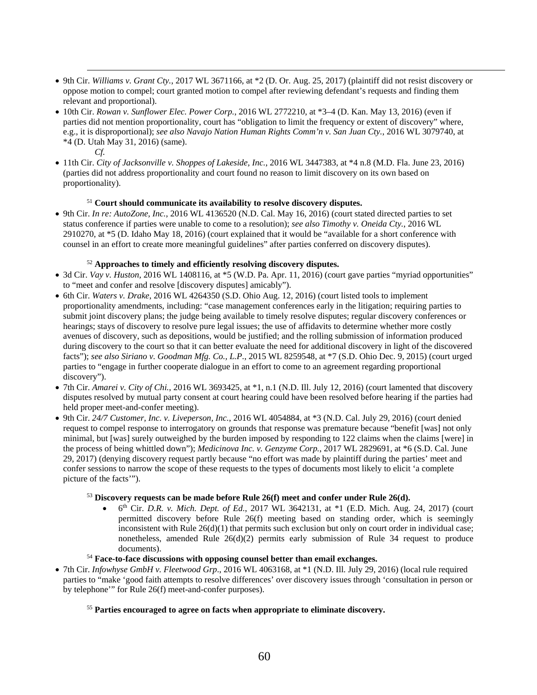- 9th Cir. *Williams v. Grant Cty.*, 2017 WL 3671166, at \*2 (D. Or. Aug. 25, 2017) (plaintiff did not resist discovery or oppose motion to compel; court granted motion to compel after reviewing defendant's requests and finding them relevant and proportional).
- 10th Cir. *Rowan v. Sunflower Elec. Power Corp.*, 2016 WL 2772210, at \*3–4 (D. Kan. May 13, 2016) (even if parties did not mention proportionality, court has "obligation to limit the frequency or extent of discovery" where, e.g., it is disproportional); *see also Navajo Nation Human Rights Comm'n v. San Juan Cty.*, 2016 WL 3079740, at \*4 (D. Utah May 31, 2016) (same).

<u>.</u>

• 11th Cir. *City of Jacksonville v. Shoppes of Lakeside, Inc.*, 2016 WL 3447383, at \*4 n.8 (M.D. Fla. June 23, 2016) (parties did not address proportionality and court found no reason to limit discovery on its own based on proportionality).

# <sup>51</sup> **Court should communicate its availability to resolve discovery disputes.**

• 9th Cir. *In re: AutoZone, Inc.*, 2016 WL 4136520 (N.D. Cal. May 16, 2016) (court stated directed parties to set status conference if parties were unable to come to a resolution); *see also Timothy v. Oneida Cty.*, 2016 WL 2910270, at \*5 (D. Idaho May 18, 2016) (court explained that it would be "available for a short conference with counsel in an effort to create more meaningful guidelines" after parties conferred on discovery disputes).

# <sup>52</sup> **Approaches to timely and efficiently resolving discovery disputes.**

- 3d Cir. *Vay v. Huston*, 2016 WL 1408116, at \*5 (W.D. Pa. Apr. 11, 2016) (court gave parties "myriad opportunities" to "meet and confer and resolve [discovery disputes] amicably").
- 6th Cir. *Waters v. Drake*, 2016 WL 4264350 (S.D. Ohio Aug. 12, 2016) (court listed tools to implement proportionality amendments, including: "case management conferences early in the litigation; requiring parties to submit joint discovery plans; the judge being available to timely resolve disputes; regular discovery conferences or hearings; stays of discovery to resolve pure legal issues; the use of affidavits to determine whether more costly avenues of discovery, such as depositions, would be justified; and the rolling submission of information produced during discovery to the court so that it can better evaluate the need for additional discovery in light of the discovered facts"); *see also Siriano v. Goodman Mfg. Co., L.P*., 2015 WL 8259548, at \*7 (S.D. Ohio Dec. 9, 2015) (court urged parties to "engage in further cooperate dialogue in an effort to come to an agreement regarding proportional discovery").
- 7th Cir. *Amarei v. City of Chi.*, 2016 WL 3693425, at \*1, n.1 (N.D. Ill. July 12, 2016) (court lamented that discovery disputes resolved by mutual party consent at court hearing could have been resolved before hearing if the parties had held proper meet-and-confer meeting).
- 9th Cir. *24/7 Customer, Inc. v. Liveperson, Inc.*, 2016 WL 4054884, at \*3 (N.D. Cal. July 29, 2016) (court denied request to compel response to interrogatory on grounds that response was premature because "benefit [was] not only minimal, but [was] surely outweighed by the burden imposed by responding to 122 claims when the claims [were] in the process of being whittled down"); *Medicinova Inc. v. Genzyme Corp.*, 2017 WL 2829691, at \*6 (S.D. Cal. June 29, 2017) (denying discovery request partly because "no effort was made by plaintiff during the parties' meet and confer sessions to narrow the scope of these requests to the types of documents most likely to elicit 'a complete picture of the facts'").

# <sup>53</sup> **Discovery requests can be made before Rule 26(f) meet and confer under Rule 26(d).**

- 6<sup>th</sup> Cir. *D.R. v. Mich. Dept. of Ed.*, 2017 WL 3642131, at \*1 (E.D. Mich. Aug. 24, 2017) (court permitted discovery before Rule 26(f) meeting based on standing order, which is seemingly inconsistent with Rule 26(d)(1) that permits such exclusion but only on court order in individual case; nonetheless, amended Rule  $26(d)(2)$  permits early submission of Rule 34 request to produce documents). 54 **Face-to-face discussions with opposing counsel better than email exchanges.**
- 
- 7th Cir. *Infowhyse GmbH v. Fleetwood Grp*., 2016 WL 4063168, at \*1 (N.D. Ill. July 29, 2016) (local rule required parties to "make 'good faith attempts to resolve differences' over discovery issues through 'consultation in person or by telephone'" for Rule 26(f) meet-and-confer purposes).

## <sup>55</sup> **Parties encouraged to agree on facts when appropriate to eliminate discovery.**

*Cf.*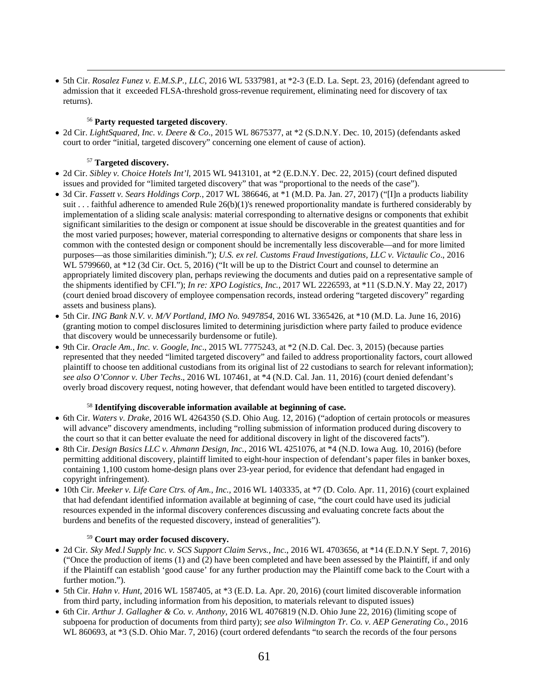• 5th Cir. *Rosalez Funez v. E.M.S.P., LLC*, 2016 WL 5337981, at \*2-3 (E.D. La. Sept. 23, 2016) (defendant agreed to admission that it exceeded FLSA-threshold gross-revenue requirement, eliminating need for discovery of tax returns).

# <sup>56</sup> **Party requested targeted discovery**.

• 2d Cir. *LightSquared, Inc. v. Deere & Co*., 2015 WL 8675377, at \*2 (S.D.N.Y. Dec. 10, 2015) (defendants asked court to order "initial, targeted discovery" concerning one element of cause of action).

# <sup>57</sup> **Targeted discovery.**

<u>.</u>

- 2d Cir. *Sibley v. Choice Hotels Int'l*, 2015 WL 9413101, at \*2 (E.D.N.Y. Dec. 22, 2015) (court defined disputed issues and provided for "limited targeted discovery" that was "proportional to the needs of the case").
- 3d Cir. *Fassett v. Sears Holdings Corp.*, 2017 WL 386646, at \*1 (M.D. Pa. Jan. 27, 2017) ("[I]n a products liability suit . . . faithful adherence to amended Rule 26(b)(1)'s renewed proportionality mandate is furthered considerably by implementation of a sliding scale analysis: material corresponding to alternative designs or components that exhibit significant similarities to the design or component at issue should be discoverable in the greatest quantities and for the most varied purposes; however, material corresponding to alternative designs or components that share less in common with the contested design or component should be incrementally less discoverable—and for more limited purposes—as those similarities diminish."); *U.S. ex rel. Customs Fraud Investigations, LLC v. Victaulic Co*., 2016 WL 5799660, at \*12 (3d Cir. Oct. 5, 2016) ("It will be up to the District Court and counsel to determine an appropriately limited discovery plan, perhaps reviewing the documents and duties paid on a representative sample of the shipments identified by CFI."); *In re: XPO Logistics, Inc.*, 2017 WL 2226593, at \*11 (S.D.N.Y. May 22, 2017) (court denied broad discovery of employee compensation records, instead ordering "targeted discovery" regarding assets and business plans).
- 5th Cir. *ING Bank N.V. v. M/V Portland, IMO No. 9497854*, 2016 WL 3365426, at \*10 (M.D. La. June 16, 2016) (granting motion to compel disclosures limited to determining jurisdiction where party failed to produce evidence that discovery would be unnecessarily burdensome or futile).
- 9th Cir. *Oracle Am., Inc. v. Google, Inc*., 2015 WL 7775243, at \*2 (N.D. Cal. Dec. 3, 2015) (because parties represented that they needed "limited targeted discovery" and failed to address proportionality factors, court allowed plaintiff to choose ten additional custodians from its original list of 22 custodians to search for relevant information); *see also O'Connor v. Uber Techs*., 2016 WL 107461, at \*4 (N.D. Cal. Jan. 11, 2016) (court denied defendant's overly broad discovery request, noting however, that defendant would have been entitled to targeted discovery).

## <sup>58</sup> **Identifying discoverable information available at beginning of case.**

- 6th Cir. *Waters v. Drake*, 2016 WL 4264350 (S.D. Ohio Aug. 12, 2016) ("adoption of certain protocols or measures will advance" discovery amendments, including "rolling submission of information produced during discovery to the court so that it can better evaluate the need for additional discovery in light of the discovered facts").
- 8th Cir. *Design Basics LLC v. Ahmann Design, Inc.*, 2016 WL 4251076, at \*4 (N.D. Iowa Aug. 10, 2016) (before permitting additional discovery, plaintiff limited to eight-hour inspection of defendant's paper files in banker boxes, containing 1,100 custom home-design plans over 23-year period, for evidence that defendant had engaged in copyright infringement).
- 10th Cir. *Meeker v. Life Care Ctrs. of Am., Inc.*, 2016 WL 1403335, at \*7 (D. Colo. Apr. 11, 2016) (court explained that had defendant identified information available at beginning of case, "the court could have used its judicial resources expended in the informal discovery conferences discussing and evaluating concrete facts about the burdens and benefits of the requested discovery, instead of generalities").

## <sup>59</sup> **Court may order focused discovery.**

- 2d Cir. *Sky Med.l Supply Inc. v. SCS Support Claim Servs., Inc*., 2016 WL 4703656, at \*14 (E.D.N.Y Sept. 7, 2016) ("Once the production of items (1) and (2) have been completed and have been assessed by the Plaintiff, if and only if the Plaintiff can establish 'good cause' for any further production may the Plaintiff come back to the Court with a further motion.").
- 5th Cir. *Hahn v. Hunt*, 2016 WL 1587405, at \*3 (E.D. La. Apr. 20, 2016) (court limited discoverable information from third party, including information from his deposition, to materials relevant to disputed issues)
- 6th Cir. *Arthur J. Gallagher & Co. v. Anthony*, 2016 WL 4076819 (N.D. Ohio June 22, 2016) (limiting scope of subpoena for production of documents from third party); *see also Wilmington Tr. Co. v. AEP Generating Co.*, 2016 WL 860693, at \*3 (S.D. Ohio Mar. 7, 2016) (court ordered defendants "to search the records of the four persons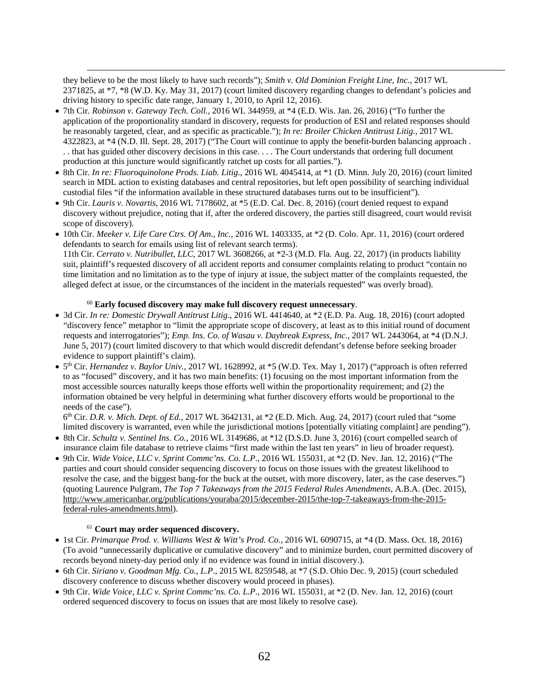<u>.</u> they believe to be the most likely to have such records"); *Smith v. Old Dominion Freight Line, Inc.*, 2017 WL 2371825, at \*7, \*8 (W.D. Ky. May 31, 2017) (court limited discovery regarding changes to defendant's policies and driving history to specific date range, January 1, 2010, to April 12, 2016).

- 7th Cir. *Robinson v. Gateway Tech. Coll.*, 2016 WL 344959, at \*4 (E.D. Wis. Jan. 26, 2016) ("To further the application of the proportionality standard in discovery, requests for production of ESI and related responses should be reasonably targeted, clear, and as specific as practicable."); *In re: Broiler Chicken Antitrust Litig.*, 2017 WL 4322823, at \*4 (N.D. Ill. Sept. 28, 2017) ("The Court will continue to apply the benefit-burden balancing approach . . . that has guided other discovery decisions in this case. . . . The Court understands that ordering full document production at this juncture would significantly ratchet up costs for all parties.").
- 8th Cir. *In re: Fluoroquinolone Prods. Liab. Litig*., 2016 WL 4045414, at \*1 (D. Minn. July 20, 2016) (court limited search in MDL action to existing databases and central repositories, but left open possibility of searching individual custodial files "if the information available in these structured databases turns out to be insufficient").
- 9th Cir. *Lauris v. Novartis*, 2016 WL 7178602, at \*5 (E.D. Cal. Dec. 8, 2016) (court denied request to expand discovery without prejudice, noting that if, after the ordered discovery, the parties still disagreed, court would revisit scope of discovery).
- 10th Cir. *Meeker v. Life Care Ctrs. Of Am., Inc.*, 2016 WL 1403335, at \*2 (D. Colo. Apr. 11, 2016) (court ordered defendants to search for emails using list of relevant search terms).

11th Cir. *Cerrato v. Nutribullet, LLC*, 2017 WL 3608266, at \*2-3 (M.D. Fla. Aug. 22, 2017) (in products liability suit, plaintiff's requested discovery of all accident reports and consumer complaints relating to product "contain no time limitation and no limitation as to the type of injury at issue, the subject matter of the complaints requested, the alleged defect at issue, or the circumstances of the incident in the materials requested" was overly broad).

## <sup>60</sup> **Early focused discovery may make full discovery request unnecessary**.

- 3d Cir. *In re: Domestic Drywall Antitrust Litig*., 2016 WL 4414640, at \*2 (E.D. Pa. Aug. 18, 2016) (court adopted "discovery fence" metaphor to "limit the appropriate scope of discovery, at least as to this initial round of document requests and interrogatories"); *Emp. Ins. Co. of Wasau v. Daybreak Express, Inc.*, 2017 WL 2443064, at \*4 (D.N.J. June 5, 2017) (court limited discovery to that which would discredit defendant's defense before seeking broader evidence to support plaintiff's claim).
- 5th Cir. *Hernandez v. Baylor Univ.*, 2017 WL 1628992, at \*5 (W.D. Tex. May 1, 2017) ("approach is often referred to as "focused" discovery, and it has two main benefits: (1) focusing on the most important information from the most accessible sources naturally keeps those efforts well within the proportionality requirement; and (2) the information obtained be very helpful in determining what further discovery efforts would be proportional to the needs of the case").

6th Cir. *D.R. v. Mich. Dept. of Ed.*, 2017 WL 3642131, at \*2 (E.D. Mich. Aug. 24, 2017) (court ruled that "some limited discovery is warranted, even while the jurisdictional motions [potentially vitiating complaint] are pending").

- 8th Cir. *Schultz v. Sentinel Ins. Co.*, 2016 WL 3149686, at \*12 (D.S.D. June 3, 2016) (court compelled search of insurance claim file database to retrieve claims "first made within the last ten years" in lieu of broader request).
- 9th Cir. *Wide Voice, LLC v. Sprint Commc'ns. Co. L.P*., 2016 WL 155031, at \*2 (D. Nev. Jan. 12, 2016) ("The parties and court should consider sequencing discovery to focus on those issues with the greatest likelihood to resolve the case, and the biggest bang-for the buck at the outset, with more discovery, later, as the case deserves.") (quoting Laurence Pulgram, *The Top 7 Takeaways from the 2015 Federal Rules Amendments*, A.B.A. (Dec. 2015), [http://www.americanbar.org/publications/youraba/2015/december-2015/the-top-7-takeaways-from-the-2015](http://www.americanbar.org/publications/youraba/2015/december-2015/the-top-7-takeaways-from-the-2015-federal-rules-amendments.html) [federal-rules-amendments.html\)](http://www.americanbar.org/publications/youraba/2015/december-2015/the-top-7-takeaways-from-the-2015-federal-rules-amendments.html).

# <sup>61</sup> **Court may order sequenced discovery.**

- 1st Cir. *Primarque Prod. v. Williams West & Witt's Prod. Co.*, 2016 WL 6090715, at \*4 (D. Mass. Oct. 18, 2016) (To avoid "unnecessarily duplicative or cumulative discovery" and to minimize burden, court permitted discovery of records beyond ninety-day period only if no evidence was found in initial discovery.).
- 6th Cir. *Siriano v. Goodman Mfg. Co., L.P*., 2015 WL 8259548, at \*7 (S.D. Ohio Dec. 9, 2015) (court scheduled discovery conference to discuss whether discovery would proceed in phases).
- 9th Cir. *Wide Voice, LLC v. Sprint Commc'ns. Co. L.P*., 2016 WL 155031, at \*2 (D. Nev. Jan. 12, 2016) (court ordered sequenced discovery to focus on issues that are most likely to resolve case).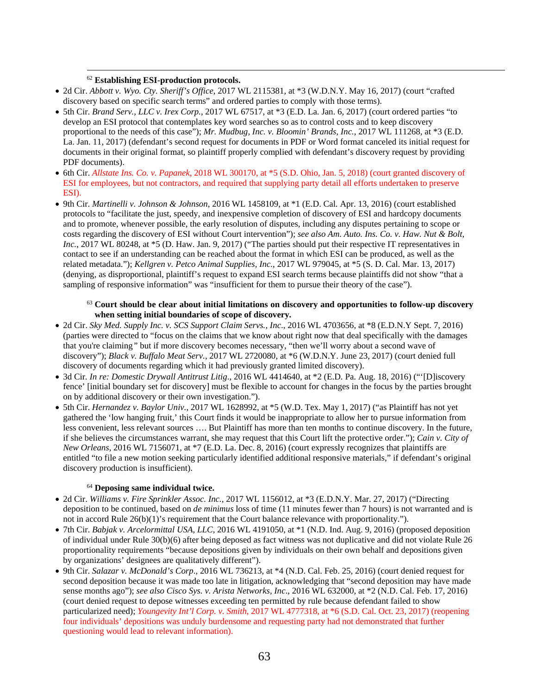#### <u>.</u> <sup>62</sup> **Establishing ESI-production protocols.**

- 2d Cir. *Abbott v. Wyo. Cty. Sheriff's Office*, 2017 WL 2115381, at \*3 (W.D.N.Y. May 16, 2017) (court "crafted discovery based on specific search terms" and ordered parties to comply with those terms).
- 5th Cir. *Brand Serv., LLC v. Irex Corp.*, 2017 WL 67517, at \*3 (E.D. La. Jan. 6, 2017) (court ordered parties "to develop an ESI protocol that contemplates key word searches so as to control costs and to keep discovery proportional to the needs of this case"); *Mr. Mudbug, Inc. v. Bloomin' Brands, Inc.*, 2017 WL 111268, at \*3 (E.D. La. Jan. 11, 2017) (defendant's second request for documents in PDF or Word format canceled its initial request for documents in their original format, so plaintiff properly complied with defendant's discovery request by providing PDF documents).
- 6th Cir. *Allstate Ins. Co. v. Papanek*, 2018 WL 300170, at \*5 (S.D. Ohio, Jan. 5, 2018) (court granted discovery of ESI for employees, but not contractors, and required that supplying party detail all efforts undertaken to preserve ESI).
- 9th Cir. *Martinelli v. Johnson & Johnson*, 2016 WL 1458109, at \*1 (E.D. Cal. Apr. 13, 2016) (court established protocols to "facilitate the just, speedy, and inexpensive completion of discovery of ESI and hardcopy documents and to promote, whenever possible, the early resolution of disputes, including any disputes pertaining to scope or costs regarding the discovery of ESI without Court intervention"); *see also Am. Auto. Ins. Co. v. Haw. Nut & Bolt, Inc.*, 2017 WL 80248, at \*5 (D. Haw. Jan. 9, 2017) ("The parties should put their respective IT representatives in contact to see if an understanding can be reached about the format in which ESI can be produced, as well as the related metadata."); *Kellgren v. Petco Animal Supplies, Inc.*, 2017 WL 979045, at \*5 (S. D. Cal. Mar. 13, 2017) (denying, as disproportional, plaintiff's request to expand ESI search terms because plaintiffs did not show "that a sampling of responsive information" was "insufficient for them to pursue their theory of the case").

#### <sup>63</sup> **Court should be clear about initial limitations on discovery and opportunities to follow-up discovery when setting initial boundaries of scope of discovery.**

- 2d Cir. *Sky Med. Supply Inc. v. SCS Support Claim Servs., Inc*., 2016 WL 4703656, at \*8 (E.D.N.Y Sept. 7, 2016) (parties were directed to "focus on the claims that we know about right now that deal specifically with the damages that you're claiming*"* but if more discovery becomes necessary, "then we'll worry about a second wave of discovery"); *Black v. Buffalo Meat Serv.*, 2017 WL 2720080, at \*6 (W.D.N.Y. June 23, 2017) (court denied full discovery of documents regarding which it had previously granted limited discovery).
- 3d Cir*. In re: Domestic Drywall Antitrust Litig*., 2016 WL 4414640, at \*2 (E.D. Pa. Aug. 18, 2016) ("'[D]iscovery fence' [initial boundary set for discovery] must be flexible to account for changes in the focus by the parties brought on by additional discovery or their own investigation.").
- 5th Cir. *Hernandez v. Baylor Univ.*, 2017 WL 1628992, at \*5 (W.D. Tex. May 1, 2017) ("as Plaintiff has not yet gathered the 'low hanging fruit,' this Court finds it would be inappropriate to allow her to pursue information from less convenient, less relevant sources …. But Plaintiff has more than ten months to continue discovery. In the future, if she believes the circumstances warrant, she may request that this Court lift the protective order."); *Cain v. City of New Orleans*, 2016 WL 7156071, at \*7 (E.D. La. Dec. 8, 2016) (court expressly recognizes that plaintiffs are entitled "to file a new motion seeking particularly identified additional responsive materials," if defendant's original discovery production is insufficient).

## <sup>64</sup> **Deposing same individual twice.**

- 2d Cir. *Williams v. Fire Sprinkler Assoc. Inc.*, 2017 WL 1156012, at \*3 (E.D.N.Y. Mar. 27, 2017) ("Directing deposition to be continued, based on *de minimus* loss of time (11 minutes fewer than 7 hours) is not warranted and is not in accord Rule 26(b)(1)'s requirement that the Court balance relevance with proportionality.").
- 7th Cir. *Babjak v. Arcelormittal USA, LLC*, 2016 WL 4191050, at \*1 (N.D. Ind. Aug. 9, 2016) (proposed deposition of individual under Rule 30(b)(6) after being deposed as fact witness was not duplicative and did not violate [Rule 26](https://1.next.westlaw.com/Link/Document/FullText?findType=L&pubNum=1000600&cite=USFRCPR26&originatingDoc=I8fc486005e9811e6a6699ce8baa114cf&refType=LQ&originationContext=document&transitionType=DocumentItem&contextData=(sc.Search)) proportionality requirements "because depositions given by individuals on their own behalf and depositions given by organizations' designees are qualitatively different").
- 9th Cir. *Salazar v. McDonald's Corp*., 2016 WL 736213, at \*4 (N.D. Cal. Feb. 25, 2016) (court denied request for second deposition because it was made too late in litigation, acknowledging that "second deposition may have made sense months ago"); *see also Cisco Sys. v. Arista Networks, Inc*., 2016 WL 632000, at \*2 (N.D. Cal. Feb. 17, 2016) (court denied request to depose witnesses exceeding ten permitted by rule because defendant failed to show particularized need); *Youngevity Int'l Corp. v. Smith*, 2017 WL 4777318, at \*6 (S.D. Cal. Oct. 23, 2017) (reopening four individuals' depositions was unduly burdensome and requesting party had not demonstrated that further questioning would lead to relevant information).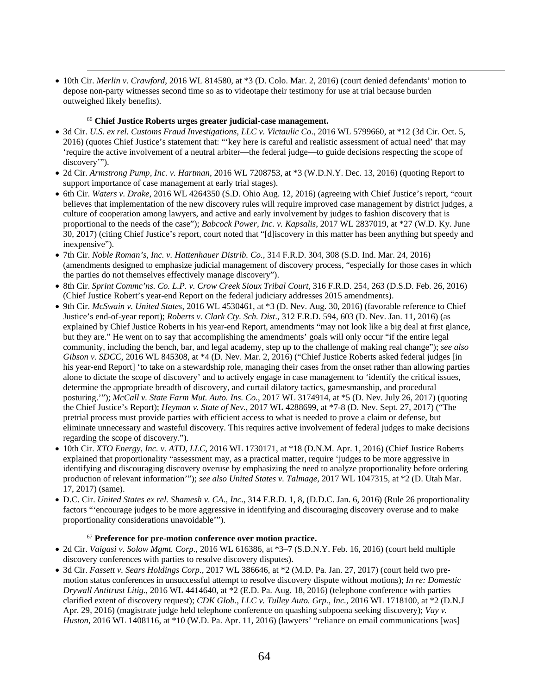• 10th Cir. *Merlin v. Crawford*, 2016 WL 814580, at \*3 (D. Colo. Mar. 2, 2016) (court denied defendants' motion to depose non-party witnesses second time so as to videotape their testimony for use at trial because burden outweighed likely benefits).

## <sup>66</sup> **Chief Justice Roberts urges greater judicial-case management.**

<u>.</u>

- 3d Cir. *U.S. ex rel. Customs Fraud Investigations, LLC v. Victaulic Co*., 2016 WL 5799660, at \*12 (3d Cir. Oct. 5, 2016) (quotes Chief Justice's statement that: "'key here is careful and realistic assessment of actual need' that may 'require the active involvement of a neutral arbiter—the federal judge—to guide decisions respecting the scope of discovery'").
- 2d Cir. *Armstrong Pump, Inc. v. Hartman*, 2016 WL 7208753, at \*3 (W.D.N.Y. Dec. 13, 2016) (quoting Report to support importance of case management at early trial stages).
- 6th Cir. *Waters v. Drake*, 2016 WL 4264350 (S.D. Ohio Aug. 12, 2016) (agreeing with Chief Justice's report, "court believes that implementation of the new discovery rules will require improved case management by district judges, a culture of cooperation among lawyers, and active and early involvement by judges to fashion discovery that is proportional to the needs of the case"); *Babcock Power, Inc. v. Kapsalis*, 2017 WL 2837019, at \*27 (W.D. Ky. June 30, 2017) (citing Chief Justice's report, court noted that "[d]iscovery in this matter has been anything but speedy and inexpensive").
- 7th Cir. *Noble Roman's, Inc. v. Hattenhauer Distrib. Co.*, 314 F.R.D. 304, 308 (S.D. Ind. Mar. 24, 2016) (amendments designed to emphasize judicial management of discovery process, "especially for those cases in which the parties do not themselves effectively manage discovery").
- 8th Cir. *Sprint Commc'ns. Co. L.P. v. Crow Creek Sioux Tribal Court*, 316 F.R.D. 254, 263 (D.S.D. Feb. 26, 2016) (Chief Justice Robert's year-end Report on the federal judiciary addresses 2015 amendments).
- 9th Cir. *McSwain v. United States*, 2016 WL 4530461, at \*3 (D. Nev. Aug. 30, 2016) (favorable reference to Chief Justice's end-of-year report); *Roberts v. Clark Cty. Sch. Dist*., 312 F.R.D. 594, 603 (D. Nev. Jan. 11, 2016) (as explained by Chief Justice Roberts in his year-end Report, amendments "may not look like a big deal at first glance, but they are." He went on to say that accomplishing the amendments' goals will only occur "if the entire legal community, including the bench, bar, and legal academy, step up to the challenge of making real change"); *see also Gibson v. SDCC*, 2016 WL 845308, at \*4 (D. Nev. Mar. 2, 2016) ("Chief Justice Roberts asked federal judges [in his year-end Report] 'to take on a stewardship role, managing their cases from the onset rather than allowing parties alone to dictate the scope of discovery' and to actively engage in case management to 'identify the critical issues, determine the appropriate breadth of discovery, and curtail dilatory tactics, gamesmanship, and procedural posturing.'"); *McCall v. State Farm Mut. Auto. Ins. Co.*, 2017 WL 3174914, at \*5 (D. Nev. July 26, 2017) (quoting the Chief Justice's Report); *Heyman v. State of Nev.*, 2017 WL 4288699, at \*7-8 (D. Nev. Sept. 27, 2017) ("The pretrial process must provide parties with efficient access to what is needed to prove a claim or defense, but eliminate unnecessary and wasteful discovery. This requires active involvement of federal judges to make decisions regarding the scope of discovery.").
- 10th Cir. *XTO Energy, Inc. v. ATD, LLC*, 2016 WL 1730171, at \*18 (D.N.M. Apr. 1, 2016) (Chief Justice Roberts explained that proportionality "assessment may, as a practical matter, require 'judges to be more aggressive in identifying and discouraging discovery overuse by emphasizing the need to analyze proportionality before ordering production of relevant information'"); *see also United States v. Talmage*, 2017 WL 1047315, at \*2 (D. Utah Mar. 17, 2017) (same).
- D.C. Cir. *United States ex rel. Shamesh v. CA., Inc*., 314 F.R.D. 1, 8, (D.D.C. Jan. 6, 2016) (Rule 26 proportionality factors "'encourage judges to be more aggressive in identifying and discouraging discovery overuse and to make proportionality considerations unavoidable'").

## <sup>67</sup> **Preference for pre-motion conference over motion practice.**

- 2d Cir. *Vaigasi v. Solow Mgmt. Corp*., 2016 WL 616386, at \*3–7 (S.D.N.Y. Feb. 16, 2016) (court held multiple discovery conferences with parties to resolve discovery disputes).
- 3d Cir. *Fassett v. Sears Holdings Corp.*, 2017 WL 386646, at \*2 (M.D. Pa. Jan. 27, 2017) (court held two premotion status conferences in unsuccessful attempt to resolve discovery dispute without motions); *In re: Domestic Drywall Antitrust Litig*., 2016 WL 4414640, at \*2 (E.D. Pa. Aug. 18, 2016) (telephone conference with parties clarified extent of discovery request); *CDK Glob., LLC v. Tulley Auto. Grp., Inc.*, 2016 WL 1718100, at \*2 (D.N.J Apr. 29, 2016) (magistrate judge held telephone conference on quashing subpoena seeking discovery); *Vay v. Huston*, 2016 WL 1408116, at \*10 (W.D. Pa. Apr. 11, 2016) (lawyers' "reliance on email communications [was]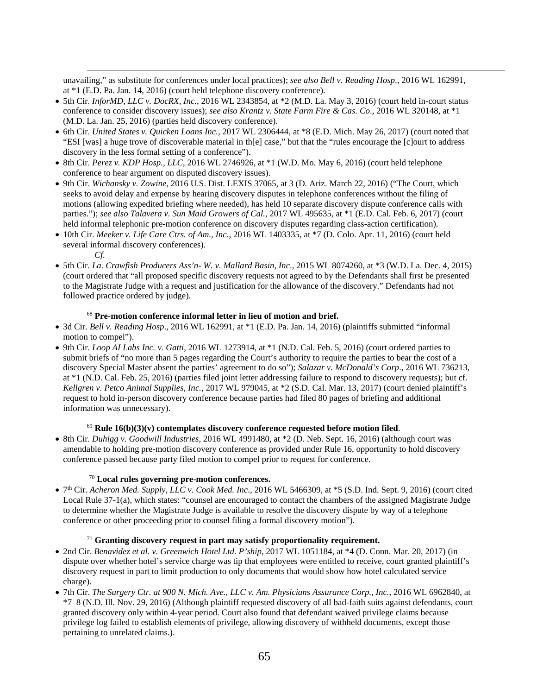unavailing," as substitute for conferences under local practices); *see also Bell v. Reading Hosp*., 2016 WL 162991, at \*1 (E.D. Pa. Jan. 14, 2016) (court held telephone discovery conference).

- 5th Cir. *InforMD, LLC v. DocRX, Inc.*, 2016 WL 2343854, at \*2 (M.D. La. May 3, 2016) (court held in-court status conference to consider discovery issues); *see also Krantz v. State Farm Fire & Cas. Co*., 2016 WL 320148, at \*1 (M.D. La. Jan. 25, 2016) (parties held discovery conference).
- 6th Cir. *United States v. Quicken Loans Inc.*, 2017 WL 2306444, at \*8 (E.D. Mich. May 26, 2017) (court noted that "ESI [was] a huge trove of discoverable material in th[e] case," but that the "rules encourage the [c]ourt to address discovery in the less formal setting of a conference").
- 8th Cir. *Perez v. KDP Hosp., LLC*, 2016 WL 2746926, at \*1 (W.D. Mo. May 6, 2016) (court held telephone conference to hear argument on disputed discovery issues).
- 9th Cir. *Wichansky v. Zowine*, 2016 U.S. Dist. LEXIS 37065, at 3 (D. Ariz. March 22, 2016) ("The Court, which seeks to avoid delay and expense by hearing discovery disputes in telephone conferences without the filing of motions (allowing expedited briefing where needed), has held 10 separate discovery dispute conference calls with parties."); *see also Talavera v. Sun Maid Growers of Cal.*, 2017 WL 495635, at \*1 (E.D. Cal. Feb. 6, 2017) (court held informal telephonic pre-motion conference on discovery disputes regarding class-action certification).
- 10th Cir. *Meeker v. Life Care Ctrs. of Am., Inc.*, 2016 WL 1403335, at \*7 (D. Colo. Apr. 11, 2016) (court held several informal discovery conferences).
	- *Cf.*

<u>.</u>

• 5th Cir. *La. Crawfish Producers Ass'n- W. v. Mallard Basin, Inc*., 2015 WL 8074260, at \*3 (W.D. La. Dec. 4, 2015) (court ordered that "all proposed specific discovery requests not agreed to by the Defendants shall first be presented to the Magistrate Judge with a request and justification for the allowance of the discovery." Defendants had not followed practice ordered by judge).

# <sup>68</sup> **Pre-motion conference informal letter in lieu of motion and brief.**

- 3d Cir. *Bell v. Reading Hosp*., 2016 WL 162991, at \*1 (E.D. Pa. Jan. 14, 2016) (plaintiffs submitted "informal motion to compel").
- 9th Cir. *Loop AI Labs Inc. v. Gatti*, 2016 WL 1273914, at \*1 (N.D. Cal. Feb. 5, 2016) (court ordered parties to submit briefs of "no more than 5 pages regarding the Court's authority to require the parties to bear the cost of a discovery Special Master absent the parties' agreement to do so"); *Salazar v. McDonald's Corp*., 2016 WL 736213, at \*1 (N.D. Cal. Feb. 25, 2016) (parties filed joint letter addressing failure to respond to discovery requests); but cf. *Kellgren v. Petco Animal Supplies, Inc.*, 2017 WL 979045, at \*2 (S.D. Cal. Mar. 13, 2017) (court denied plaintiff's request to hold in-person discovery conference because parties had filed 80 pages of briefing and additional information was unnecessary).

## $^{69}$  Rule 16(b)(3)(v) contemplates discovery conference requested before motion filed.

• 8th Cir. *Duhigg v. Goodwill Industries*, 2016 WL 4991480, at \*2 (D. Neb. Sept. 16, 2016) (although court was amendable to holding pre-motion discovery conference as provided under Rule 16, opportunity to hold discovery conference passed because party filed motion to compel prior to request for conference.

# <sup>70</sup> **Local rules governing pre-motion conferences.**

• 7th Cir. *Acheron Med. Supply, LLC v. Cook Med. Inc*., 2016 WL 5466309, at \*5 (S.D. Ind. Sept. 9, 2016) (court cited Local Rule 37-1(a), which states: "counsel are encouraged to contact the chambers of the assigned Magistrate Judge to determine whether the Magistrate Judge is available to resolve the discovery dispute by way of a telephone conference or other proceeding prior to counsel filing a formal discovery motion").

# <sup>71</sup> **Granting discovery request in part may satisfy proportionality requirement.**

- 2nd Cir. *Benavidez et al. v. Greenwich Hotel Ltd. P'ship*, 2017 WL 1051184, at \*4 (D. Conn. Mar. 20, 2017) (in dispute over whether hotel's service charge was tip that employees were entitled to receive, court granted plaintiff's discovery request in part to limit production to only documents that would show how hotel calculated service charge).
- 7th Cir. *The Surgery Ctr. at 900 N. Mich. Ave., LLC v. Am. Physicians Assurance Corp., Inc.*, 2016 WL 6962840, at \*7–8 (N.D. Ill. Nov. 29, 2016) (Although plaintiff requested discovery of all bad-faith suits against defendants, court granted discovery only within 4-year period. Court also found that defendant waived privilege claims because privilege log failed to establish elements of privilege, allowing discovery of withheld documents, except those pertaining to unrelated claims.).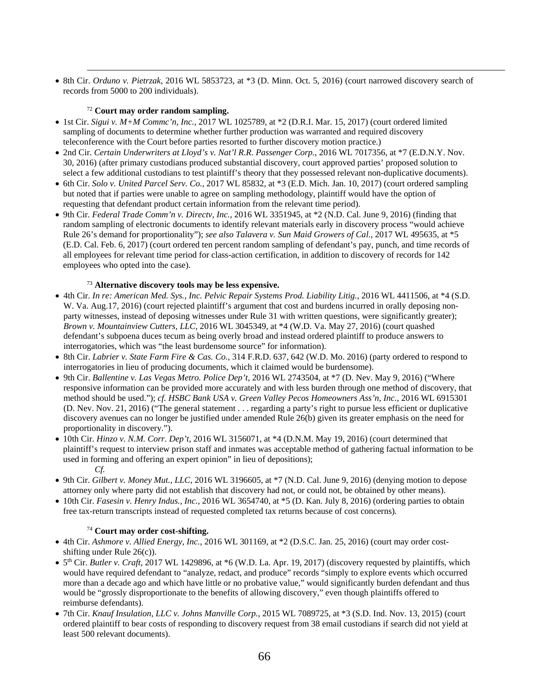• 8th Cir. *Orduno v. Pietrzak*, 2016 WL 5853723, at \*3 (D. Minn. Oct. 5, 2016) (court narrowed discovery search of records from 5000 to 200 individuals).

## <sup>72</sup> **Court may order random sampling.**

<u>.</u>

- 1st Cir. *Sigui v. M+M Commc'n, Inc.*, 2017 WL 1025789, at \*2 (D.R.I. Mar. 15, 2017) (court ordered limited sampling of documents to determine whether further production was warranted and required discovery teleconference with the Court before parties resorted to further discovery motion practice.)
- 2nd Cir. *Certain Underwriters at Lloyd's v. Nat'l R.R. Passenger Corp.*, 2016 WL 7017356, at \*7 (E.D.N.Y. Nov. 30, 2016) (after primary custodians produced substantial discovery, court approved parties' proposed solution to select a few additional custodians to test plaintiff's theory that they possessed relevant non-duplicative documents).
- 6th Cir. *Solo v. United Parcel Serv. Co.*, 2017 WL 85832, at \*3 (E.D. Mich. Jan. 10, 2017) (court ordered sampling but noted that if parties were unable to agree on sampling methodology, plaintiff would have the option of requesting that defendant product certain information from the relevant time period).
- 9th Cir. *Federal Trade Comm'n v. Directv, Inc.*, 2016 WL 3351945, at \*2 (N.D. Cal. June 9, 2016) (finding that random sampling of electronic documents to identify relevant materials early in discovery process "would achieve Rule 26's demand for proportionality"); *see also Talavera v. Sun Maid Growers of Cal.*, 2017 WL 495635, at \*5 (E.D. Cal. Feb. 6, 2017) (court ordered ten percent random sampling of defendant's pay, punch, and time records of all employees for relevant time period for class-action certification, in addition to discovery of records for 142 employees who opted into the case).

# <sup>73</sup> **Alternative discovery tools may be less expensive.**

- 4th Cir. *In re: American Med. Sys., Inc. Pelvic Repair Systems Prod. Liability Litig.*, 2016 WL 4411506, at \*4 (S.D. W. Va. Aug.17, 2016) (court rejected plaintiff's argument that cost and burdens incurred in orally deposing nonparty witnesses, instead of deposing witnesses under Rule 31 with written questions, were significantly greater); *Brown v. Mountainview Cutters, LLC*, 2016 WL 3045349, at \*4 (W.D. Va. May 27, 2016) (court quashed defendant's subpoena duces tecum as being overly broad and instead ordered plaintiff to produce answers to interrogatories, which was "the least burdensome source" for information).
- 8th Cir. *Labrier v. State Farm Fire & Cas. Co.*, 314 F.R.D. 637, 642 (W.D. Mo. 2016) (party ordered to respond to interrogatories in lieu of producing documents, which it claimed would be burdensome).
- 9th Cir. *Ballentine v. Las Vegas Metro. Police Dep't*, 2016 WL 2743504, at \*7 (D. Nev. May 9, 2016) ("Where responsive information can be provided more accurately and with less burden through one method of discovery, that method should be used."); *cf. HSBC Bank USA v. Green Valley Pecos Homeowners Ass'n, Inc.*, 2016 WL 6915301 (D. Nev. Nov. 21, 2016) ("The general statement . . . regarding a party's right to pursue less efficient or duplicative discovery avenues can no longer be justified under amended Rule 26(b) given its greater emphasis on the need for proportionality in discovery.").
- 10th Cir. *Hinzo v. N.M. Corr. Dep't*, 2016 WL 3156071, at \*4 (D.N.M. May 19, 2016) (court determined that plaintiff's request to interview prison staff and inmates was acceptable method of gathering factual information to be used in forming and offering an expert opinion" in lieu of depositions); *Cf.*
- 9th Cir. *Gilbert v. Money Mut., LLC*, 2016 WL 3196605, at \*7 (N.D. Cal. June 9, 2016) (denying motion to depose attorney only where party did not establish that discovery had not, or could not, be obtained by other means).
- 10th Cir. *Fasesin v. Henry Indus., Inc.*, 2016 WL 3654740, at \*5 (D. Kan. July 8, 2016) (ordering parties to obtain free tax-return transcripts instead of requested completed tax returns because of cost concerns)*.*

#### <sup>74</sup> **Court may order cost-shifting.**

- 4th Cir. *Ashmore v. Allied Energy, Inc.*, 2016 WL 301169, at \*2 (D.S.C. Jan. 25, 2016) (court may order costshifting under Rule 26(c)).
- $\bullet$  5<sup>th</sup> Cir. *Butler v. Craft*, 2017 WL 1429896, at \*6 (W.D. La. Apr. 19, 2017) (discovery requested by plaintiffs, which would have required defendant to "analyze, redact, and produce" records "simply to explore events which occurred more than a decade ago and which have little or no probative value," would significantly burden defendant and thus would be "grossly disproportionate to the benefits of allowing discovery," even though plaintiffs offered to reimburse defendants).
- 7th Cir. *Knauf Insulation, LLC v. Johns Manville Corp.*, 2015 WL 7089725, at \*3 (S.D. Ind. Nov. 13, 2015) (court ordered plaintiff to bear costs of responding to discovery request from 38 email custodians if search did not yield at least 500 relevant documents).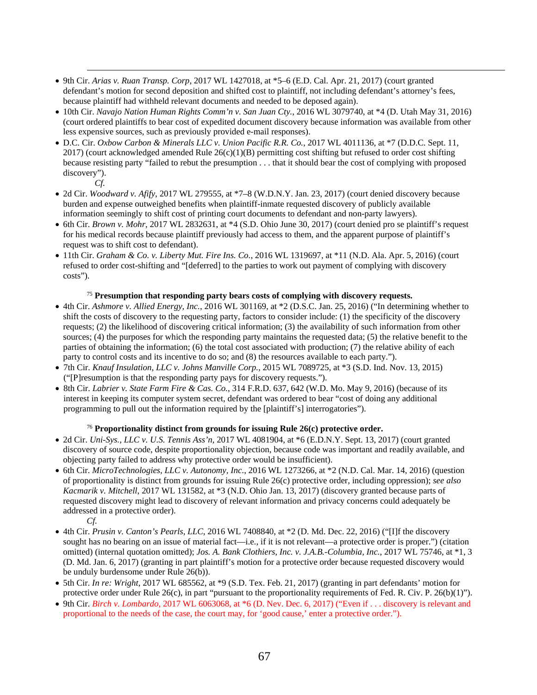- 9th Cir. *Arias v. Ruan Transp. Corp*, 2017 WL 1427018, at \*5–6 (E.D. Cal. Apr. 21, 2017) (court granted defendant's motion for second deposition and shifted cost to plaintiff, not including defendant's attorney's fees, because plaintiff had withheld relevant documents and needed to be deposed again).
- 10th Cir. *Navajo Nation Human Rights Comm'n v. San Juan Cty.*, 2016 WL 3079740, at \*4 (D. Utah May 31, 2016) (court ordered plaintiffs to bear cost of expedited document discovery because information was available from other less expensive sources, such as previously provided e-mail responses).
- D.C. Cir. *Oxbow Carbon & Minerals LLC v. Union Pacific R.R. Co.*, 2017 WL 4011136, at \*7 (D.D.C. Sept. 11, 2017) (court acknowledged amended Rule 26(c)(1)(B) permitting cost shifting but refused to order cost shifting because resisting party "failed to rebut the presumption . . . that it should bear the cost of complying with proposed discovery").
	- *Cf.*

<u>.</u>

- 2d Cir. *Woodward v. Afify*, 2017 WL 279555, at \*7–8 (W.D.N.Y. Jan. 23, 2017) (court denied discovery because burden and expense outweighed benefits when plaintiff-inmate requested discovery of publicly available information seemingly to shift cost of printing court documents to defendant and non-party lawyers).
- 6th Cir. *Brown v. Mohr*, 2017 WL 2832631, at \*4 (S.D. Ohio June 30, 2017) (court denied pro se plaintiff's request for his medical records because plaintiff previously had access to them, and the apparent purpose of plaintiff's request was to shift cost to defendant).
- 11th Cir. *Graham & Co. v. Liberty Mut. Fire Ins. Co.*, 2016 WL 1319697, at \*11 (N.D. Ala. Apr. 5, 2016) (court refused to order cost-shifting and "[deferred] to the parties to work out payment of complying with discovery costs").

# <sup>75</sup> **Presumption that responding party bears costs of complying with discovery requests.**

- 4th Cir. *Ashmore v. Allied Energy, Inc.*, 2016 WL 301169, at \*2 (D.S.C. Jan. 25, 2016) ("In determining whether to shift the costs of discovery to the requesting party, factors to consider include: (1) the specificity of the discovery requests; (2) the likelihood of discovering critical information; (3) the availability of such information from other sources; (4) the purposes for which the responding party maintains the requested data; (5) the relative benefit to the parties of obtaining the information; (6) the total cost associated with production; (7) the relative ability of each party to control costs and its incentive to do so; and (8) the resources available to each party.").
- 7th Cir. *Knauf Insulation, LLC v. Johns Manville Corp.*, 2015 WL 7089725, at \*3 (S.D. Ind. Nov. 13, 2015) ("[P]resumption is that the responding party pays for discovery requests.").
- 8th Cir. *Labrier v. State Farm Fire & Cas. Co.*, 314 F.R.D. 637, 642 (W.D. Mo. May 9, 2016) (because of its interest in keeping its computer system secret, defendant was ordered to bear "cost of doing any additional programming to pull out the information required by the [plaintiff's] interrogatories").

## <sup>76</sup> **Proportionality distinct from grounds for issuing Rule 26(c) protective order.**

- 2d Cir. *Uni-Sys., LLC v. U.S. Tennis Ass'n*, 2017 WL 4081904, at \*6 (E.D.N.Y. Sept. 13, 2017) (court granted discovery of source code, despite proportionality objection, because code was important and readily available, and objecting party failed to address why protective order would be insufficient).
- 6th Cir. *MicroTechnologies, LLC v. Autonomy, Inc*., 2016 WL 1273266, at \*2 (N.D. Cal. Mar. 14, 2016) (question of proportionality is distinct from grounds for issuing Rule 26(c) protective order, including oppression); *see also Kacmarik v. Mitchell*, 2017 WL 131582, at \*3 (N.D. Ohio Jan. 13, 2017) (discovery granted because parts of requested discovery might lead to discovery of relevant information and privacy concerns could adequately be addressed in a protective order). *Cf.*
- 4th Cir. *Prusin v. Canton's Pearls, LLC*, 2016 WL 7408840, at \*2 (D. Md. Dec. 22, 2016) ("[I]f the discovery sought has no bearing on an issue of material fact—i.e., if it is not relevant—a protective order is proper.") (citation omitted) (internal quotation omitted); *Jos. A. Bank Clothiers, Inc. v. J.A.B.-Columbia, Inc.*, 2017 WL 75746, at \*1, 3 (D. Md. Jan. 6, 2017) (granting in part plaintiff's motion for a protective order because requested discovery would be unduly burdensome under Rule 26(b)).
- 5th Cir. *In re: Wright*, 2017 WL 685562, at \*9 (S.D. Tex. Feb. 21, 2017) (granting in part defendants' motion for protective order under Rule 26(c), in part "pursuant to the proportionality requirements of Fed. R. Civ. P. 26(b)(1)").
- 9th Cir. *Birch v. Lombardo*, 2017 WL 6063068, at \*6 (D. Nev. Dec. 6, 2017) ("Even if . . . discovery is relevant and proportional to the needs of the case, the court may, for 'good cause,' enter a protective order.").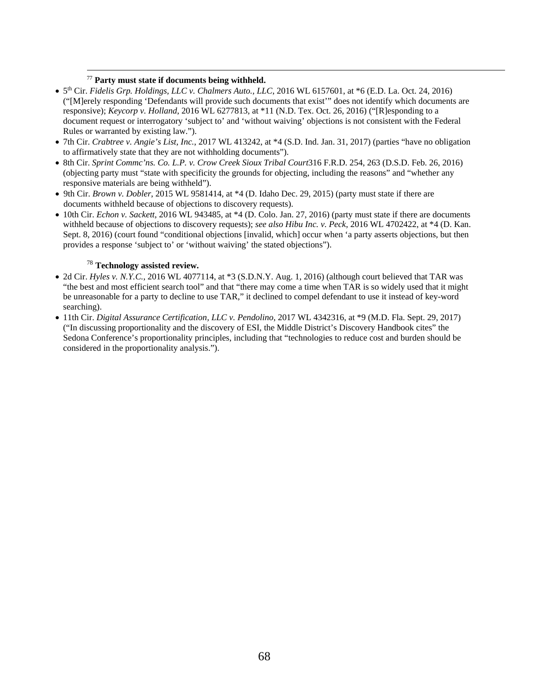# <sup>77</sup> **Party must state if documents being withheld.**

<u>.</u>

- 5th Cir. *Fidelis Grp. Holdings, LLC v. Chalmers Auto., LLC*, 2016 WL 6157601, at \*6 (E.D. La. Oct. 24, 2016) ("[M]erely responding 'Defendants will provide such documents that exist'" does not identify which documents are responsive); *Keycorp v. Holland*, 2016 WL 6277813, at \*11 (N.D. Tex. Oct. 26, 2016) ("[R]esponding to a document request or interrogatory 'subject to' and 'without waiving' objections is not consistent with the Federal Rules or warranted by existing law.").
- 7th Cir. *Crabtree v. Angie's List, Inc.*, 2017 WL 413242, at \*4 (S.D. Ind. Jan. 31, 2017) (parties "have no obligation to affirmatively state that they are not withholding documents").
- 8th Cir. *Sprint Commc'ns. Co. L.P. v. Crow Creek Sioux Tribal Court*316 F.R.D. 254, 263 (D.S.D. Feb. 26, 2016) (objecting party must "state with specificity the grounds for objecting, including the reasons" and "whether any responsive materials are being withheld").
- 9th Cir. *Brown v. Dobler*, 2015 WL 9581414, at \*4 (D. Idaho Dec. 29, 2015) (party must state if there are documents withheld because of objections to discovery requests).
- 10th Cir. *Echon v. Sackett*, 2016 WL 943485, at \*4 (D. Colo. Jan. 27, 2016) (party must state if there are documents withheld because of objections to discovery requests); *see also Hibu Inc. v. Peck*, 2016 WL 4702422, at \*4 (D. Kan. Sept. 8, 2016) (court found "conditional objections [invalid, which] occur when 'a party asserts objections, but then provides a response 'subject to' or 'without waiving' the stated objections").

# <sup>78</sup> **Technology assisted review.**

- 2d Cir. *Hyles v. N.Y.C.*, 2016 WL 4077114, at \*3 (S.D.N.Y. Aug. 1, 2016) (although court believed that TAR was "the best and most efficient search tool" and that "there may come a time when TAR is so widely used that it might be unreasonable for a party to decline to use TAR," it declined to compel defendant to use it instead of key-word searching).
- 11th Cir. *Digital Assurance Certification, LLC v. Pendolino*, 2017 WL 4342316, at \*9 (M.D. Fla. Sept. 29, 2017) ("In discussing proportionality and the discovery of ESI, the Middle District's Discovery Handbook cites" the Sedona Conference's proportionality principles, including that "technologies to reduce cost and burden should be considered in the proportionality analysis.").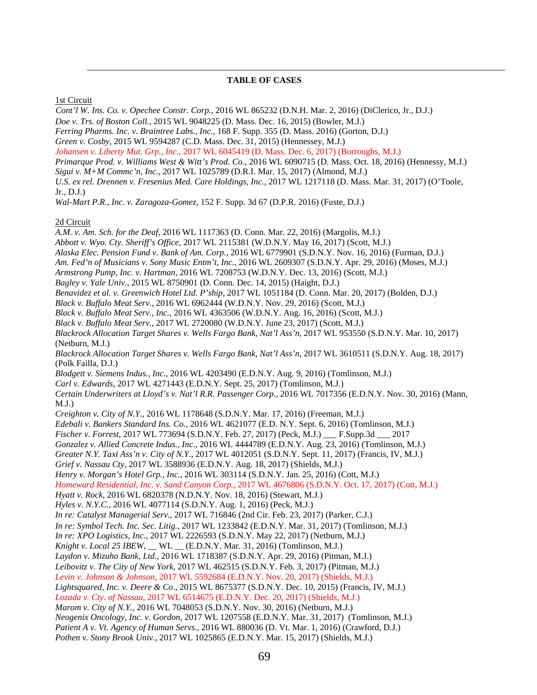## **TABLE OF CASES**

1st Circuit

<u>.</u>

*Cont'l W. Ins. Co. v. Opechee Constr. Corp.*, 2016 WL 865232 (D.N.H. Mar. 2, 2016) (DiClerico, Jr., D.J.)

*Doe v. Trs. of Boston Coll.*, 2015 WL 9048225 (D. Mass. Dec. 16, 2015) (Bowler, M.J.)

*Ferring Pharms. Inc. v. Braintree Labs., Inc.*, 168 F. Supp. 355 (D. Mass. 2016) (Gorton, D.J.)

*Green v. Cosby*, 2015 WL 9594287 (C.D. Mass. Dec. 31, 2015) (Hennessey, M.J.)

*Johansen v. Liberty Mut. Grp., Inc.*, 2017 WL 6045419 (D. Mass. Dec. 6, 2017) (Borroughs, M.J.)

*Primarque Prod. v. Williams West & Witt's Prod. Co.*, 2016 WL 6090715 (D. Mass. Oct. 18, 2016) (Hennessy, M.J.)

*Sigui v. M+M Commc'n, Inc.*, 2017 WL 1025789 (D.R.I. Mar. 15, 2017) (Almond, M.J.)

*U.S. ex rel. Drennen v. Fresenius Med. Care Holdings, Inc.*, 2017 WL 1217118 (D. Mass. Mar. 31, 2017) (O'Toole, Jr., D.J.)

*Wal-Mart P.R., Inc. v. Zaragoza-Gomez*, 152 F. Supp. 3d 67 (D.P.R. 2016) (Fuste, D.J.)

2d Circuit

*A.M. v. Am. Sch. for the Deaf*, 2016 WL 1117363 (D. Conn. Mar. 22, 2016) (Margolis, M.J.) *Abbott v. Wyo. Cty. Sheriff's Office*, 2017 WL 2115381 (W.D.N.Y. May 16, 2017) (Scott, M.J.) *Alaska Elec. Pension Fund v. Bank of Am. Corp.*, 2016 WL 6779901 (S.D.N.Y. Nov. 16, 2016) (Furman, D.J.) *Am. Fed'n of Musicians v. Sony Music Entm't, Inc.*, 2016 WL 2609307 (S.D.N.Y. Apr. 29, 2016) (Moses, M.J.) *Armstrong Pump, Inc. v. Hartman*, 2016 WL 7208753 (W.D.N.Y. Dec. 13, 2016) (Scott, M.J.) *Bagley v. Yale Univ.*, 2015 WL 8750901 (D. Conn. Dec. 14, 2015) (Haight, D.J.) *Benavidez et al. v. Greenwich Hotel Ltd. P'ship*, 2017 WL 1051184 (D. Conn. Mar. 20, 2017) (Bolden, D.J.) *Black v. Buffalo Meat Serv.*, 2016 WL 6962444 (W.D.N.Y. Nov. 29, 2016) (Scott, M.J.) *Black v. Buffalo Meat Serv., Inc.*, 2016 WL 4363506 (W.D.N.Y. Aug. 16, 2016) (Scott, M.J.) *Black v. Buffalo Meat Serv.*, 2017 WL 2720080 (W.D.N.Y. June 23, 2017) (Scott, M.J.) *Blackrock Allocation Target Shares v. Wells Fargo Bank, Nat'l Ass'n*, 2017 WL 953550 (S.D.N.Y. Mar. 10, 2017) (Netburn, M.J.) *Blackrock Allocation Target Shares v. Wells Fargo Bank, Nat'l Ass'n*, 2017 WL 3610511 (S.D.N.Y. Aug. 18, 2017) (Polk Failla, D.J.) *Blodgett v. Siemens Indus., Inc.*, 2016 WL 4203490 (E.D.N.Y. Aug. 9, 2016) (Tomlinson, M.J.) *Carl v. Edwards*, 2017 WL 4271443 (E.D.N.Y. Sept. 25, 2017) (Tomlinson, M.J.) *Certain Underwriters at Lloyd's v. Nat'l R.R. Passenger Corp.*, 2016 WL 7017356 (E.D.N.Y. Nov. 30, 2016) (Mann,  $M.J.$ ) *Creighton v. City of N.Y*., 2016 WL 1178648 (S.D.N.Y. Mar. 17, 2016) (Freeman, M.J.) *Edebali v. Bankers Standard Ins. Co.*, 2016 WL 4621077 (E.D. N.Y. Sept. 6, 2016) (Tomlinson, M.J.) *Fischer v. Forrest*, 2017 WL 773694 (S.D.N.Y. Feb. 27, 2017) (Peck, M.J.) \_\_\_ F.Supp.3d \_\_\_ 2017 *Gonzalez v. Allied Concrete Indus., Inc*., 2016 WL 4444789 (E.D.N.Y. Aug. 23, 2016) (Tomlinson, M.J.) *Greater N.Y. Taxi Ass'n v. City of N.Y.*, 2017 WL 4012051 (S.D.N.Y. Sept. 11, 2017) (Francis, IV, M.J.) *Grief v. Nassau Cty*, 2017 WL 3588936 (E.D.N.Y. Aug. 18, 2017) (Shields, M.J.) *Henry v. Morgan's Hotel Grp., Inc.*, 2016 WL 303114 (S.D.N.Y. Jan. 25, 2016) (Cott, M.J.) *Homeward Residential, Inc. v. Sand Canyon Corp.*, 2017 WL 4676806 (S.D.N.Y. Oct. 17, 2017) (Cott, M.J.) *Hyatt v. Rock*, 2016 WL 6820378 (N.D.N.Y. Nov. 18, 2016) (Stewart, M.J.) *Hyles v. N.Y.C.*, 2016 WL 4077114 (S.D.N.Y. Aug. 1, 2016) (Peck, M.J.) *In re: Catalyst Managerial Serv.*, 2017 WL 716846 (2nd Cir. Feb. 23, 2017) (Parker, C.J.) *In re: Symbol Tech. Inc. Sec. Litig.*, 2017 WL 1233842 (E.D.N.Y. Mar. 31, 2017) (Tomlinson, M.J.) *In re: XPO Logistics, Inc.*, 2017 WL 2226593 (S.D.N.Y. May 22, 2017) (Netburn, M.J.) *Knight v. Local 25 IBEW*, \_\_ WL \_\_ (E.D.N.Y. Mar. 31, 2016) (Tomlinson, M.J.) *Laydon v. Mizuho Bank, Ltd*., 2016 WL 1718387 (S.D.N.Y. Apr. 29, 2016) (Pitman, M.J.) *Leibovitz v. The City of New York*, 2017 WL 462515 (S.D.N.Y. Feb. 3, 2017) (Pitman, M.J.) *Levin v. Johnson & Johnson*, 2017 WL 5592684 (E.D.N.Y. Nov. 20, 2017) (Shields, M.J.) *Lightsquared, Inc. v. Deere & Co*., 2015 WL 8675377 (S.D.N.Y. Dec. 10, 2015) (Francis, IV, M.J.) *Lozada v. Cty. of Nassau*, 2017 WL 6514675 (E.D.N.Y. Dec. 20, 2017) (Shields, M.J.) *Marom v. City of N.Y.*, 2016 WL 7048053 (S.D.N.Y. Nov. 30, 2016) (Netburn, M.J.) *Neogenix Oncology, Inc. v. Gordon*, 2017 WL 1207558 (E.D.N.Y. Mar. 31, 2017) (Tomlinson, M.J.) *Patient A v. Vt. Agency of Human Servs.*, 2016 WL 880036 (D. Vt. Mar. 1, 2016) (Crawford, D.J.) *Pothen v. Stony Brook Univ.*, 2017 WL 1025865 (E.D.N.Y. Mar. 15, 2017) (Shields, M.J.)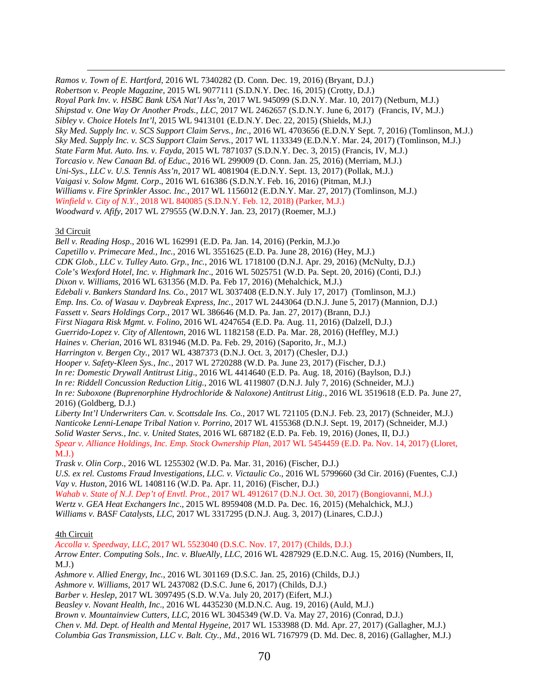<u>.</u> *Ramos v. Town of E. Hartford*, 2016 WL 7340282 (D. Conn. Dec. 19, 2016) (Bryant, D.J.) *Robertson v. People Magazine*, 2015 WL 9077111 (S.D.N.Y. Dec. 16, 2015) (Crotty, D.J.) *Royal Park Inv. v. HSBC Bank USA Nat'l Ass'n*, 2017 WL 945099 (S.D.N.Y. Mar. 10, 2017) (Netburn, M.J.) *Shipstad v. One Way Or Another Prods., LLC*, 2017 WL 2462657 (S.D.N.Y. June 6, 2017) (Francis, IV, M.J.) *Sibley v. Choice Hotels Int'l*, 2015 WL 9413101 (E.D.N.Y. Dec. 22, 2015) (Shields, M.J.) *Sky Med. Supply Inc. v. SCS Support Claim Servs., Inc*., 2016 WL 4703656 (E.D.N.Y Sept. 7, 2016) (Tomlinson, M.J.) *Sky Med. Supply Inc. v. SCS Support Claim Servs.*, 2017 WL 1133349 (E.D.N.Y. Mar. 24, 2017) (Tomlinson, M.J.) *State Farm Mut. Auto. Ins. v. Fayda*, 2015 WL 7871037 (S.D.N.Y. Dec. 3, 2015) (Francis, IV, M.J.) *Torcasio v. New Canaan Bd. of Educ*., 2016 WL 299009 (D. Conn. Jan. 25, 2016) (Merriam, M.J.) *Uni-Sys., LLC v. U.S. Tennis Ass'n*, 2017 WL 4081904 (E.D.N.Y. Sept. 13, 2017) (Pollak, M.J.) *Vaigasi v. Solow Mgmt. Corp*., 2016 WL 616386 (S.D.N.Y. Feb. 16, 2016) (Pitman, M.J.) *Williams v. Fire Sprinkler Assoc. Inc.*, 2017 WL 1156012 (E.D.N.Y. Mar. 27, 2017) (Tomlinson, M.J.) *Winfield v. City of N.Y.*, 2018 WL 840085 (S.D.N.Y. Feb. 12, 2018) (Parker, M.J.) *Woodward v. Afify*, 2017 WL 279555 (W.D.N.Y. Jan. 23, 2017) (Roemer, M.J.)

## 3d Circuit

*Bell v. Reading Hosp*., 2016 WL 162991 (E.D. Pa. Jan. 14, 2016) (Perkin, M.J.)o *Capetillo v. Primecare Med., Inc.*, 2016 WL 3551625 (E.D. Pa. June 28, 2016) (Hey, M.J.) *CDK Glob., LLC v. Tulley Auto. Grp., Inc.*, 2016 WL 1718100 (D.N.J. Apr. 29, 2016) (McNulty, D.J.) *Cole's Wexford Hotel, Inc. v. Highmark Inc*., 2016 WL 5025751 (W.D. Pa. Sept. 20, 2016) (Conti, D.J.) *Dixon v. Williams*, 2016 WL 631356 (M.D. Pa. Feb 17, 2016) (Mehalchick, M.J.) *Edebali v. Bankers Standard Ins. Co.*, 2017 WL 3037408 (E.D.N.Y. July 17, 2017) (Tomlinson, M.J.) *Emp. Ins. Co. of Wasau v. Daybreak Express, Inc.*, 2017 WL 2443064 (D.N.J. June 5, 2017) (Mannion, D.J.) *Fassett v. Sears Holdings Corp.*, 2017 WL 386646 (M.D. Pa. Jan. 27, 2017) (Brann, D.J.) *First Niagara Risk Mgmt. v. Folino*, 2016 WL 4247654 (E.D. Pa. Aug. 11, 2016) (Dalzell, D.J.) *Guerrido-Lopez v. City of Allentown*, 2016 WL 1182158 (E.D. Pa. Mar. 28, 2016) (Heffley, M.J.) *Haines v. Cherian*, 2016 WL 831946 (M.D. Pa. Feb. 29, 2016) (Saporito, Jr., M.J.) *Harrington v. Bergen Cty.*, 2017 WL 4387373 (D.N.J. Oct. 3, 2017) (Chesler, D.J.) *Hooper v. Safety-Kleen Sys., Inc.*, 2017 WL 2720288 (W.D. Pa. June 23, 2017) (Fischer, D.J.) *In re: Domestic Drywall Antitrust Litig*., 2016 WL 4414640 (E.D. Pa. Aug. 18, 2016) (Baylson, D.J.) *In re: Riddell Concussion Reduction Litig.*, 2016 WL 4119807 (D.N.J. July 7, 2016) (Schneider, M.J.) *In re: Suboxone (Buprenorphine Hydrochloride & Naloxone) Antitrust Litig.*, 2016 WL 3519618 (E.D. Pa. June 27, 2016) (Goldberg, D.J.) *Liberty Int'l Underwriters Can. v. Scottsdale Ins. Co.*, 2017 WL 721105 (D.N.J. Feb. 23, 2017) (Schneider, M.J.) *Nanticoke Lenni-Lenape Tribal Nation v. Porrino*, 2017 WL 4155368 (D.N.J. Sept. 19, 2017) (Schneider, M.J.) *Solid Waster Servs., Inc. v. United States*, 2016 WL 687182 (E.D. Pa. Feb. 19, 2016) (Jones, II, D.J.) *Spear v. Alliance Holdings, Inc. Emp. Stock Ownership Plan*, 2017 WL 5454459 (E.D. Pa. Nov. 14, 2017) (Lloret, M.J.) *Trask v. Olin Corp*., 2016 WL 1255302 (W.D. Pa. Mar. 31, 2016) (Fischer, D.J.) *U.S. ex rel. Customs Fraud Investigations, LLC. v. Victaulic Co*., 2016 WL 5799660 (3d Cir. 2016) (Fuentes, C.J.) *Vay v. Huston*, 2016 WL 1408116 (W.D. Pa. Apr. 11, 2016) (Fischer, D.J.) *Wahab v. State of N.J. Dep't of Envtl. Prot.*, 2017 WL 4912617 (D.N.J. Oct. 30, 2017) (Bongiovanni, M.J.) *Wertz v. GEA Heat Exchangers Inc*., 2015 WL 8959408 (M.D. Pa. Dec. 16, 2015) (Mehalchick, M.J.) *Williams v. BASF Catalysts, LLC*, 2017 WL 3317295 (D.N.J. Aug. 3, 2017) (Linares, C.D.J.)

## 4th Circuit

*Accolla v. Speedway, LLC*, 2017 WL 5523040 (D.S.C. Nov. 17, 2017) (Childs, D.J.) *Arrow Enter. Computing Sols., Inc. v. BlueAlly*, *LLC*, 2016 WL 4287929 (E.D.N.C. Aug. 15, 2016) (Numbers, II,  $M.J.$ ) *Ashmore v. Allied Energy, Inc.*, 2016 WL 301169 (D.S.C. Jan. 25, 2016) (Childs, D.J.) *Ashmore v. Williams*, 2017 WL 2437082 (D.S.C. June 6, 2017) (Childs, D.J.) *Barber v. Heslep*, 2017 WL 3097495 (S.D. W.Va. July 20, 2017) (Eifert, M.J.) *Beasley v. Novant Health, Inc*., 2016 WL 4435230 (M.D.N.C. Aug. 19, 2016) (Auld, M.J.) *Brown v. Mountainview Cutters, LLC*, 2016 WL 3045349 (W.D. Va. May 27, 2016) (Conrad, D.J.) *Chen v. Md. Dept. of Health and Mental Hygeine*, 2017 WL 1533988 (D. Md. Apr. 27, 2017) (Gallagher, M.J.) *Columbia Gas Transmission, LLC v. Balt. Cty., Md.*, 2016 WL 7167979 (D. Md. Dec. 8, 2016) (Gallagher, M.J.)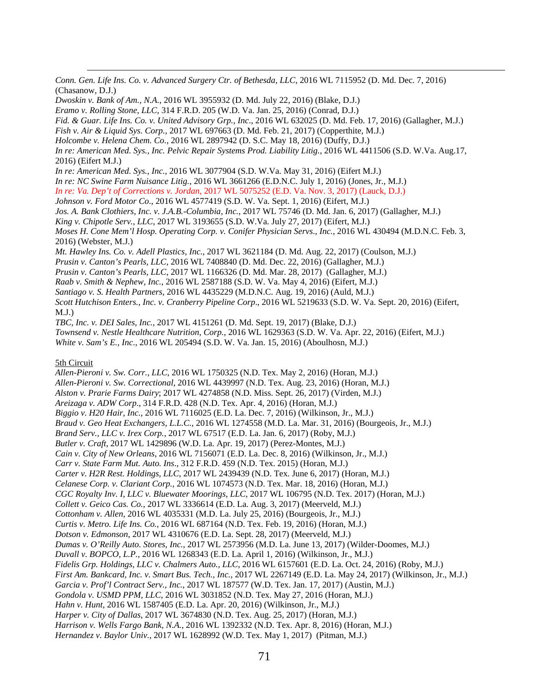*Conn. Gen. Life Ins. Co. v. Advanced Surgery Ctr. of Bethesda, LLC*, 2016 WL 7115952 (D. Md. Dec. 7, 2016) (Chasanow, D.J.)

*Dwoskin v. Bank of Am., N.A.*, 2016 WL 3955932 (D. Md. July 22, 2016) (Blake, D.J.)

*Eramo v. Rolling Stone, LLC*, 314 F.R.D. 205 (W.D. Va. Jan. 25, 2016) (Conrad, D.J.)

*Fid. & Guar. Life Ins. Co. v. United Advisory Grp., Inc*., 2016 WL 632025 (D. Md. Feb. 17, 2016) (Gallagher, M.J.)

- *Fish v. Air & Liquid Sys. Corp.*, 2017 WL 697663 (D. Md. Feb. 21, 2017) (Copperthite, M.J.)
- *Holcombe v. Helena Chem. Co.*, 2016 WL 2897942 (D. S.C. May 18, 2016) (Duffy, D.J.)

*In re: American Med. Sys., Inc. Pelvic Repair Systems Prod. Liability Litig.*, 2016 WL 4411506 (S.D. W.Va. Aug.17, 2016) (Eifert M.J.)

*In re: American Med. Sys., Inc.*, 2016 WL 3077904 (S.D. W.Va. May 31, 2016) (Eifert M.J.)

*In re: NC Swine Farm Nuisance Litig.*, 2016 WL 3661266 (E.D.N.C. July 1, 2016) (Jones, Jr., M.J.)

*In re: Va. Dep't of Corrections v. Jordan*, 2017 WL 5075252 (E.D. Va. Nov. 3, 2017) (Lauck, D.J.)

*Johnson v. Ford Motor Co*., 2016 WL 4577419 (S.D. W. Va. Sept. 1, 2016) (Eifert, M.J.)

*Jos. A. Bank Clothiers, Inc. v. J.A.B.-Columbia, Inc.*, 2017 WL 75746 (D. Md. Jan. 6, 2017) (Gallagher, M.J.)

*King v. Chipotle Serv., LLC*, 2017 WL 3193655 (S.D. W.Va. July 27, 2017) (Eifert, M.J.)

*Moses H. Cone Mem'l Hosp. Operating Corp. v. Conifer Physician Servs*.*, Inc.*, 2016 WL 430494 (M.D.N.C. Feb. 3, 2016) (Webster, M.J.)

*Mt. Hawley Ins. Co. v. Adell Plastics, Inc.*, 2017 WL 3621184 (D. Md. Aug. 22, 2017) (Coulson, M.J.)

*Prusin v. Canton's Pearls, LLC*, 2016 WL 7408840 (D. Md. Dec. 22, 2016) (Gallagher, M.J.)

*Prusin v. Canton's Pearls, LLC*, 2017 WL 1166326 (D. Md. Mar. 28, 2017) (Gallagher, M.J.)

*Raab v. Smith & Nephew, Inc.*, 2016 WL 2587188 (S.D. W. Va. May 4, 2016) (Eifert, M.J.)

*Santiago v. S. Health Partners*, 2016 WL 4435229 (M.D.N.C. Aug. 19, 2016) (Auld, M.J.)

*Scott Hutchison Enters., Inc. v. Cranberry Pipeline Corp*., 2016 WL 5219633 (S.D. W. Va. Sept. 20, 2016) (Eifert,  $M.J.$ )

*TBC, Inc. v. DEI Sales, Inc.*, 2017 WL 4151261 (D. Md. Sept. 19, 2017) (Blake, D.J.)

*Townsend v. Nestle Healthcare Nutrition, Corp.*, 2016 WL 1629363 (S.D. W. Va. Apr. 22, 2016) (Eifert, M.J.)

*White v. Sam's E., Inc*., 2016 WL 205494 (S.D. W. Va. Jan. 15, 2016) (Aboulhosn, M.J.)

## 5th Circuit

<u>.</u>

*Allen-Pieroni v. Sw. Corr., LLC*, 2016 WL 1750325 (N.D. Tex. May 2, 2016) (Horan, M.J.) *Allen-Pieroni v. Sw. Correctional*, 2016 WL 4439997 (N.D. Tex. Aug. 23, 2016) (Horan, M.J.) *Alston v. Prarie Farms Dairy*; 2017 WL 4274858 (N.D. Miss. Sept. 26, 2017) (Virden, M.J.) *Areizaga v. ADW Corp*., 314 F.R.D. 428 (N.D. Tex. Apr. 4, 2016) (Horan, M.J.) *Biggio v. H20 Hair, Inc.*, 2016 WL 7116025 (E.D. La. Dec. 7, 2016) (Wilkinson, Jr., M.J.) *Braud v. Geo Heat Exchangers, L.L.C.*, 2016 WL 1274558 (M.D. La. Mar. 31, 2016) (Bourgeois, Jr., M.J.) *Brand Serv., LLC v. Irex Corp.*, 2017 WL 67517 (E.D. La. Jan. 6, 2017) (Roby, M.J.) *Butler v. Craft*, 2017 WL 1429896 (W.D. La. Apr. 19, 2017) (Perez-Montes, M.J.) *Cain v. City of New Orleans*, 2016 WL 7156071 (E.D. La. Dec. 8, 2016) (Wilkinson, Jr., M.J.) *Carr v. State Farm Mut. Auto. Ins*., 312 F.R.D. 459 (N.D. Tex. 2015) (Horan, M.J.) *Carter v. H2R Rest. Holdings, LLC*, 2017 WL 2439439 (N.D. Tex. June 6, 2017) (Horan, M.J.) *Celanese Corp. v. Clariant Corp.*, 2016 WL 1074573 (N.D. Tex. Mar. 18, 2016) (Horan, M.J.) *CGC Royalty Inv. I, LLC v. Bluewater Moorings, LLC*, 2017 WL 106795 (N.D. Tex. 2017) (Horan, M.J.) *Collett v. Geico Cas. Co.*, 2017 WL 3336614 (E.D. La. Aug. 3, 2017) (Meerveld, M.J.) *Cottonham v. Allen*, 2016 WL 4035331 (M.D. La. July 25, 2016) (Bourgeois, Jr., M.J.) *Curtis v. Metro. Life Ins. Co.*, 2016 WL 687164 (N.D. Tex. Feb. 19, 2016) (Horan, M.J.) *Dotson v. Edmonson*, 2017 WL 4310676 (E.D. La. Sept. 28, 2017) (Meerveld, M.J.) *Dumas v. O'Reilly Auto. Stores, Inc.*, 2017 WL 2573956 (M.D. La. June 13, 2017) (Wilder-Doomes, M.J.) *Duvall v. BOPCO, L.P.*, 2016 WL 1268343 (E.D. La. April 1, 2016) (Wilkinson, Jr., M.J.) *Fidelis Grp. Holdings, LLC v. Chalmers Auto., LLC*, 2016 WL 6157601 (E.D. La. Oct. 24, 2016) (Roby, M.J.) *First Am. Bankcard, Inc. v. Smart Bus. Tech., Inc.*, 2017 WL 2267149 (E.D. La. May 24, 2017) (Wilkinson, Jr., M.J.) *Garcia v. Prof'l Contract Serv., Inc.*, 2017 WL 187577 (W.D. Tex. Jan. 17, 2017) (Austin, M.J.) *Gondola v. USMD PPM, LLC*, 2016 WL 3031852 (N.D. Tex. May 27, 2016 (Horan, M.J.) *Hahn v. Hunt*, 2016 WL 1587405 (E.D. La. Apr. 20, 2016) (Wilkinson, Jr., M.J.) *Harper v. City of Dallas*, 2017 WL 3674830 (N.D. Tex. Aug. 25, 2017) (Horan, M.J.) *Harrison v. Wells Fargo Bank, N.A.*, 2016 WL 1392332 (N.D. Tex. Apr. 8, 2016) (Horan, M.J.) *Hernandez v. Baylor Univ.*, 2017 WL 1628992 (W.D. Tex. May 1, 2017) (Pitman, M.J.)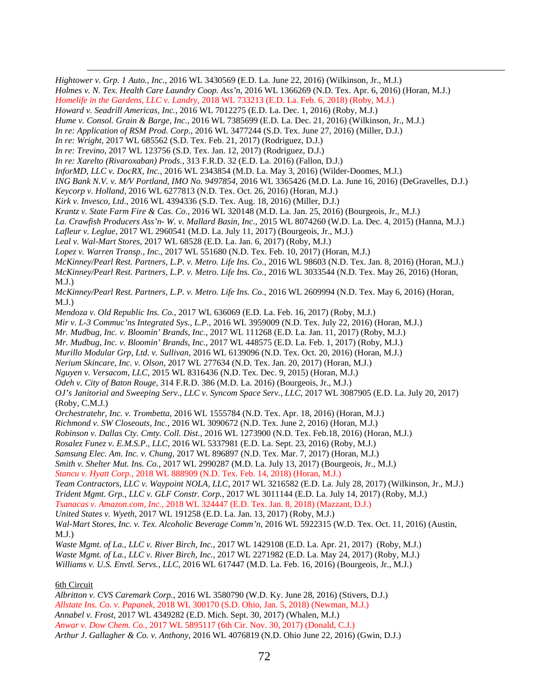<u>.</u> *Hightower v. Grp. 1 Auto., Inc.*, 2016 WL 3430569 (E.D. La. June 22, 2016) (Wilkinson, Jr., M.J.)

*Holmes v. N. Tex. Health Care Laundry Coop. Ass'n*, 2016 WL 1366269 (N.D. Tex. Apr. 6, 2016) (Horan, M.J.) *Homelife in the Gardens, LLC v. Landry*, 2018 WL 733213 (E.D. La. Feb. 6, 2018) (Roby, M.J.)

*Howard v. Seadrill Americas, Inc.*, 2016 WL 7012275 (E.D. La. Dec. 1, 2016) (Roby, M.J.)

*Hume v. Consol. Grain & Barge, Inc.*, 2016 WL 7385699 (E.D. La. Dec. 21, 2016) (Wilkinson, Jr., M.J.)

- *In re: Application of RSM Prod. Corp.*, 2016 WL 3477244 (S.D. Tex. June 27, 2016) (Miller, D.J.)
- *In re: Wright*, 2017 WL 685562 (S.D. Tex. Feb. 21, 2017) (Rodriguez, D.J.)
- *In re: Trevino*, 2017 WL 123756 (S.D. Tex. Jan. 12, 2017) (Rodriguez, D.J.)
- *In re: Xarelto (Rivaroxaban) Prods.*, 313 F.R.D. 32 (E.D. La. 2016) (Fallon, D.J.)
- *InforMD, LLC v. DocRX, Inc.*, 2016 WL 2343854 (M.D. La. May 3, 2016) (Wilder-Doomes, M.J.)
- *ING Bank N.V. v. M/V Portland, IMO No. 9497854*, 2016 WL 3365426 (M.D. La. June 16, 2016) (DeGravelles, D.J.)
- *Keycorp v. Holland*, 2016 WL 6277813 (N.D. Tex. Oct. 26, 2016) (Horan, M.J.)
- *Kirk v. Invesco, Ltd*., 2016 WL 4394336 (S.D. Tex. Aug. 18, 2016) (Miller, D.J.)

*Krantz v. State Farm Fire & Cas. Co*., 2016 WL 320148 (M.D. La. Jan. 25, 2016) (Bourgeois, Jr., M.J.)

*La. Crawfish Producers Ass'n- W. v. Mallard Basin, Inc*., 2015 WL 8074260 (W.D. La. Dec. 4, 2015) (Hanna, M.J.)

*Lafleur v. Leglue*, 2017 WL 2960541 (M.D. La. July 11, 2017) (Bourgeois, Jr., M.J.)

*Leal v. Wal-Mart Stores*, 2017 WL 68528 (E.D. La. Jan. 6, 2017) (Roby, M.J.)

*Lopez v. Warren Transp., Inc.*, 2017 WL 551680 (N.D. Tex. Feb. 10, 2017) (Horan, M.J.)

- *McKinney/Pearl Rest. Partners, L.P*. *v. Metro. Life Ins. Co.*, 2016 WL 98603 (N.D. Tex. Jan. 8, 2016) (Horan, M.J.)
- *McKinney/Pearl Rest. Partners, L.P. v. Metro. Life Ins. Co.*, 2016 WL 3033544 (N.D. Tex. May 26, 2016) (Horan,  $M.J.$ )

*McKinney/Pearl Rest. Partners, L.P. v. Metro. Life Ins. Co.*, 2016 WL 2609994 (N.D. Tex. May 6, 2016) (Horan, M.J.)

*Mendoza v. Old Republic Ins. Co.*, 2017 WL 636069 (E.D. La. Feb. 16, 2017) (Roby, M.J.)

*Mir v. L-3 Commuc'ns Integrated Sys., L.P.*, 2016 WL 3959009 (N.D. Tex. July 22, 2016) (Horan, M.J.)

*Mr. Mudbug, Inc. v. Bloomin' Brands, Inc.*, 2017 WL 111268 (E.D. La. Jan. 11, 2017) (Roby, M.J.)

- *Mr. Mudbug, Inc. v. Bloomin' Brands, Inc.*, 2017 WL 448575 (E.D. La. Feb. 1, 2017) (Roby, M.J.)
- *Murillo Modular Grp, Ltd. v. Sullivan*, 2016 WL 6139096 (N.D. Tex. Oct. 20, 2016) (Horan, M.J.)
- *Nerium Skincare, Inc. v. Olson*, 2017 WL 277634 (N.D. Tex. Jan. 20, 2017) (Horan, M.J.)

*Nguyen v. Versacom, LLC*, 2015 WL 8316436 (N.D. Tex. Dec. 9, 2015) (Horan, M.J.)

*Odeh v. City of Baton Rouge*, 314 F.R.D. 386 (M.D. La. 2016) (Bourgeois, Jr., M.J.)

*OJ's Janitorial and Sweeping Serv., LLC v. Syncom Space Serv., LLC*, 2017 WL 3087905 (E.D. La. July 20, 2017) (Roby, C.M.J.)

*Orchestratehr, Inc. v. Trombetta*, 2016 WL 1555784 (N.D. Tex. Apr. 18, 2016) (Horan, M.J.)

- *Richmond v. SW Closeouts, Inc.*, 2016 WL 3090672 (N.D. Tex. June 2, 2016) (Horan, M.J.)
- *Robinson v. Dallas Cty. Cmty. Coll. Dist.*, 2016 WL 1273900 (N.D. Tex. Feb.18, 2016) (Horan, M.J.)

*Rosalez Funez v. E.M.S.P., LLC*, 2016 WL 5337981 (E.D. La. Sept. 23, 2016) (Roby, M.J.)

- *Samsung Elec. Am. Inc. v. Chung*, 2017 WL 896897 (N.D. Tex. Mar. 7, 2017) (Horan, M.J.)
- *Smith v. Shelter Mut. Ins. Co.*, 2017 WL 2990287 (M.D. La. July 13, 2017) (Bourgeois, Jr., M.J.)
- *Stancu v. Hyatt Corp.*, 2018 WL 888909 (N.D. Tex. Feb. 14, 2018) (Horan, M.J.)

*Team Contractors, LLC v. Waypoint NOLA, LLC*, 2017 WL 3216582 (E.D. La. July 28, 2017) (Wilkinson, Jr., M.J.) *Trident Mgmt. Grp., LLC v. GLF Constr. Corp.*, 2017 WL 3011144 (E.D. La. July 14, 2017) (Roby, M.J.) *Tsanacas v. Amazon.com, Inc.*, 2018 WL 324447 (E.D. Tex. Jan. 8, 2018) (Mazzant, D.J.)

*United States v. Wyeth*, 2017 WL 191258 (E.D. La. Jan. 13, 2017) (Roby, M.J.)

*Wal-Mart Stores, Inc. v. Tex. Alcoholic Beverage Comm'n,* 2016 WL 5922315 (W.D. Tex. Oct. 11, 2016) (Austin, M.J.)

*Waste Mgmt. of La., LLC v. River Birch, Inc.*, 2017 WL 1429108 (E.D. La. Apr. 21, 2017) (Roby, M.J.) *Waste Mgmt. of La., LLC v. River Birch, Inc.*, 2017 WL 2271982 (E.D. La. May 24, 2017) (Roby, M.J.) *Williams v. U.S. Envtl. Servs., LLC*, 2016 WL 617447 (M.D. La. Feb. 16, 2016) (Bourgeois, Jr., M.J.)

# 6th Circuit

*Albritton v. CVS Caremark Corp.*, 2016 WL 3580790 (W.D. Ky. June 28, 2016) (Stivers, D.J.) *Allstate Ins. Co. v. Papanek*, 2018 WL 300170 (S.D. Ohio, Jan. 5, 2018) (Newman, M.J.) *Annabel v. Frost*, 2017 WL 4349282 (E.D. Mich. Sept. 30, 2017) (Whalen, M.J.) *Anwar v. Dow Chem. Co.*, 2017 WL 5895117 (6th Cir. Nov. 30, 2017) (Donald, C.J.) *Arthur J. Gallagher & Co. v. Anthony*, 2016 WL 4076819 (N.D. Ohio June 22, 2016) (Gwin, D.J.)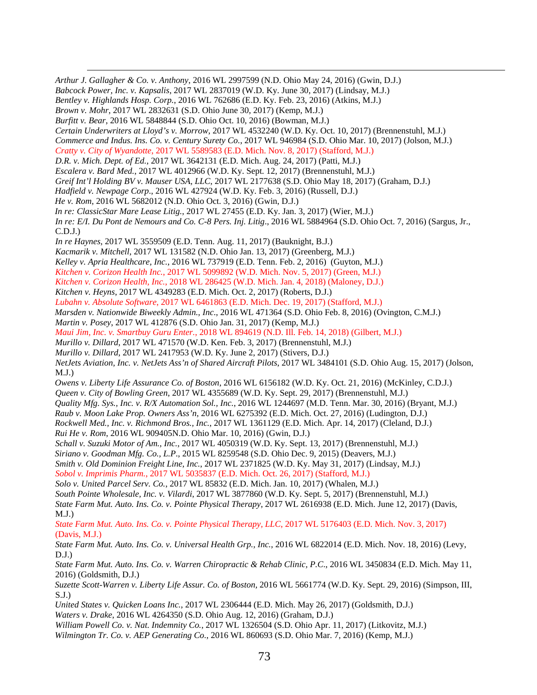<u>.</u> *Arthur J. Gallagher & Co. v. Anthony*, 2016 WL 2997599 (N.D. Ohio May 24, 2016) (Gwin, D.J.)

*Babcock Power, Inc. v. Kapsalis*, 2017 WL 2837019 (W.D. Ky. June 30, 2017) (Lindsay, M.J.)

*Bentley v. Highlands Hosp. Corp.*, 2016 WL 762686 (E.D. Ky. Feb. 23, 2016) (Atkins, M.J.)

- *Brown v. Mohr*, 2017 WL 2832631 (S.D. Ohio June 30, 2017) (Kemp, M.J.)
- *Burfitt v. Bear*, 2016 WL 5848844 (S.D. Ohio Oct. 10, 2016) (Bowman, M.J.)

*Certain Underwriters at Lloyd's v. Morrow*, 2017 WL 4532240 (W.D. Ky. Oct. 10, 2017) (Brennenstuhl, M.J.)

*Commerce and Indus. Ins. Co. v. Century Surety Co.*, 2017 WL 946984 (S.D. Ohio Mar. 10, 2017) (Jolson, M.J.)

*Cratty v. City of Wyandotte*, 2017 WL 5589583 (E.D. Mich. Nov. 8, 2017) (Stafford, M.J.)

*D.R. v. Mich. Dept. of Ed.*, 2017 WL 3642131 (E.D. Mich. Aug. 24, 2017) (Patti, M.J.)

*Escalera v. Bard Med.*, 2017 WL 4012966 (W.D. Ky. Sept. 12, 2017) (Brennenstuhl, M.J.)

*Greif Int'l Holding BV v. Mauser USA, LLC*, 2017 WL 2177638 (S.D. Ohio May 18, 2017) (Graham, D.J.)

*Hadfield v. Newpage Corp*., 2016 WL 427924 (W.D. Ky. Feb. 3, 2016) (Russell, D.J.)

- *He v. Rom*, 2016 WL 5682012 (N.D. Ohio Oct. 3, 2016) (Gwin, D.J.)
- *In re: ClassicStar Mare Lease Litig.*, 2017 WL 27455 (E.D. Ky. Jan. 3, 2017) (Wier, M.J.)

*In re: E/I. Du Pont de Nemours and Co. C-8 Pers. Inj. Litig*., 2016 WL 5884964 (S.D. Ohio Oct. 7, 2016) (Sargus, Jr., C.D.J.)

*In re Haynes*, 2017 WL 3559509 (E.D. Tenn. Aug. 11, 2017) (Bauknight, B.J.)

*Kacmarik v. Mitchell*, 2017 WL 131582 (N.D. Ohio Jan. 13, 2017) (Greenberg, M.J.)

*Kelley v. Apria Healthcare, Inc.*, 2016 WL 737919 (E.D. Tenn. Feb. 2, 2016) (Guyton, M.J.)

*Kitchen v. Corizon Health Inc.*, 2017 WL 5099892 (W.D. Mich. Nov. 5, 2017) (Green, M.J.)

*Kitchen v. Corizon Health, Inc.*, 2018 WL 286425 (W.D. Mich. Jan. 4, 2018) (Maloney, D.J.)

*Kitchen v. Heyns*, 2017 WL 4349283 (E.D. Mich. Oct. 2, 2017) (Roberts, D.J.)

*Lubahn v. Absolute Software*, 2017 WL 6461863 (E.D. Mich. Dec. 19, 2017) (Stafford, M.J.)

*Marsden v. Nationwide Biweekly Admin., Inc*., 2016 WL 471364 (S.D. Ohio Feb. 8, 2016) (Ovington, C.M.J.)

*Martin v. Posey*, 2017 WL 412876 (S.D. Ohio Jan. 31, 2017) (Kemp, M.J.)

*Maui Jim, Inc. v. Smartbuy Guru Enter.*, 2018 WL 894619 (N.D. Ill. Feb. 14, 2018) (Gilbert, M.J.)

*Murillo v. Dillard*, 2017 WL 471570 (W.D. Ken. Feb. 3, 2017) (Brennenstuhl, M.J.)

*Murillo v. Dillard*, 2017 WL 2417953 (W.D. Ky. June 2, 2017) (Stivers, D.J.)

*NetJets Aviation, Inc. v. NetJets Ass'n of Shared Aircraft Pilots*, 2017 WL 3484101 (S.D. Ohio Aug. 15, 2017) (Jolson, M.J.)

*Owens v. Liberty Life Assurance Co. of Boston*, 2016 WL 6156182 (W.D. Ky. Oct. 21, 2016) (McKinley, C.D.J.)

*Queen v. City of Bowling Green*, 2017 WL 4355689 (W.D. Ky. Sept. 29, 2017) (Brennenstuhl, M.J.)

*Quality Mfg. Sys., Inc. v. R/X Automation Sol., Inc.*, 2016 WL 1244697 (M.D. Tenn. Mar. 30, 2016) (Bryant, M.J.)

*Raub v. Moon Lake Prop. Owners Ass'n*, 2016 WL 6275392 (E.D. Mich. Oct. 27, 2016) (Ludington, D.J.)

*Rockwell Med., Inc. v. Richmond Bros., Inc.*, 2017 WL 1361129 (E.D. Mich. Apr. 14, 2017) (Cleland, D.J.)

*Rui He v. Rom*, 2016 WL 909405N.D. Ohio Mar. 10, 2016) (Gwin, D.J.)

*Schall v. Suzuki Motor of Am., Inc.*, 2017 WL 4050319 (W.D. Ky. Sept. 13, 2017) (Brennenstuhl, M.J.)

*Siriano v. Goodman Mfg. Co., L.P*., 2015 WL 8259548 (S.D. Ohio Dec. 9, 2015) (Deavers, M.J.)

*Smith v. Old Dominion Freight Line, Inc.*, 2017 WL 2371825 (W.D. Ky. May 31, 2017) (Lindsay, M.J.)

*Sobol v. Imprimis Pharm.*, 2017 WL 5035837 (E.D. Mich. Oct. 26, 2017) (Stafford, M.J.)

*Solo v. United Parcel Serv. Co.*, 2017 WL 85832 (E.D. Mich. Jan. 10, 2017) (Whalen, M.J.)

*South Pointe Wholesale, Inc. v. Vilardi*, 2017 WL 3877860 (W.D. Ky. Sept. 5, 2017) (Brennenstuhl, M.J.)

*State Farm Mut. Auto. Ins. Co. v. Pointe Physical Therapy*, 2017 WL 2616938 (E.D. Mich. June 12, 2017) (Davis, M.J.)

*State Farm Mut. Auto. Ins. Co. v. Pointe Physical Therapy, LLC*, 2017 WL 5176403 (E.D. Mich. Nov. 3, 2017) (Davis, M.J.)

*State Farm Mut. Auto. Ins. Co. v. Universal Health Grp., Inc.*, 2016 WL 6822014 (E.D. Mich. Nov. 18, 2016) (Levy, D.J.)

*State Farm Mut. Auto. Ins. Co. v. Warren Chiropractic & Rehab Clinic, P.C*., 2016 WL 3450834 (E.D. Mich. May 11, 2016) (Goldsmith, D.J.)

*Suzette Scott-Warren v. Liberty Life Assur. Co. of Boston,* 2016 WL 5661774 (W.D. Ky. Sept. 29, 2016) (Simpson, III, S.J.)

*United States v. Quicken Loans Inc.*, 2017 WL 2306444 (E.D. Mich. May 26, 2017) (Goldsmith, D.J.) *Waters v. Drake*, 2016 WL 4264350 (S.D. Ohio Aug. 12, 2016) (Graham, D.J.)

*William Powell Co. v. Nat. Indemnity Co.*, 2017 WL 1326504 (S.D. Ohio Apr. 11, 2017) (Litkovitz, M.J.)

*Wilmington Tr. Co. v. AEP Generating Co.*, 2016 WL 860693 (S.D. Ohio Mar. 7, 2016) (Kemp, M.J.)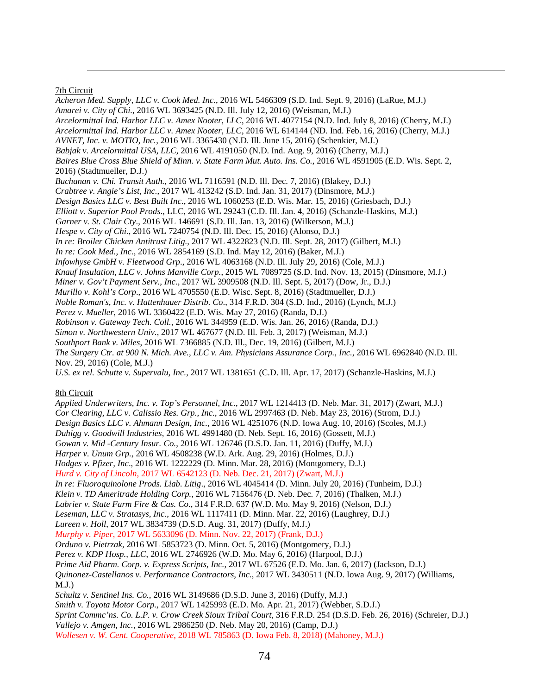## 7th Circuit

<u>.</u>

*Acheron Med. Supply, LLC v. Cook Med. Inc*., 2016 WL 5466309 (S.D. Ind. Sept. 9, 2016) (LaRue, M.J.) *Amarei v. City of Chi.*, 2016 WL 3693425 (N.D. Ill. July 12, 2016) (Weisman, M.J.) *Arcelormittal Ind. Harbor LLC v. Amex Nooter, LLC*, 2016 WL 4077154 (N.D. Ind. July 8, 2016) (Cherry, M.J.) *Arcelormittal Ind. Harbor LLC v. Amex Nooter, LLC*, 2016 WL 614144 (ND. Ind. Feb. 16, 2016) (Cherry, M.J.) *AVNET, Inc. v. MOTIO, Inc.*, 2016 WL 3365430 (N.D. Ill. June 15, 2016) (Schenkier, M.J.) *Babjak v. Arcelormittal USA, LLC*, 2016 WL 4191050 (N.D. Ind. Aug. 9, 2016) (Cherry, M.J.) *Baires Blue Cross Blue Shield of Minn*. *v. State Farm Mut. Auto. Ins. Co.*, 2016 WL 4591905 (E.D. Wis. Sept. 2, 2016) (Stadtmueller, D.J.) *Buchanan v. Chi. Transit Auth.*, 2016 WL 7116591 (N.D. Ill. Dec. 7, 2016) (Blakey, D.J.) *Crabtree v. Angie's List, Inc.*, 2017 WL 413242 (S.D. Ind. Jan. 31, 2017) (Dinsmore, M.J.) *Design Basics LLC v. Best Built Inc.*, 2016 WL 1060253 (E.D. Wis. Mar. 15, 2016) (Griesbach, D.J.) *Elliott v. Superior Pool Prods*., LLC, 2016 WL 29243 (C.D. Ill. Jan. 4, 2016) (Schanzle-Haskins, M.J.) *Garner v. St. Clair Cty*., 2016 WL 146691 (S.D. Ill. Jan. 13, 2016) (Wilkerson, M.J.) *Hespe v. City of Chi.*, 2016 WL 7240754 (N.D. Ill. Dec. 15, 2016) (Alonso, D.J.) *In re: Broiler Chicken Antitrust Litig.*, 2017 WL 4322823 (N.D. Ill. Sept. 28, 2017) (Gilbert, M.J.) *In re: Cook Med., Inc.*, 2016 WL 2854169 (S.D. Ind. May 12, 2016) (Baker, M.J.) *Infowhyse GmbH v. Fleetwood Grp*., 2016 WL 4063168 (N.D. Ill. July 29, 2016) (Cole, M.J.) *Knauf Insulation, LLC v. Johns Manville Corp.*, 2015 WL 7089725 (S.D. Ind. Nov. 13, 2015) (Dinsmore, M.J.) *Miner v. Gov't Payment Serv., Inc.*, 2017 WL 3909508 (N.D. Ill. Sept. 5, 2017) (Dow, Jr., D.J.) *Murillo v. Kohl's Corp*., 2016 WL 4705550 (E.D. Wisc. Sept. 8, 2016) (Stadtmueller, D.J.) *Noble Roman's, Inc. v. Hattenhauer Distrib. Co*., 314 F.R.D. 304 (S.D. Ind., 2016) (Lynch, M.J.) *Perez v. Mueller*, 2016 WL 3360422 (E.D. Wis. May 27, 2016) (Randa, D.J.) *Robinson v. Gateway Tech. Coll.*, 2016 WL 344959 (E.D. Wis. Jan. 26, 2016) (Randa, D.J.) *Simon v. Northwestern Univ.*, 2017 WL 467677 (N.D. Ill. Feb. 3, 2017) (Weisman, M.J.) *Southport Bank v. Miles*, 2016 WL 7366885 (N.D. Ill., Dec. 19, 2016) (Gilbert, M.J.) *The Surgery Ctr. at 900 N. Mich. Ave., LLC v. Am. Physicians Assurance Corp., Inc.*, 2016 WL 6962840 (N.D. Ill. Nov. 29, 2016) (Cole, M.J.)

*U.S. ex rel. Schutte v. Supervalu, Inc.*, 2017 WL 1381651 (C.D. Ill. Apr. 17, 2017) (Schanzle-Haskins, M.J.)

# 8th Circuit

*Applied Underwriters, Inc. v. Top's Personnel, Inc.*, 2017 WL 1214413 (D. Neb. Mar. 31, 2017) (Zwart, M.J.) *Cor Clearing, LLC v. Calissio Res. Grp., Inc.*, 2016 WL 2997463 (D. Neb. May 23, 2016) (Strom, D.J.) *Design Basics LLC v. Ahmann Design, Inc.*, 2016 WL 4251076 (N.D. Iowa Aug. 10, 2016) (Scoles, M.J.) *Duhigg v. Goodwill Industries*, 2016 WL 4991480 (D. Neb. Sept. 16, 2016) (Gossett, M.J.) *Gowan v. Mid -Century Insur. Co.*, 2016 WL 126746 (D.S.D. Jan. 11, 2016) (Duffy, M.J.) *Harper v. Unum Grp.*, 2016 WL 4508238 (W.D. Ark. Aug. 29, 2016) (Holmes, D.J.) *Hodges v. Pfizer, Inc*., 2016 WL 1222229 (D. Minn. Mar. 28, 2016) (Montgomery, D.J.) *Hurd v. City of Lincoln*, 2017 WL 6542123 (D. Neb. Dec. 21, 2017) (Zwart, M.J.) *In re: Fluoroquinolone Prods. Liab. Litig*., 2016 WL 4045414 (D. Minn. July 20, 2016) (Tunheim, D.J.) *Klein v. TD Ameritrade Holding Corp.*, 2016 WL 7156476 (D. Neb. Dec. 7, 2016) (Thalken, M.J.) *Labrier v. State Farm Fire & Cas. Co.*, 314 F.R.D. 637 (W.D. Mo. May 9, 2016) (Nelson, D.J.) *Leseman, LLC v. Stratasys, Inc*., 2016 WL 1117411 (D. Minn. Mar. 22, 2016) (Laughrey, D.J.) *Lureen v. Holl*, 2017 WL 3834739 (D.S.D. Aug. 31, 2017) (Duffy, M.J.) *Murphy v. Piper*, 2017 WL 5633096 (D. Minn. Nov. 22, 2017) (Frank, D.J.) *Orduno v. Pietrzak*, 2016 WL 5853723 (D. Minn. Oct. 5, 2016) (Montgomery, D.J.) *Perez v. KDP Hosp., LLC*, 2016 WL 2746926 (W.D. Mo. May 6, 2016) (Harpool, D.J.) *Prime Aid Pharm. Corp. v. Express Scripts, Inc.*, 2017 WL 67526 (E.D. Mo. Jan. 6, 2017) (Jackson, D.J.) *Quinonez-Castellanos v. Performance Contractors, Inc.*, 2017 WL 3430511 (N.D. Iowa Aug. 9, 2017) (Williams, M.J.) *Schultz v. Sentinel Ins. Co.*, 2016 WL 3149686 (D.S.D. June 3, 2016) (Duffy, M.J.) *Smith v. Toyota Motor Corp.*, 2017 WL 1425993 (E.D. Mo. Apr. 21, 2017) (Webber, S.D.J.)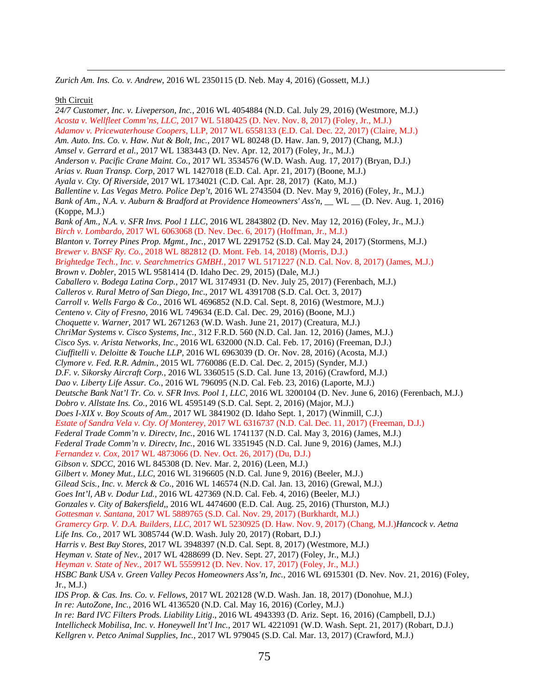*Zurich Am. Ins. Co. v. Andrew*, 2016 WL 2350115 (D. Neb. May 4, 2016) (Gossett, M.J.)

9th Circuit

<u>.</u>

*24/7 Customer, Inc. v. Liveperson, Inc.*, 2016 WL 4054884 (N.D. Cal. July 29, 2016) (Westmore, M.J.) *Acosta v. Wellfleet Comm'ns, LLC*, 2017 WL 5180425 (D. Nev. Nov. 8, 2017) (Foley, Jr., M.J.) *Adamov v. Pricewaterhouse Coopers*, LLP, 2017 WL 6558133 (E.D. Cal. Dec. 22, 2017) (Claire, M.J.) *Am. Auto. Ins. Co. v. Haw. Nut & Bolt, Inc.*, 2017 WL 80248 (D. Haw. Jan. 9, 2017) (Chang, M.J.) *Amsel v. Gerrard et al.*, 2017 WL 1383443 (D. Nev. Apr. 12, 2017) (Foley, Jr., M.J.) *Anderson v. Pacific Crane Maint. Co.*, 2017 WL 3534576 (W.D. Wash. Aug. 17, 2017) (Bryan, D.J.) *Arias v. Ruan Transp. Corp*, 2017 WL 1427018 (E.D. Cal. Apr. 21, 2017) (Boone, M.J.) *Ayala v. Cty. Of Riverside*, 2017 WL 1734021 (C.D. Cal. Apr. 28, 2017) (Kato, M.J.) *Ballentine v. Las Vegas Metro. Police Dep't*, 2016 WL 2743504 (D. Nev. May 9, 2016) (Foley, Jr., M.J.) *Bank of Am., N.A. v. Auburn & Bradford at Providence Homeowners' Ass'n*, \_\_ WL \_\_ (D. Nev. Aug. 1, 2016) (Koppe, M.J.) *Bank of Am., N.A. v. SFR Invs. Pool 1 LLC*, 2016 WL 2843802 (D. Nev. May 12, 2016) (Foley, Jr., M.J.) *Birch v. Lombardo*, 2017 WL 6063068 (D. Nev. Dec. 6, 2017) (Hoffman, Jr., M.J.) *Blanton v. Torrey Pines Prop. Mgmt., Inc.*, 2017 WL 2291752 (S.D. Cal. May 24, 2017) (Stormens, M.J.) *Brewer v. BNSF Ry. Co.*, 2018 WL 882812 (D. Mont. Feb. 14, 2018) (Morris, D.J.) *Brightedge Tech., Inc. v. Searchmetrics GMBH.*, 2017 WL 5171227 (N.D. Cal. Nov. 8, 2017) (James, M.J.) *Brown v. Dobler*, 2015 WL 9581414 (D. Idaho Dec. 29, 2015) (Dale, M.J.) *Caballero v. Bodega Latina Corp.*, 2017 WL 3174931 (D. Nev. July 25, 2017) (Ferenbach, M.J.) *Calleros v. Rural Metro of San Diego, Inc*., 2017 WL 4391708 (S.D. Cal. Oct. 3, 2017) *Carroll v. Wells Fargo & Co.*, 2016 WL 4696852 (N.D. Cal. Sept. 8, 2016) (Westmore, M.J.) *Centeno v. City of Fresno*, 2016 WL 749634 (E.D. Cal. Dec. 29, 2016) (Boone, M.J.) *Choquette v. Warner*, 2017 WL 2671263 (W.D. Wash. June 21, 2017) (Creatura, M.J.) *ChriMar Systems v. Cisco Systems, Inc.*, 312 F.R.D. 560 (N.D. Cal. Jan. 12, 2016) (James, M.J.) *Cisco Sys. v. Arista Networks, Inc*., 2016 WL 632000 (N.D. Cal. Feb. 17, 2016) (Freeman, D.J.) *Ciuffitelli v. Deloitte & Touche LLP*, 2016 WL 6963039 (D. Or. Nov. 28, 2016) (Acosta, M.J.) *Clymore v. Fed. R.R. Admin.*, 2015 WL 7760086 (E.D. Cal. Dec. 2, 2015) (Synder, M.J.) *D.F. v. Sikorsky Aircraft Corp.*, 2016 WL 3360515 (S.D. Cal. June 13, 2016) (Crawford, M.J.) *Dao v. Liberty Life Assur. Co.*, 2016 WL 796095 (N.D. Cal. Feb. 23, 2016) (Laporte, M.J.) *Deutsche Bank Nat'l Tr. Co. v. SFR Invs. Pool 1, LLC*, 2016 WL 3200104 (D. Nev. June 6, 2016) (Ferenbach, M.J.) *Dobro v. Allstate Ins. Co.*, 2016 WL 4595149 (S.D. Cal. Sept. 2, 2016) (Major, M.J.) *Does I-XIX v. Boy Scouts of Am.*, 2017 WL 3841902 (D. Idaho Sept. 1, 2017) (Winmill, C.J.) *Estate of Sandra Vela v. Cty. Of Monterey*, 2017 WL 6316737 (N.D. Cal. Dec. 11, 2017) (Freeman, D.J.) *Federal Trade Comm'n v. Directv, Inc.*, 2016 WL 1741137 (N.D. Cal. May 3, 2016) (James, M.J.) *Federal Trade Comm'n v. Directv, Inc.*, 2016 WL 3351945 (N.D. Cal. June 9, 2016) (James, M.J.) *Fernandez v. Cox*, 2017 WL 4873066 (D. Nev. Oct. 26, 2017) (Du, D.J.) *Gibson v. SDCC*, 2016 WL 845308 (D. Nev. Mar. 2, 2016) (Leen, M.J.) *Gilbert v. Money Mut., LLC*, 2016 WL 3196605 (N.D. Cal. June 9, 2016) (Beeler, M.J.) *Gilead Scis., Inc. v. Merck & Co*., 2016 WL 146574 (N.D. Cal. Jan. 13, 2016) (Grewal, M.J.) *Goes Int'l, AB v. Dodur Ltd.*, 2016 WL 427369 (N.D. Cal. Feb. 4, 2016) (Beeler, M.J.) *Gonzales v. City of Bakersfield*,, 2016 WL 4474600 (E.D. Cal. Aug. 25, 2016) (Thurston, M.J.) *Gottesman v. Santana*, 2017 WL 5889765 (S.D. Cal. Nov. 29, 2017) (Burkhardt, M.J.) *Gramercy Grp. V. D.A. Builders, LLC*, 2017 WL 5230925 (D. Haw. Nov. 9, 2017) (Chang, M.J.)*Hancock v. Aetna Life Ins. Co.*, 2017 WL 3085744 (W.D. Wash. July 20, 2017) (Robart, D.J.) *Harris v. Best Buy Stores*, 2017 WL 3948397 (N.D. Cal. Sept. 8, 2017) (Westmore, M.J.) *Heyman v. State of Nev.*, 2017 WL 4288699 (D. Nev. Sept. 27, 2017) (Foley, Jr., M.J.) *Heyman v. State of Nev.*, 2017 WL 5559912 (D. Nev. Nov. 17, 2017) (Foley, Jr., M.J.) *HSBC Bank USA v. Green Valley Pecos Homeowners Ass'n, Inc.*, 2016 WL 6915301 (D. Nev. Nov. 21, 2016) (Foley, Jr., M.J.) *IDS Prop. & Cas. Ins. Co. v. Fellows*, 2017 WL 202128 (W.D. Wash. Jan. 18, 2017) (Donohue, M.J.) *In re: AutoZone, Inc.*, 2016 WL 4136520 (N.D. Cal. May 16, 2016) (Corley, M.J.) *In re: Bard IVC Filters Prods. Liability Litig*., 2016 WL 4943393 (D. Ariz. Sept. 16, 2016) (Campbell, D.J.) *Intellicheck Mobilisa, Inc. v. Honeywell Int'l Inc.*, 2017 WL 4221091 (W.D. Wash. Sept. 21, 2017) (Robart, D.J.)

*Kellgren v. Petco Animal Supplies, Inc.*, 2017 WL 979045 (S.D. Cal. Mar. 13, 2017) (Crawford, M.J.)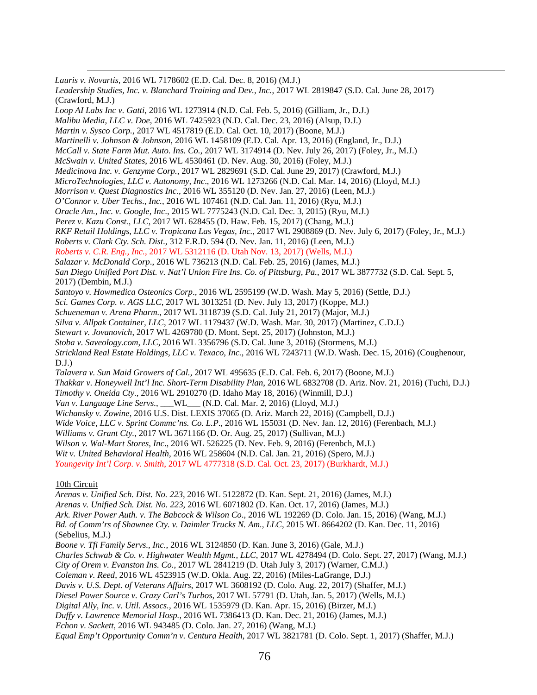<u>.</u> *Lauris v. Novartis*, 2016 WL 7178602 (E.D. Cal. Dec. 8, 2016) (M.J.)

*Leadership Studies, Inc. v. Blanchard Training and Dev., Inc.*, 2017 WL 2819847 (S.D. Cal. June 28, 2017) (Crawford, M.J.)

*Loop AI Labs Inc v. Gatti*, 2016 WL 1273914 (N.D. Cal. Feb. 5, 2016) (Gilliam, Jr., D.J.)

*Malibu Media, LLC v. Doe*, 2016 WL 7425923 (N.D. Cal. Dec. 23, 2016) (Alsup, D.J.)

*Martin v. Sysco Corp.*, 2017 WL 4517819 (E.D. Cal. Oct. 10, 2017) (Boone, M.J.)

*Martinelli v. Johnson & Johnson*, 2016 WL 1458109 (E.D. Cal. Apr. 13, 2016) (England, Jr., D.J.)

- *McCall v. State Farm Mut. Auto. Ins. Co.*, 2017 WL 3174914 (D. Nev. July 26, 2017) (Foley, Jr., M.J.)
- *McSwain v. United States*, 2016 WL 4530461 (D. Nev. Aug. 30, 2016) (Foley, M.J.)

*Medicinova Inc. v. Genzyme Corp.*, 2017 WL 2829691 (S.D. Cal. June 29, 2017) (Crawford, M.J.)

*MicroTechnologies, LLC v. Autonomy, Inc*., 2016 WL 1273266 (N.D. Cal. Mar. 14, 2016) (Lloyd, M.J.)

*Morrison v. Quest Diagnostics Inc*., 2016 WL 355120 (D. Nev. Jan. 27, 2016) (Leen, M.J.)

*O'Connor v. Uber Techs*., *Inc.*, 2016 WL 107461 (N.D. Cal. Jan. 11, 2016) (Ryu, M.J.)

*Oracle Am., Inc. v. Google, Inc*., 2015 WL 7775243 (N.D. Cal. Dec. 3, 2015) (Ryu, M.J.)

*Perez v. Kazu Const., LLC*, 2017 WL 628455 (D. Haw. Feb. 15, 2017) (Chang, M.J.)

*RKF Retail Holdings, LLC v. Tropicana Las Vegas, Inc.*, 2017 WL 2908869 (D. Nev. July 6, 2017) (Foley, Jr., M.J.)

*Roberts v. Clark Cty. Sch. Dist*., 312 F.R.D. 594 (D. Nev. Jan. 11, 2016) (Leen, M.J.)

*Roberts v. C.R. Eng., Inc.*, 2017 WL 5312116 (D. Utah Nov. 13, 2017) (Wells, M.J.)

*Salazar v. McDonald Corp*., 2016 WL 736213 (N.D. Cal. Feb. 25, 2016) (James, M.J.)

*San Diego Unified Port Dist. v. Nat'l Union Fire Ins. Co. of Pittsburg, Pa.*, 2017 WL 3877732 (S.D. Cal. Sept. 5, 2017) (Dembin, M.J.)

*Santoyo v. Howmedica Osteonics Corp*., 2016 WL 2595199 (W.D. Wash. May 5, 2016) (Settle, D.J.)

*Sci. Games Corp. v. AGS LLC*, 2017 WL 3013251 (D. Nev. July 13, 2017) (Koppe, M.J.)

*Schueneman v. Arena Pharm.*, 2017 WL 3118739 (S.D. Cal. July 21, 2017) (Major, M.J.)

*Silva v. Allpak Container, LLC*, 2017 WL 1179437 (W.D. Wash. Mar. 30, 2017) (Martinez, C.D.J.)

*Stewart v. Jovanovich*, 2017 WL 4269780 (D. Mont. Sept. 25, 2017) (Johnston, M.J.)

*Stoba v. Saveology.com, LLC*, 2016 WL 3356796 (S.D. Cal. June 3, 2016) (Stormens, M.J.)

*Strickland Real Estate Holdings, LLC v. Texaco, Inc.*, 2016 WL 7243711 (W.D. Wash. Dec. 15, 2016) (Coughenour, D.J.)

*Talavera v. Sun Maid Growers of Cal.*, 2017 WL 495635 (E.D. Cal. Feb. 6, 2017) (Boone, M.J.)

*Thakkar v. Honeywell Int'l Inc. Short-Term Disability Plan*, 2016 WL 6832708 (D. Ariz. Nov. 21, 2016) (Tuchi, D.J.)

*Timothy v. Oneida Cty.*, 2016 WL 2910270 (D. Idaho May 18, 2016) (Winmill, D.J.)

*Van v. Language Line Servs.*, \_\_\_WL\_\_\_ (N.D. Cal. Mar. 2, 2016) (Lloyd, M.J.)

*Wichansky v. Zowine*, 2016 U.S. Dist. LEXIS 37065 (D. Ariz. March 22, 2016) (Campbell, D.J.)

*Wide Voice, LLC v. Sprint Commc'ns. Co. L.P*., 2016 WL 155031 (D. Nev. Jan. 12, 2016) (Ferenbach, M.J.)

*Williams v. Grant Cty.*, 2017 WL 3671166 (D. Or. Aug. 25, 2017) (Sullivan, M.J.)

*Wilson v. Wal-Mart Stores, Inc*., 2016 WL 526225 (D. Nev. Feb. 9, 2016) (Ferenbch, M.J.)

*Wit v. United Behavioral Health*, 2016 WL 258604 (N.D. Cal. Jan. 21, 2016) (Spero, M.J.)

*Youngevity Int'l Corp. v. Smith*, 2017 WL 4777318 (S.D. Cal. Oct. 23, 2017) (Burkhardt, M.J.)

# 10th Circuit

*Arenas v. Unified Sch. Dist. No. 223*, 2016 WL 5122872 (D. Kan. Sept. 21, 2016) (James, M.J.) *Arenas v. Unified Sch. Dist. No. 223*, 2016 WL 6071802 (D. Kan. Oct. 17, 2016) (James, M.J.) *Ark. River Power Auth. v. The Babcock & Wilson Co*., 2016 WL 192269 (D. Colo. Jan. 15, 2016) (Wang, M.J.) *Bd. of Comm'rs of Shawnee Cty. v. Daimler Trucks N. Am., LLC*, 2015 WL 8664202 (D. Kan. Dec. 11, 2016) (Sebelius, M.J.) *Boone v. Tfi Family Servs., Inc.*, 2016 WL 3124850 (D. Kan. June 3, 2016) (Gale, M.J.) *Charles Schwab & Co. v. Highwater Wealth Mgmt., LLC*, 2017 WL 4278494 (D. Colo. Sept. 27, 2017) (Wang, M.J.) *City of Orem v. Evanston Ins. Co.*, 2017 WL 2841219 (D. Utah July 3, 2017) (Warner, C.M.J.) *Coleman v. Reed*, 2016 WL 4523915 (W.D. Okla. Aug. 22, 2016) (Miles-LaGrange, D.J.) *Davis v. U.S. Dept. of Veterans Affairs*, 2017 WL 3608192 (D. Colo. Aug. 22, 2017) (Shaffer, M.J.) *Diesel Power Source v. Crazy Carl's Turbos*, 2017 WL 57791 (D. Utah, Jan. 5, 2017) (Wells, M.J.) *Digital Ally, Inc. v. Util. Assocs.*, 2016 WL 1535979 (D. Kan. Apr. 15, 2016) (Birzer, M.J.) *Duffy v. Lawrence Memorial Hosp.*, 2016 WL 7386413 (D. Kan. Dec. 21, 2016) (James, M.J.) *Echon v. Sackett*, 2016 WL 943485 (D. Colo. Jan. 27, 2016) (Wang, M.J.) *Equal Emp't Opportunity Comm'n v. Centura Health*, 2017 WL 3821781 (D. Colo. Sept. 1, 2017) (Shaffer, M.J.)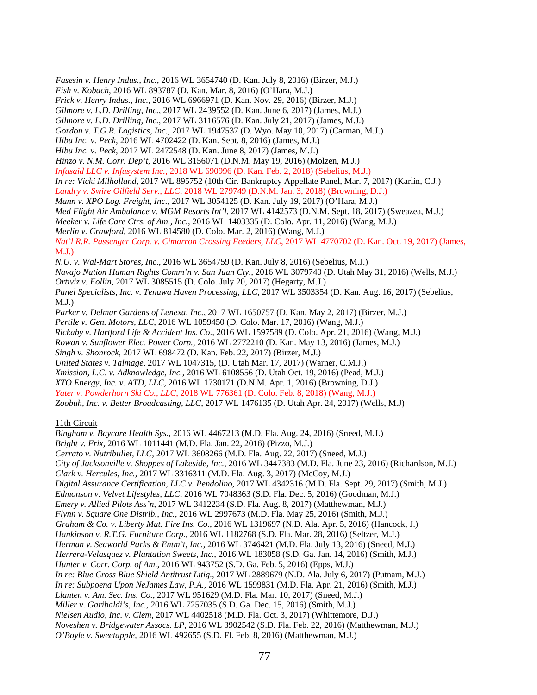<u>.</u> *Fasesin v. Henry Indus., Inc.*, 2016 WL 3654740 (D. Kan. July 8, 2016) (Birzer, M.J.) *Fish v. Kobach*, 2016 WL 893787 (D. Kan. Mar. 8, 2016) (O'Hara, M.J.) *Frick v. Henry Indus., Inc.*, 2016 WL 6966971 (D. Kan. Nov. 29, 2016) (Birzer, M.J.) *Gilmore v. L.D. Drilling, Inc.*, 2017 WL 2439552 (D. Kan. June 6, 2017) (James, M.J.) *Gilmore v. L.D. Drilling, Inc.*, 2017 WL 3116576 (D. Kan. July 21, 2017) (James, M.J.) *Gordon v. T.G.R. Logistics, Inc.*, 2017 WL 1947537 (D. Wyo. May 10, 2017) (Carman, M.J.) *Hibu Inc. v. Peck*, 2016 WL 4702422 (D. Kan. Sept. 8, 2016) (James, M.J.) *Hibu Inc. v. Peck*, 2017 WL 2472548 (D. Kan. June 8, 2017) (James, M.J.) *Hinzo v. N.M. Corr. Dep't*, 2016 WL 3156071 (D.N.M. May 19, 2016) (Molzen, M.J.) *Infusaid LLC v. Infusystem Inc.*, 2018 WL 690996 (D. Kan. Feb. 2, 2018) (Sebelius, M.J.) *In re: Vicki Milholland*, 2017 WL 895752 (10th Cir. Bankruptcy Appellate Panel, Mar. 7, 2017) (Karlin, C.J.) *Landry v. Swire Oilfield Serv., LLC*, 2018 WL 279749 (D.N.M. Jan. 3, 2018) (Browning, D.J.) *Mann v. XPO Log. Freight, Inc.*, 2017 WL 3054125 (D. Kan. July 19, 2017) (O'Hara, M.J.) *Med Flight Air Ambulance v. MGM Resorts Int'l*, 2017 WL 4142573 (D.N.M. Sept. 18, 2017) (Sweazea, M.J.) *Meeker v. Life Care Ctrs. of Am., Inc.*, 2016 WL 1403335 (D. Colo. Apr. 11, 2016) (Wang, M.J.) *Merlin v. Crawford*, 2016 WL 814580 (D. Colo. Mar. 2, 2016) (Wang, M.J.) *Nat'l R.R. Passenger Corp. v. Cimarron Crossing Feeders, LLC*, 2017 WL 4770702 (D. Kan. Oct. 19, 2017) (James, M.J.) *N.U. v. Wal-Mart Stores*, *Inc.*, 2016 WL 3654759 (D. Kan. July 8, 2016) (Sebelius, M.J.) *Navajo Nation Human Rights Comm'n v. San Juan Cty.,* 2016 WL 3079740 (D. Utah May 31, 2016) (Wells, M.J.) *Ortiviz v. Follin*, 2017 WL 3085515 (D. Colo. July 20, 2017) (Hegarty, M.J.) *Panel Specialists, Inc. v. Tenawa Haven Processing, LLC*, 2017 WL 3503354 (D. Kan. Aug. 16, 2017) (Sebelius, M.J.) *Parker v. Delmar Gardens of Lenexa, Inc.*, 2017 WL 1650757 (D. Kan. May 2, 2017) (Birzer, M.J.) *Pertile v. Gen. Motors, LLC*, 2016 WL 1059450 (D. Colo. Mar. 17, 2016) (Wang, M.J.) *Rickaby v. Hartford Life & Accident Ins. Co*., 2016 WL 1597589 (D. Colo. Apr. 21, 2016) (Wang, M.J.) *Rowan v. Sunflower Elec. Power Corp.*, 2016 WL 2772210 (D. Kan. May 13, 2016) (James, M.J.) *Singh v. Shonrock*, 2017 WL 698472 (D. Kan. Feb. 22, 2017) (Birzer, M.J.) *United States v. Talmage*, 2017 WL 1047315, (D. Utah Mar. 17, 2017) (Warner, C.M.J.) *Xmission, L.C. v. Adknowledge, Inc.*, 2016 WL 6108556 (D. Utah Oct. 19, 2016) (Pead, M.J.) *XTO Energy, Inc. v. ATD, LLC*, 2016 WL 1730171 (D.N.M. Apr. 1, 2016) (Browning, D.J.) *Yater v. Powderhorn Ski Co., LLC*, 2018 WL 776361 (D. Colo. Feb. 8, 2018) (Wang, M.J.) *Zoobuh, Inc. v. Better Broadcasting, LLC*, 2017 WL 1476135 (D. Utah Apr. 24, 2017) (Wells, M.J) 11th Circuit *Bingham v. Baycare Health Sys.*, 2016 WL 4467213 (M.D. Fla. Aug. 24, 2016) (Sneed, M.J.) *Bright v. Frix*, 2016 WL 1011441 (M.D. Fla. Jan. 22, 2016) (Pizzo, M.J.) *Cerrato v. Nutribullet, LLC*, 2017 WL 3608266 (M.D. Fla. Aug. 22, 2017) (Sneed, M.J.) *City of Jacksonville v. Shoppes of Lakeside, Inc.*, 2016 WL 3447383 (M.D. Fla. June 23, 2016) (Richardson, M.J.) *Clark v. Hercules, Inc.*, 2017 WL 3316311 (M.D. Fla. Aug. 3, 2017) (McCoy, M.J.) *Digital Assurance Certification, LLC v. Pendolino*, 2017 WL 4342316 (M.D. Fla. Sept. 29, 2017) (Smith, M.J.) *Edmonson v. Velvet Lifestyles, LLC*, 2016 WL 7048363 (S.D. Fla. Dec. 5, 2016) (Goodman, M.J.) *Emery v. Allied Pilots Ass'n*, 2017 WL 3412234 (S.D. Fla. Aug. 8, 2017) (Matthewman, M.J.) *Flynn v. Square One Distrib., Inc.*, 2016 WL 2997673 (M.D. Fla. May 25, 2016) (Smith, M.J.) *Graham & Co. v. Liberty Mut. Fire Ins. Co.*, 2016 WL 1319697 (N.D. Ala. Apr. 5, 2016) (Hancock, J.) *Hankinson v. R.T.G. Furniture Corp*., 2016 WL 1182768 (S.D. Fla. Mar. 28, 2016) (Seltzer, M.J.) *Herman v. Seaworld Parks & Entm't, Inc.*, 2016 WL 3746421 (M.D. Fla. July 13, 2016) (Sneed, M.J.) *Herrera-Velasquez v. Plantation Sweets, Inc.*, 2016 WL 183058 (S.D. Ga. Jan. 14, 2016) (Smith, M.J.) *Hunter v. Corr. Corp. of Am*., 2016 WL 943752 (S.D. Ga. Feb. 5, 2016) (Epps, M.J.) *In re: Blue Cross Blue Shield Antitrust Litig.*, 2017 WL 2889679 (N.D. Ala. July 6, 2017) (Putnam, M.J.) *In re: Subpoena Upon NeJames Law, P.A.*, 2016 WL 1599831 (M.D. Fla. Apr. 21, 2016) (Smith, M.J.) *Llanten v. Am. Sec. Ins. Co.*, 2017 WL 951629 (M.D. Fla. Mar. 10, 2017) (Sneed, M.J.) *Miller v. Garibaldi's, Inc.*, 2016 WL 7257035 (S.D. Ga. Dec. 15, 2016) (Smith, M.J.) *Nielsen Audio, Inc. v. Clem*, 2017 WL 4402518 (M.D. Fla. Oct. 3, 2017) (Whittemore, D.J.) *Noveshen v. Bridgewater Assocs. LP*, 2016 WL 3902542 (S.D. Fla. Feb. 22, 2016) (Matthewman, M.J.) *O'Boyle v. Sweetapple*, 2016 WL 492655 (S.D. Fl. Feb. 8, 2016) (Matthewman, M.J.)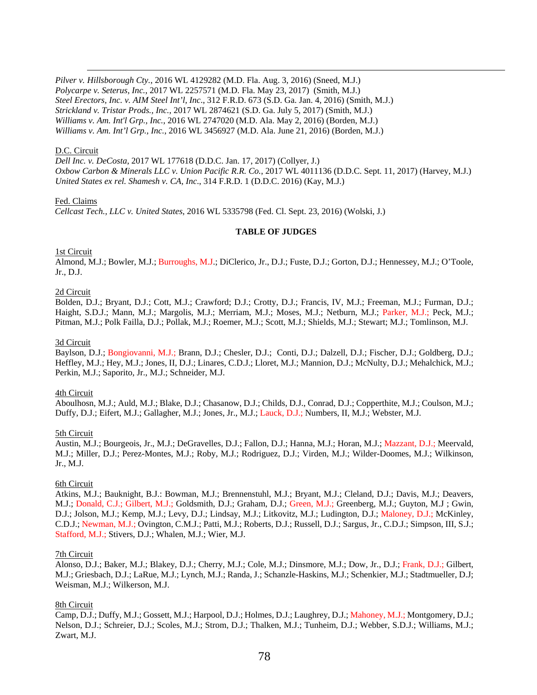<u>.</u> *Pilver v. Hillsborough Cty.*, 2016 WL 4129282 (M.D. Fla. Aug. 3, 2016) (Sneed, M.J.) *Polycarpe v. Seterus, Inc.*, 2017 WL 2257571 (M.D. Fla. May 23, 2017) (Smith, M.J.) *Steel Erectors, Inc. v. AIM Steel Int'l, Inc*., 312 F.R.D. 673 (S.D. Ga. Jan. 4, 2016) (Smith, M.J.) *Strickland v. Tristar Prods., Inc.*, 2017 WL 2874621 (S.D. Ga. July 5, 2017) (Smith, M.J.) *Williams v. Am. Int'l Grp., Inc.*, 2016 WL 2747020 (M.D. Ala. May 2, 2016) (Borden, M.J.) *Williams v. Am. Int'l Grp., Inc.*, 2016 WL 3456927 (M.D. Ala. June 21, 2016) (Borden, M.J.)

### D.C. Circuit

*Dell Inc. v. DeCosta*, 2017 WL 177618 (D.D.C. Jan. 17, 2017) (Collyer, J.) *Oxbow Carbon & Minerals LLC v. Union Pacific R.R. Co.*, 2017 WL 4011136 (D.D.C. Sept. 11, 2017) (Harvey, M.J.) *United States ex rel. Shamesh v. CA, Inc*., 314 F.R.D. 1 (D.D.C. 2016) (Kay, M.J.)

### Fed. Claims

*Cellcast Tech., LLC v. United States*, 2016 WL 5335798 (Fed. Cl. Sept. 23, 2016) (Wolski, J.)

## **TABLE OF JUDGES**

### 1st Circuit

Almond, M.J.; Bowler, M.J.; Burroughs, M.J.; DiClerico, Jr., D.J.; Fuste, D.J.; Gorton, D.J.; Hennessey, M.J.; O'Toole, Jr., D.J.

## 2d Circuit

Bolden, D.J.; Bryant, D.J.; Cott, M.J.; Crawford; D.J.; Crotty, D.J.; Francis, IV, M.J.; Freeman, M.J.; Furman, D.J.; Haight, S.D.J.; Mann, M.J.; Margolis, M.J.; Merriam, M.J.; Moses, M.J.; Netburn, M.J.; Parker, M.J.; Peck, M.J.; Pitman, M.J.; Polk Failla, D.J.; Pollak, M.J.; Roemer, M.J.; Scott, M.J.; Shields, M.J.; Stewart; M.J.; Tomlinson, M.J.

# 3d Circuit

Baylson, D.J.; Bongiovanni, M.J.; Brann, D.J.; Chesler, D.J.; Conti, D.J.; Dalzell, D.J.; Fischer, D.J.; Goldberg, D.J.; Heffley, M.J.; Hey, M.J.; Jones, II, D.J.; Linares, C.D.J.; Lloret, M.J.; Mannion, D.J.; McNulty, D.J.; Mehalchick, M.J.; Perkin, M.J.; Saporito, Jr., M.J.; Schneider, M.J.

#### 4th Circuit

Aboulhosn, M.J.; Auld, M.J.; Blake, D.J.; Chasanow, D.J.; Childs, D.J., Conrad, D.J.; Copperthite, M.J.; Coulson, M.J.; Duffy, D.J.; Eifert, M.J.; Gallagher, M.J.; Jones, Jr., M.J.; Lauck, D.J.; Numbers, II, M.J.; Webster, M.J.

# 5th Circuit

Austin, M.J.; Bourgeois, Jr., M.J.; DeGravelles, D.J.; Fallon, D.J.; Hanna, M.J.; Horan, M.J.; Mazzant, D.J.; Meervald, M.J.; Miller, D.J.; Perez-Montes, M.J.; Roby, M.J.; Rodriguez, D.J.; Virden, M.J.; Wilder-Doomes, M.J.; Wilkinson, Jr., M.J.

#### 6th Circuit

Atkins, M.J.; Bauknight, B.J.: Bowman, M.J.; Brennenstuhl, M.J.; Bryant, M.J.; Cleland, D.J.; Davis, M.J.; Deavers, M.J.; Donald, C.J.; Gilbert, M.J.; Goldsmith, D.J.; Graham, D.J.; Green, M.J.; Greenberg, M.J.; Guyton, M.J ; Gwin, D.J.; Jolson, M.J.; Kemp, M.J.; Levy, D.J.; Lindsay, M.J.; Litkovitz, M.J.; Ludington, D.J.; Maloney, D.J.; McKinley, C.D.J.; Newman, M.J.; Ovington, C.M.J.; Patti, M.J.; Roberts, D.J.; Russell, D.J.; Sargus, Jr., C.D.J.; Simpson, III, S.J.; Stafford, M.J.; Stivers, D.J.; Whalen, M.J.; Wier, M.J.

#### 7th Circuit

Alonso, D.J.; Baker, M.J.; Blakey, D.J.; Cherry, M.J.; Cole, M.J.; Dinsmore, M.J.; Dow, Jr., D.J.; Frank, D.J.; Gilbert, M.J.; Griesbach, D.J.; LaRue, M.J.; Lynch, M.J.; Randa, J.; Schanzle-Haskins, M.J.; Schenkier, M.J.; Stadtmueller, D.J; Weisman, M.J.; Wilkerson, M.J.

## 8th Circuit

Camp, D.J.; Duffy, M.J.; Gossett, M.J.; Harpool, D.J.; Holmes, D.J.; Laughrey, D.J.; Mahoney, M.J.; Montgomery, D.J.; Nelson, D.J.; Schreier, D.J.; Scoles, M.J.; Strom, D.J.; Thalken, M.J.; Tunheim, D.J.; Webber, S.D.J.; Williams, M.J.; Zwart, M.J.